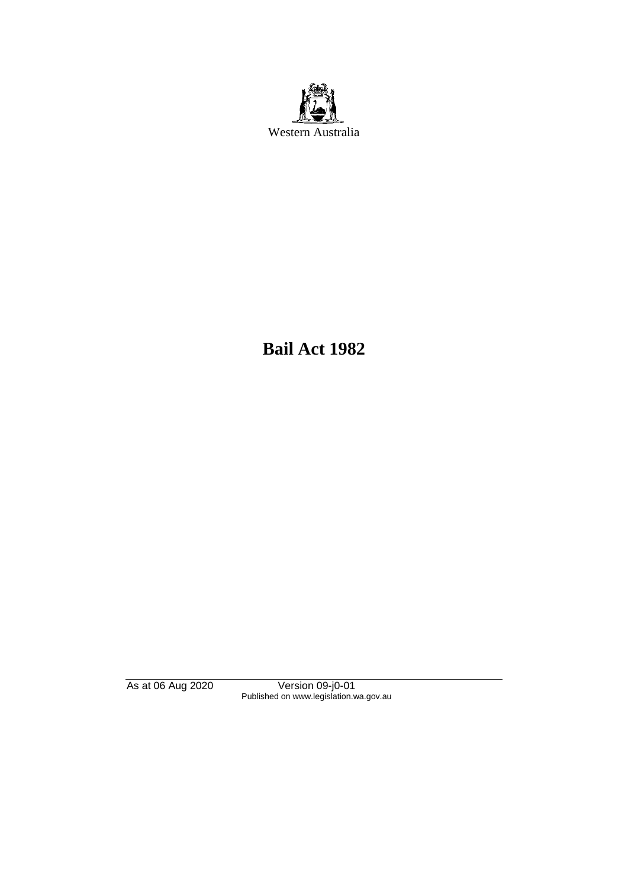

**Bail Act 1982**

As at 06 Aug 2020 Version 09-j0-01 Published on www.legislation.wa.gov.au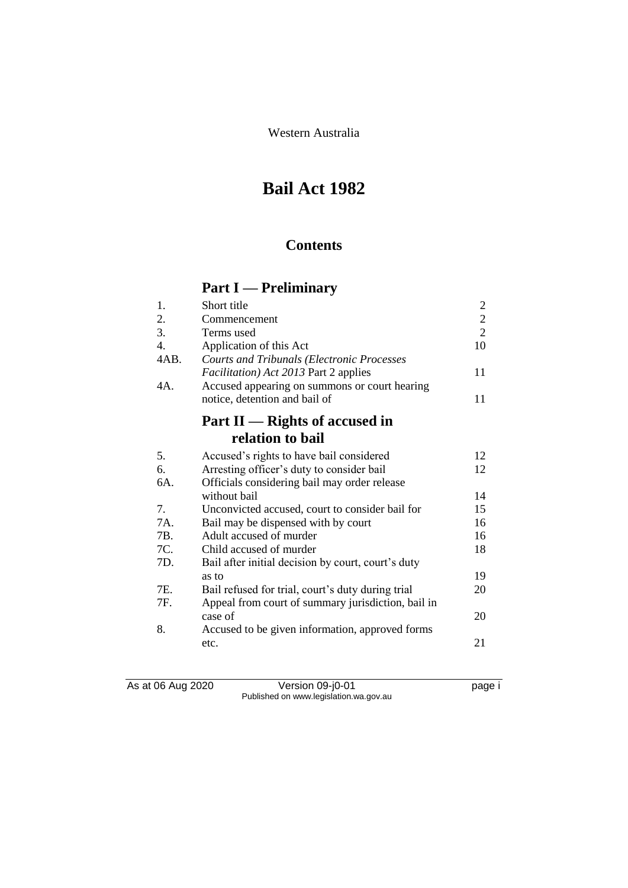Western Australia

# **Bail Act 1982**

## **Contents**

# **Part I — Preliminary**

| 1.               | Short title                                        | $\overline{2}$ |
|------------------|----------------------------------------------------|----------------|
| 2.               | Commencement                                       | $\overline{c}$ |
| 3.               | Terms used                                         | $\overline{2}$ |
| $\overline{4}$ . | Application of this Act                            | 10             |
| 4AB.             | <b>Courts and Tribunals (Electronic Processes</b>  |                |
|                  | <i>Facilitation</i> ) Act 2013 Part 2 applies      | 11             |
| 4A.              | Accused appearing on summons or court hearing      |                |
|                  | notice, detention and bail of                      | 11             |
|                  | Part $II$ — Rights of accused in                   |                |
|                  | relation to bail                                   |                |
| 5.               | Accused's rights to have bail considered           | 12             |
| 6.               | Arresting officer's duty to consider bail          | 12             |
| 6A.              | Officials considering bail may order release       |                |
|                  | without bail                                       | 14             |
| 7.               | Unconvicted accused, court to consider bail for    | 15             |
| 7A.              | Bail may be dispensed with by court                | 16             |
| 7B.              | Adult accused of murder                            | 16             |
| 7C.              | Child accused of murder                            | 18             |
| 7D.              | Bail after initial decision by court, court's duty |                |
|                  | as to                                              | 19             |
| 7E.              | Bail refused for trial, court's duty during trial  | 20             |
| 7F.              | Appeal from court of summary jurisdiction, bail in |                |
|                  | case of                                            | 20             |
| 8.               | Accused to be given information, approved forms    |                |
|                  | etc.                                               | 21             |

As at 06 Aug 2020 Version 09-j0-01 page i Published on www.legislation.wa.gov.au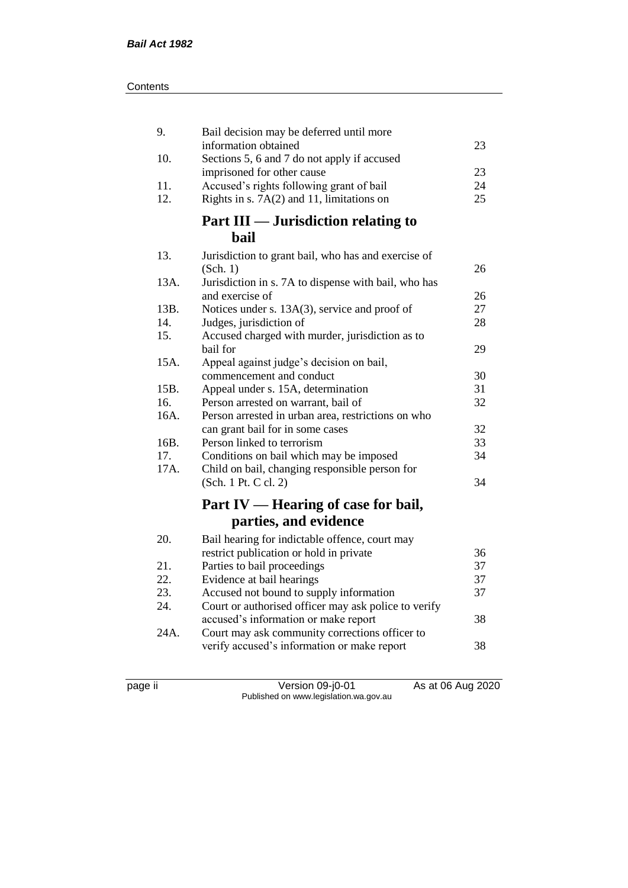| 9.   | Bail decision may be deferred until more                                  |    |
|------|---------------------------------------------------------------------------|----|
|      | information obtained                                                      | 23 |
| 10.  | Sections 5, 6 and 7 do not apply if accused<br>imprisoned for other cause | 23 |
| 11.  | Accused's rights following grant of bail                                  | 24 |
| 12.  | Rights in s. $7A(2)$ and 11, limitations on                               | 25 |
|      |                                                                           |    |
|      | Part III — Jurisdiction relating to                                       |    |
|      | <b>bail</b>                                                               |    |
| 13.  | Jurisdiction to grant bail, who has and exercise of                       |    |
|      | (Sch. 1)                                                                  | 26 |
| 13A. | Jurisdiction in s. 7A to dispense with bail, who has                      |    |
|      | and exercise of                                                           | 26 |
| 13B. | Notices under s. 13A(3), service and proof of                             | 27 |
| 14.  | Judges, jurisdiction of                                                   | 28 |
| 15.  | Accused charged with murder, jurisdiction as to                           |    |
|      | bail for                                                                  | 29 |
| 15A. | Appeal against judge's decision on bail,                                  |    |
|      | commencement and conduct                                                  | 30 |
| 15B. | Appeal under s. 15A, determination                                        | 31 |
| 16.  | Person arrested on warrant, bail of                                       | 32 |
| 16A. | Person arrested in urban area, restrictions on who                        |    |
|      | can grant bail for in some cases                                          | 32 |
| 16B. | Person linked to terrorism                                                | 33 |
| 17.  | Conditions on bail which may be imposed                                   | 34 |
| 17A. | Child on bail, changing responsible person for                            |    |
|      | (Sch. 1 Pt. C cl. 2)                                                      | 34 |
|      | Part IV — Hearing of case for bail,                                       |    |
|      | parties, and evidence                                                     |    |
| 20.  | Bail hearing for indictable offence, court may                            |    |
|      | restrict publication or hold in private                                   | 36 |
| 21.  | Parties to bail proceedings                                               | 37 |
| 22.  | Evidence at bail hearings                                                 | 37 |
| 23.  | Accused not bound to supply information                                   | 37 |
| 24.  | Court or authorised officer may ask police to verify                      |    |
|      | accused's information or make report                                      | 38 |
| 24A. | Court may ask community corrections officer to                            |    |
|      | verify accused's information or make report                               | 38 |
|      |                                                                           |    |

page ii Version 09-j0-01 As at 06 Aug 2020 Published on www.legislation.wa.gov.au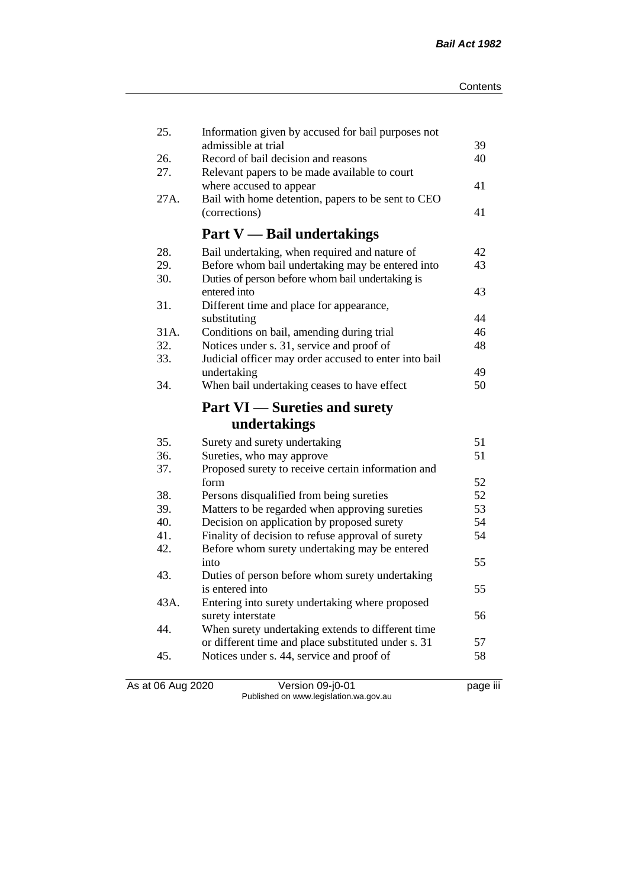| 25.        | Information given by accused for bail purposes not                       |          |
|------------|--------------------------------------------------------------------------|----------|
|            | admissible at trial<br>Record of bail decision and reasons               | 39<br>40 |
| 26.<br>27. |                                                                          |          |
|            | Relevant papers to be made available to court<br>where accused to appear | 41       |
| 27A.       | Bail with home detention, papers to be sent to CEO                       |          |
|            | (corrections)                                                            | 41       |
|            |                                                                          |          |
|            | <b>Part V</b> — Bail undertakings                                        |          |
| 28.        | Bail undertaking, when required and nature of                            | 42       |
| 29.        | Before whom bail undertaking may be entered into                         | 43       |
| 30.        | Duties of person before whom bail undertaking is                         |          |
|            | entered into                                                             | 43       |
| 31.        | Different time and place for appearance,                                 |          |
|            | substituting                                                             | 44       |
| 31A.       | Conditions on bail, amending during trial                                | 46       |
| 32.        | Notices under s. 31, service and proof of                                | 48       |
| 33.        | Judicial officer may order accused to enter into bail                    |          |
|            | undertaking                                                              | 49       |
| 34.        | When bail undertaking ceases to have effect                              | 50       |
|            | <b>Part VI</b> — Sureties and surety                                     |          |
|            | undertakings                                                             |          |
| 35.        | Surety and surety undertaking                                            | 51       |
| 36.        |                                                                          |          |
|            |                                                                          | 51       |
| 37.        | Sureties, who may approve                                                |          |
|            | Proposed surety to receive certain information and<br>form               | 52       |
| 38.        | Persons disqualified from being sureties                                 | 52       |
| 39.        | Matters to be regarded when approving sureties                           | 53       |
| 40.        | Decision on application by proposed surety                               | 54       |
| 41.        | Finality of decision to refuse approval of surety                        | 54       |
| 42.        | Before whom surety undertaking may be entered                            |          |
|            | into                                                                     | 55       |
| 43.        | Duties of person before whom surety undertaking                          |          |
|            | is entered into                                                          | 55       |
| 43A.       | Entering into surety undertaking where proposed                          |          |
|            | surety interstate                                                        | 56       |
| 44.        | When surety undertaking extends to different time                        |          |
|            | or different time and place substituted under s. 31                      | 57       |
| 45.        | Notices under s. 44, service and proof of                                | 58       |

As at 06 Aug 2020 Version 09-j0-01 page iii Published on www.legislation.wa.gov.au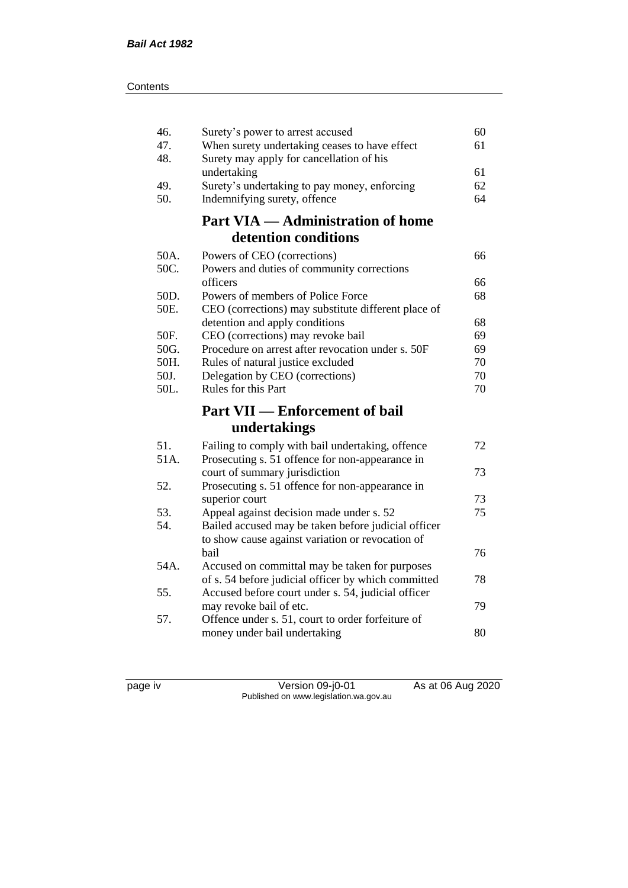| 46.        | Surety's power to arrest accused                                                          | 60 |
|------------|-------------------------------------------------------------------------------------------|----|
| 47.<br>48. | When surety undertaking ceases to have effect<br>Surety may apply for cancellation of his | 61 |
|            | undertaking                                                                               | 61 |
| 49.        | Surety's undertaking to pay money, enforcing                                              | 62 |
| 50.        | Indemnifying surety, offence                                                              | 64 |
|            | <b>Part VIA — Administration of home</b>                                                  |    |
|            | detention conditions                                                                      |    |
| 50A.       | Powers of CEO (corrections)                                                               | 66 |
| 50C.       | Powers and duties of community corrections                                                |    |
|            | officers                                                                                  | 66 |
| 50D.       | Powers of members of Police Force                                                         | 68 |
| 50E.       | CEO (corrections) may substitute different place of                                       | 68 |
| 50F.       | detention and apply conditions<br>CEO (corrections) may revoke bail                       | 69 |
| 50G.       | Procedure on arrest after revocation under s. 50F                                         | 69 |
| 50H.       | Rules of natural justice excluded                                                         | 70 |
| 50J.       | Delegation by CEO (corrections)                                                           | 70 |
| 50L.       | Rules for this Part                                                                       | 70 |
|            | <b>Part VII — Enforcement of bail</b>                                                     |    |
|            | undertakings                                                                              |    |
| 51.        | Failing to comply with bail undertaking, offence                                          | 72 |
| 51A.       | Prosecuting s. 51 offence for non-appearance in                                           |    |
|            | court of summary jurisdiction                                                             | 73 |
| 52.        | Prosecuting s. 51 offence for non-appearance in                                           |    |
|            | superior court                                                                            | 73 |
| 53.        | Appeal against decision made under s. 52                                                  | 75 |
| 54.        | Bailed accused may be taken before judicial officer                                       |    |
|            | to show cause against variation or revocation of<br>bail                                  | 76 |
| 54A.       | Accused on committal may be taken for purposes                                            |    |
|            | of s. 54 before judicial officer by which committed                                       | 78 |
| 55.        | Accused before court under s. 54, judicial officer                                        |    |
|            | may revoke bail of etc.                                                                   | 79 |
| 57.        | Offence under s. 51, court to order forfeiture of                                         |    |
|            | money under bail undertaking                                                              | 80 |
|            |                                                                                           |    |

page iv Version 09-j0-01 As at 06 Aug 2020 Published on www.legislation.wa.gov.au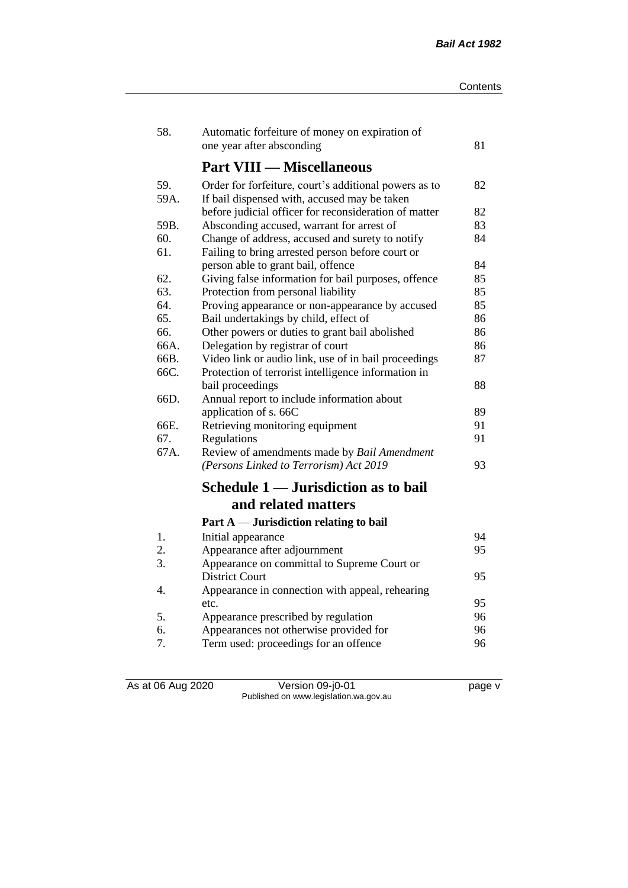| 58.  | Automatic forfeiture of money on expiration of        |    |
|------|-------------------------------------------------------|----|
|      | one year after absconding                             | 81 |
|      | <b>Part VIII — Miscellaneous</b>                      |    |
| 59.  | Order for forfeiture, court's additional powers as to | 82 |
| 59A. | If bail dispensed with, accused may be taken          |    |
|      | before judicial officer for reconsideration of matter | 82 |
| 59B. | Absconding accused, warrant for arrest of             | 83 |
| 60.  | Change of address, accused and surety to notify       | 84 |
| 61.  | Failing to bring arrested person before court or      |    |
|      | person able to grant bail, offence                    | 84 |
| 62.  | Giving false information for bail purposes, offence   | 85 |
| 63.  | Protection from personal liability                    | 85 |
| 64.  | Proving appearance or non-appearance by accused       | 85 |
| 65.  | Bail undertakings by child, effect of                 | 86 |
| 66.  | Other powers or duties to grant bail abolished        | 86 |
| 66A. | Delegation by registrar of court                      | 86 |
| 66B. | Video link or audio link, use of in bail proceedings  | 87 |
| 66C. | Protection of terrorist intelligence information in   |    |
|      | bail proceedings                                      | 88 |
| 66D. | Annual report to include information about            |    |
|      | application of s. 66C                                 | 89 |
| 66E. | Retrieving monitoring equipment                       | 91 |
| 67.  | Regulations                                           | 91 |
| 67A. | Review of amendments made by Bail Amendment           |    |
|      | (Persons Linked to Terrorism) Act 2019                | 93 |
|      | Schedule 1 — Jurisdiction as to bail                  |    |
|      | and related matters                                   |    |
|      | Part $A$ — Jurisdiction relating to bail              |    |
| 1.   | Initial appearance                                    | 94 |
| 2.   | Appearance after adjournment                          | 95 |
| 3.   | Appearance on committal to Supreme Court or           |    |
|      | <b>District Court</b>                                 | 95 |
| 4.   | Appearance in connection with appeal, rehearing       |    |
|      | etc.                                                  | 95 |
| 5.   | Appearance prescribed by regulation                   | 96 |
| 6.   | Appearances not otherwise provided for                | 96 |
| 7.   | Term used: proceedings for an offence                 | 96 |

As at 06 Aug 2020 Version 09-j0-01 page v Published on www.legislation.wa.gov.au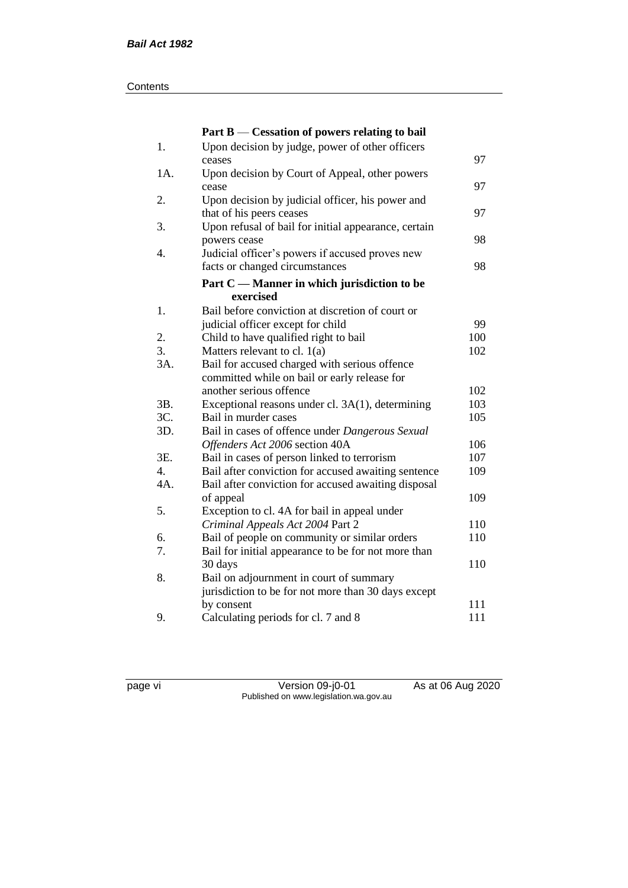#### **Contents**

|     | Part B — Cessation of powers relating to bail        |     |
|-----|------------------------------------------------------|-----|
| 1.  | Upon decision by judge, power of other officers      |     |
|     | ceases                                               | 97  |
| 1A. | Upon decision by Court of Appeal, other powers       |     |
|     | cease                                                | 97  |
| 2.  | Upon decision by judicial officer, his power and     |     |
|     | that of his peers ceases                             | 97  |
| 3.  | Upon refusal of bail for initial appearance, certain |     |
|     | powers cease                                         | 98  |
| 4.  | Judicial officer's powers if accused proves new      |     |
|     | facts or changed circumstances                       | 98  |
|     | Part C — Manner in which jurisdiction to be          |     |
|     | exercised                                            |     |
| 1.  | Bail before conviction at discretion of court or     |     |
|     | judicial officer except for child                    | 99  |
| 2.  | Child to have qualified right to bail                | 100 |
| 3.  | Matters relevant to cl. $1(a)$                       | 102 |
| 3A. | Bail for accused charged with serious offence        |     |
|     | committed while on bail or early release for         |     |
|     | another serious offence                              | 102 |
| 3B. | Exceptional reasons under cl. 3A(1), determining     | 103 |
| 3C. | Bail in murder cases                                 | 105 |
| 3D. | Bail in cases of offence under Dangerous Sexual      |     |
|     | Offenders Act 2006 section 40A                       | 106 |
| 3E. | Bail in cases of person linked to terrorism          | 107 |
| 4.  | Bail after conviction for accused awaiting sentence  | 109 |
| 4A. | Bail after conviction for accused awaiting disposal  |     |
|     | of appeal                                            | 109 |
| 5.  | Exception to cl. 4A for bail in appeal under         |     |
|     | Criminal Appeals Act 2004 Part 2                     | 110 |
| 6.  | Bail of people on community or similar orders        | 110 |
| 7.  | Bail for initial appearance to be for not more than  |     |
|     | 30 days                                              | 110 |
| 8.  | Bail on adjournment in court of summary              |     |
|     | jurisdiction to be for not more than 30 days except  |     |
|     | by consent                                           | 111 |
| 9.  | Calculating periods for cl. 7 and 8                  | 111 |

page vi Version 09-j0-01 As at 06 Aug 2020 Published on www.legislation.wa.gov.au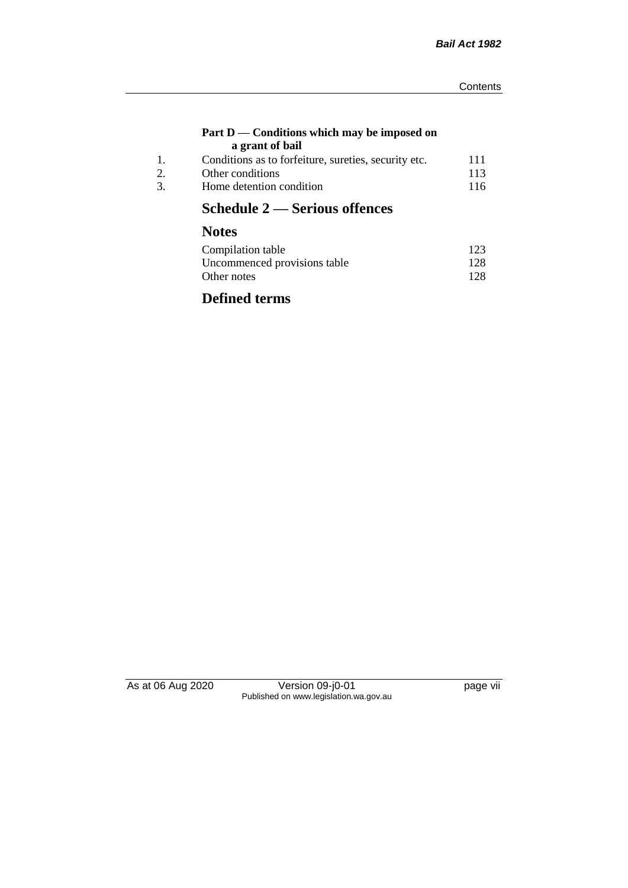#### **Part D — Conditions which may be imposed on a grant of bail**

| 111                                                  |
|------------------------------------------------------|
|                                                      |
| 113                                                  |
| 116                                                  |
| Conditions as to forfeiture, sureties, security etc. |

# **Schedule 2 — Serious offences**

# **Notes**

| Compilation table            | 123 |
|------------------------------|-----|
| Uncommenced provisions table | 128 |
| Other notes                  | 128 |

# **Defined terms**

As at 06 Aug 2020 Version 09-j0-01 page vii Published on www.legislation.wa.gov.au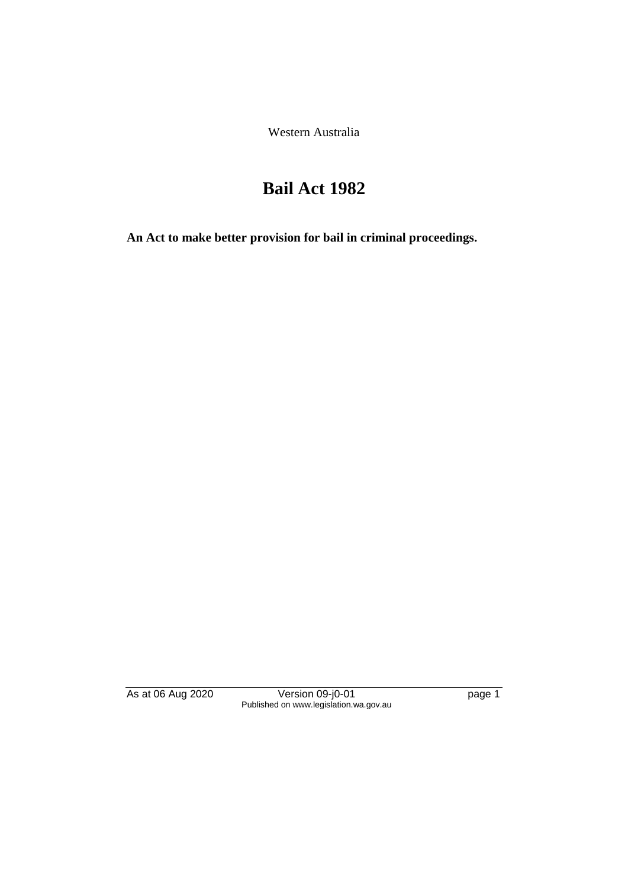Western Australia

# **Bail Act 1982**

**An Act to make better provision for bail in criminal proceedings.** 

As at 06 Aug 2020 Version 09-j0-01 page 1 Published on www.legislation.wa.gov.au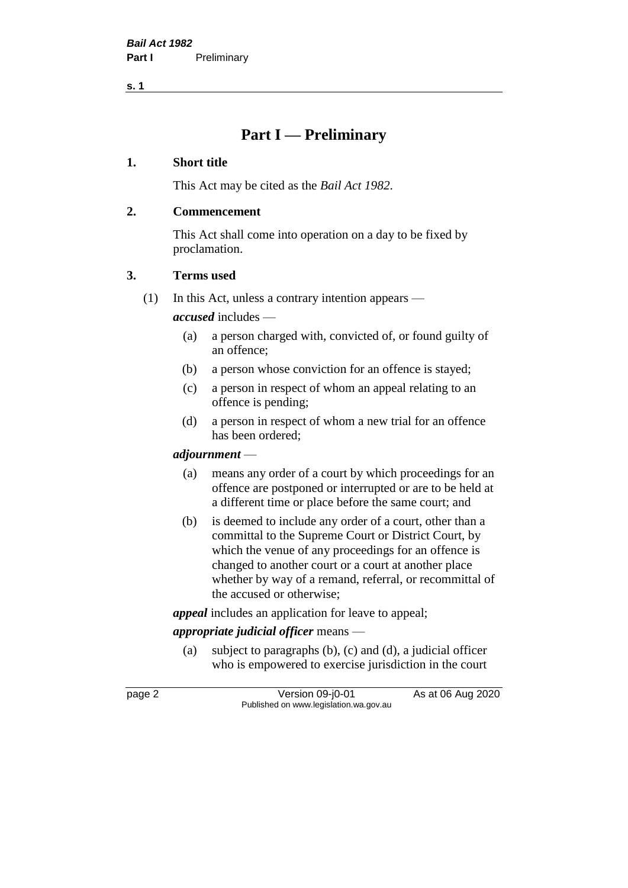**s. 1**

## **Part I — Preliminary**

#### **1. Short title**

This Act may be cited as the *Bail Act 1982*.

#### **2. Commencement**

This Act shall come into operation on a day to be fixed by proclamation.

#### **3. Terms used**

(1) In this Act, unless a contrary intention appears —

*accused* includes —

- (a) a person charged with, convicted of, or found guilty of an offence;
- (b) a person whose conviction for an offence is stayed;
- (c) a person in respect of whom an appeal relating to an offence is pending;
- (d) a person in respect of whom a new trial for an offence has been ordered;

## *adjournment* —

- (a) means any order of a court by which proceedings for an offence are postponed or interrupted or are to be held at a different time or place before the same court; and
- (b) is deemed to include any order of a court, other than a committal to the Supreme Court or District Court, by which the venue of any proceedings for an offence is changed to another court or a court at another place whether by way of a remand, referral, or recommittal of the accused or otherwise;

*appeal* includes an application for leave to appeal;

## *appropriate judicial officer* means —

(a) subject to paragraphs (b), (c) and (d), a judicial officer who is empowered to exercise jurisdiction in the court

page 2 Version 09-j0-01 As at 06 Aug 2020 Published on www.legislation.wa.gov.au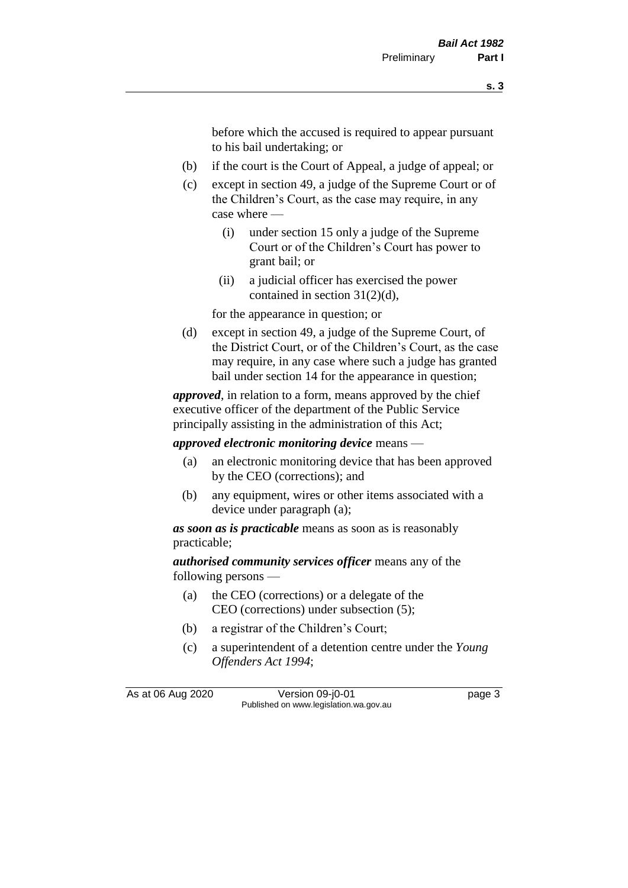before which the accused is required to appear pursuant to his bail undertaking; or

- (b) if the court is the Court of Appeal, a judge of appeal; or
- (c) except in section 49, a judge of the Supreme Court or of the Children's Court, as the case may require, in any case where —
	- (i) under section 15 only a judge of the Supreme Court or of the Children's Court has power to grant bail; or
	- (ii) a judicial officer has exercised the power contained in section 31(2)(d),

for the appearance in question; or

(d) except in section 49, a judge of the Supreme Court, of the District Court, or of the Children's Court, as the case may require, in any case where such a judge has granted bail under section 14 for the appearance in question;

*approved*, in relation to a form, means approved by the chief executive officer of the department of the Public Service principally assisting in the administration of this Act;

*approved electronic monitoring device* means —

- (a) an electronic monitoring device that has been approved by the CEO (corrections); and
- (b) any equipment, wires or other items associated with a device under paragraph (a);

*as soon as is practicable* means as soon as is reasonably practicable;

*authorised community services officer* means any of the following persons —

- (a) the CEO (corrections) or a delegate of the CEO (corrections) under subsection (5);
- (b) a registrar of the Children's Court;
- (c) a superintendent of a detention centre under the *Young Offenders Act 1994*;

As at 06 Aug 2020 Version 09-j0-01 page 3 Published on www.legislation.wa.gov.au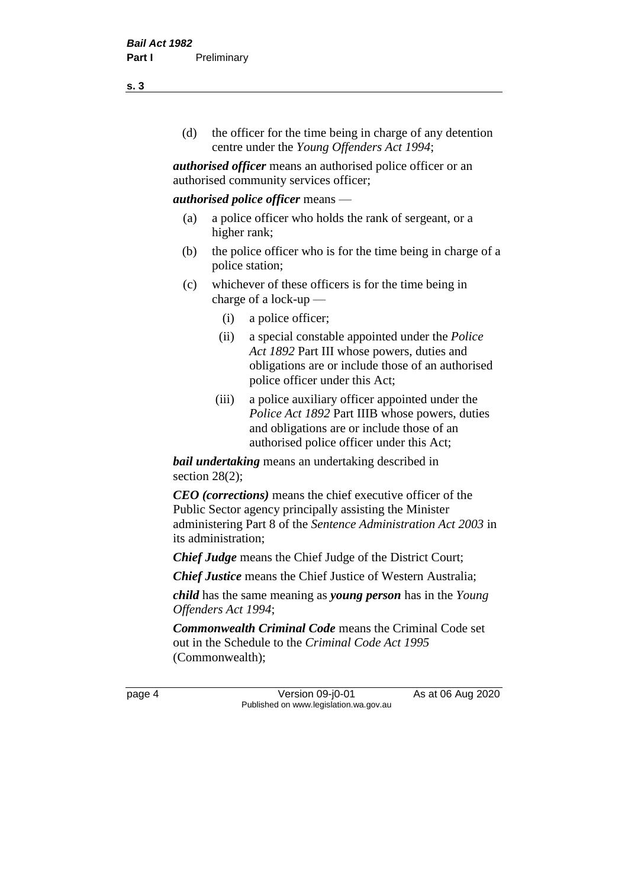(d) the officer for the time being in charge of any detention centre under the *Young Offenders Act 1994*;

*authorised officer* means an authorised police officer or an authorised community services officer;

#### *authorised police officer* means —

- (a) a police officer who holds the rank of sergeant, or a higher rank;
- (b) the police officer who is for the time being in charge of a police station;
- (c) whichever of these officers is for the time being in charge of a lock-up —
	- (i) a police officer;
	- (ii) a special constable appointed under the *Police Act 1892* Part III whose powers, duties and obligations are or include those of an authorised police officer under this Act;
	- (iii) a police auxiliary officer appointed under the *Police Act 1892* Part IIIB whose powers, duties and obligations are or include those of an authorised police officer under this Act;

*bail undertaking* means an undertaking described in section 28(2);

*CEO (corrections)* means the chief executive officer of the Public Sector agency principally assisting the Minister administering Part 8 of the *Sentence Administration Act 2003* in its administration;

*Chief Judge* means the Chief Judge of the District Court;

*Chief Justice* means the Chief Justice of Western Australia;

*child* has the same meaning as *young person* has in the *Young Offenders Act 1994*;

*Commonwealth Criminal Code* means the Criminal Code set out in the Schedule to the *Criminal Code Act 1995* (Commonwealth);

page 4 Version 09-j0-01 As at 06 Aug 2020 Published on www.legislation.wa.gov.au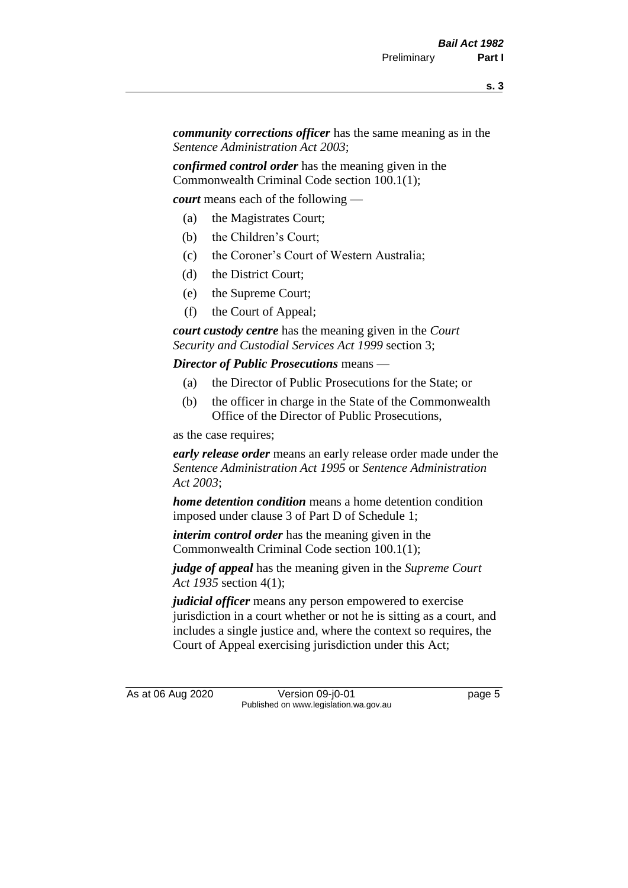*community corrections officer* has the same meaning as in the *Sentence Administration Act 2003*;

*confirmed control order* has the meaning given in the Commonwealth Criminal Code section 100.1(1);

*court* means each of the following —

- (a) the Magistrates Court;
- (b) the Children's Court;
- (c) the Coroner's Court of Western Australia;
- (d) the District Court;
- (e) the Supreme Court;
- (f) the Court of Appeal;

*court custody centre* has the meaning given in the *Court Security and Custodial Services Act 1999* section 3;

*Director of Public Prosecutions* means —

- (a) the Director of Public Prosecutions for the State; or
- (b) the officer in charge in the State of the Commonwealth Office of the Director of Public Prosecutions,

as the case requires;

*early release order* means an early release order made under the *Sentence Administration Act 1995* or *Sentence Administration Act 2003*;

*home detention condition* means a home detention condition imposed under clause 3 of Part D of Schedule 1;

*interim control order* has the meaning given in the Commonwealth Criminal Code section 100.1(1);

*judge of appeal* has the meaning given in the *Supreme Court Act 1935* section 4(1);

*judicial officer* means any person empowered to exercise jurisdiction in a court whether or not he is sitting as a court, and includes a single justice and, where the context so requires, the Court of Appeal exercising jurisdiction under this Act;

As at 06 Aug 2020 Version 09-j0-01 page 5 Published on www.legislation.wa.gov.au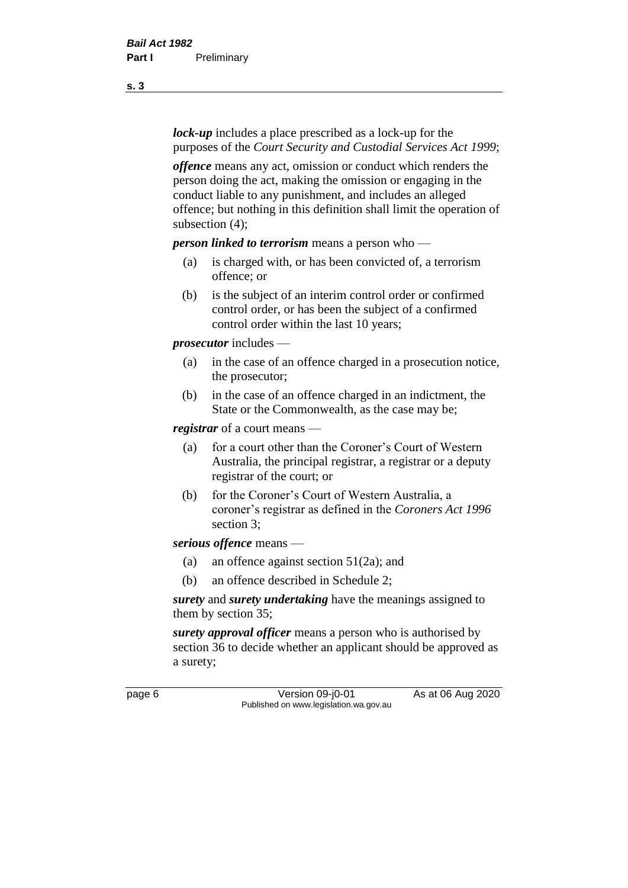*lock-up* includes a place prescribed as a lock-up for the purposes of the *Court Security and Custodial Services Act 1999*;

*offence* means any act, omission or conduct which renders the person doing the act, making the omission or engaging in the conduct liable to any punishment, and includes an alleged offence; but nothing in this definition shall limit the operation of subsection (4);

*person linked to terrorism* means a person who —

- (a) is charged with, or has been convicted of, a terrorism offence; or
- (b) is the subject of an interim control order or confirmed control order, or has been the subject of a confirmed control order within the last 10 years;

*prosecutor* includes —

- (a) in the case of an offence charged in a prosecution notice, the prosecutor;
- (b) in the case of an offence charged in an indictment, the State or the Commonwealth, as the case may be;

*registrar* of a court means —

- (a) for a court other than the Coroner's Court of Western Australia, the principal registrar, a registrar or a deputy registrar of the court; or
- (b) for the Coroner's Court of Western Australia, a coroner's registrar as defined in the *Coroners Act 1996* section 3;

*serious offence* means —

- (a) an offence against section 51(2a); and
- (b) an offence described in Schedule 2;

*surety* and *surety undertaking* have the meanings assigned to them by section 35;

*surety approval officer* means a person who is authorised by section 36 to decide whether an applicant should be approved as a surety;

page 6 Version 09-j0-01 As at 06 Aug 2020 Published on www.legislation.wa.gov.au

**s. 3**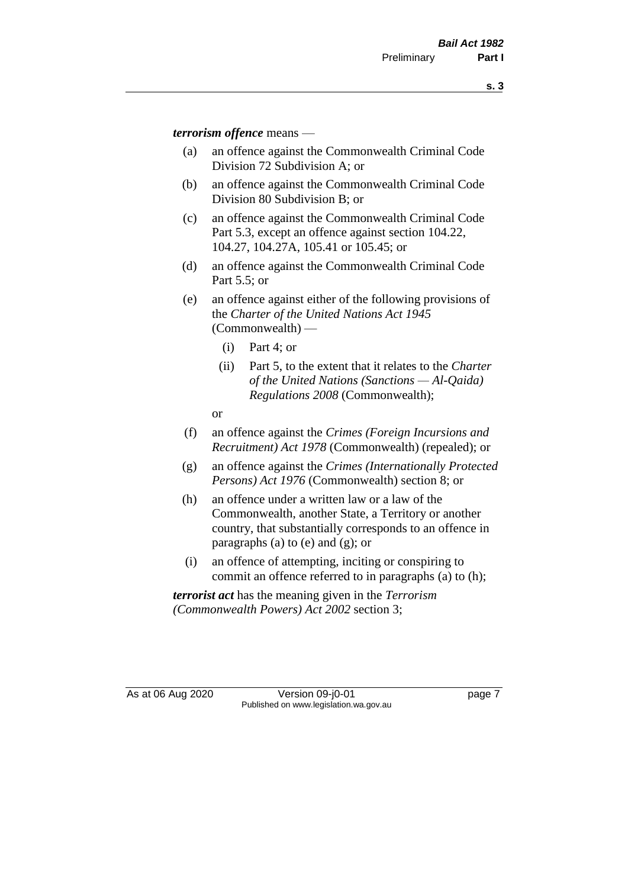*terrorism offence* means —

- (a) an offence against the Commonwealth Criminal Code Division 72 Subdivision A; or
- (b) an offence against the Commonwealth Criminal Code Division 80 Subdivision B; or
- (c) an offence against the Commonwealth Criminal Code Part 5.3, except an offence against section 104.22, 104.27, 104.27A, 105.41 or 105.45; or
- (d) an offence against the Commonwealth Criminal Code Part 5.5; or
- (e) an offence against either of the following provisions of the *Charter of the United Nations Act 1945*  (Commonwealth) —
	- (i) Part 4; or
	- (ii) Part 5, to the extent that it relates to the *Charter of the United Nations (Sanctions — Al-Qaida) Regulations 2008* (Commonwealth);
	- or
- (f) an offence against the *Crimes (Foreign Incursions and Recruitment) Act 1978* (Commonwealth) (repealed); or
- (g) an offence against the *Crimes (Internationally Protected Persons) Act 1976* (Commonwealth) section 8; or
- (h) an offence under a written law or a law of the Commonwealth, another State, a Territory or another country, that substantially corresponds to an offence in paragraphs (a) to (e) and (g); or
- (i) an offence of attempting, inciting or conspiring to commit an offence referred to in paragraphs (a) to (h);

*terrorist act* has the meaning given in the *Terrorism (Commonwealth Powers) Act 2002* section 3;

As at 06 Aug 2020 Version 09-j0-01 page 7 Published on www.legislation.wa.gov.au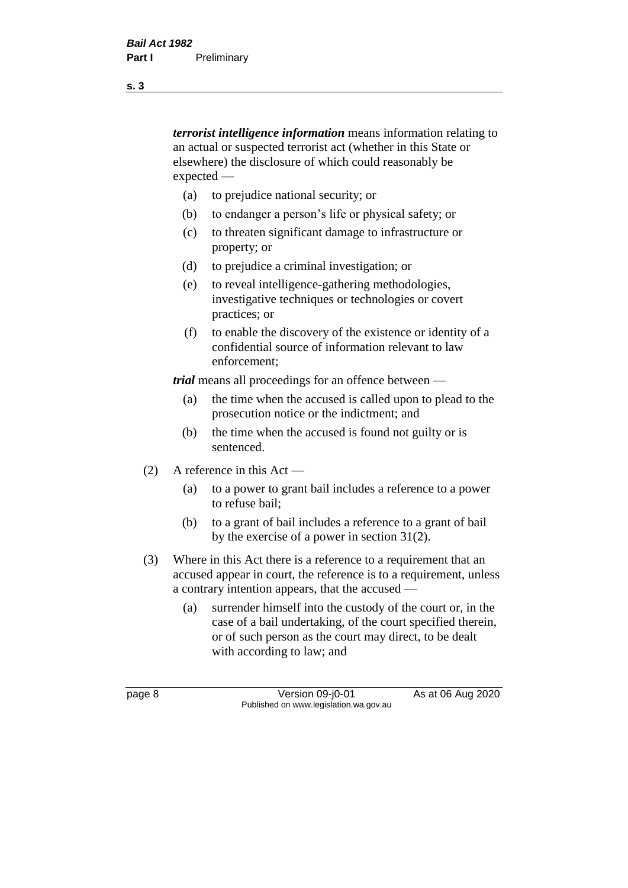*terrorist intelligence information* means information relating to an actual or suspected terrorist act (whether in this State or elsewhere) the disclosure of which could reasonably be expected —

- (a) to prejudice national security; or
- (b) to endanger a person's life or physical safety; or
- (c) to threaten significant damage to infrastructure or property; or
- (d) to prejudice a criminal investigation; or
- (e) to reveal intelligence-gathering methodologies, investigative techniques or technologies or covert practices; or
- (f) to enable the discovery of the existence or identity of a confidential source of information relevant to law enforcement;

*trial* means all proceedings for an offence between —

- (a) the time when the accused is called upon to plead to the prosecution notice or the indictment; and
- (b) the time when the accused is found not guilty or is sentenced.
- (2) A reference in this Act
	- (a) to a power to grant bail includes a reference to a power to refuse bail;
	- (b) to a grant of bail includes a reference to a grant of bail by the exercise of a power in section 31(2).
- (3) Where in this Act there is a reference to a requirement that an accused appear in court, the reference is to a requirement, unless a contrary intention appears, that the accused —
	- (a) surrender himself into the custody of the court or, in the case of a bail undertaking, of the court specified therein, or of such person as the court may direct, to be dealt with according to law; and

page 8 Version 09-j0-01 As at 06 Aug 2020 Published on www.legislation.wa.gov.au

**s. 3**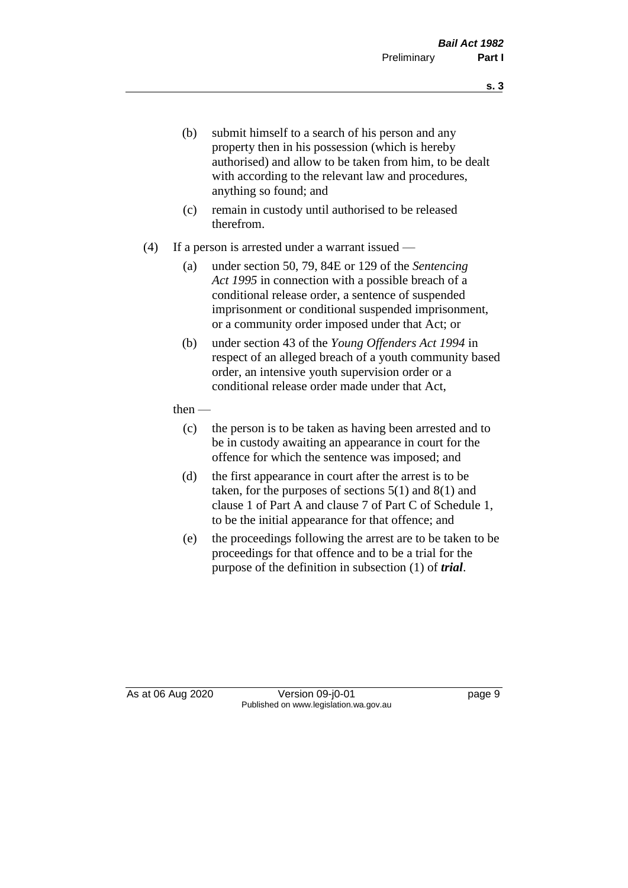- (b) submit himself to a search of his person and any property then in his possession (which is hereby authorised) and allow to be taken from him, to be dealt with according to the relevant law and procedures, anything so found; and
- (c) remain in custody until authorised to be released therefrom.
- (4) If a person is arrested under a warrant issued
	- (a) under section 50, 79, 84E or 129 of the *Sentencing Act 1995* in connection with a possible breach of a conditional release order, a sentence of suspended imprisonment or conditional suspended imprisonment, or a community order imposed under that Act; or
	- (b) under section 43 of the *Young Offenders Act 1994* in respect of an alleged breach of a youth community based order, an intensive youth supervision order or a conditional release order made under that Act,

#### then —

- (c) the person is to be taken as having been arrested and to be in custody awaiting an appearance in court for the offence for which the sentence was imposed; and
- (d) the first appearance in court after the arrest is to be taken, for the purposes of sections  $5(1)$  and  $8(1)$  and clause 1 of Part A and clause 7 of Part C of Schedule 1, to be the initial appearance for that offence; and
- (e) the proceedings following the arrest are to be taken to be proceedings for that offence and to be a trial for the purpose of the definition in subsection (1) of *trial*.

As at 06 Aug 2020 Version 09-j0-01 page 9 Published on www.legislation.wa.gov.au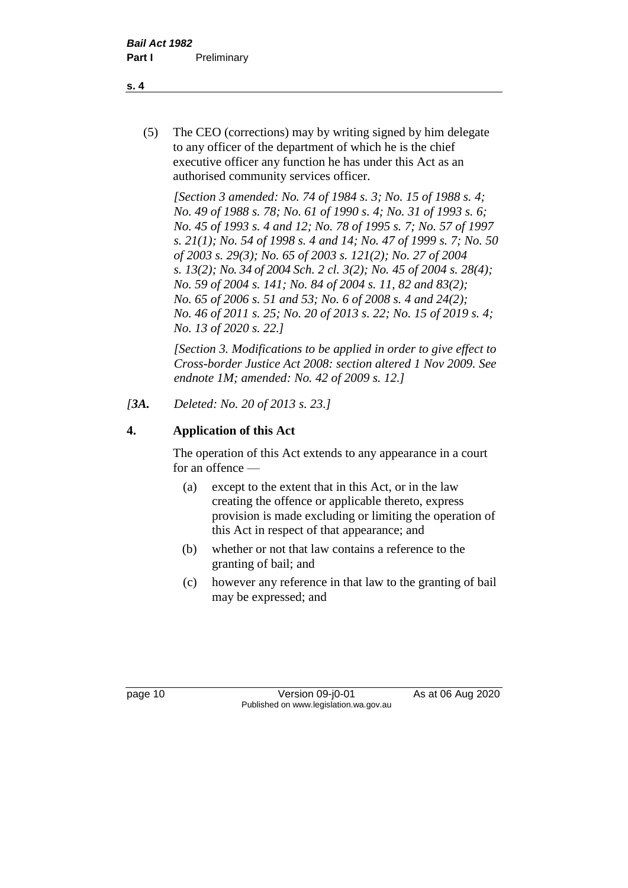(5) The CEO (corrections) may by writing signed by him delegate to any officer of the department of which he is the chief executive officer any function he has under this Act as an authorised community services officer.

*[Section 3 amended: No. 74 of 1984 s. 3; No. 15 of 1988 s. 4; No. 49 of 1988 s. 78; No. 61 of 1990 s. 4; No. 31 of 1993 s. 6; No. 45 of 1993 s. 4 and 12; No. 78 of 1995 s. 7; No. 57 of 1997 s. 21(1); No. 54 of 1998 s. 4 and 14; No. 47 of 1999 s. 7; No. 50 of 2003 s. 29(3); No. 65 of 2003 s. 121(2); No. 27 of 2004 s. 13(2); No. 34 of 2004 Sch. 2 cl. 3(2); No. 45 of 2004 s. 28(4); No. 59 of 2004 s. 141; No. 84 of 2004 s. 11, 82 and 83(2); No. 65 of 2006 s. 51 and 53; No. 6 of 2008 s. 4 and 24(2); No. 46 of 2011 s. 25; No. 20 of 2013 s. 22; No. 15 of 2019 s. 4; No. 13 of 2020 s. 22.]* 

*[Section 3. Modifications to be applied in order to give effect to Cross-border Justice Act 2008: section altered 1 Nov 2009. See endnote 1M; amended: No. 42 of 2009 s. 12.]*

*[3A. Deleted: No. 20 of 2013 s. 23.]*

## **4. Application of this Act**

The operation of this Act extends to any appearance in a court for an offence —

- (a) except to the extent that in this Act, or in the law creating the offence or applicable thereto, express provision is made excluding or limiting the operation of this Act in respect of that appearance; and
- (b) whether or not that law contains a reference to the granting of bail; and
- (c) however any reference in that law to the granting of bail may be expressed; and

page 10 Version 09-j0-01 As at 06 Aug 2020 Published on www.legislation.wa.gov.au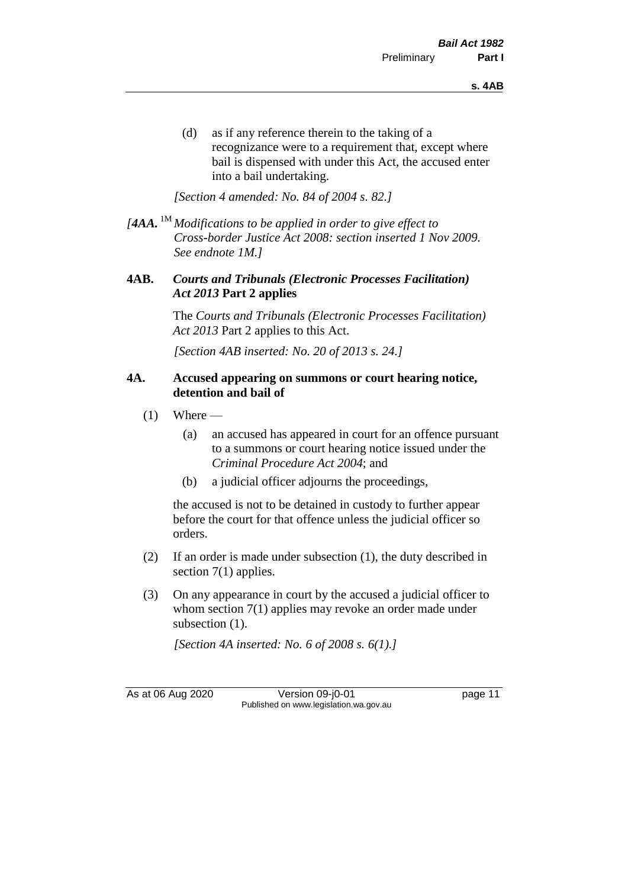(d) as if any reference therein to the taking of a recognizance were to a requirement that, except where bail is dispensed with under this Act, the accused enter into a bail undertaking.

*[Section 4 amended: No. 84 of 2004 s. 82.]*

*[4AA.* 1M *Modifications to be applied in order to give effect to Cross-border Justice Act 2008: section inserted 1 Nov 2009. See endnote 1M.]*

#### **4AB.** *Courts and Tribunals (Electronic Processes Facilitation) Act 2013* **Part 2 applies**

The *Courts and Tribunals (Electronic Processes Facilitation) Act 2013* Part 2 applies to this Act.

*[Section 4AB inserted: No. 20 of 2013 s. 24.]*

#### **4A. Accused appearing on summons or court hearing notice, detention and bail of**

- $(1)$  Where
	- (a) an accused has appeared in court for an offence pursuant to a summons or court hearing notice issued under the *Criminal Procedure Act 2004*; and
	- (b) a judicial officer adjourns the proceedings,

the accused is not to be detained in custody to further appear before the court for that offence unless the judicial officer so orders.

- (2) If an order is made under subsection (1), the duty described in section 7(1) applies.
- (3) On any appearance in court by the accused a judicial officer to whom section 7(1) applies may revoke an order made under subsection  $(1)$ .

*[Section 4A inserted: No. 6 of 2008 s. 6(1).]*

As at 06 Aug 2020 Version 09-j0-01 page 11 Published on www.legislation.wa.gov.au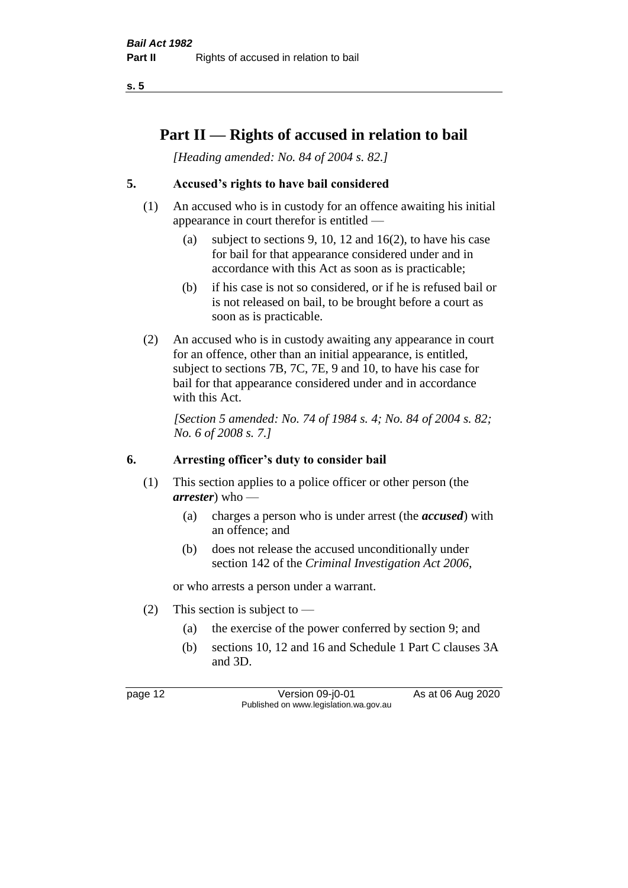**s. 5**

## **Part II — Rights of accused in relation to bail**

*[Heading amended: No. 84 of 2004 s. 82.]* 

## **5. Accused's rights to have bail considered**

- (1) An accused who is in custody for an offence awaiting his initial appearance in court therefor is entitled —
	- (a) subject to sections 9, 10, 12 and 16(2), to have his case for bail for that appearance considered under and in accordance with this Act as soon as is practicable;
	- (b) if his case is not so considered, or if he is refused bail or is not released on bail, to be brought before a court as soon as is practicable.
- (2) An accused who is in custody awaiting any appearance in court for an offence, other than an initial appearance, is entitled, subject to sections 7B, 7C, 7E, 9 and 10, to have his case for bail for that appearance considered under and in accordance with this Act.

*[Section 5 amended: No. 74 of 1984 s. 4; No. 84 of 2004 s. 82; No. 6 of 2008 s. 7.]* 

#### **6. Arresting officer's duty to consider bail**

- (1) This section applies to a police officer or other person (the *arrester*) who —
	- (a) charges a person who is under arrest (the *accused*) with an offence; and
	- (b) does not release the accused unconditionally under section 142 of the *Criminal Investigation Act 2006*,

or who arrests a person under a warrant.

- (2) This section is subject to  $-$ 
	- (a) the exercise of the power conferred by section 9; and
	- (b) sections 10, 12 and 16 and Schedule 1 Part C clauses 3A and 3D.

page 12 Version 09-j0-01 As at 06 Aug 2020 Published on www.legislation.wa.gov.au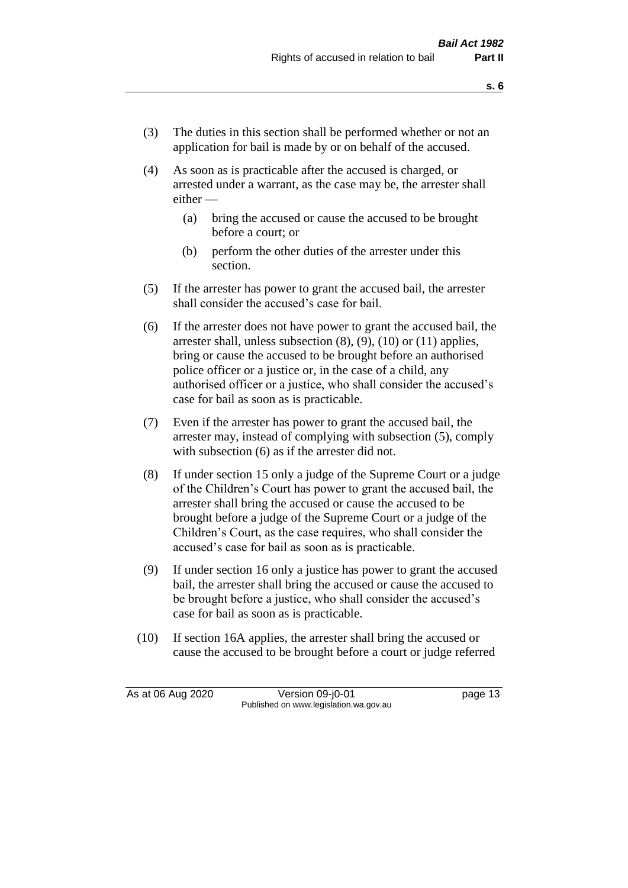- (3) The duties in this section shall be performed whether or not an application for bail is made by or on behalf of the accused.
- (4) As soon as is practicable after the accused is charged, or arrested under a warrant, as the case may be, the arrester shall either —
	- (a) bring the accused or cause the accused to be brought before a court; or
	- (b) perform the other duties of the arrester under this section.
- (5) If the arrester has power to grant the accused bail, the arrester shall consider the accused's case for bail.
- (6) If the arrester does not have power to grant the accused bail, the arrester shall, unless subsection (8), (9), (10) or (11) applies, bring or cause the accused to be brought before an authorised police officer or a justice or, in the case of a child, any authorised officer or a justice, who shall consider the accused's case for bail as soon as is practicable.
- (7) Even if the arrester has power to grant the accused bail, the arrester may, instead of complying with subsection (5), comply with subsection  $(6)$  as if the arrester did not.
- (8) If under section 15 only a judge of the Supreme Court or a judge of the Children's Court has power to grant the accused bail, the arrester shall bring the accused or cause the accused to be brought before a judge of the Supreme Court or a judge of the Children's Court, as the case requires, who shall consider the accused's case for bail as soon as is practicable.
- (9) If under section 16 only a justice has power to grant the accused bail, the arrester shall bring the accused or cause the accused to be brought before a justice, who shall consider the accused's case for bail as soon as is practicable.
- (10) If section 16A applies, the arrester shall bring the accused or cause the accused to be brought before a court or judge referred

As at 06 Aug 2020 Version 09-j0-01 page 13 Published on www.legislation.wa.gov.au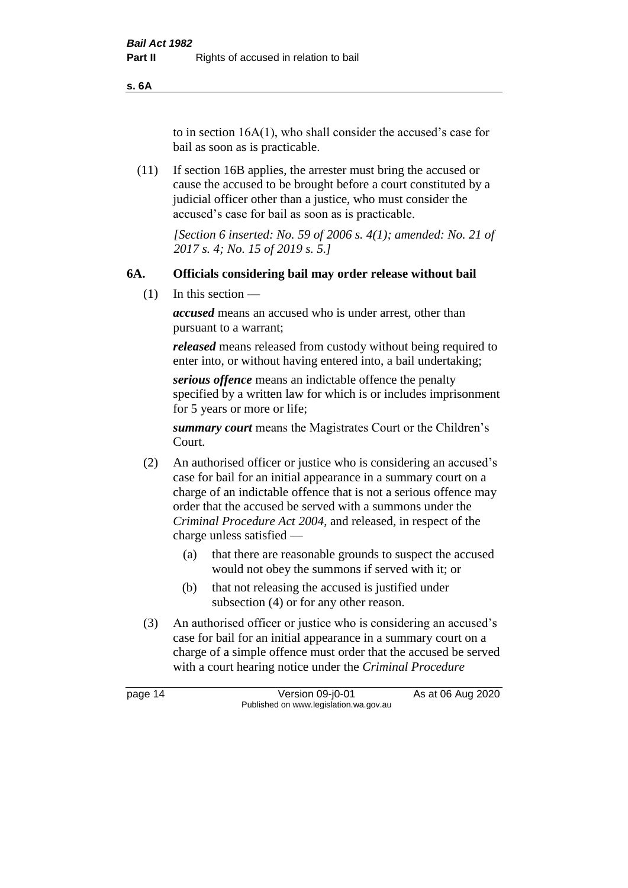**s. 6A**

to in section 16A(1), who shall consider the accused's case for bail as soon as is practicable.

(11) If section 16B applies, the arrester must bring the accused or cause the accused to be brought before a court constituted by a judicial officer other than a justice, who must consider the accused's case for bail as soon as is practicable.

> *[Section 6 inserted: No. 59 of 2006 s. 4(1); amended: No. 21 of 2017 s. 4; No. 15 of 2019 s. 5.]*

#### **6A. Officials considering bail may order release without bail**

(1) In this section —

*accused* means an accused who is under arrest, other than pursuant to a warrant;

*released* means released from custody without being required to enter into, or without having entered into, a bail undertaking;

*serious offence* means an indictable offence the penalty specified by a written law for which is or includes imprisonment for 5 years or more or life;

*summary court* means the Magistrates Court or the Children's Court.

- (2) An authorised officer or justice who is considering an accused's case for bail for an initial appearance in a summary court on a charge of an indictable offence that is not a serious offence may order that the accused be served with a summons under the *Criminal Procedure Act 2004*, and released, in respect of the charge unless satisfied —
	- (a) that there are reasonable grounds to suspect the accused would not obey the summons if served with it; or
	- (b) that not releasing the accused is justified under subsection (4) or for any other reason.
- (3) An authorised officer or justice who is considering an accused's case for bail for an initial appearance in a summary court on a charge of a simple offence must order that the accused be served with a court hearing notice under the *Criminal Procedure*

page 14 Version 09-j0-01 As at 06 Aug 2020 Published on www.legislation.wa.gov.au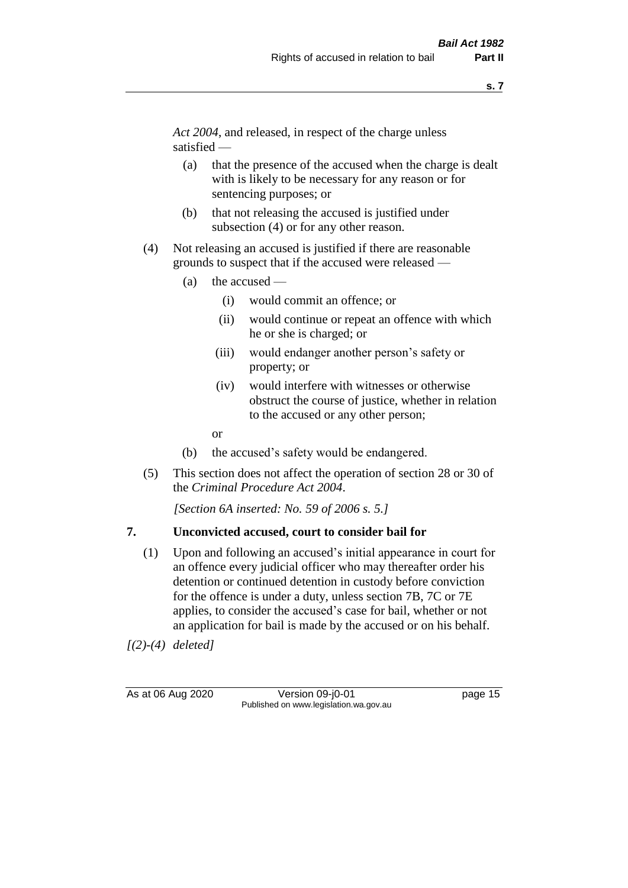*Act 2004*, and released, in respect of the charge unless satisfied —

- (a) that the presence of the accused when the charge is dealt with is likely to be necessary for any reason or for sentencing purposes; or
- (b) that not releasing the accused is justified under subsection (4) or for any other reason.
- (4) Not releasing an accused is justified if there are reasonable grounds to suspect that if the accused were released —
	- (a) the accused
		- (i) would commit an offence; or
		- (ii) would continue or repeat an offence with which he or she is charged; or
		- (iii) would endanger another person's safety or property; or
		- (iv) would interfere with witnesses or otherwise obstruct the course of justice, whether in relation to the accused or any other person;
		- or
	- (b) the accused's safety would be endangered.
- (5) This section does not affect the operation of section 28 or 30 of the *Criminal Procedure Act 2004*.

*[Section 6A inserted: No. 59 of 2006 s. 5.]* 

#### **7. Unconvicted accused, court to consider bail for**

(1) Upon and following an accused's initial appearance in court for an offence every judicial officer who may thereafter order his detention or continued detention in custody before conviction for the offence is under a duty, unless section 7B, 7C or 7E applies, to consider the accused's case for bail, whether or not an application for bail is made by the accused or on his behalf.

*[(2)-(4) deleted]*

As at 06 Aug 2020 Version 09-j0-01 page 15 Published on www.legislation.wa.gov.au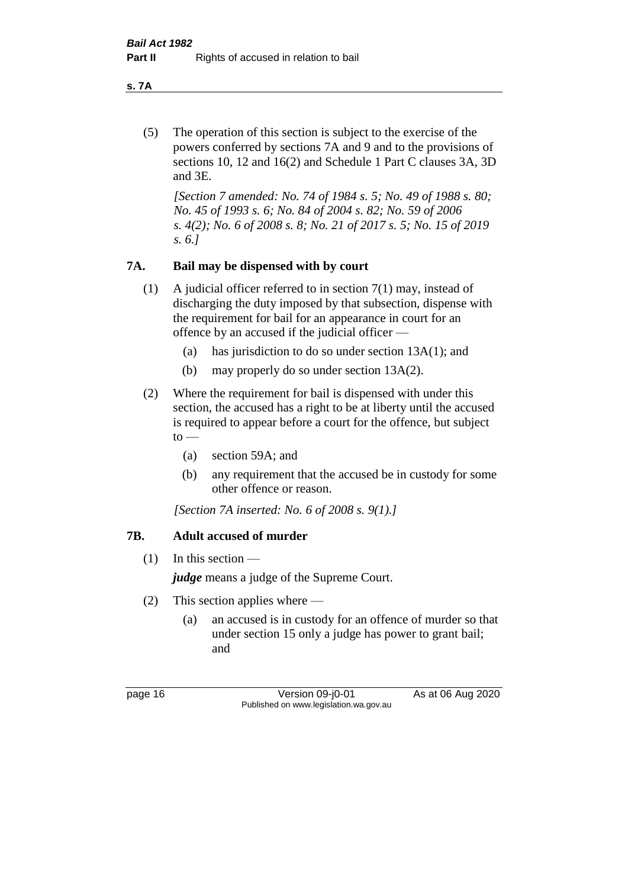**s. 7A**

(5) The operation of this section is subject to the exercise of the powers conferred by sections 7A and 9 and to the provisions of sections 10, 12 and 16(2) and Schedule 1 Part C clauses 3A, 3D and 3E.

*[Section 7 amended: No. 74 of 1984 s. 5; No. 49 of 1988 s. 80; No. 45 of 1993 s. 6; No. 84 of 2004 s. 82; No. 59 of 2006 s. 4(2); No. 6 of 2008 s. 8; No. 21 of 2017 s. 5; No. 15 of 2019 s. 6.]* 

## **7A. Bail may be dispensed with by court**

- (1) A judicial officer referred to in section 7(1) may, instead of discharging the duty imposed by that subsection, dispense with the requirement for bail for an appearance in court for an offence by an accused if the judicial officer —
	- (a) has jurisdiction to do so under section 13A(1); and
	- (b) may properly do so under section 13A(2).
- (2) Where the requirement for bail is dispensed with under this section, the accused has a right to be at liberty until the accused is required to appear before a court for the offence, but subject  $to -$ 
	- (a) section 59A; and
	- (b) any requirement that the accused be in custody for some other offence or reason.

*[Section 7A inserted: No. 6 of 2008 s. 9(1).]*

## **7B. Adult accused of murder**

 $(1)$  In this section —

*judge* means a judge of the Supreme Court.

- (2) This section applies where
	- (a) an accused is in custody for an offence of murder so that under section 15 only a judge has power to grant bail; and

page 16 Version 09-j0-01 As at 06 Aug 2020 Published on www.legislation.wa.gov.au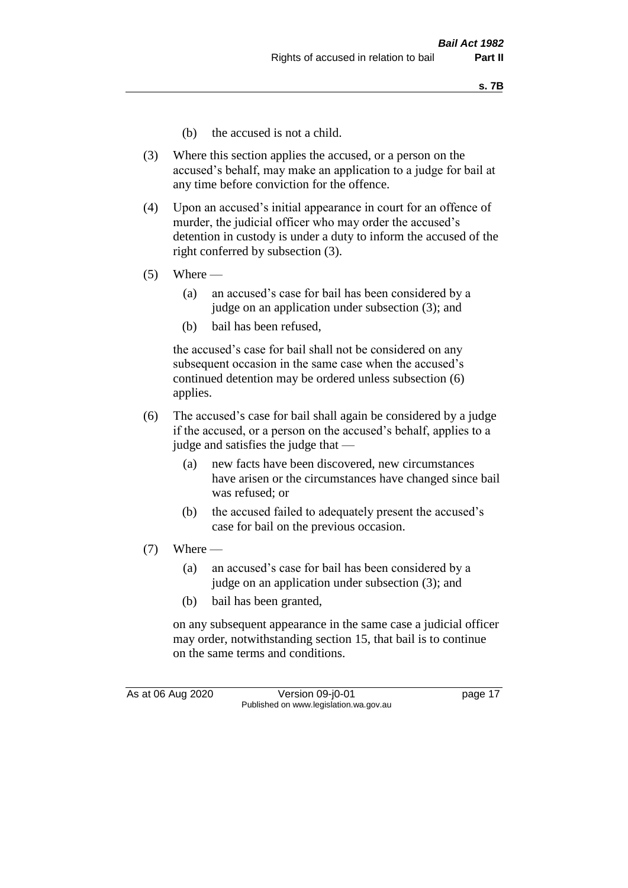- (b) the accused is not a child.
- (3) Where this section applies the accused, or a person on the accused's behalf, may make an application to a judge for bail at any time before conviction for the offence.
- (4) Upon an accused's initial appearance in court for an offence of murder, the judicial officer who may order the accused's detention in custody is under a duty to inform the accused of the right conferred by subsection (3).
- $(5)$  Where
	- (a) an accused's case for bail has been considered by a judge on an application under subsection (3); and
	- (b) bail has been refused,

the accused's case for bail shall not be considered on any subsequent occasion in the same case when the accused's continued detention may be ordered unless subsection (6) applies.

- (6) The accused's case for bail shall again be considered by a judge if the accused, or a person on the accused's behalf, applies to a judge and satisfies the judge that —
	- (a) new facts have been discovered, new circumstances have arisen or the circumstances have changed since bail was refused; or
	- (b) the accused failed to adequately present the accused's case for bail on the previous occasion.
- $(7)$  Where
	- (a) an accused's case for bail has been considered by a judge on an application under subsection (3); and
	- (b) bail has been granted,

on any subsequent appearance in the same case a judicial officer may order, notwithstanding section 15, that bail is to continue on the same terms and conditions.

As at 06 Aug 2020 Version 09-j0-01 page 17 Published on www.legislation.wa.gov.au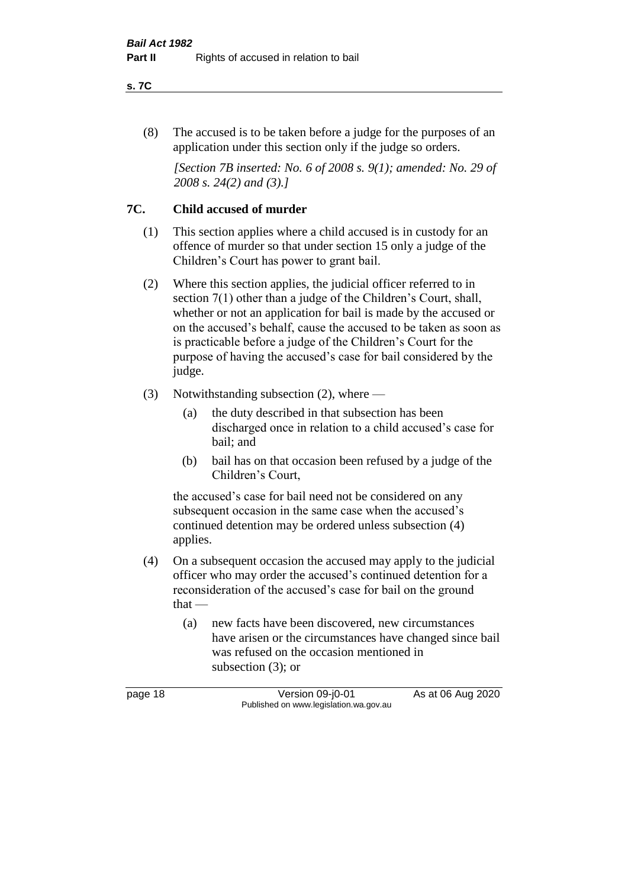#### **s. 7C**

(8) The accused is to be taken before a judge for the purposes of an application under this section only if the judge so orders.

*[Section 7B inserted: No. 6 of 2008 s. 9(1); amended: No. 29 of 2008 s. 24(2) and (3).]*

### **7C. Child accused of murder**

- (1) This section applies where a child accused is in custody for an offence of murder so that under section 15 only a judge of the Children's Court has power to grant bail.
- (2) Where this section applies, the judicial officer referred to in section 7(1) other than a judge of the Children's Court, shall, whether or not an application for bail is made by the accused or on the accused's behalf, cause the accused to be taken as soon as is practicable before a judge of the Children's Court for the purpose of having the accused's case for bail considered by the judge.
- (3) Notwithstanding subsection (2), where
	- (a) the duty described in that subsection has been discharged once in relation to a child accused's case for bail; and
	- (b) bail has on that occasion been refused by a judge of the Children's Court,

the accused's case for bail need not be considered on any subsequent occasion in the same case when the accused's continued detention may be ordered unless subsection (4) applies.

- (4) On a subsequent occasion the accused may apply to the judicial officer who may order the accused's continued detention for a reconsideration of the accused's case for bail on the ground that —
	- (a) new facts have been discovered, new circumstances have arisen or the circumstances have changed since bail was refused on the occasion mentioned in subsection (3); or

page 18 Version 09-j0-01 As at 06 Aug 2020 Published on www.legislation.wa.gov.au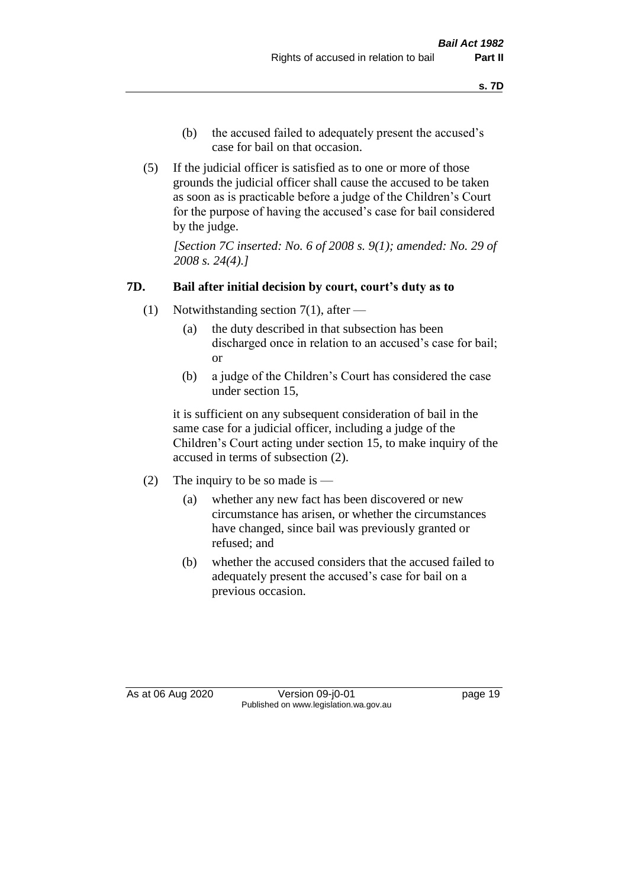- (b) the accused failed to adequately present the accused's case for bail on that occasion.
- (5) If the judicial officer is satisfied as to one or more of those grounds the judicial officer shall cause the accused to be taken as soon as is practicable before a judge of the Children's Court for the purpose of having the accused's case for bail considered by the judge.

*[Section 7C inserted: No. 6 of 2008 s. 9(1); amended: No. 29 of 2008 s. 24(4).]*

#### **7D. Bail after initial decision by court, court's duty as to**

- (1) Notwithstanding section 7(1), after
	- (a) the duty described in that subsection has been discharged once in relation to an accused's case for bail; or
	- (b) a judge of the Children's Court has considered the case under section 15,

it is sufficient on any subsequent consideration of bail in the same case for a judicial officer, including a judge of the Children's Court acting under section 15, to make inquiry of the accused in terms of subsection (2).

- (2) The inquiry to be so made is  $-$ 
	- (a) whether any new fact has been discovered or new circumstance has arisen, or whether the circumstances have changed, since bail was previously granted or refused; and
	- (b) whether the accused considers that the accused failed to adequately present the accused's case for bail on a previous occasion.

As at 06 Aug 2020 Version 09-j0-01 page 19 Published on www.legislation.wa.gov.au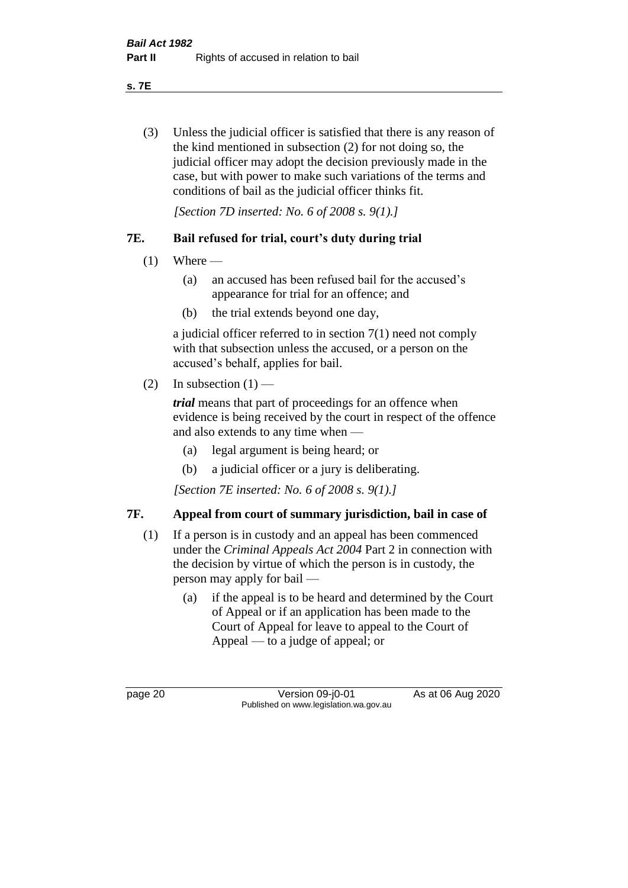**s. 7E**

(3) Unless the judicial officer is satisfied that there is any reason of the kind mentioned in subsection (2) for not doing so, the judicial officer may adopt the decision previously made in the case, but with power to make such variations of the terms and conditions of bail as the judicial officer thinks fit.

*[Section 7D inserted: No. 6 of 2008 s. 9(1).]*

## **7E. Bail refused for trial, court's duty during trial**

- $(1)$  Where
	- (a) an accused has been refused bail for the accused's appearance for trial for an offence; and
	- (b) the trial extends beyond one day,

a judicial officer referred to in section 7(1) need not comply with that subsection unless the accused, or a person on the accused's behalf, applies for bail.

(2) In subsection  $(1)$  —

*trial* means that part of proceedings for an offence when evidence is being received by the court in respect of the offence and also extends to any time when —

- (a) legal argument is being heard; or
- (b) a judicial officer or a jury is deliberating.

*[Section 7E inserted: No. 6 of 2008 s. 9(1).]*

## **7F. Appeal from court of summary jurisdiction, bail in case of**

- (1) If a person is in custody and an appeal has been commenced under the *Criminal Appeals Act 2004* Part 2 in connection with the decision by virtue of which the person is in custody, the person may apply for bail —
	- (a) if the appeal is to be heard and determined by the Court of Appeal or if an application has been made to the Court of Appeal for leave to appeal to the Court of Appeal — to a judge of appeal; or

page 20 Version 09-j0-01 As at 06 Aug 2020 Published on www.legislation.wa.gov.au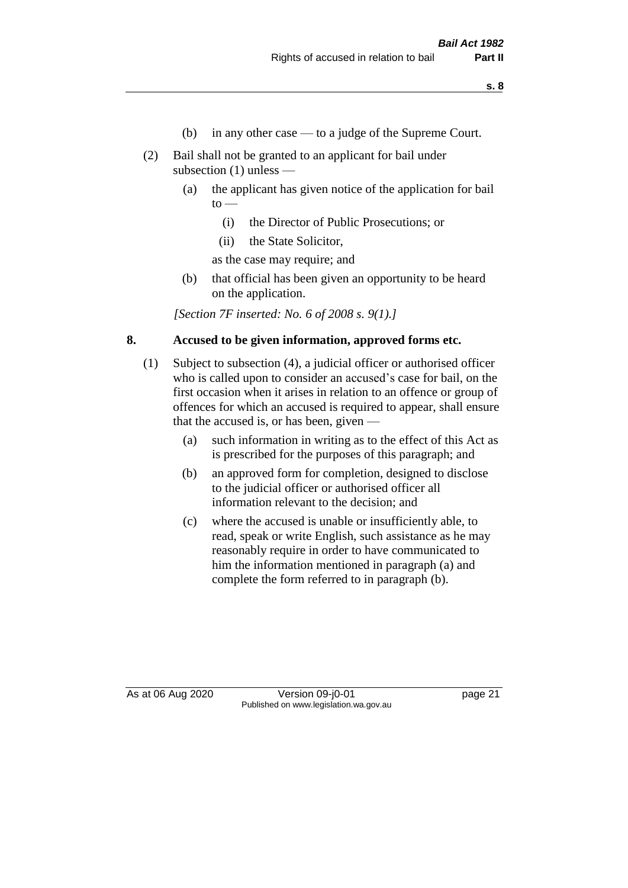- (b) in any other case to a judge of the Supreme Court.
- (2) Bail shall not be granted to an applicant for bail under subsection (1) unless —
	- (a) the applicant has given notice of the application for bail  $\mathrm{to}$  —
		- (i) the Director of Public Prosecutions; or
		- (ii) the State Solicitor,

as the case may require; and

(b) that official has been given an opportunity to be heard on the application.

*[Section 7F inserted: No. 6 of 2008 s. 9(1).]*

#### **8. Accused to be given information, approved forms etc.**

- (1) Subject to subsection (4), a judicial officer or authorised officer who is called upon to consider an accused's case for bail, on the first occasion when it arises in relation to an offence or group of offences for which an accused is required to appear, shall ensure that the accused is, or has been, given —
	- (a) such information in writing as to the effect of this Act as is prescribed for the purposes of this paragraph; and
	- (b) an approved form for completion, designed to disclose to the judicial officer or authorised officer all information relevant to the decision; and
	- (c) where the accused is unable or insufficiently able, to read, speak or write English, such assistance as he may reasonably require in order to have communicated to him the information mentioned in paragraph (a) and complete the form referred to in paragraph (b).

As at 06 Aug 2020 Version 09-j0-01 page 21 Published on www.legislation.wa.gov.au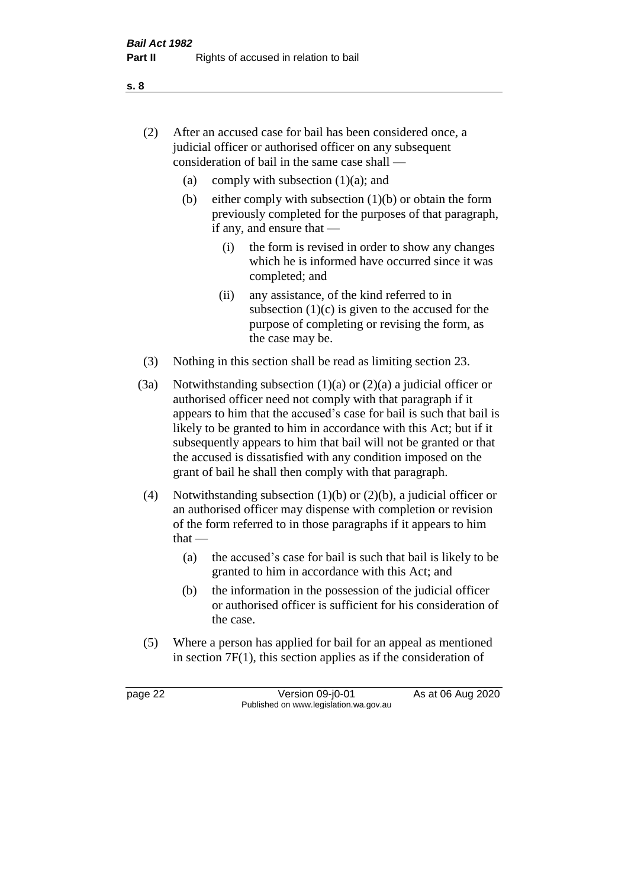- (2) After an accused case for bail has been considered once, a judicial officer or authorised officer on any subsequent consideration of bail in the same case shall —
	- (a) comply with subsection  $(1)(a)$ ; and
	- (b) either comply with subsection  $(1)(b)$  or obtain the form previously completed for the purposes of that paragraph, if any, and ensure that —
		- (i) the form is revised in order to show any changes which he is informed have occurred since it was completed; and
		- (ii) any assistance, of the kind referred to in subsection  $(1)(c)$  is given to the accused for the purpose of completing or revising the form, as the case may be.
- (3) Nothing in this section shall be read as limiting section 23.
- (3a) Notwithstanding subsection  $(1)(a)$  or  $(2)(a)$  a judicial officer or authorised officer need not comply with that paragraph if it appears to him that the accused's case for bail is such that bail is likely to be granted to him in accordance with this Act; but if it subsequently appears to him that bail will not be granted or that the accused is dissatisfied with any condition imposed on the grant of bail he shall then comply with that paragraph.
- (4) Notwithstanding subsection (1)(b) or (2)(b), a judicial officer or an authorised officer may dispense with completion or revision of the form referred to in those paragraphs if it appears to him  $that -$ 
	- (a) the accused's case for bail is such that bail is likely to be granted to him in accordance with this Act; and
	- (b) the information in the possession of the judicial officer or authorised officer is sufficient for his consideration of the case.
- (5) Where a person has applied for bail for an appeal as mentioned in section 7F(1), this section applies as if the consideration of

page 22 Version 09-j0-01 As at 06 Aug 2020 Published on www.legislation.wa.gov.au

**s. 8**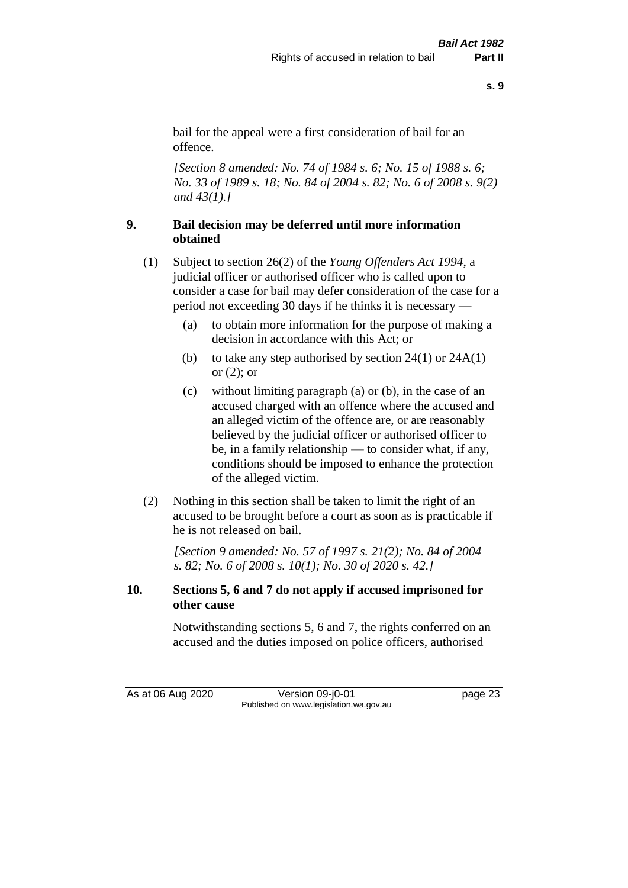**s. 9**

bail for the appeal were a first consideration of bail for an offence.

*[Section 8 amended: No. 74 of 1984 s. 6; No. 15 of 1988 s. 6; No. 33 of 1989 s. 18; No. 84 of 2004 s. 82; No. 6 of 2008 s. 9(2) and 43(1).]* 

## **9. Bail decision may be deferred until more information obtained**

- (1) Subject to section 26(2) of the *Young Offenders Act 1994*, a judicial officer or authorised officer who is called upon to consider a case for bail may defer consideration of the case for a period not exceeding 30 days if he thinks it is necessary —
	- (a) to obtain more information for the purpose of making a decision in accordance with this Act; or
	- (b) to take any step authorised by section  $24(1)$  or  $24A(1)$ or (2); or
	- (c) without limiting paragraph (a) or (b), in the case of an accused charged with an offence where the accused and an alleged victim of the offence are, or are reasonably believed by the judicial officer or authorised officer to be, in a family relationship — to consider what, if any, conditions should be imposed to enhance the protection of the alleged victim.
- (2) Nothing in this section shall be taken to limit the right of an accused to be brought before a court as soon as is practicable if he is not released on bail.

*[Section 9 amended: No. 57 of 1997 s. 21(2); No. 84 of 2004 s. 82; No. 6 of 2008 s. 10(1); No. 30 of 2020 s. 42.]*

## **10. Sections 5, 6 and 7 do not apply if accused imprisoned for other cause**

Notwithstanding sections 5, 6 and 7, the rights conferred on an accused and the duties imposed on police officers, authorised

As at 06 Aug 2020 Version 09-j0-01 page 23 Published on www.legislation.wa.gov.au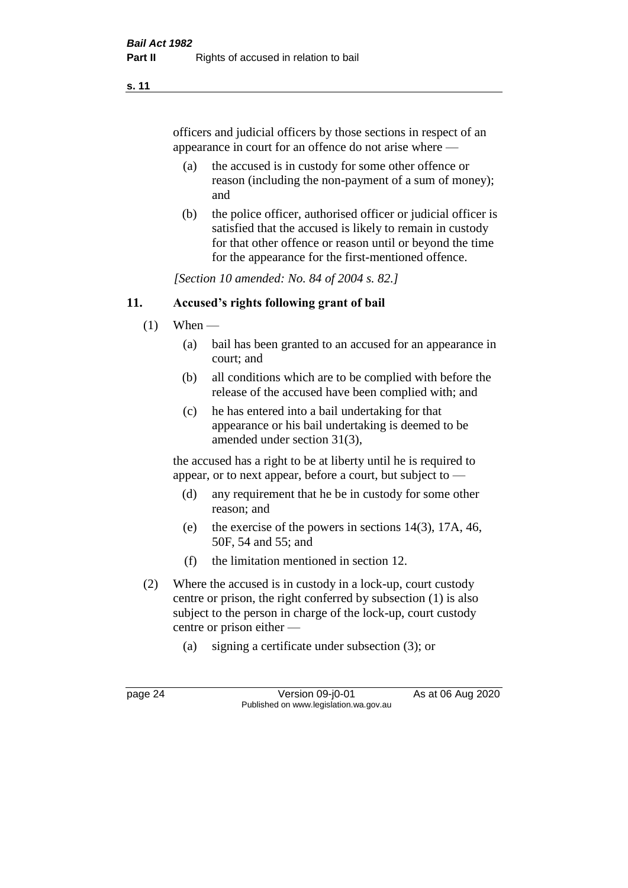#### **s. 11**

officers and judicial officers by those sections in respect of an appearance in court for an offence do not arise where —

- (a) the accused is in custody for some other offence or reason (including the non-payment of a sum of money); and
- (b) the police officer, authorised officer or judicial officer is satisfied that the accused is likely to remain in custody for that other offence or reason until or beyond the time for the appearance for the first-mentioned offence.

*[Section 10 amended: No. 84 of 2004 s. 82.]*

#### **11. Accused's rights following grant of bail**

- $(1)$  When
	- (a) bail has been granted to an accused for an appearance in court; and
	- (b) all conditions which are to be complied with before the release of the accused have been complied with; and
	- (c) he has entered into a bail undertaking for that appearance or his bail undertaking is deemed to be amended under section 31(3),

the accused has a right to be at liberty until he is required to appear, or to next appear, before a court, but subject to —

- (d) any requirement that he be in custody for some other reason; and
- (e) the exercise of the powers in sections 14(3), 17A, 46, 50F, 54 and 55; and
- (f) the limitation mentioned in section 12.
- (2) Where the accused is in custody in a lock-up, court custody centre or prison, the right conferred by subsection (1) is also subject to the person in charge of the lock-up, court custody centre or prison either —
	- (a) signing a certificate under subsection (3); or

page 24 Version 09-j0-01 As at 06 Aug 2020 Published on www.legislation.wa.gov.au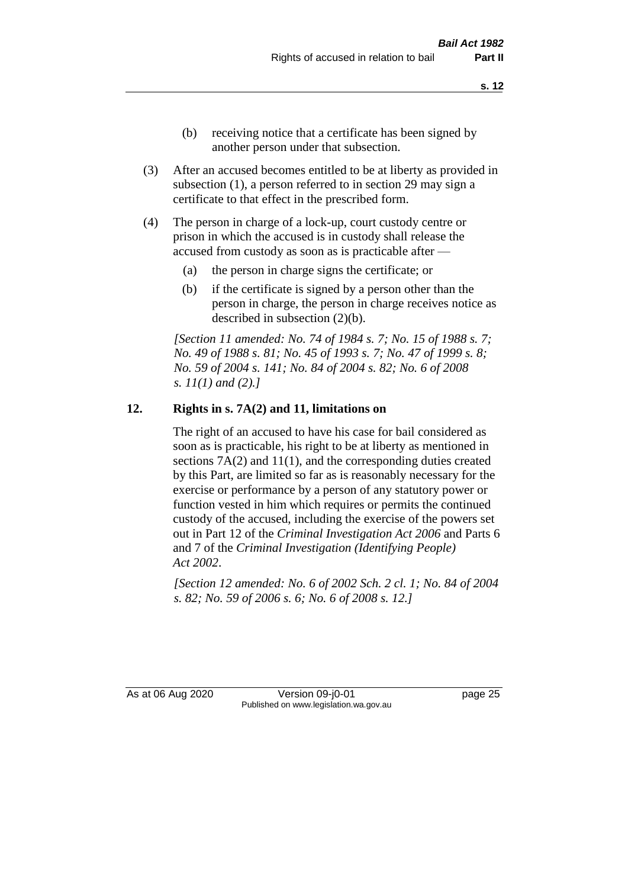- (b) receiving notice that a certificate has been signed by another person under that subsection.
- (3) After an accused becomes entitled to be at liberty as provided in subsection (1), a person referred to in section 29 may sign a certificate to that effect in the prescribed form.
- (4) The person in charge of a lock-up, court custody centre or prison in which the accused is in custody shall release the accused from custody as soon as is practicable after —
	- (a) the person in charge signs the certificate; or
	- (b) if the certificate is signed by a person other than the person in charge, the person in charge receives notice as described in subsection (2)(b).

*[Section 11 amended: No. 74 of 1984 s. 7; No. 15 of 1988 s. 7; No. 49 of 1988 s. 81; No. 45 of 1993 s. 7; No. 47 of 1999 s. 8; No. 59 of 2004 s. 141; No. 84 of 2004 s. 82; No. 6 of 2008 s. 11(1) and (2).]* 

#### **12. Rights in s. 7A(2) and 11, limitations on**

The right of an accused to have his case for bail considered as soon as is practicable, his right to be at liberty as mentioned in sections 7A(2) and 11(1), and the corresponding duties created by this Part, are limited so far as is reasonably necessary for the exercise or performance by a person of any statutory power or function vested in him which requires or permits the continued custody of the accused, including the exercise of the powers set out in Part 12 of the *Criminal Investigation Act 2006* and Parts 6 and 7 of the *Criminal Investigation (Identifying People) Act 2002*.

*[Section 12 amended: No. 6 of 2002 Sch. 2 cl. 1; No. 84 of 2004 s. 82; No. 59 of 2006 s. 6; No. 6 of 2008 s. 12.]*

As at 06 Aug 2020 Version 09-j0-01 page 25 Published on www.legislation.wa.gov.au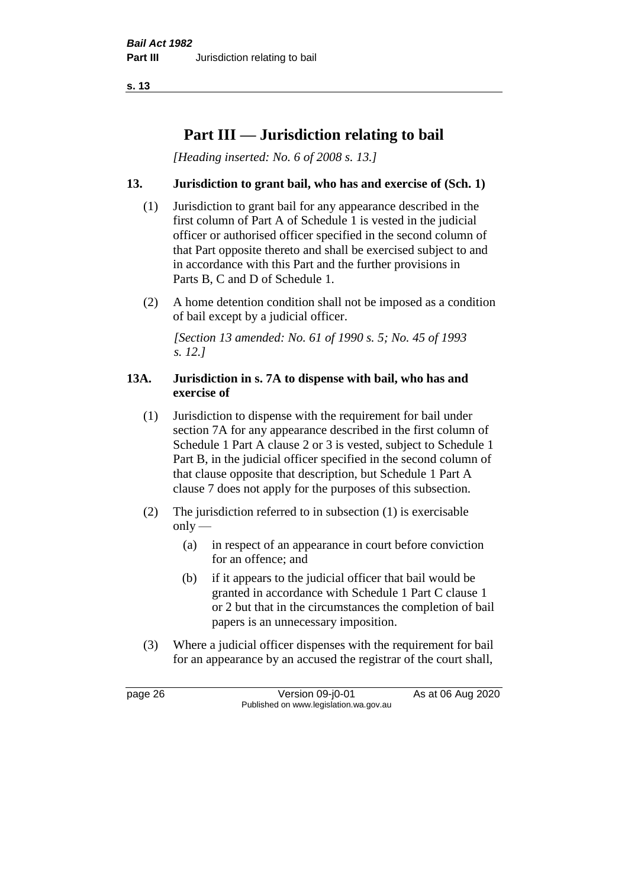**s. 13**

# **Part III — Jurisdiction relating to bail**

*[Heading inserted: No. 6 of 2008 s. 13.]*

### **13. Jurisdiction to grant bail, who has and exercise of (Sch. 1)**

- (1) Jurisdiction to grant bail for any appearance described in the first column of Part A of Schedule 1 is vested in the judicial officer or authorised officer specified in the second column of that Part opposite thereto and shall be exercised subject to and in accordance with this Part and the further provisions in Parts B, C and D of Schedule 1.
- (2) A home detention condition shall not be imposed as a condition of bail except by a judicial officer.

*[Section 13 amended: No. 61 of 1990 s. 5; No. 45 of 1993 s. 12.]* 

#### **13A. Jurisdiction in s. 7A to dispense with bail, who has and exercise of**

- (1) Jurisdiction to dispense with the requirement for bail under section 7A for any appearance described in the first column of Schedule 1 Part A clause 2 or 3 is vested, subject to Schedule 1 Part B, in the judicial officer specified in the second column of that clause opposite that description, but Schedule 1 Part A clause 7 does not apply for the purposes of this subsection.
- (2) The jurisdiction referred to in subsection (1) is exercisable  $only$ —
	- (a) in respect of an appearance in court before conviction for an offence; and
	- (b) if it appears to the judicial officer that bail would be granted in accordance with Schedule 1 Part C clause 1 or 2 but that in the circumstances the completion of bail papers is an unnecessary imposition.
- (3) Where a judicial officer dispenses with the requirement for bail for an appearance by an accused the registrar of the court shall,

page 26 Version 09-j0-01 As at 06 Aug 2020 Published on www.legislation.wa.gov.au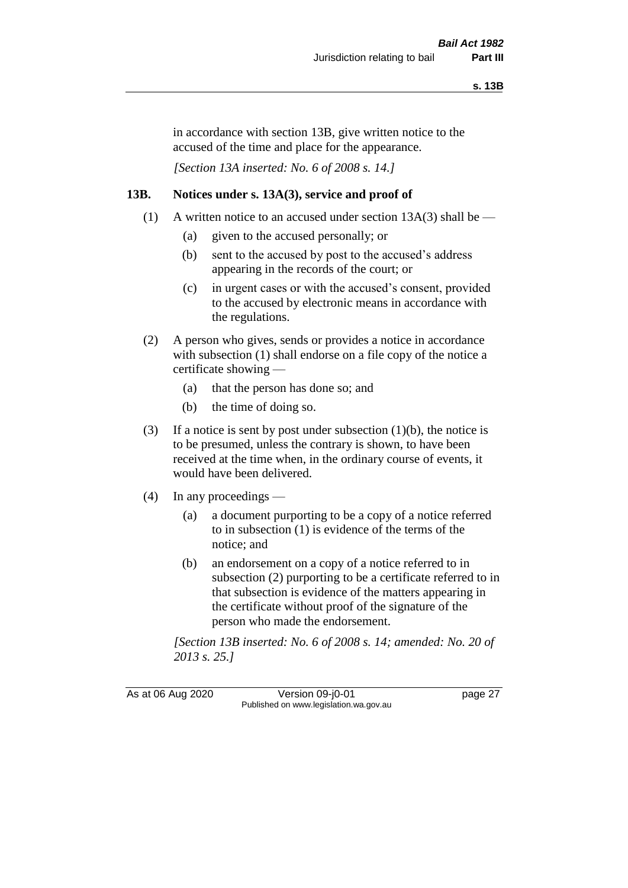in accordance with section 13B, give written notice to the accused of the time and place for the appearance.

*[Section 13A inserted: No. 6 of 2008 s. 14.]*

## **13B. Notices under s. 13A(3), service and proof of**

- (1) A written notice to an accused under section  $13A(3)$  shall be
	- (a) given to the accused personally; or
	- (b) sent to the accused by post to the accused's address appearing in the records of the court; or
	- (c) in urgent cases or with the accused's consent, provided to the accused by electronic means in accordance with the regulations.
- (2) A person who gives, sends or provides a notice in accordance with subsection (1) shall endorse on a file copy of the notice a certificate showing —
	- (a) that the person has done so; and
	- (b) the time of doing so.
- (3) If a notice is sent by post under subsection  $(1)(b)$ , the notice is to be presumed, unless the contrary is shown, to have been received at the time when, in the ordinary course of events, it would have been delivered.
- (4) In any proceedings
	- (a) a document purporting to be a copy of a notice referred to in subsection (1) is evidence of the terms of the notice; and
	- (b) an endorsement on a copy of a notice referred to in subsection (2) purporting to be a certificate referred to in that subsection is evidence of the matters appearing in the certificate without proof of the signature of the person who made the endorsement.

*[Section 13B inserted: No. 6 of 2008 s. 14; amended: No. 20 of 2013 s. 25.]*

As at 06 Aug 2020 Version 09-j0-01 page 27 Published on www.legislation.wa.gov.au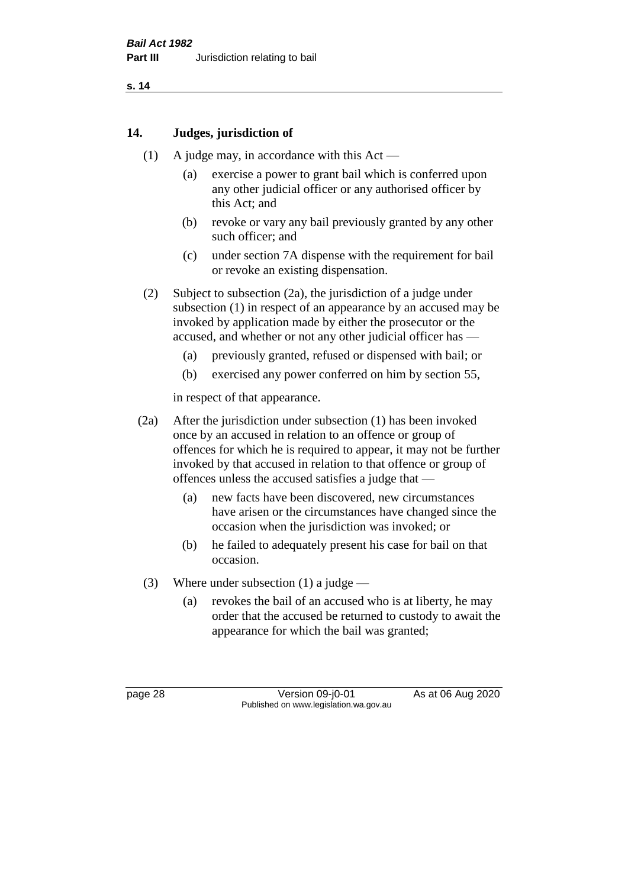# **14. Judges, jurisdiction of**

- (1) A judge may, in accordance with this Act
	- (a) exercise a power to grant bail which is conferred upon any other judicial officer or any authorised officer by this Act; and
	- (b) revoke or vary any bail previously granted by any other such officer; and
	- (c) under section 7A dispense with the requirement for bail or revoke an existing dispensation.
- (2) Subject to subsection (2a), the jurisdiction of a judge under subsection (1) in respect of an appearance by an accused may be invoked by application made by either the prosecutor or the accused, and whether or not any other judicial officer has —
	- (a) previously granted, refused or dispensed with bail; or
	- (b) exercised any power conferred on him by section 55,

in respect of that appearance.

- (2a) After the jurisdiction under subsection (1) has been invoked once by an accused in relation to an offence or group of offences for which he is required to appear, it may not be further invoked by that accused in relation to that offence or group of offences unless the accused satisfies a judge that —
	- (a) new facts have been discovered, new circumstances have arisen or the circumstances have changed since the occasion when the jurisdiction was invoked; or
	- (b) he failed to adequately present his case for bail on that occasion.
- (3) Where under subsection (1) a judge
	- (a) revokes the bail of an accused who is at liberty, he may order that the accused be returned to custody to await the appearance for which the bail was granted;

page 28 Version 09-j0-01 As at 06 Aug 2020 Published on www.legislation.wa.gov.au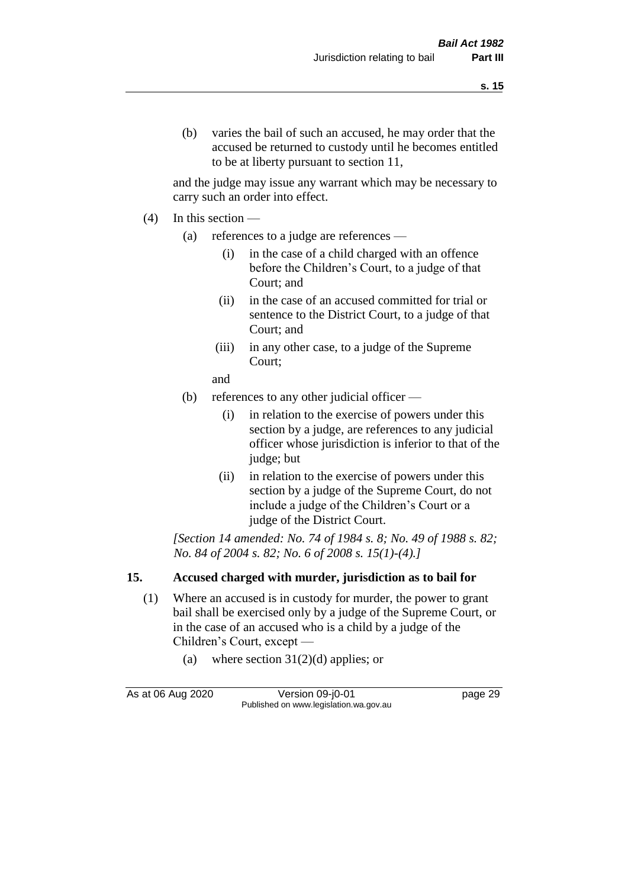and the judge may issue any warrant which may be necessary to carry such an order into effect.

- (4) In this section
	- (a) references to a judge are references
		- (i) in the case of a child charged with an offence before the Children's Court, to a judge of that Court; and
		- (ii) in the case of an accused committed for trial or sentence to the District Court, to a judge of that Court; and
		- (iii) in any other case, to a judge of the Supreme Court;
		- and
	- (b) references to any other judicial officer
		- (i) in relation to the exercise of powers under this section by a judge, are references to any judicial officer whose jurisdiction is inferior to that of the judge; but
		- (ii) in relation to the exercise of powers under this section by a judge of the Supreme Court, do not include a judge of the Children's Court or a judge of the District Court.

*[Section 14 amended: No. 74 of 1984 s. 8; No. 49 of 1988 s. 82; No. 84 of 2004 s. 82; No. 6 of 2008 s. 15(1)-(4).]* 

# **15. Accused charged with murder, jurisdiction as to bail for**

- (1) Where an accused is in custody for murder, the power to grant bail shall be exercised only by a judge of the Supreme Court, or in the case of an accused who is a child by a judge of the Children's Court, except —
	- (a) where section  $31(2)(d)$  applies; or

As at 06 Aug 2020 Version 09-j0-01 page 29 Published on www.legislation.wa.gov.au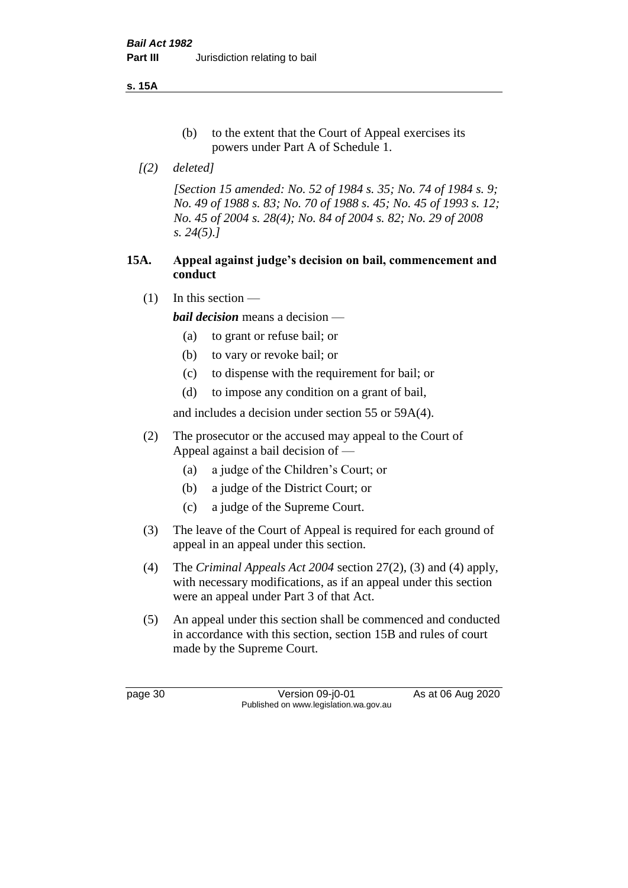**s. 15A**

- (b) to the extent that the Court of Appeal exercises its powers under Part A of Schedule 1.
- *[(2) deleted]*

*[Section 15 amended: No. 52 of 1984 s. 35; No. 74 of 1984 s. 9; No. 49 of 1988 s. 83; No. 70 of 1988 s. 45; No. 45 of 1993 s. 12; No. 45 of 2004 s. 28(4); No. 84 of 2004 s. 82; No. 29 of 2008 s. 24(5).]* 

## **15A. Appeal against judge's decision on bail, commencement and conduct**

 $(1)$  In this section —

*bail decision* means a decision —

- (a) to grant or refuse bail; or
- (b) to vary or revoke bail; or
- (c) to dispense with the requirement for bail; or
- (d) to impose any condition on a grant of bail,

and includes a decision under section 55 or 59A(4).

- (2) The prosecutor or the accused may appeal to the Court of Appeal against a bail decision of —
	- (a) a judge of the Children's Court; or
	- (b) a judge of the District Court; or
	- (c) a judge of the Supreme Court.
- (3) The leave of the Court of Appeal is required for each ground of appeal in an appeal under this section.
- (4) The *Criminal Appeals Act 2004* section 27(2), (3) and (4) apply, with necessary modifications, as if an appeal under this section were an appeal under Part 3 of that Act.
- (5) An appeal under this section shall be commenced and conducted in accordance with this section, section 15B and rules of court made by the Supreme Court.

page 30 Version 09-j0-01 As at 06 Aug 2020 Published on www.legislation.wa.gov.au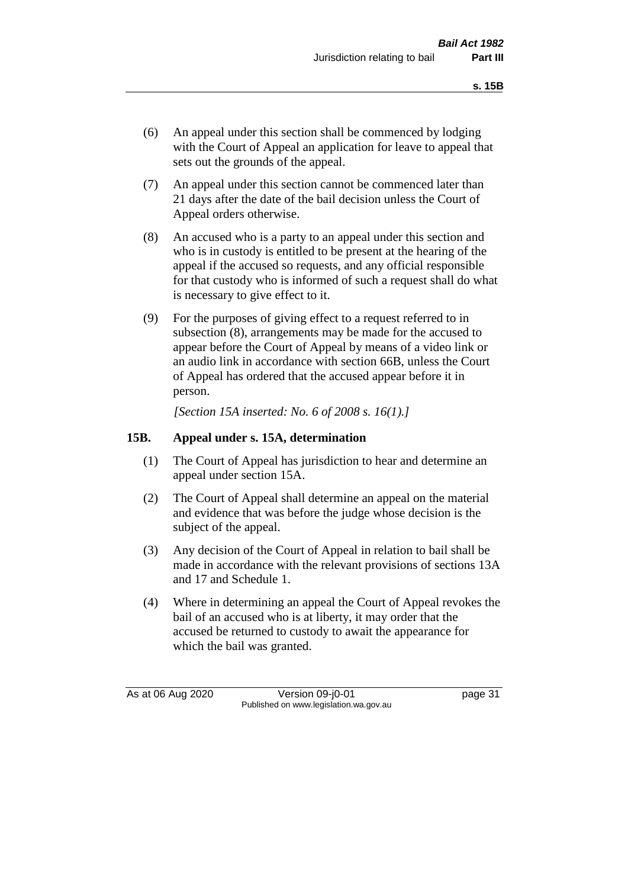- (6) An appeal under this section shall be commenced by lodging with the Court of Appeal an application for leave to appeal that sets out the grounds of the appeal.
- (7) An appeal under this section cannot be commenced later than 21 days after the date of the bail decision unless the Court of Appeal orders otherwise.
- (8) An accused who is a party to an appeal under this section and who is in custody is entitled to be present at the hearing of the appeal if the accused so requests, and any official responsible for that custody who is informed of such a request shall do what is necessary to give effect to it.
- (9) For the purposes of giving effect to a request referred to in subsection (8), arrangements may be made for the accused to appear before the Court of Appeal by means of a video link or an audio link in accordance with section 66B, unless the Court of Appeal has ordered that the accused appear before it in person.

*[Section 15A inserted: No. 6 of 2008 s. 16(1).]*

### **15B. Appeal under s. 15A, determination**

- (1) The Court of Appeal has jurisdiction to hear and determine an appeal under section 15A.
- (2) The Court of Appeal shall determine an appeal on the material and evidence that was before the judge whose decision is the subject of the appeal.
- (3) Any decision of the Court of Appeal in relation to bail shall be made in accordance with the relevant provisions of sections 13A and 17 and Schedule 1.
- (4) Where in determining an appeal the Court of Appeal revokes the bail of an accused who is at liberty, it may order that the accused be returned to custody to await the appearance for which the bail was granted.

As at 06 Aug 2020 Version 09-j0-01 page 31 Published on www.legislation.wa.gov.au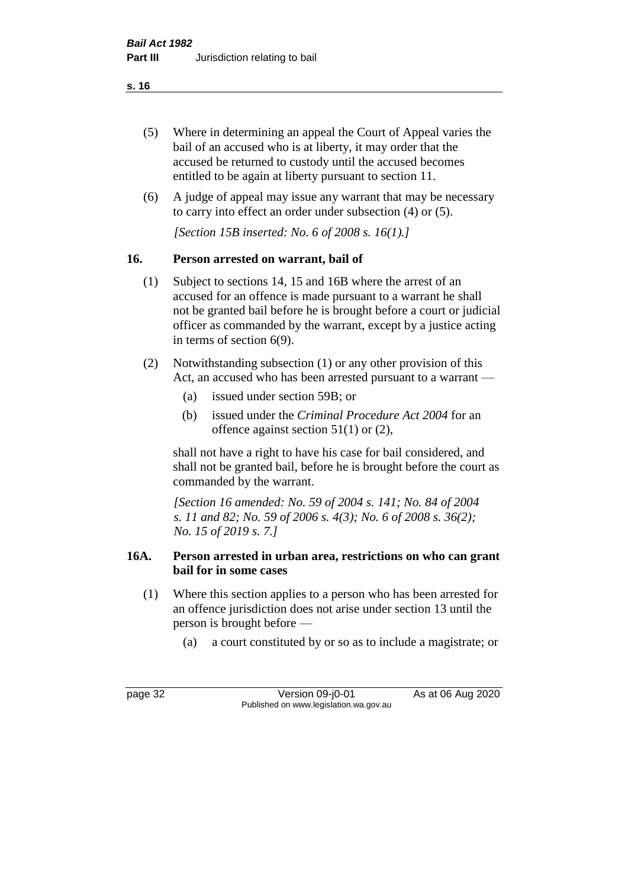- (5) Where in determining an appeal the Court of Appeal varies the bail of an accused who is at liberty, it may order that the accused be returned to custody until the accused becomes entitled to be again at liberty pursuant to section 11.
- (6) A judge of appeal may issue any warrant that may be necessary to carry into effect an order under subsection (4) or (5).

*[Section 15B inserted: No. 6 of 2008 s. 16(1).]*

# **16. Person arrested on warrant, bail of**

- (1) Subject to sections 14, 15 and 16B where the arrest of an accused for an offence is made pursuant to a warrant he shall not be granted bail before he is brought before a court or judicial officer as commanded by the warrant, except by a justice acting in terms of section 6(9).
- (2) Notwithstanding subsection (1) or any other provision of this Act, an accused who has been arrested pursuant to a warrant —
	- (a) issued under section 59B; or
	- (b) issued under the *Criminal Procedure Act 2004* for an offence against section 51(1) or (2),

shall not have a right to have his case for bail considered, and shall not be granted bail, before he is brought before the court as commanded by the warrant.

*[Section 16 amended: No. 59 of 2004 s. 141; No. 84 of 2004 s. 11 and 82; No. 59 of 2006 s. 4(3); No. 6 of 2008 s. 36(2); No. 15 of 2019 s. 7.]*

# **16A. Person arrested in urban area, restrictions on who can grant bail for in some cases**

- (1) Where this section applies to a person who has been arrested for an offence jurisdiction does not arise under section 13 until the person is brought before —
	- (a) a court constituted by or so as to include a magistrate; or

page 32 Version 09-j0-01 As at 06 Aug 2020 Published on www.legislation.wa.gov.au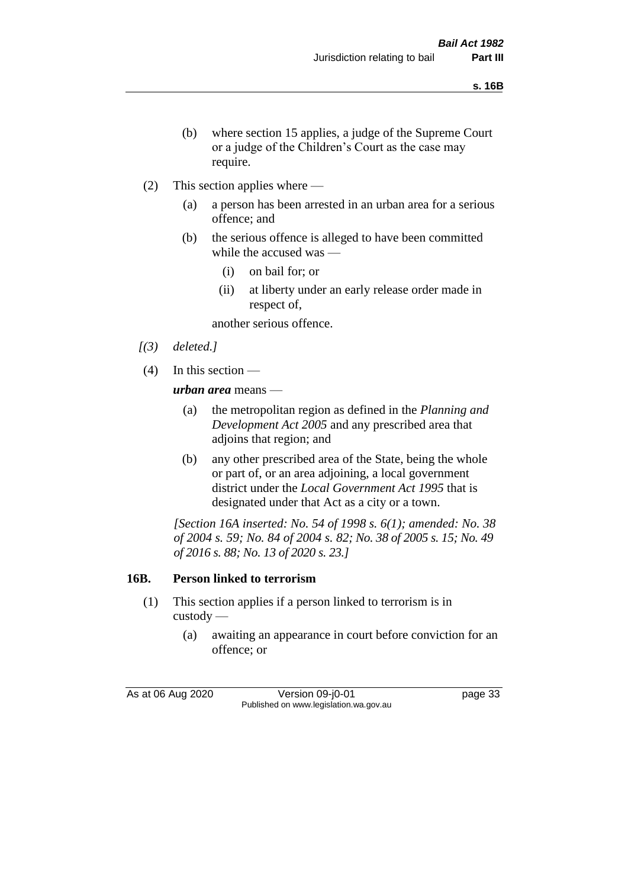- (b) where section 15 applies, a judge of the Supreme Court or a judge of the Children's Court as the case may require.
- (2) This section applies where
	- (a) a person has been arrested in an urban area for a serious offence; and
	- (b) the serious offence is alleged to have been committed while the accused was —
		- (i) on bail for; or
		- (ii) at liberty under an early release order made in respect of,

another serious offence.

- *[(3) deleted.]*
- (4) In this section —

*urban area* means —

- (a) the metropolitan region as defined in the *Planning and Development Act 2005* and any prescribed area that adjoins that region; and
- (b) any other prescribed area of the State, being the whole or part of, or an area adjoining, a local government district under the *Local Government Act 1995* that is designated under that Act as a city or a town.

*[Section 16A inserted: No. 54 of 1998 s. 6(1); amended: No. 38 of 2004 s. 59; No. 84 of 2004 s. 82; No. 38 of 2005 s. 15; No. 49 of 2016 s. 88; No. 13 of 2020 s. 23.]*

# **16B. Person linked to terrorism**

- (1) This section applies if a person linked to terrorism is in custody —
	- (a) awaiting an appearance in court before conviction for an offence; or

As at 06 Aug 2020 Version 09-j0-01 page 33 Published on www.legislation.wa.gov.au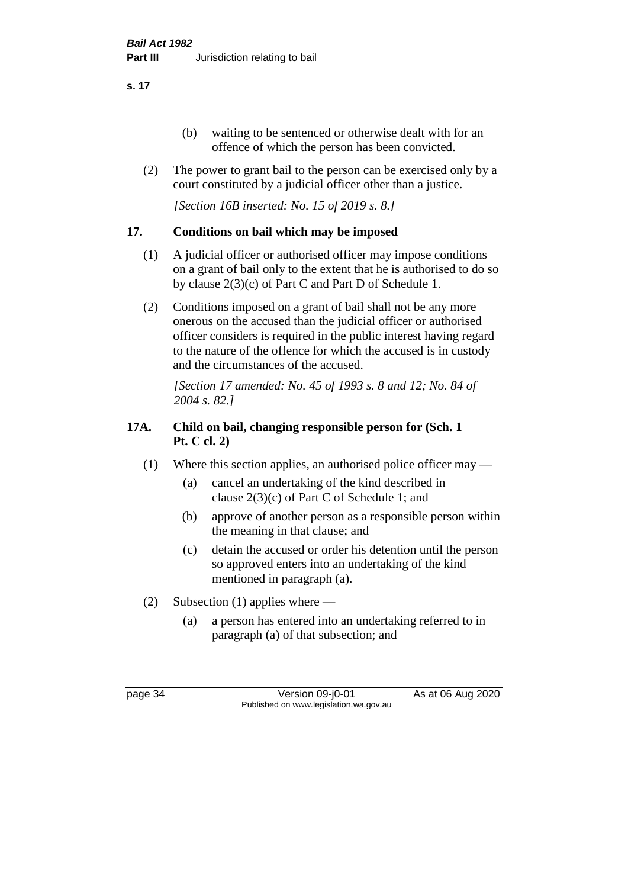- (b) waiting to be sentenced or otherwise dealt with for an offence of which the person has been convicted.
- (2) The power to grant bail to the person can be exercised only by a court constituted by a judicial officer other than a justice.

*[Section 16B inserted: No. 15 of 2019 s. 8.]*

# **17. Conditions on bail which may be imposed**

- (1) A judicial officer or authorised officer may impose conditions on a grant of bail only to the extent that he is authorised to do so by clause 2(3)(c) of Part C and Part D of Schedule 1.
- (2) Conditions imposed on a grant of bail shall not be any more onerous on the accused than the judicial officer or authorised officer considers is required in the public interest having regard to the nature of the offence for which the accused is in custody and the circumstances of the accused.

*[Section 17 amended: No. 45 of 1993 s. 8 and 12; No. 84 of 2004 s. 82.]* 

# **17A. Child on bail, changing responsible person for (Sch. 1 Pt. C cl. 2)**

- (1) Where this section applies, an authorised police officer may
	- (a) cancel an undertaking of the kind described in clause 2(3)(c) of Part C of Schedule 1; and
	- (b) approve of another person as a responsible person within the meaning in that clause; and
	- (c) detain the accused or order his detention until the person so approved enters into an undertaking of the kind mentioned in paragraph (a).
- (2) Subsection (1) applies where
	- (a) a person has entered into an undertaking referred to in paragraph (a) of that subsection; and

page 34 Version 09-j0-01 As at 06 Aug 2020 Published on www.legislation.wa.gov.au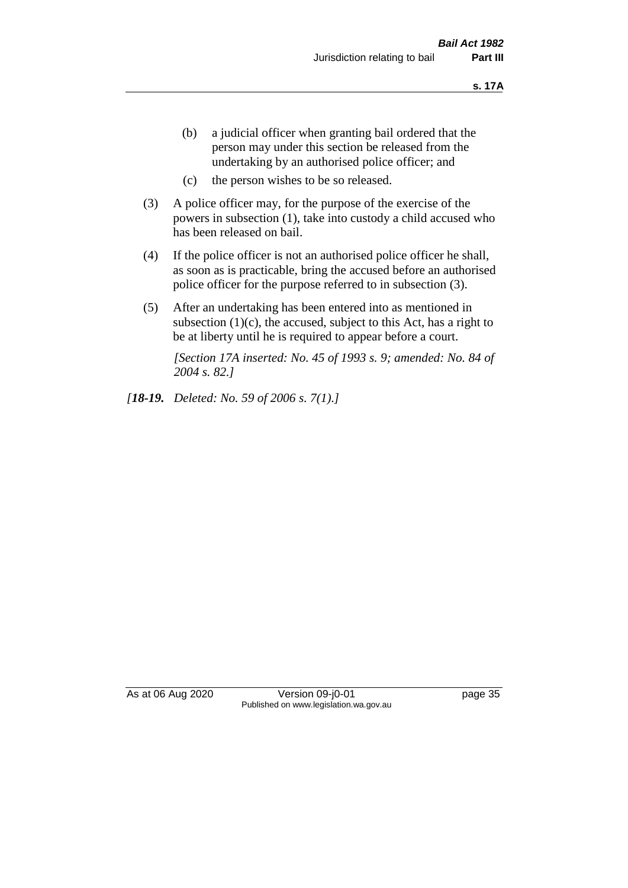- (b) a judicial officer when granting bail ordered that the person may under this section be released from the undertaking by an authorised police officer; and
- (c) the person wishes to be so released.
- (3) A police officer may, for the purpose of the exercise of the powers in subsection (1), take into custody a child accused who has been released on bail.
- (4) If the police officer is not an authorised police officer he shall, as soon as is practicable, bring the accused before an authorised police officer for the purpose referred to in subsection (3).
- (5) After an undertaking has been entered into as mentioned in subsection  $(1)(c)$ , the accused, subject to this Act, has a right to be at liberty until he is required to appear before a court.

*[Section 17A inserted: No. 45 of 1993 s. 9; amended: No. 84 of 2004 s. 82.]* 

*[18-19. Deleted: No. 59 of 2006 s. 7(1).]*

As at 06 Aug 2020 Version 09-j0-01 page 35 Published on www.legislation.wa.gov.au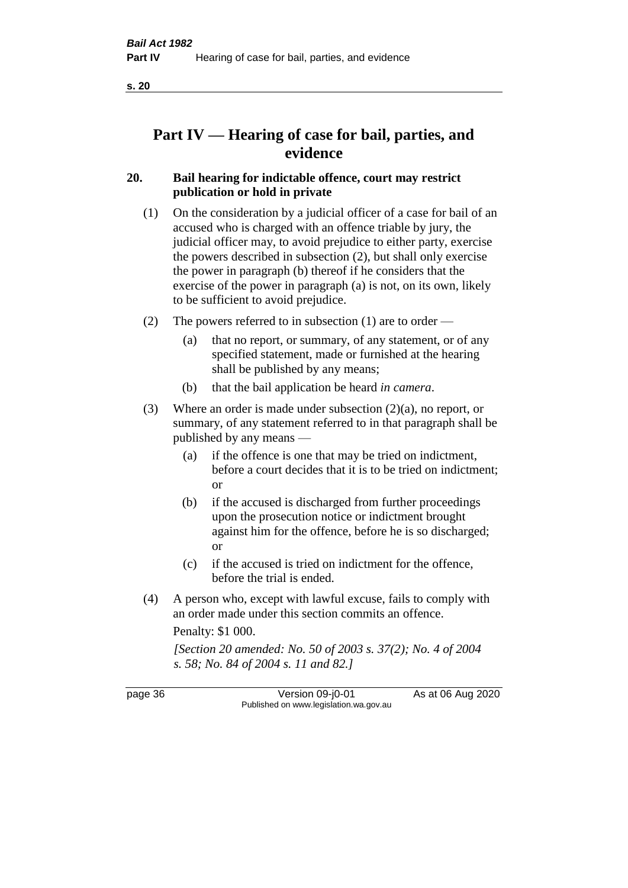# **Part IV — Hearing of case for bail, parties, and evidence**

# **20. Bail hearing for indictable offence, court may restrict publication or hold in private**

- (1) On the consideration by a judicial officer of a case for bail of an accused who is charged with an offence triable by jury, the judicial officer may, to avoid prejudice to either party, exercise the powers described in subsection (2), but shall only exercise the power in paragraph (b) thereof if he considers that the exercise of the power in paragraph (a) is not, on its own, likely to be sufficient to avoid prejudice.
- (2) The powers referred to in subsection (1) are to order
	- (a) that no report, or summary, of any statement, or of any specified statement, made or furnished at the hearing shall be published by any means;
	- (b) that the bail application be heard *in camera*.
- (3) Where an order is made under subsection (2)(a), no report, or summary, of any statement referred to in that paragraph shall be published by any means —
	- (a) if the offence is one that may be tried on indictment, before a court decides that it is to be tried on indictment; or
	- (b) if the accused is discharged from further proceedings upon the prosecution notice or indictment brought against him for the offence, before he is so discharged; or
	- (c) if the accused is tried on indictment for the offence, before the trial is ended.
- (4) A person who, except with lawful excuse, fails to comply with an order made under this section commits an offence.

Penalty: \$1 000.

*[Section 20 amended: No. 50 of 2003 s. 37(2); No. 4 of 2004 s. 58; No. 84 of 2004 s. 11 and 82.]*

page 36 Version 09-j0-01 As at 06 Aug 2020 Published on www.legislation.wa.gov.au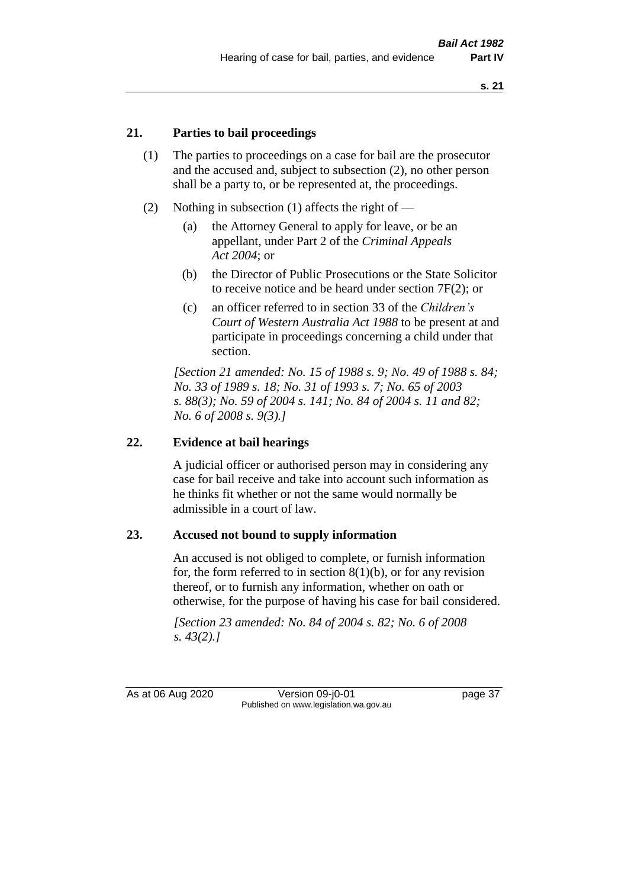## **21. Parties to bail proceedings**

- (1) The parties to proceedings on a case for bail are the prosecutor and the accused and, subject to subsection (2), no other person shall be a party to, or be represented at, the proceedings.
- (2) Nothing in subsection (1) affects the right of
	- (a) the Attorney General to apply for leave, or be an appellant, under Part 2 of the *Criminal Appeals Act 2004*; or
	- (b) the Director of Public Prosecutions or the State Solicitor to receive notice and be heard under section 7F(2); or
	- (c) an officer referred to in section 33 of the *Children's Court of Western Australia Act 1988* to be present at and participate in proceedings concerning a child under that section.

*[Section 21 amended: No. 15 of 1988 s. 9; No. 49 of 1988 s. 84; No. 33 of 1989 s. 18; No. 31 of 1993 s. 7; No. 65 of 2003 s. 88(3); No. 59 of 2004 s. 141; No. 84 of 2004 s. 11 and 82; No. 6 of 2008 s. 9(3).]* 

## **22. Evidence at bail hearings**

A judicial officer or authorised person may in considering any case for bail receive and take into account such information as he thinks fit whether or not the same would normally be admissible in a court of law.

#### **23. Accused not bound to supply information**

An accused is not obliged to complete, or furnish information for, the form referred to in section  $8(1)(b)$ , or for any revision thereof, or to furnish any information, whether on oath or otherwise, for the purpose of having his case for bail considered.

*[Section 23 amended: No. 84 of 2004 s. 82; No. 6 of 2008 s. 43(2).]* 

As at 06 Aug 2020 Version 09-j0-01 page 37 Published on www.legislation.wa.gov.au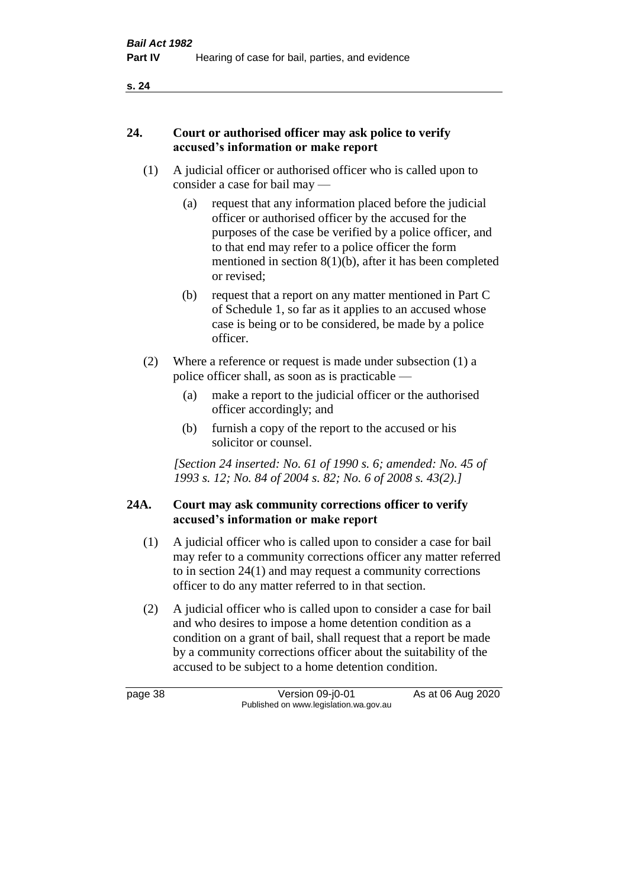## **24. Court or authorised officer may ask police to verify accused's information or make report**

- (1) A judicial officer or authorised officer who is called upon to consider a case for bail may —
	- (a) request that any information placed before the judicial officer or authorised officer by the accused for the purposes of the case be verified by a police officer, and to that end may refer to a police officer the form mentioned in section 8(1)(b), after it has been completed or revised;
	- (b) request that a report on any matter mentioned in Part C of Schedule 1, so far as it applies to an accused whose case is being or to be considered, be made by a police officer.
- (2) Where a reference or request is made under subsection (1) a police officer shall, as soon as is practicable —
	- (a) make a report to the judicial officer or the authorised officer accordingly; and
	- (b) furnish a copy of the report to the accused or his solicitor or counsel.

*[Section 24 inserted: No. 61 of 1990 s. 6; amended: No. 45 of 1993 s. 12; No. 84 of 2004 s. 82; No. 6 of 2008 s. 43(2).]* 

# **24A. Court may ask community corrections officer to verify accused's information or make report**

- (1) A judicial officer who is called upon to consider a case for bail may refer to a community corrections officer any matter referred to in section 24(1) and may request a community corrections officer to do any matter referred to in that section.
- (2) A judicial officer who is called upon to consider a case for bail and who desires to impose a home detention condition as a condition on a grant of bail, shall request that a report be made by a community corrections officer about the suitability of the accused to be subject to a home detention condition.

page 38 Version 09-j0-01 As at 06 Aug 2020 Published on www.legislation.wa.gov.au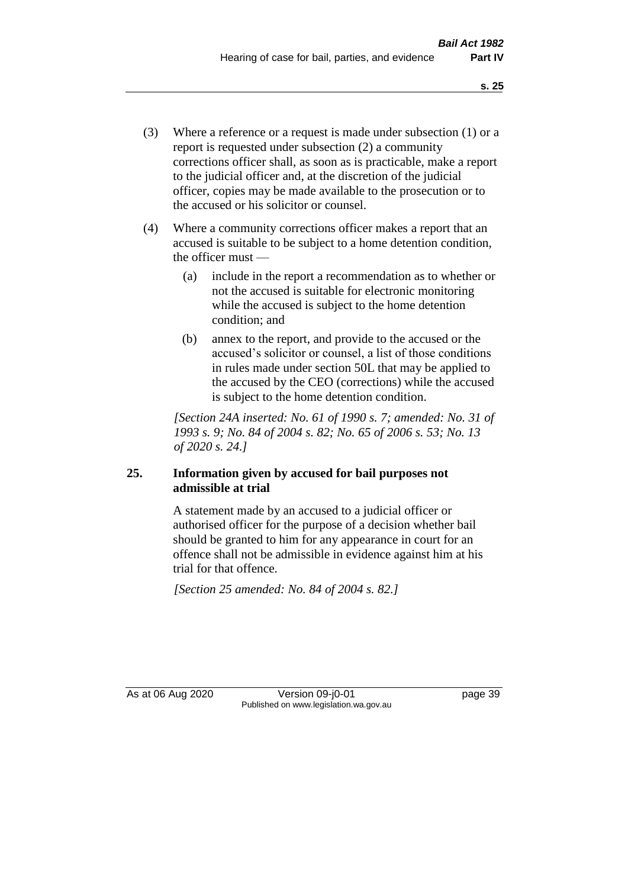- (3) Where a reference or a request is made under subsection (1) or a report is requested under subsection (2) a community corrections officer shall, as soon as is practicable, make a report to the judicial officer and, at the discretion of the judicial officer, copies may be made available to the prosecution or to the accused or his solicitor or counsel.
- (4) Where a community corrections officer makes a report that an accused is suitable to be subject to a home detention condition, the officer must —
	- (a) include in the report a recommendation as to whether or not the accused is suitable for electronic monitoring while the accused is subject to the home detention condition; and
	- (b) annex to the report, and provide to the accused or the accused's solicitor or counsel, a list of those conditions in rules made under section 50L that may be applied to the accused by the CEO (corrections) while the accused is subject to the home detention condition.

*[Section 24A inserted: No. 61 of 1990 s. 7; amended: No. 31 of 1993 s. 9; No. 84 of 2004 s. 82; No. 65 of 2006 s. 53; No. 13 of 2020 s. 24.]* 

# **25. Information given by accused for bail purposes not admissible at trial**

A statement made by an accused to a judicial officer or authorised officer for the purpose of a decision whether bail should be granted to him for any appearance in court for an offence shall not be admissible in evidence against him at his trial for that offence.

*[Section 25 amended: No. 84 of 2004 s. 82.]* 

As at 06 Aug 2020 Version 09-j0-01 page 39 Published on www.legislation.wa.gov.au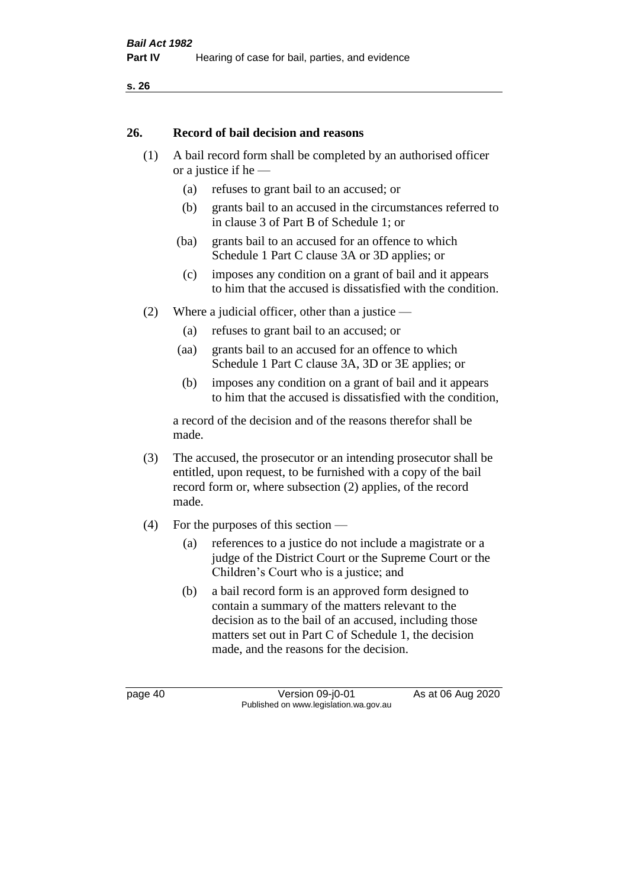#### **26. Record of bail decision and reasons**

- (1) A bail record form shall be completed by an authorised officer or a justice if he —
	- (a) refuses to grant bail to an accused; or
	- (b) grants bail to an accused in the circumstances referred to in clause 3 of Part B of Schedule 1; or
	- (ba) grants bail to an accused for an offence to which Schedule 1 Part C clause 3A or 3D applies; or
	- (c) imposes any condition on a grant of bail and it appears to him that the accused is dissatisfied with the condition.
- (2) Where a judicial officer, other than a justice
	- (a) refuses to grant bail to an accused; or
	- (aa) grants bail to an accused for an offence to which Schedule 1 Part C clause 3A, 3D or 3E applies; or
	- (b) imposes any condition on a grant of bail and it appears to him that the accused is dissatisfied with the condition,

a record of the decision and of the reasons therefor shall be made.

- (3) The accused, the prosecutor or an intending prosecutor shall be entitled, upon request, to be furnished with a copy of the bail record form or, where subsection (2) applies, of the record made.
- (4) For the purposes of this section
	- (a) references to a justice do not include a magistrate or a judge of the District Court or the Supreme Court or the Children's Court who is a justice; and
	- (b) a bail record form is an approved form designed to contain a summary of the matters relevant to the decision as to the bail of an accused, including those matters set out in Part C of Schedule 1, the decision made, and the reasons for the decision.

page 40 Version 09-j0-01 As at 06 Aug 2020 Published on www.legislation.wa.gov.au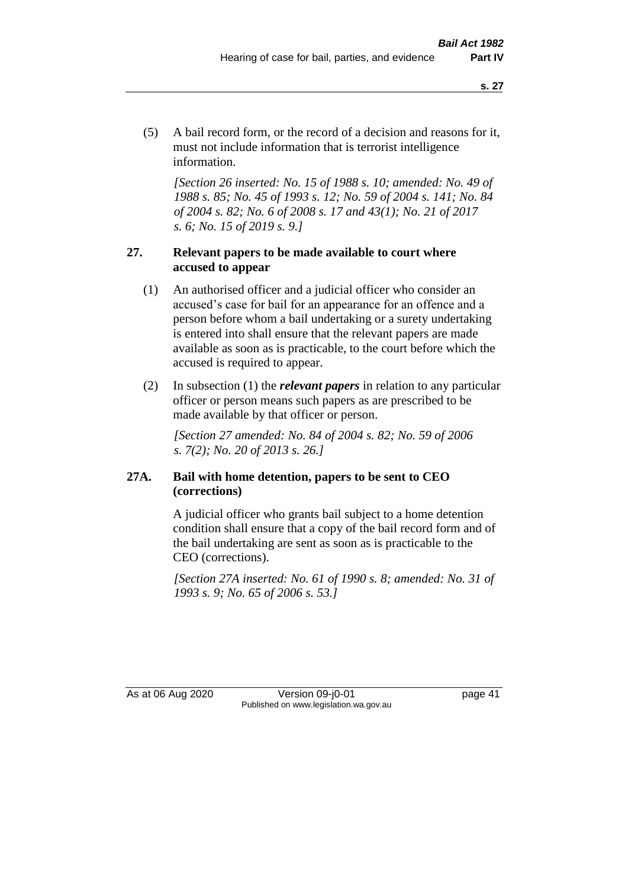(5) A bail record form, or the record of a decision and reasons for it, must not include information that is terrorist intelligence information.

*[Section 26 inserted: No. 15 of 1988 s. 10; amended: No. 49 of 1988 s. 85; No. 45 of 1993 s. 12; No. 59 of 2004 s. 141; No. 84 of 2004 s. 82; No. 6 of 2008 s. 17 and 43(1); No. 21 of 2017 s. 6; No. 15 of 2019 s. 9.]* 

## **27. Relevant papers to be made available to court where accused to appear**

- (1) An authorised officer and a judicial officer who consider an accused's case for bail for an appearance for an offence and a person before whom a bail undertaking or a surety undertaking is entered into shall ensure that the relevant papers are made available as soon as is practicable, to the court before which the accused is required to appear.
- (2) In subsection (1) the *relevant papers* in relation to any particular officer or person means such papers as are prescribed to be made available by that officer or person.

*[Section 27 amended: No. 84 of 2004 s. 82; No. 59 of 2006 s. 7(2); No. 20 of 2013 s. 26.]* 

## **27A. Bail with home detention, papers to be sent to CEO (corrections)**

A judicial officer who grants bail subject to a home detention condition shall ensure that a copy of the bail record form and of the bail undertaking are sent as soon as is practicable to the CEO (corrections).

*[Section 27A inserted: No. 61 of 1990 s. 8; amended: No. 31 of 1993 s. 9; No. 65 of 2006 s. 53.]* 

As at 06 Aug 2020 Version 09-j0-01 page 41 Published on www.legislation.wa.gov.au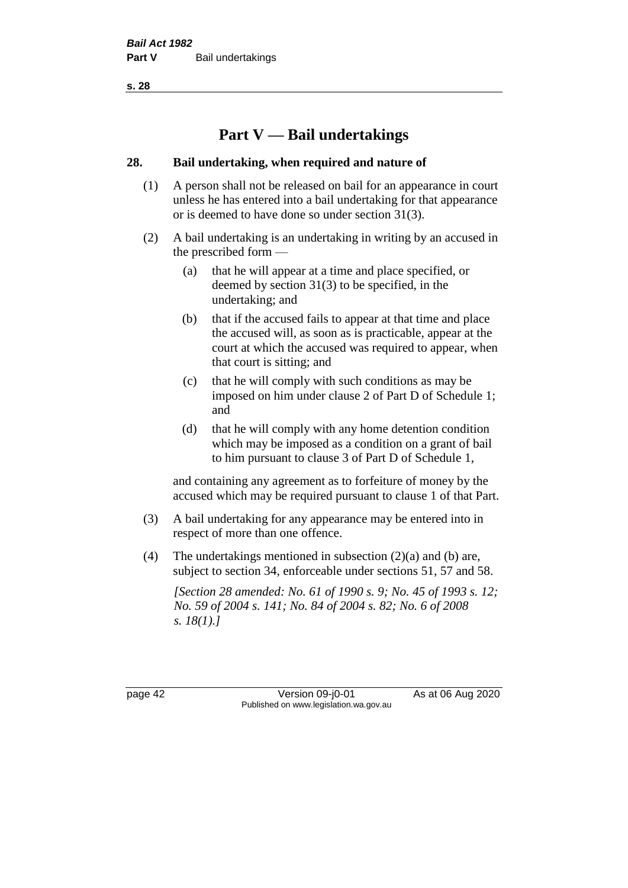# **Part V — Bail undertakings**

## **28. Bail undertaking, when required and nature of**

- (1) A person shall not be released on bail for an appearance in court unless he has entered into a bail undertaking for that appearance or is deemed to have done so under section 31(3).
- (2) A bail undertaking is an undertaking in writing by an accused in the prescribed form —
	- (a) that he will appear at a time and place specified, or deemed by section 31(3) to be specified, in the undertaking; and
	- (b) that if the accused fails to appear at that time and place the accused will, as soon as is practicable, appear at the court at which the accused was required to appear, when that court is sitting; and
	- (c) that he will comply with such conditions as may be imposed on him under clause 2 of Part D of Schedule 1; and
	- (d) that he will comply with any home detention condition which may be imposed as a condition on a grant of bail to him pursuant to clause 3 of Part D of Schedule 1,

and containing any agreement as to forfeiture of money by the accused which may be required pursuant to clause 1 of that Part.

- (3) A bail undertaking for any appearance may be entered into in respect of more than one offence.
- (4) The undertakings mentioned in subsection (2)(a) and (b) are, subject to section 34, enforceable under sections 51, 57 and 58.

*[Section 28 amended: No. 61 of 1990 s. 9; No. 45 of 1993 s. 12; No. 59 of 2004 s. 141; No. 84 of 2004 s. 82; No. 6 of 2008 s. 18(1).]* 

page 42 Version 09-j0-01 As at 06 Aug 2020 Published on www.legislation.wa.gov.au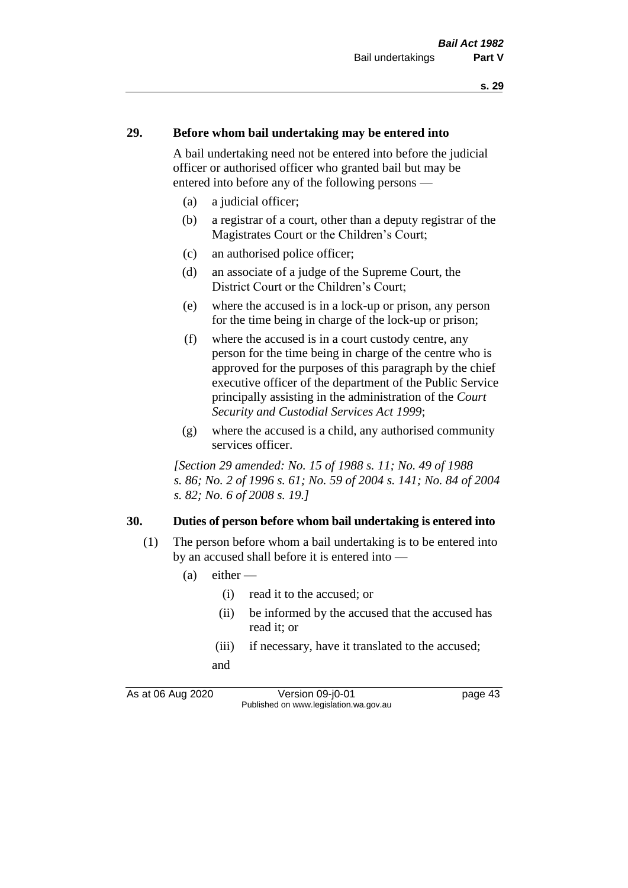#### **29. Before whom bail undertaking may be entered into**

A bail undertaking need not be entered into before the judicial officer or authorised officer who granted bail but may be entered into before any of the following persons —

- (a) a judicial officer;
- (b) a registrar of a court, other than a deputy registrar of the Magistrates Court or the Children's Court;
- (c) an authorised police officer;
- (d) an associate of a judge of the Supreme Court, the District Court or the Children's Court;
- (e) where the accused is in a lock-up or prison, any person for the time being in charge of the lock-up or prison;
- (f) where the accused is in a court custody centre, any person for the time being in charge of the centre who is approved for the purposes of this paragraph by the chief executive officer of the department of the Public Service principally assisting in the administration of the *Court Security and Custodial Services Act 1999*;
- (g) where the accused is a child, any authorised community services officer.

*[Section 29 amended: No. 15 of 1988 s. 11; No. 49 of 1988 s. 86; No. 2 of 1996 s. 61; No. 59 of 2004 s. 141; No. 84 of 2004 s. 82; No. 6 of 2008 s. 19.]* 

#### **30. Duties of person before whom bail undertaking is entered into**

- (1) The person before whom a bail undertaking is to be entered into by an accused shall before it is entered into —
	- $(a)$  either
		- (i) read it to the accused; or
		- (ii) be informed by the accused that the accused has read it; or
		- (iii) if necessary, have it translated to the accused; and

As at 06 Aug 2020 Version 09-j0-01 page 43 Published on www.legislation.wa.gov.au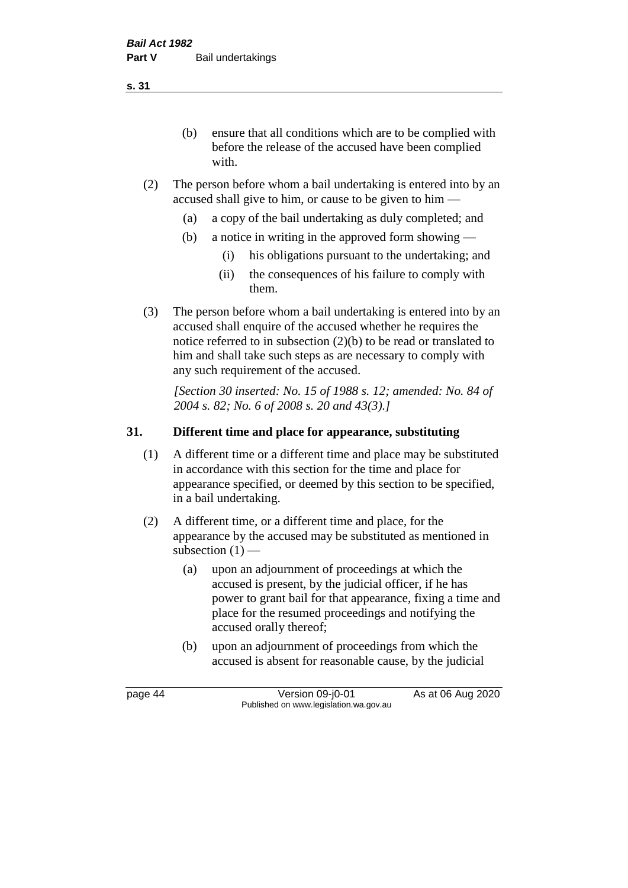(b) ensure that all conditions which are to be complied with before the release of the accused have been complied with.

- (2) The person before whom a bail undertaking is entered into by an accused shall give to him, or cause to be given to him —
	- (a) a copy of the bail undertaking as duly completed; and
	- (b) a notice in writing in the approved form showing
		- (i) his obligations pursuant to the undertaking; and
		- (ii) the consequences of his failure to comply with them.
- (3) The person before whom a bail undertaking is entered into by an accused shall enquire of the accused whether he requires the notice referred to in subsection (2)(b) to be read or translated to him and shall take such steps as are necessary to comply with any such requirement of the accused.

*[Section 30 inserted: No. 15 of 1988 s. 12; amended: No. 84 of 2004 s. 82; No. 6 of 2008 s. 20 and 43(3).]* 

# **31. Different time and place for appearance, substituting**

- (1) A different time or a different time and place may be substituted in accordance with this section for the time and place for appearance specified, or deemed by this section to be specified, in a bail undertaking.
- (2) A different time, or a different time and place, for the appearance by the accused may be substituted as mentioned in subsection  $(1)$  —
	- (a) upon an adjournment of proceedings at which the accused is present, by the judicial officer, if he has power to grant bail for that appearance, fixing a time and place for the resumed proceedings and notifying the accused orally thereof;
	- (b) upon an adjournment of proceedings from which the accused is absent for reasonable cause, by the judicial

page 44 Version 09-j0-01 As at 06 Aug 2020 Published on www.legislation.wa.gov.au

**s. 31**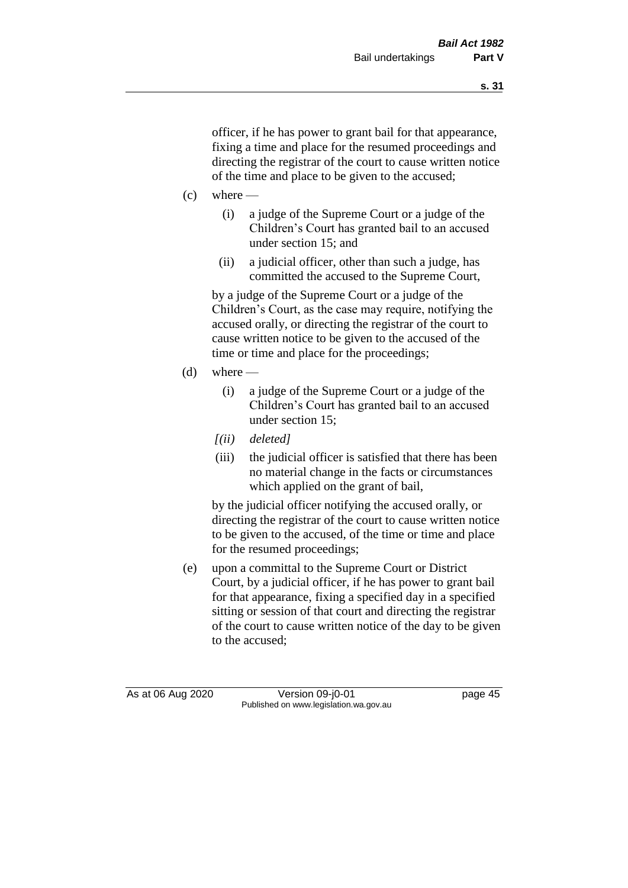officer, if he has power to grant bail for that appearance, fixing a time and place for the resumed proceedings and directing the registrar of the court to cause written notice of the time and place to be given to the accused;

- $(c)$  where
	- (i) a judge of the Supreme Court or a judge of the Children's Court has granted bail to an accused under section 15; and
	- (ii) a judicial officer, other than such a judge, has committed the accused to the Supreme Court,

by a judge of the Supreme Court or a judge of the Children's Court, as the case may require, notifying the accused orally, or directing the registrar of the court to cause written notice to be given to the accused of the time or time and place for the proceedings;

- $(d)$  where
	- (i) a judge of the Supreme Court or a judge of the Children's Court has granted bail to an accused under section 15;
	- *[(ii) deleted]*
	- (iii) the judicial officer is satisfied that there has been no material change in the facts or circumstances which applied on the grant of bail,

by the judicial officer notifying the accused orally, or directing the registrar of the court to cause written notice to be given to the accused, of the time or time and place for the resumed proceedings;

(e) upon a committal to the Supreme Court or District Court, by a judicial officer, if he has power to grant bail for that appearance, fixing a specified day in a specified sitting or session of that court and directing the registrar of the court to cause written notice of the day to be given to the accused;

As at 06 Aug 2020 Version 09-j0-01 page 45 Published on www.legislation.wa.gov.au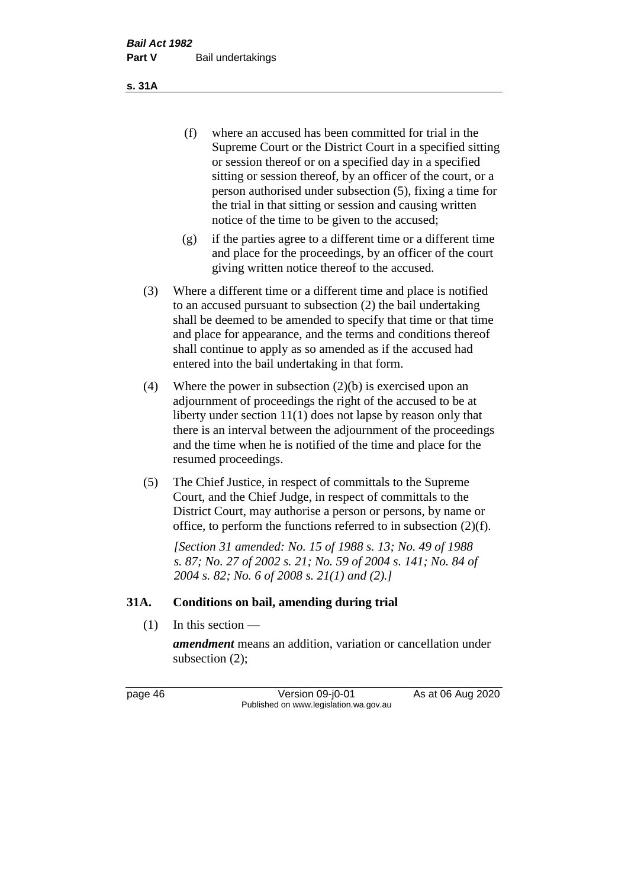(f) where an accused has been committed for trial in the Supreme Court or the District Court in a specified sitting or session thereof or on a specified day in a specified sitting or session thereof, by an officer of the court, or a person authorised under subsection (5), fixing a time for the trial in that sitting or session and causing written notice of the time to be given to the accused;

- (g) if the parties agree to a different time or a different time and place for the proceedings, by an officer of the court giving written notice thereof to the accused.
- (3) Where a different time or a different time and place is notified to an accused pursuant to subsection (2) the bail undertaking shall be deemed to be amended to specify that time or that time and place for appearance, and the terms and conditions thereof shall continue to apply as so amended as if the accused had entered into the bail undertaking in that form.
- (4) Where the power in subsection (2)(b) is exercised upon an adjournment of proceedings the right of the accused to be at liberty under section 11(1) does not lapse by reason only that there is an interval between the adjournment of the proceedings and the time when he is notified of the time and place for the resumed proceedings.
- (5) The Chief Justice, in respect of committals to the Supreme Court, and the Chief Judge, in respect of committals to the District Court, may authorise a person or persons, by name or office, to perform the functions referred to in subsection (2)(f).

*[Section 31 amended: No. 15 of 1988 s. 13; No. 49 of 1988 s. 87; No. 27 of 2002 s. 21; No. 59 of 2004 s. 141; No. 84 of 2004 s. 82; No. 6 of 2008 s. 21(1) and (2).]* 

#### **31A. Conditions on bail, amending during trial**

 $(1)$  In this section —

*amendment* means an addition, variation or cancellation under subsection (2);

page 46 Version 09-j0-01 As at 06 Aug 2020 Published on www.legislation.wa.gov.au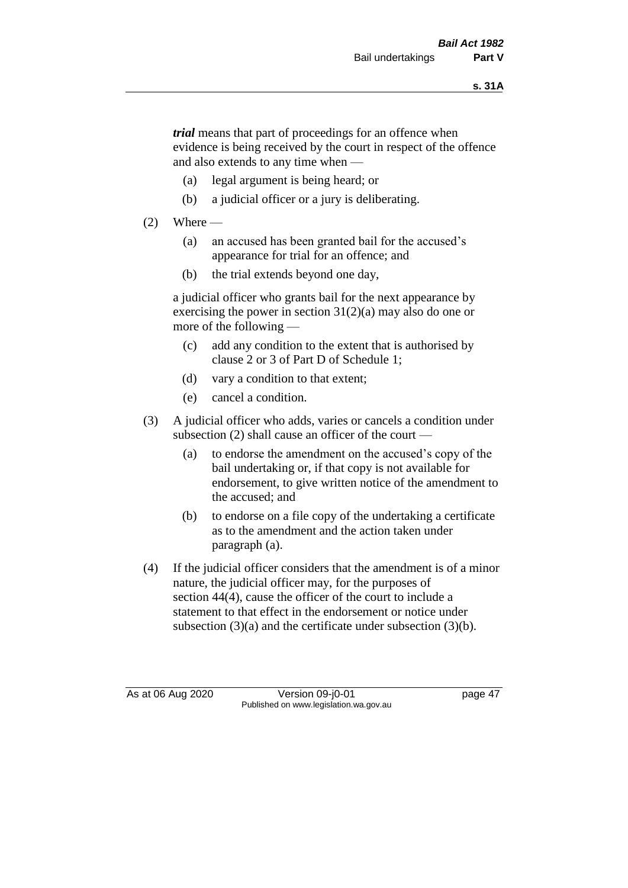*trial* means that part of proceedings for an offence when evidence is being received by the court in respect of the offence and also extends to any time when —

- (a) legal argument is being heard; or
- (b) a judicial officer or a jury is deliberating.

## $(2)$  Where —

- (a) an accused has been granted bail for the accused's appearance for trial for an offence; and
- (b) the trial extends beyond one day,

a judicial officer who grants bail for the next appearance by exercising the power in section  $31(2)(a)$  may also do one or more of the following —

- (c) add any condition to the extent that is authorised by clause 2 or 3 of Part D of Schedule 1;
- (d) vary a condition to that extent;
- (e) cancel a condition.
- (3) A judicial officer who adds, varies or cancels a condition under subsection (2) shall cause an officer of the court —
	- (a) to endorse the amendment on the accused's copy of the bail undertaking or, if that copy is not available for endorsement, to give written notice of the amendment to the accused; and
	- (b) to endorse on a file copy of the undertaking a certificate as to the amendment and the action taken under paragraph (a).
- (4) If the judicial officer considers that the amendment is of a minor nature, the judicial officer may, for the purposes of section 44(4), cause the officer of the court to include a statement to that effect in the endorsement or notice under subsection (3)(a) and the certificate under subsection (3)(b).

As at 06 Aug 2020 Version 09-j0-01 page 47 Published on www.legislation.wa.gov.au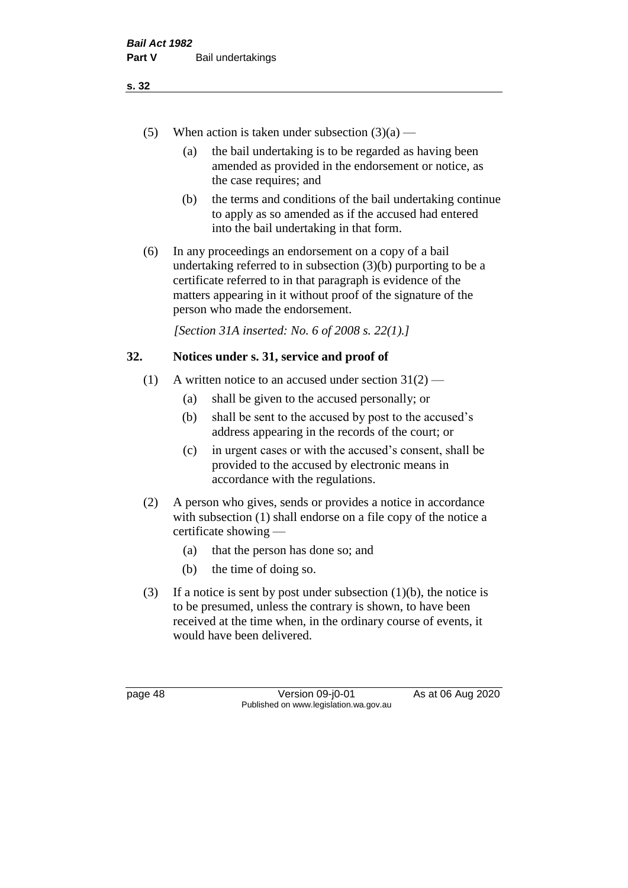- (5) When action is taken under subsection  $(3)(a)$ 
	- (a) the bail undertaking is to be regarded as having been amended as provided in the endorsement or notice, as the case requires; and
	- (b) the terms and conditions of the bail undertaking continue to apply as so amended as if the accused had entered into the bail undertaking in that form.
- (6) In any proceedings an endorsement on a copy of a bail undertaking referred to in subsection (3)(b) purporting to be a certificate referred to in that paragraph is evidence of the matters appearing in it without proof of the signature of the person who made the endorsement.

*[Section 31A inserted: No. 6 of 2008 s. 22(1).]*

## **32. Notices under s. 31, service and proof of**

- (1) A written notice to an accused under section  $31(2)$ 
	- (a) shall be given to the accused personally; or
	- (b) shall be sent to the accused by post to the accused's address appearing in the records of the court; or
	- (c) in urgent cases or with the accused's consent, shall be provided to the accused by electronic means in accordance with the regulations.
- (2) A person who gives, sends or provides a notice in accordance with subsection (1) shall endorse on a file copy of the notice a certificate showing —
	- (a) that the person has done so; and
	- (b) the time of doing so.
- (3) If a notice is sent by post under subsection  $(1)(b)$ , the notice is to be presumed, unless the contrary is shown, to have been received at the time when, in the ordinary course of events, it would have been delivered.

page 48 Version 09-j0-01 As at 06 Aug 2020 Published on www.legislation.wa.gov.au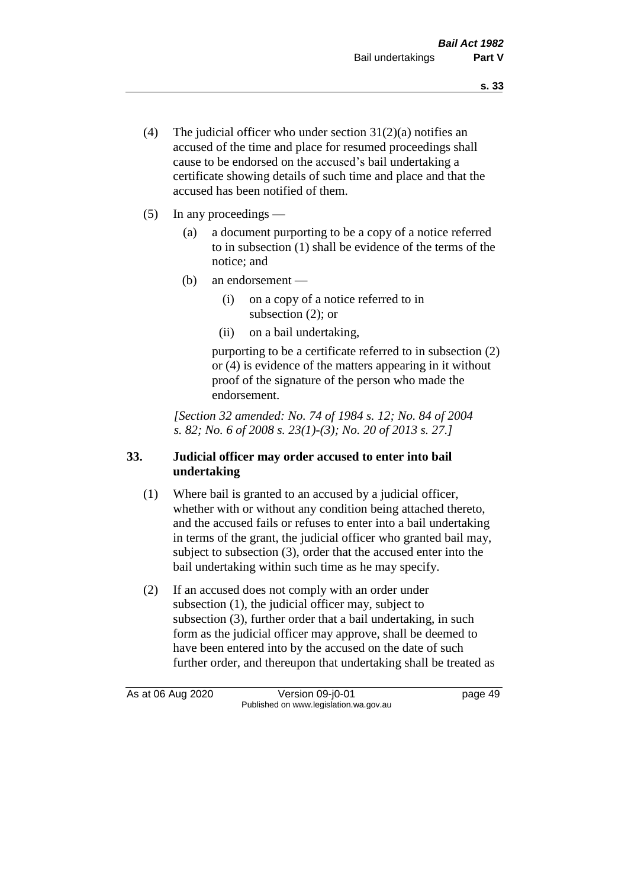- (4) The judicial officer who under section  $31(2)(a)$  notifies an accused of the time and place for resumed proceedings shall cause to be endorsed on the accused's bail undertaking a certificate showing details of such time and place and that the accused has been notified of them.
- (5) In any proceedings
	- (a) a document purporting to be a copy of a notice referred to in subsection (1) shall be evidence of the terms of the notice; and
	- (b) an endorsement
		- (i) on a copy of a notice referred to in subsection (2); or
		- (ii) on a bail undertaking,

purporting to be a certificate referred to in subsection (2) or (4) is evidence of the matters appearing in it without proof of the signature of the person who made the endorsement.

*[Section 32 amended: No. 74 of 1984 s. 12; No. 84 of 2004 s. 82; No. 6 of 2008 s. 23(1)-(3); No. 20 of 2013 s. 27.]* 

# **33. Judicial officer may order accused to enter into bail undertaking**

- (1) Where bail is granted to an accused by a judicial officer, whether with or without any condition being attached thereto, and the accused fails or refuses to enter into a bail undertaking in terms of the grant, the judicial officer who granted bail may, subject to subsection (3), order that the accused enter into the bail undertaking within such time as he may specify.
- (2) If an accused does not comply with an order under subsection (1), the judicial officer may, subject to subsection (3), further order that a bail undertaking, in such form as the judicial officer may approve, shall be deemed to have been entered into by the accused on the date of such further order, and thereupon that undertaking shall be treated as

As at 06 Aug 2020 Version 09-j0-01 page 49 Published on www.legislation.wa.gov.au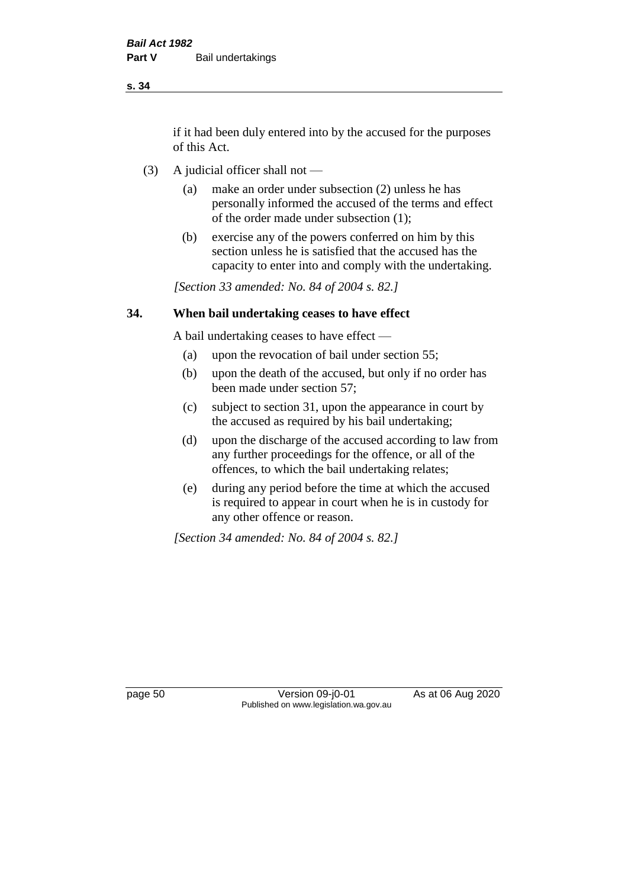if it had been duly entered into by the accused for the purposes of this Act.

- (3) A judicial officer shall not
	- (a) make an order under subsection (2) unless he has personally informed the accused of the terms and effect of the order made under subsection (1);
	- (b) exercise any of the powers conferred on him by this section unless he is satisfied that the accused has the capacity to enter into and comply with the undertaking.

*[Section 33 amended: No. 84 of 2004 s. 82.]* 

### **34. When bail undertaking ceases to have effect**

A bail undertaking ceases to have effect —

- (a) upon the revocation of bail under section 55;
- (b) upon the death of the accused, but only if no order has been made under section 57;
- (c) subject to section 31, upon the appearance in court by the accused as required by his bail undertaking;
- (d) upon the discharge of the accused according to law from any further proceedings for the offence, or all of the offences, to which the bail undertaking relates;
- (e) during any period before the time at which the accused is required to appear in court when he is in custody for any other offence or reason.

*[Section 34 amended: No. 84 of 2004 s. 82.]* 

page 50 Version 09-j0-01 As at 06 Aug 2020 Published on www.legislation.wa.gov.au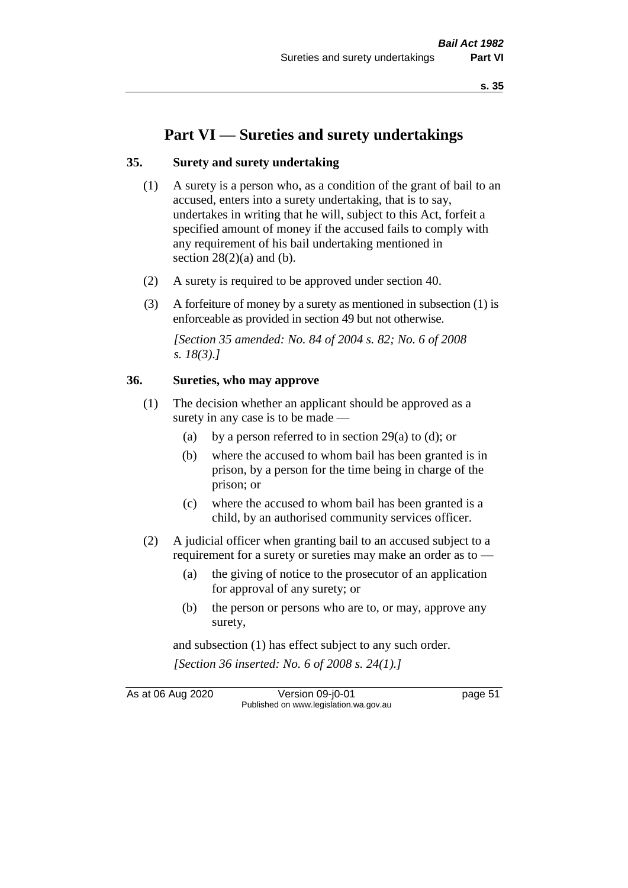# **Part VI — Sureties and surety undertakings**

### **35. Surety and surety undertaking**

- (1) A surety is a person who, as a condition of the grant of bail to an accused, enters into a surety undertaking, that is to say, undertakes in writing that he will, subject to this Act, forfeit a specified amount of money if the accused fails to comply with any requirement of his bail undertaking mentioned in section  $28(2)(a)$  and (b).
- (2) A surety is required to be approved under section 40.
- (3) A forfeiture of money by a surety as mentioned in subsection (1) is enforceable as provided in section 49 but not otherwise.

*[Section 35 amended: No. 84 of 2004 s. 82; No. 6 of 2008 s. 18(3).]* 

### **36. Sureties, who may approve**

- (1) The decision whether an applicant should be approved as a surety in any case is to be made —
	- (a) by a person referred to in section 29(a) to (d); or
	- (b) where the accused to whom bail has been granted is in prison, by a person for the time being in charge of the prison; or
	- (c) where the accused to whom bail has been granted is a child, by an authorised community services officer.
- (2) A judicial officer when granting bail to an accused subject to a requirement for a surety or sureties may make an order as to —
	- (a) the giving of notice to the prosecutor of an application for approval of any surety; or
	- (b) the person or persons who are to, or may, approve any surety,

and subsection (1) has effect subject to any such order. *[Section 36 inserted: No. 6 of 2008 s. 24(1).]*

As at 06 Aug 2020 Version 09-j0-01 page 51 Published on www.legislation.wa.gov.au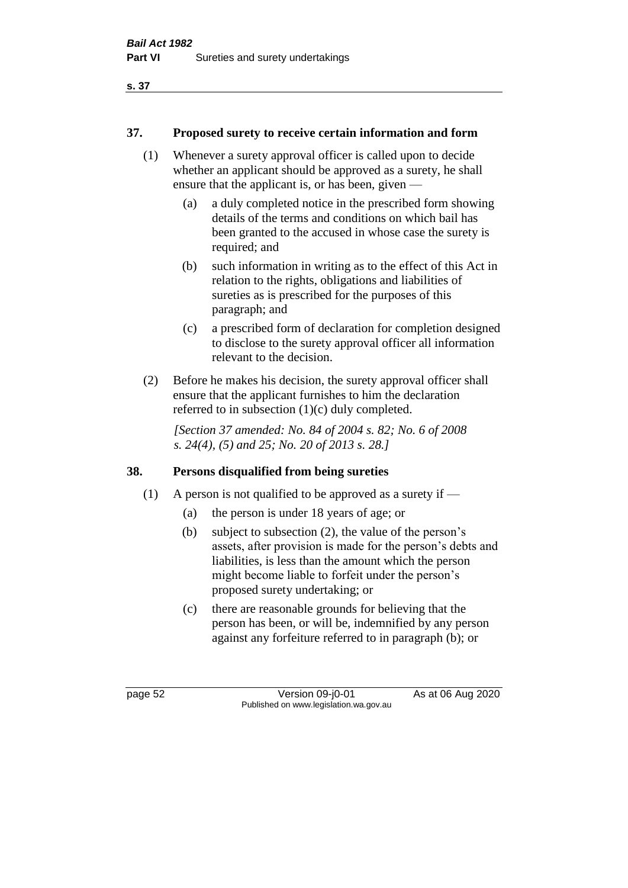## **37. Proposed surety to receive certain information and form**

- (1) Whenever a surety approval officer is called upon to decide whether an applicant should be approved as a surety, he shall ensure that the applicant is, or has been, given —
	- (a) a duly completed notice in the prescribed form showing details of the terms and conditions on which bail has been granted to the accused in whose case the surety is required; and
	- (b) such information in writing as to the effect of this Act in relation to the rights, obligations and liabilities of sureties as is prescribed for the purposes of this paragraph; and
	- (c) a prescribed form of declaration for completion designed to disclose to the surety approval officer all information relevant to the decision.
- (2) Before he makes his decision, the surety approval officer shall ensure that the applicant furnishes to him the declaration referred to in subsection (1)(c) duly completed.

*[Section 37 amended: No. 84 of 2004 s. 82; No. 6 of 2008 s. 24(4), (5) and 25; No. 20 of 2013 s. 28.]* 

# **38. Persons disqualified from being sureties**

- (1) A person is not qualified to be approved as a surety if  $-$ 
	- (a) the person is under 18 years of age; or
	- (b) subject to subsection (2), the value of the person's assets, after provision is made for the person's debts and liabilities, is less than the amount which the person might become liable to forfeit under the person's proposed surety undertaking; or
	- (c) there are reasonable grounds for believing that the person has been, or will be, indemnified by any person against any forfeiture referred to in paragraph (b); or

page 52 Version 09-j0-01 As at 06 Aug 2020 Published on www.legislation.wa.gov.au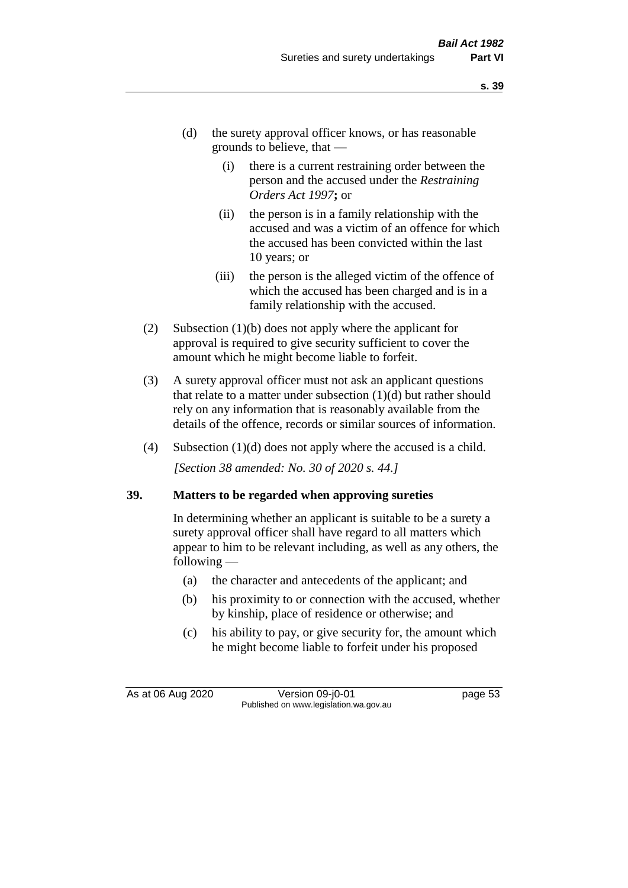- (d) the surety approval officer knows, or has reasonable grounds to believe, that —
	- (i) there is a current restraining order between the person and the accused under the *Restraining Orders Act 1997***;** or
	- (ii) the person is in a family relationship with the accused and was a victim of an offence for which the accused has been convicted within the last 10 years; or
	- (iii) the person is the alleged victim of the offence of which the accused has been charged and is in a family relationship with the accused.
- (2) Subsection (1)(b) does not apply where the applicant for approval is required to give security sufficient to cover the amount which he might become liable to forfeit.
- (3) A surety approval officer must not ask an applicant questions that relate to a matter under subsection  $(1)(d)$  but rather should rely on any information that is reasonably available from the details of the offence, records or similar sources of information.
- (4) Subsection (1)(d) does not apply where the accused is a child. *[Section 38 amended: No. 30 of 2020 s. 44.]*

#### **39. Matters to be regarded when approving sureties**

In determining whether an applicant is suitable to be a surety a surety approval officer shall have regard to all matters which appear to him to be relevant including, as well as any others, the following —

- (a) the character and antecedents of the applicant; and
- (b) his proximity to or connection with the accused, whether by kinship, place of residence or otherwise; and
- (c) his ability to pay, or give security for, the amount which he might become liable to forfeit under his proposed

As at 06 Aug 2020 Version 09-j0-01 page 53 Published on www.legislation.wa.gov.au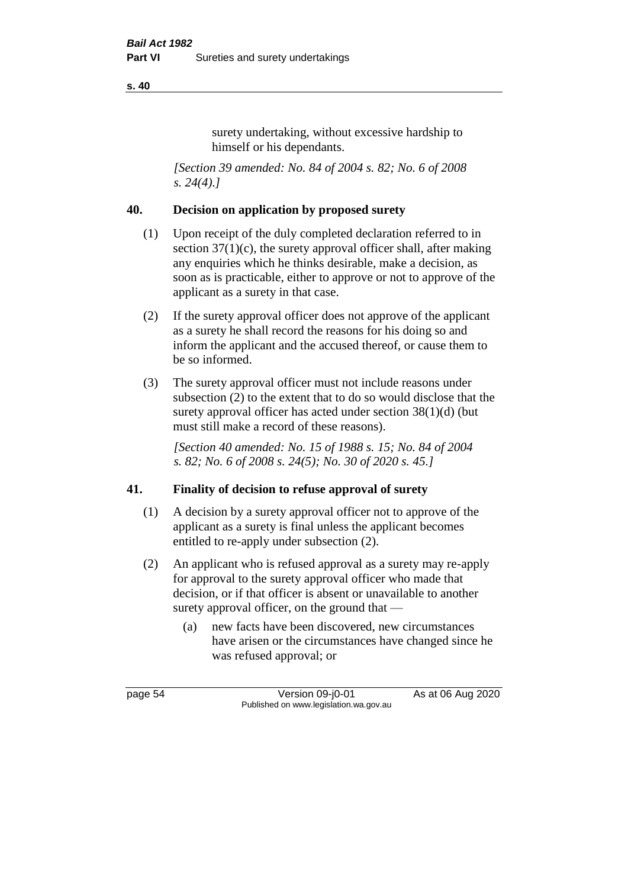surety undertaking, without excessive hardship to himself or his dependants.

*[Section 39 amended: No. 84 of 2004 s. 82; No. 6 of 2008 s. 24(4).]* 

## **40. Decision on application by proposed surety**

- (1) Upon receipt of the duly completed declaration referred to in section  $37(1)(c)$ , the surety approval officer shall, after making any enquiries which he thinks desirable, make a decision, as soon as is practicable, either to approve or not to approve of the applicant as a surety in that case.
- (2) If the surety approval officer does not approve of the applicant as a surety he shall record the reasons for his doing so and inform the applicant and the accused thereof, or cause them to be so informed.
- (3) The surety approval officer must not include reasons under subsection (2) to the extent that to do so would disclose that the surety approval officer has acted under section 38(1)(d) (but must still make a record of these reasons).

*[Section 40 amended: No. 15 of 1988 s. 15; No. 84 of 2004 s. 82; No. 6 of 2008 s. 24(5); No. 30 of 2020 s. 45.]* 

# **41. Finality of decision to refuse approval of surety**

- (1) A decision by a surety approval officer not to approve of the applicant as a surety is final unless the applicant becomes entitled to re-apply under subsection (2).
- (2) An applicant who is refused approval as a surety may re-apply for approval to the surety approval officer who made that decision, or if that officer is absent or unavailable to another surety approval officer, on the ground that —
	- (a) new facts have been discovered, new circumstances have arisen or the circumstances have changed since he was refused approval; or

page 54 Version 09-j0-01 As at 06 Aug 2020 Published on www.legislation.wa.gov.au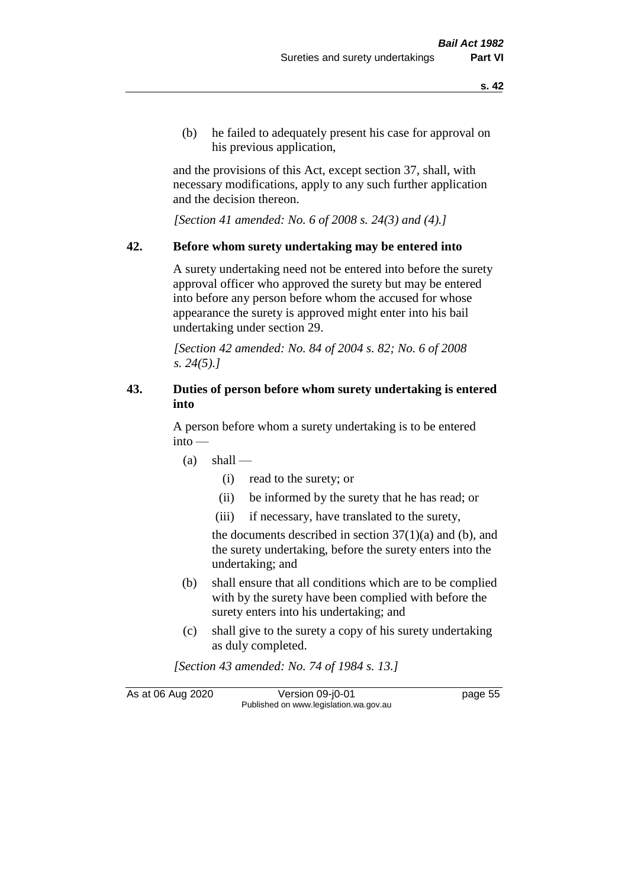(b) he failed to adequately present his case for approval on his previous application,

and the provisions of this Act, except section 37, shall, with necessary modifications, apply to any such further application and the decision thereon.

*[Section 41 amended: No. 6 of 2008 s. 24(3) and (4).]*

#### **42. Before whom surety undertaking may be entered into**

A surety undertaking need not be entered into before the surety approval officer who approved the surety but may be entered into before any person before whom the accused for whose appearance the surety is approved might enter into his bail undertaking under section 29.

*[Section 42 amended: No. 84 of 2004 s. 82; No. 6 of 2008 s. 24(5).]* 

## **43. Duties of person before whom surety undertaking is entered into**

A person before whom a surety undertaking is to be entered into —

- $(a)$  shall
	- (i) read to the surety; or
	- (ii) be informed by the surety that he has read; or
	- (iii) if necessary, have translated to the surety,

the documents described in section  $37(1)(a)$  and (b), and the surety undertaking, before the surety enters into the undertaking; and

- (b) shall ensure that all conditions which are to be complied with by the surety have been complied with before the surety enters into his undertaking; and
- (c) shall give to the surety a copy of his surety undertaking as duly completed.

*[Section 43 amended: No. 74 of 1984 s. 13.]* 

As at 06 Aug 2020 Version 09-j0-01 page 55 Published on www.legislation.wa.gov.au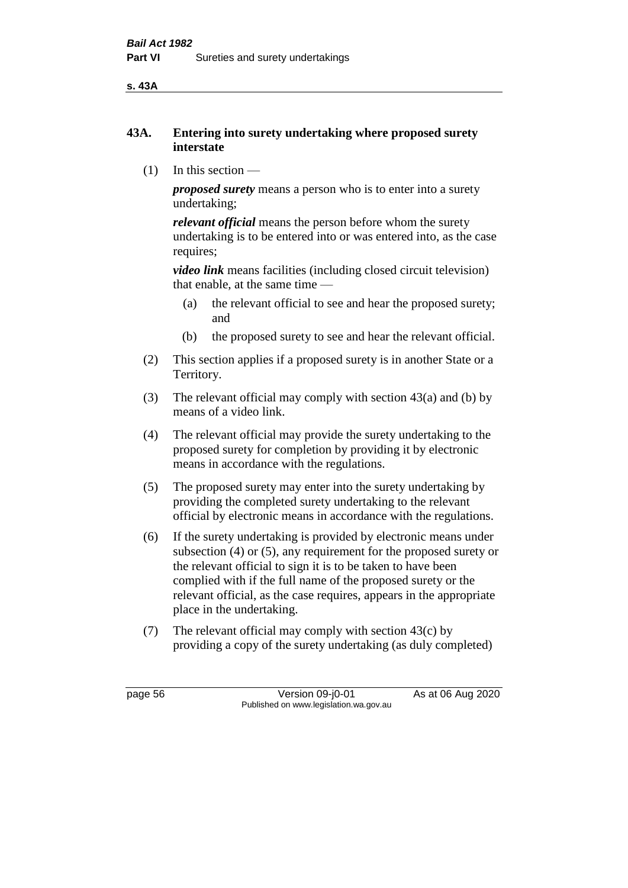**s. 43A**

## **43A. Entering into surety undertaking where proposed surety interstate**

(1) In this section —

*proposed surety* means a person who is to enter into a surety undertaking;

*relevant official* means the person before whom the surety undertaking is to be entered into or was entered into, as the case requires;

*video link* means facilities (including closed circuit television) that enable, at the same time —

- (a) the relevant official to see and hear the proposed surety; and
- (b) the proposed surety to see and hear the relevant official.
- (2) This section applies if a proposed surety is in another State or a Territory.
- (3) The relevant official may comply with section 43(a) and (b) by means of a video link.
- (4) The relevant official may provide the surety undertaking to the proposed surety for completion by providing it by electronic means in accordance with the regulations.
- (5) The proposed surety may enter into the surety undertaking by providing the completed surety undertaking to the relevant official by electronic means in accordance with the regulations.
- (6) If the surety undertaking is provided by electronic means under subsection (4) or (5), any requirement for the proposed surety or the relevant official to sign it is to be taken to have been complied with if the full name of the proposed surety or the relevant official, as the case requires, appears in the appropriate place in the undertaking.
- (7) The relevant official may comply with section 43(c) by providing a copy of the surety undertaking (as duly completed)

page 56 Version 09-j0-01 As at 06 Aug 2020 Published on www.legislation.wa.gov.au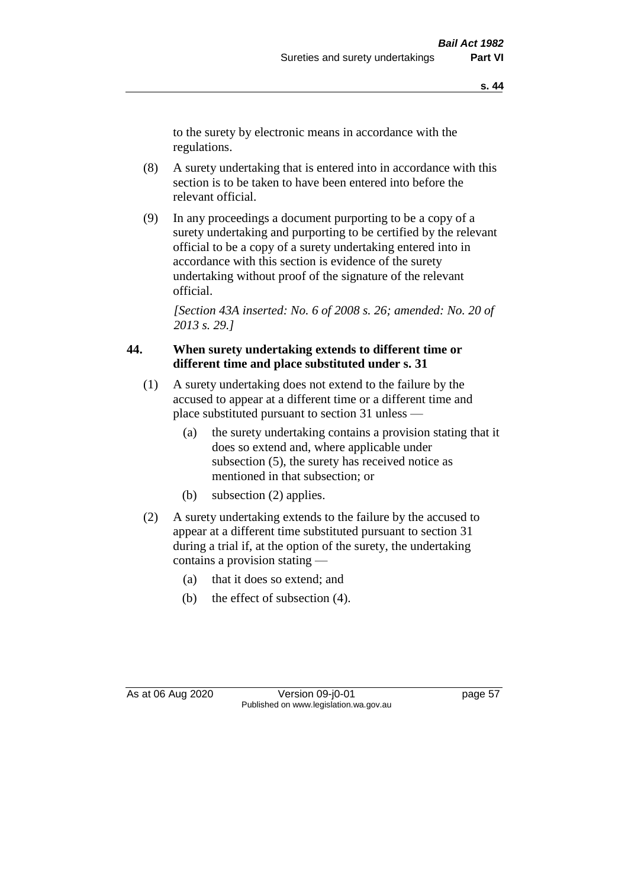to the surety by electronic means in accordance with the regulations.

- (8) A surety undertaking that is entered into in accordance with this section is to be taken to have been entered into before the relevant official.
- (9) In any proceedings a document purporting to be a copy of a surety undertaking and purporting to be certified by the relevant official to be a copy of a surety undertaking entered into in accordance with this section is evidence of the surety undertaking without proof of the signature of the relevant official.

*[Section 43A inserted: No. 6 of 2008 s. 26; amended: No. 20 of 2013 s. 29.]*

## **44. When surety undertaking extends to different time or different time and place substituted under s. 31**

- (1) A surety undertaking does not extend to the failure by the accused to appear at a different time or a different time and place substituted pursuant to section 31 unless —
	- (a) the surety undertaking contains a provision stating that it does so extend and, where applicable under subsection (5), the surety has received notice as mentioned in that subsection; or
	- (b) subsection (2) applies.
- (2) A surety undertaking extends to the failure by the accused to appear at a different time substituted pursuant to section 31 during a trial if, at the option of the surety, the undertaking contains a provision stating —
	- (a) that it does so extend; and
	- (b) the effect of subsection (4).

As at 06 Aug 2020 Version 09-j0-01 page 57 Published on www.legislation.wa.gov.au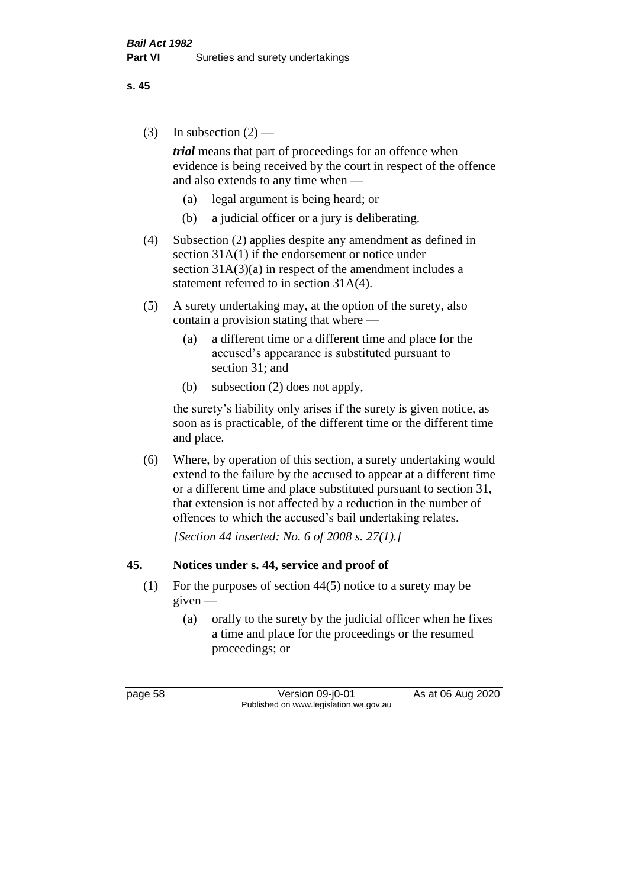(3) In subsection  $(2)$  —

*trial* means that part of proceedings for an offence when evidence is being received by the court in respect of the offence and also extends to any time when —

- (a) legal argument is being heard; or
- (b) a judicial officer or a jury is deliberating.
- (4) Subsection (2) applies despite any amendment as defined in section 31A(1) if the endorsement or notice under section  $31A(3)(a)$  in respect of the amendment includes a statement referred to in section 31A(4).
- (5) A surety undertaking may, at the option of the surety, also contain a provision stating that where —
	- (a) a different time or a different time and place for the accused's appearance is substituted pursuant to section 31; and
	- (b) subsection (2) does not apply,

the surety's liability only arises if the surety is given notice, as soon as is practicable, of the different time or the different time and place.

(6) Where, by operation of this section, a surety undertaking would extend to the failure by the accused to appear at a different time or a different time and place substituted pursuant to section 31, that extension is not affected by a reduction in the number of offences to which the accused's bail undertaking relates.

*[Section 44 inserted: No. 6 of 2008 s. 27(1).]*

#### **45. Notices under s. 44, service and proof of**

- (1) For the purposes of section 44(5) notice to a surety may be given —
	- (a) orally to the surety by the judicial officer when he fixes a time and place for the proceedings or the resumed proceedings; or

page 58 Version 09-j0-01 As at 06 Aug 2020 Published on www.legislation.wa.gov.au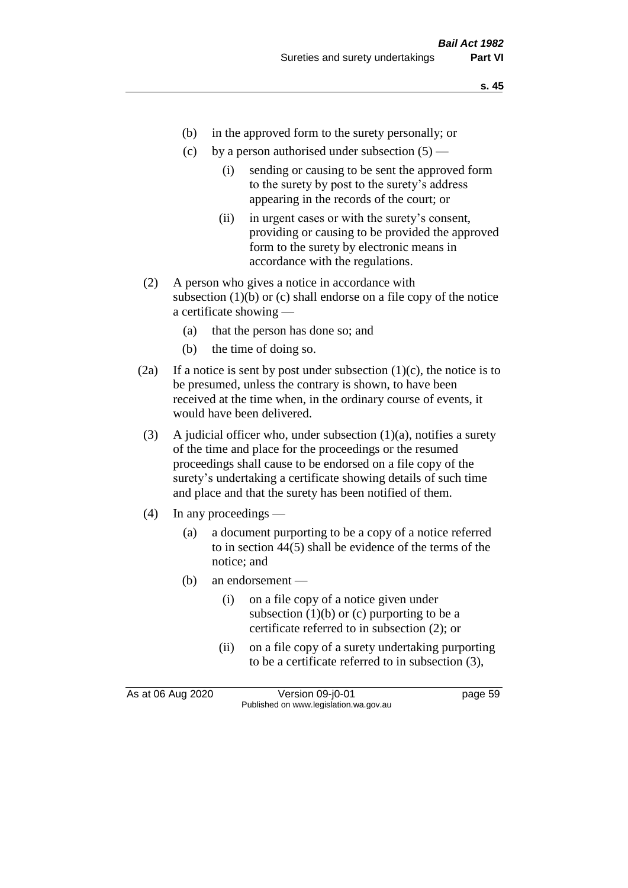- (b) in the approved form to the surety personally; or
- (c) by a person authorised under subsection  $(5)$ 
	- (i) sending or causing to be sent the approved form to the surety by post to the surety's address appearing in the records of the court; or
	- (ii) in urgent cases or with the surety's consent, providing or causing to be provided the approved form to the surety by electronic means in accordance with the regulations.
- (2) A person who gives a notice in accordance with subsection  $(1)(b)$  or  $(c)$  shall endorse on a file copy of the notice a certificate showing —
	- (a) that the person has done so; and
	- (b) the time of doing so.
- (2a) If a notice is sent by post under subsection  $(1)(c)$ , the notice is to be presumed, unless the contrary is shown, to have been received at the time when, in the ordinary course of events, it would have been delivered.
- (3) A judicial officer who, under subsection  $(1)(a)$ , notifies a surety of the time and place for the proceedings or the resumed proceedings shall cause to be endorsed on a file copy of the surety's undertaking a certificate showing details of such time and place and that the surety has been notified of them.
- (4) In any proceedings
	- (a) a document purporting to be a copy of a notice referred to in section 44(5) shall be evidence of the terms of the notice; and
	- (b) an endorsement
		- (i) on a file copy of a notice given under subsection  $(1)(b)$  or  $(c)$  purporting to be a certificate referred to in subsection (2); or
		- (ii) on a file copy of a surety undertaking purporting to be a certificate referred to in subsection (3),

As at 06 Aug 2020 Version 09-j0-01 page 59 Published on www.legislation.wa.gov.au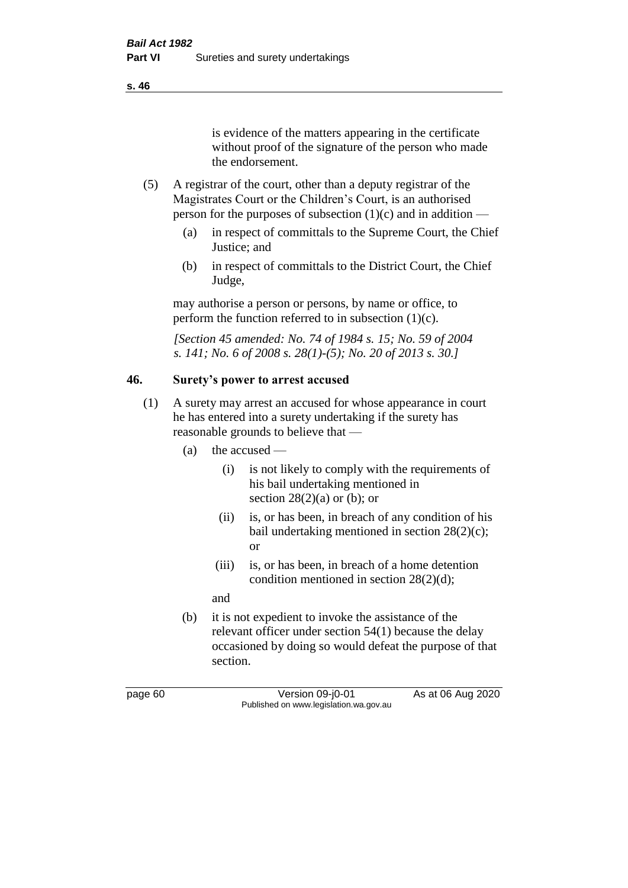is evidence of the matters appearing in the certificate without proof of the signature of the person who made the endorsement.

- (5) A registrar of the court, other than a deputy registrar of the Magistrates Court or the Children's Court, is an authorised person for the purposes of subsection  $(1)(c)$  and in addition —
	- (a) in respect of committals to the Supreme Court, the Chief Justice; and
	- (b) in respect of committals to the District Court, the Chief Judge,

may authorise a person or persons, by name or office, to perform the function referred to in subsection  $(1)(c)$ .

*[Section 45 amended: No. 74 of 1984 s. 15; No. 59 of 2004 s. 141; No. 6 of 2008 s. 28(1)-(5); No. 20 of 2013 s. 30.]* 

# **46. Surety's power to arrest accused**

- (1) A surety may arrest an accused for whose appearance in court he has entered into a surety undertaking if the surety has reasonable grounds to believe that —
	- (a) the accused
		- (i) is not likely to comply with the requirements of his bail undertaking mentioned in section  $28(2)(a)$  or (b); or
		- (ii) is, or has been, in breach of any condition of his bail undertaking mentioned in section 28(2)(c); or
		- (iii) is, or has been, in breach of a home detention condition mentioned in section 28(2)(d);

and

(b) it is not expedient to invoke the assistance of the relevant officer under section 54(1) because the delay occasioned by doing so would defeat the purpose of that section.

page 60 Version 09-j0-01 As at 06 Aug 2020 Published on www.legislation.wa.gov.au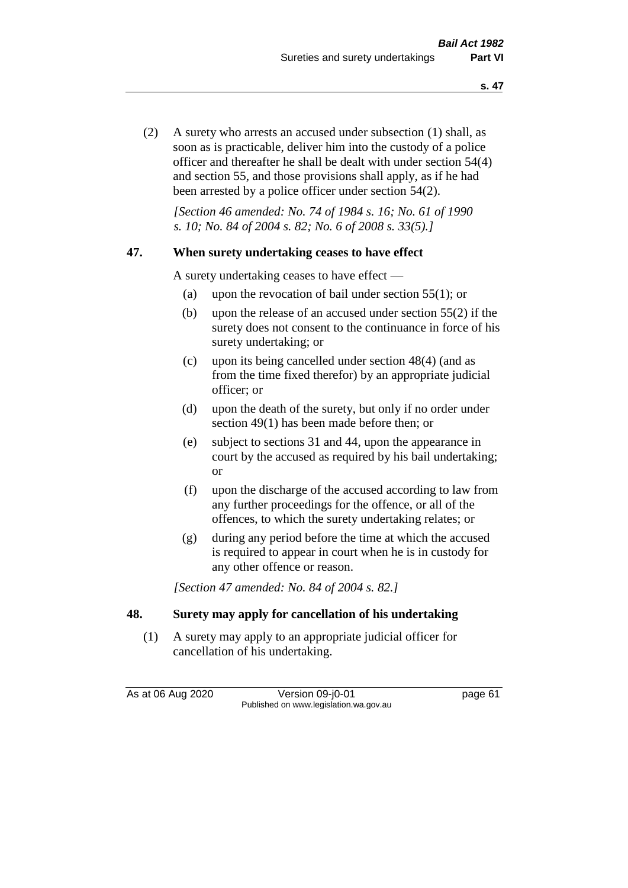(2) A surety who arrests an accused under subsection (1) shall, as soon as is practicable, deliver him into the custody of a police officer and thereafter he shall be dealt with under section 54(4) and section 55, and those provisions shall apply, as if he had been arrested by a police officer under section 54(2).

*[Section 46 amended: No. 74 of 1984 s. 16; No. 61 of 1990 s. 10; No. 84 of 2004 s. 82; No. 6 of 2008 s. 33(5).]* 

#### **47. When surety undertaking ceases to have effect**

A surety undertaking ceases to have effect —

- (a) upon the revocation of bail under section 55(1); or
- (b) upon the release of an accused under section 55(2) if the surety does not consent to the continuance in force of his surety undertaking; or
- (c) upon its being cancelled under section 48(4) (and as from the time fixed therefor) by an appropriate judicial officer; or
- (d) upon the death of the surety, but only if no order under section 49(1) has been made before then; or
- (e) subject to sections 31 and 44, upon the appearance in court by the accused as required by his bail undertaking; or
- (f) upon the discharge of the accused according to law from any further proceedings for the offence, or all of the offences, to which the surety undertaking relates; or
- (g) during any period before the time at which the accused is required to appear in court when he is in custody for any other offence or reason.

*[Section 47 amended: No. 84 of 2004 s. 82.]* 

#### **48. Surety may apply for cancellation of his undertaking**

(1) A surety may apply to an appropriate judicial officer for cancellation of his undertaking.

As at 06 Aug 2020 Version 09-j0-01 page 61 Published on www.legislation.wa.gov.au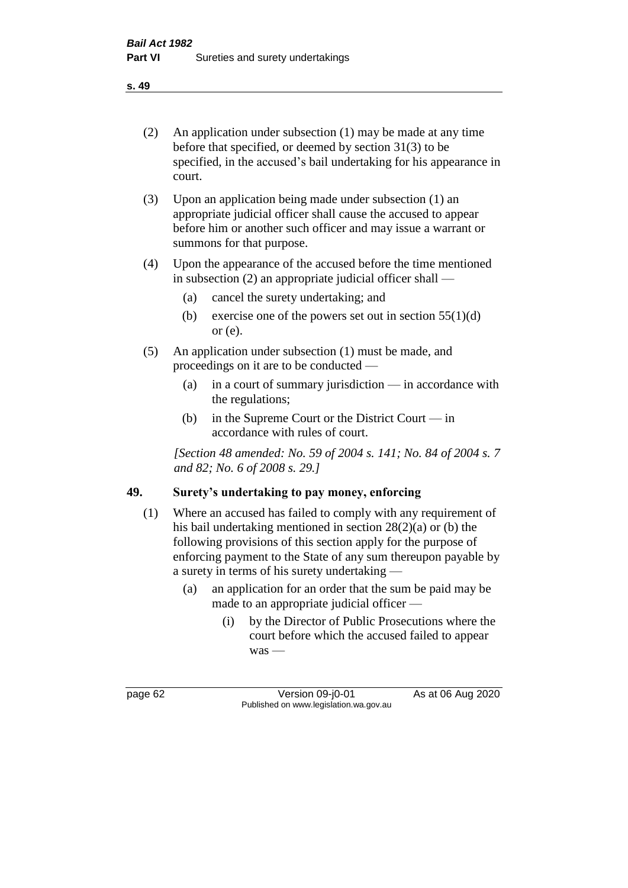- (2) An application under subsection (1) may be made at any time before that specified, or deemed by section 31(3) to be specified, in the accused's bail undertaking for his appearance in court.
- (3) Upon an application being made under subsection (1) an appropriate judicial officer shall cause the accused to appear before him or another such officer and may issue a warrant or summons for that purpose.
- (4) Upon the appearance of the accused before the time mentioned in subsection (2) an appropriate judicial officer shall —
	- (a) cancel the surety undertaking; and
	- (b) exercise one of the powers set out in section  $55(1)(d)$ or (e).
- (5) An application under subsection (1) must be made, and proceedings on it are to be conducted —
	- (a) in a court of summary jurisdiction in accordance with the regulations;
	- (b) in the Supreme Court or the District Court in accordance with rules of court.

*[Section 48 amended: No. 59 of 2004 s. 141; No. 84 of 2004 s. 7 and 82; No. 6 of 2008 s. 29.]* 

# **49. Surety's undertaking to pay money, enforcing**

- (1) Where an accused has failed to comply with any requirement of his bail undertaking mentioned in section 28(2)(a) or (b) the following provisions of this section apply for the purpose of enforcing payment to the State of any sum thereupon payable by a surety in terms of his surety undertaking —
	- (a) an application for an order that the sum be paid may be made to an appropriate judicial officer —
		- (i) by the Director of Public Prosecutions where the court before which the accused failed to appear was —

page 62 Version 09-j0-01 As at 06 Aug 2020 Published on www.legislation.wa.gov.au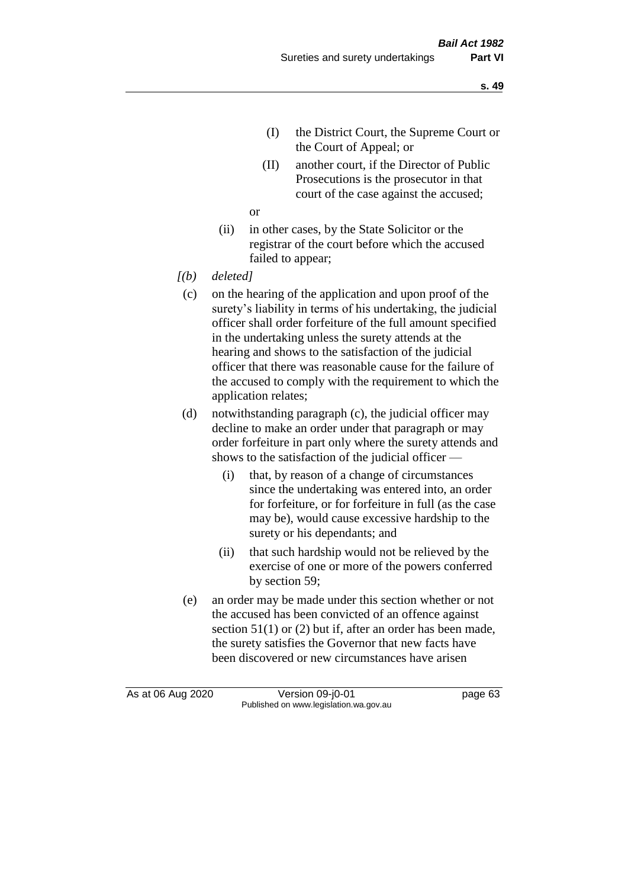- (I) the District Court, the Supreme Court or the Court of Appeal; or
- (II) another court, if the Director of Public Prosecutions is the prosecutor in that court of the case against the accused;

or

- (ii) in other cases, by the State Solicitor or the registrar of the court before which the accused failed to appear;
- *[(b) deleted]*
	- (c) on the hearing of the application and upon proof of the surety's liability in terms of his undertaking, the judicial officer shall order forfeiture of the full amount specified in the undertaking unless the surety attends at the hearing and shows to the satisfaction of the judicial officer that there was reasonable cause for the failure of the accused to comply with the requirement to which the application relates;
	- (d) notwithstanding paragraph (c), the judicial officer may decline to make an order under that paragraph or may order forfeiture in part only where the surety attends and shows to the satisfaction of the judicial officer —
		- (i) that, by reason of a change of circumstances since the undertaking was entered into, an order for forfeiture, or for forfeiture in full (as the case may be), would cause excessive hardship to the surety or his dependants; and
		- (ii) that such hardship would not be relieved by the exercise of one or more of the powers conferred by section 59;
	- (e) an order may be made under this section whether or not the accused has been convicted of an offence against section 51(1) or (2) but if, after an order has been made, the surety satisfies the Governor that new facts have been discovered or new circumstances have arisen

As at 06 Aug 2020 Version 09-j0-01 page 63 Published on www.legislation.wa.gov.au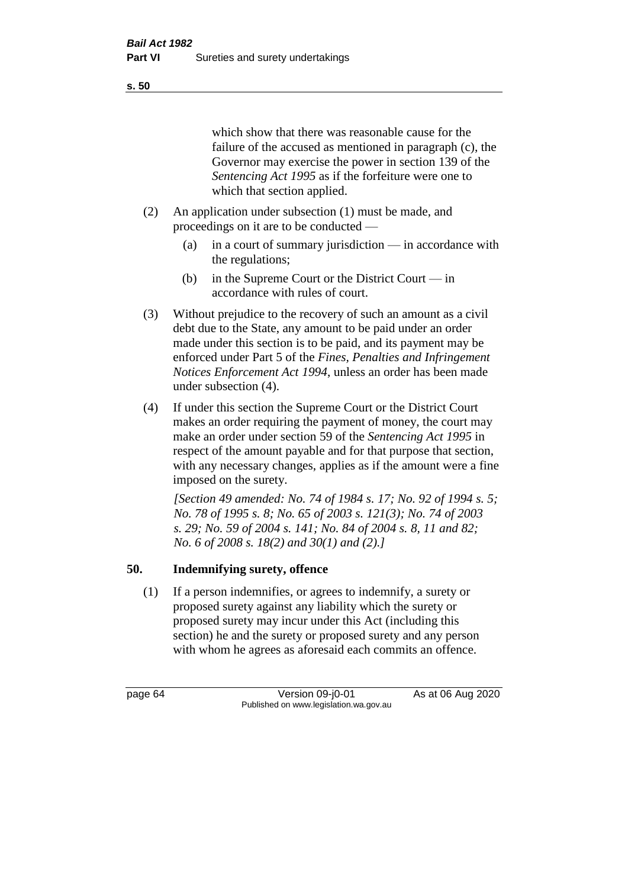#### **s. 50**

which show that there was reasonable cause for the failure of the accused as mentioned in paragraph (c), the Governor may exercise the power in section 139 of the *Sentencing Act 1995* as if the forfeiture were one to which that section applied.

- (2) An application under subsection (1) must be made, and proceedings on it are to be conducted —
	- (a) in a court of summary jurisdiction in accordance with the regulations;
	- (b) in the Supreme Court or the District Court in accordance with rules of court.
- (3) Without prejudice to the recovery of such an amount as a civil debt due to the State, any amount to be paid under an order made under this section is to be paid, and its payment may be enforced under Part 5 of the *Fines, Penalties and Infringement Notices Enforcement Act 1994*, unless an order has been made under subsection (4).
- (4) If under this section the Supreme Court or the District Court makes an order requiring the payment of money, the court may make an order under section 59 of the *Sentencing Act 1995* in respect of the amount payable and for that purpose that section, with any necessary changes, applies as if the amount were a fine imposed on the surety.

*[Section 49 amended: No. 74 of 1984 s. 17; No. 92 of 1994 s. 5; No. 78 of 1995 s. 8; No. 65 of 2003 s. 121(3); No. 74 of 2003 s. 29; No. 59 of 2004 s. 141; No. 84 of 2004 s. 8, 11 and 82; No. 6 of 2008 s. 18(2) and 30(1) and (2).]* 

## **50. Indemnifying surety, offence**

(1) If a person indemnifies, or agrees to indemnify, a surety or proposed surety against any liability which the surety or proposed surety may incur under this Act (including this section) he and the surety or proposed surety and any person with whom he agrees as aforesaid each commits an offence.

page 64 Version 09-j0-01 As at 06 Aug 2020 Published on www.legislation.wa.gov.au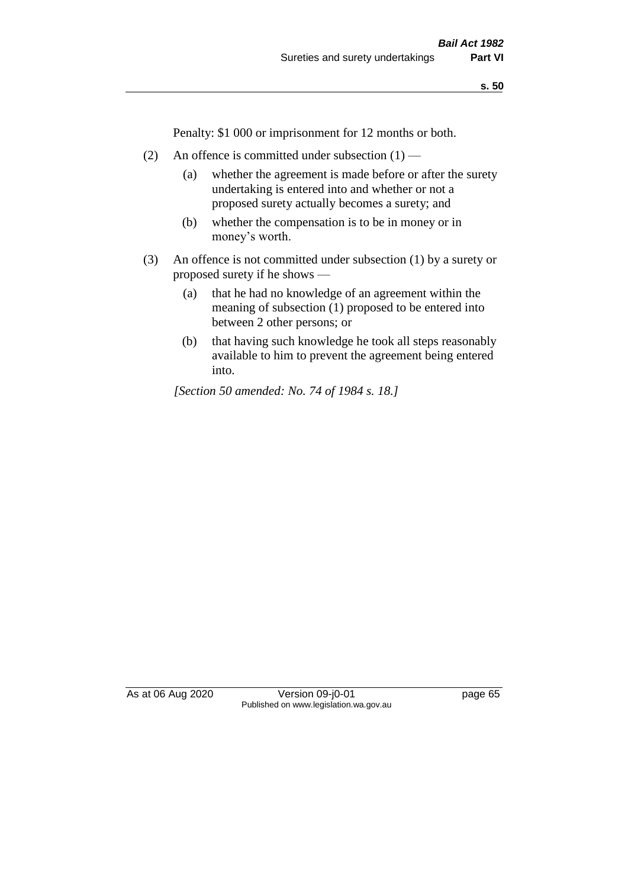**s. 50**

Penalty: \$1 000 or imprisonment for 12 months or both.

- (2) An offence is committed under subsection  $(1)$ 
	- (a) whether the agreement is made before or after the surety undertaking is entered into and whether or not a proposed surety actually becomes a surety; and
	- (b) whether the compensation is to be in money or in money's worth.
- (3) An offence is not committed under subsection (1) by a surety or proposed surety if he shows —
	- (a) that he had no knowledge of an agreement within the meaning of subsection (1) proposed to be entered into between 2 other persons; or
	- (b) that having such knowledge he took all steps reasonably available to him to prevent the agreement being entered into.

*[Section 50 amended: No. 74 of 1984 s. 18.]* 

As at 06 Aug 2020 Version 09-j0-01 page 65 Published on www.legislation.wa.gov.au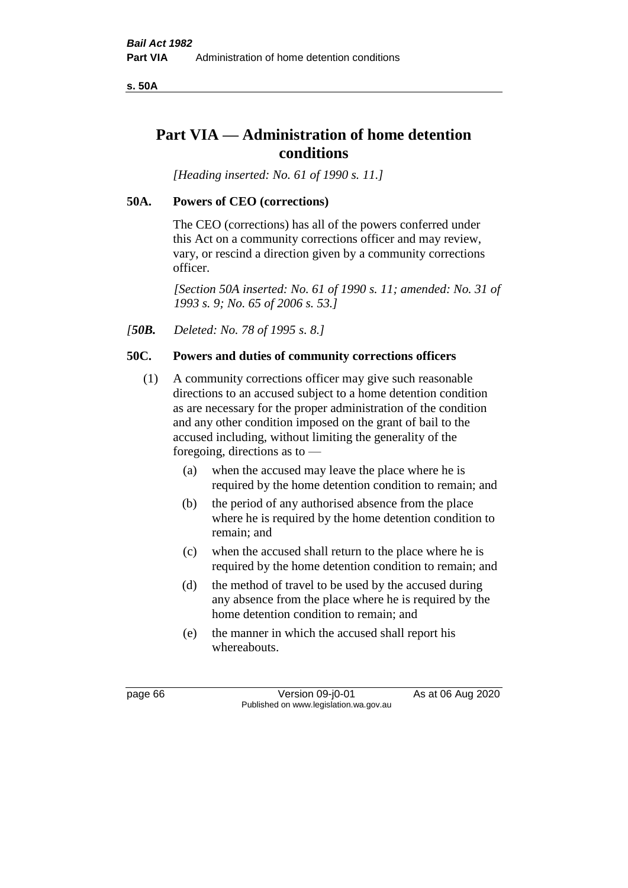**s. 50A**

# **Part VIA — Administration of home detention conditions**

*[Heading inserted: No. 61 of 1990 s. 11.]* 

## **50A. Powers of CEO (corrections)**

The CEO (corrections) has all of the powers conferred under this Act on a community corrections officer and may review, vary, or rescind a direction given by a community corrections officer.

*[Section 50A inserted: No. 61 of 1990 s. 11; amended: No. 31 of 1993 s. 9; No. 65 of 2006 s. 53.]* 

*[50B. Deleted: No. 78 of 1995 s. 8.]* 

## **50C. Powers and duties of community corrections officers**

- (1) A community corrections officer may give such reasonable directions to an accused subject to a home detention condition as are necessary for the proper administration of the condition and any other condition imposed on the grant of bail to the accused including, without limiting the generality of the foregoing, directions as to —
	- (a) when the accused may leave the place where he is required by the home detention condition to remain; and
	- (b) the period of any authorised absence from the place where he is required by the home detention condition to remain; and
	- (c) when the accused shall return to the place where he is required by the home detention condition to remain; and
	- (d) the method of travel to be used by the accused during any absence from the place where he is required by the home detention condition to remain; and
	- (e) the manner in which the accused shall report his whereabouts.

page 66 Version 09-j0-01 As at 06 Aug 2020 Published on www.legislation.wa.gov.au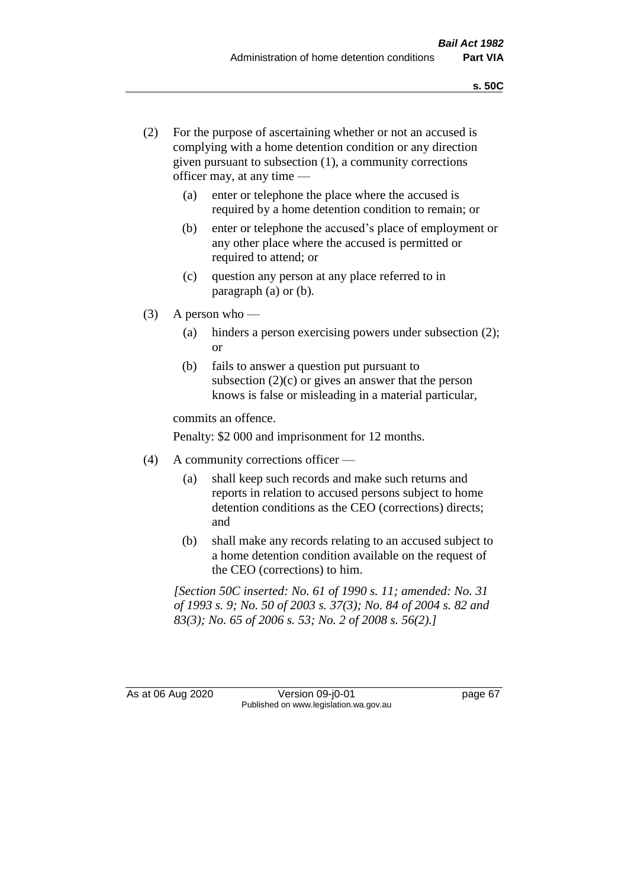- (2) For the purpose of ascertaining whether or not an accused is complying with a home detention condition or any direction given pursuant to subsection (1), a community corrections officer may, at any time —
	- (a) enter or telephone the place where the accused is required by a home detention condition to remain; or
	- (b) enter or telephone the accused's place of employment or any other place where the accused is permitted or required to attend; or
	- (c) question any person at any place referred to in paragraph (a) or (b).
- (3) A person who
	- (a) hinders a person exercising powers under subsection (2); or
	- (b) fails to answer a question put pursuant to subsection  $(2)(c)$  or gives an answer that the person knows is false or misleading in a material particular,

commits an offence.

Penalty: \$2 000 and imprisonment for 12 months.

- (4) A community corrections officer
	- (a) shall keep such records and make such returns and reports in relation to accused persons subject to home detention conditions as the CEO (corrections) directs; and
	- (b) shall make any records relating to an accused subject to a home detention condition available on the request of the CEO (corrections) to him.

*[Section 50C inserted: No. 61 of 1990 s. 11; amended: No. 31 of 1993 s. 9; No. 50 of 2003 s. 37(3); No. 84 of 2004 s. 82 and 83(3); No. 65 of 2006 s. 53; No. 2 of 2008 s. 56(2).]* 

As at 06 Aug 2020 Version 09-j0-01 page 67 Published on www.legislation.wa.gov.au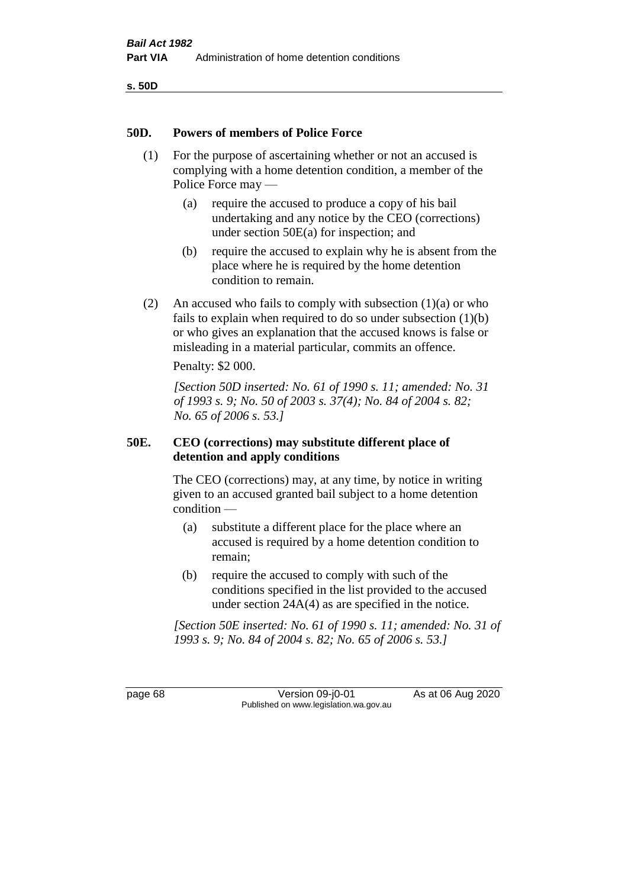**s. 50D**

#### **50D. Powers of members of Police Force**

- (1) For the purpose of ascertaining whether or not an accused is complying with a home detention condition, a member of the Police Force may —
	- (a) require the accused to produce a copy of his bail undertaking and any notice by the CEO (corrections) under section 50E(a) for inspection; and
	- (b) require the accused to explain why he is absent from the place where he is required by the home detention condition to remain.
- (2) An accused who fails to comply with subsection  $(1)(a)$  or who fails to explain when required to do so under subsection  $(1)(b)$ or who gives an explanation that the accused knows is false or misleading in a material particular, commits an offence.

Penalty: \$2 000.

*[Section 50D inserted: No. 61 of 1990 s. 11; amended: No. 31 of 1993 s. 9; No. 50 of 2003 s. 37(4); No. 84 of 2004 s. 82; No. 65 of 2006 s. 53.]* 

## **50E. CEO (corrections) may substitute different place of detention and apply conditions**

The CEO (corrections) may, at any time, by notice in writing given to an accused granted bail subject to a home detention condition —

- (a) substitute a different place for the place where an accused is required by a home detention condition to remain;
- (b) require the accused to comply with such of the conditions specified in the list provided to the accused under section 24A(4) as are specified in the notice.

*[Section 50E inserted: No. 61 of 1990 s. 11; amended: No. 31 of 1993 s. 9; No. 84 of 2004 s. 82; No. 65 of 2006 s. 53.]* 

page 68 Version 09-j0-01 As at 06 Aug 2020 Published on www.legislation.wa.gov.au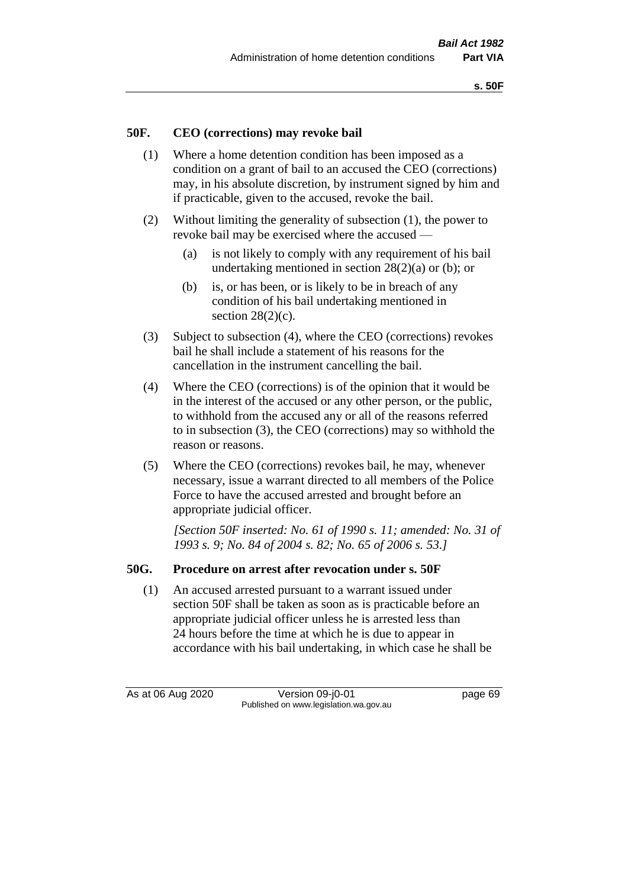## **50F. CEO (corrections) may revoke bail**

- (1) Where a home detention condition has been imposed as a condition on a grant of bail to an accused the CEO (corrections) may, in his absolute discretion, by instrument signed by him and if practicable, given to the accused, revoke the bail.
- (2) Without limiting the generality of subsection (1), the power to revoke bail may be exercised where the accused —
	- (a) is not likely to comply with any requirement of his bail undertaking mentioned in section 28(2)(a) or (b); or
	- (b) is, or has been, or is likely to be in breach of any condition of his bail undertaking mentioned in section  $28(2)(c)$ .
- (3) Subject to subsection (4), where the CEO (corrections) revokes bail he shall include a statement of his reasons for the cancellation in the instrument cancelling the bail.
- (4) Where the CEO (corrections) is of the opinion that it would be in the interest of the accused or any other person, or the public, to withhold from the accused any or all of the reasons referred to in subsection (3), the CEO (corrections) may so withhold the reason or reasons.
- (5) Where the CEO (corrections) revokes bail, he may, whenever necessary, issue a warrant directed to all members of the Police Force to have the accused arrested and brought before an appropriate judicial officer.

*[Section 50F inserted: No. 61 of 1990 s. 11; amended: No. 31 of 1993 s. 9; No. 84 of 2004 s. 82; No. 65 of 2006 s. 53.]* 

#### **50G. Procedure on arrest after revocation under s. 50F**

(1) An accused arrested pursuant to a warrant issued under section 50F shall be taken as soon as is practicable before an appropriate judicial officer unless he is arrested less than 24 hours before the time at which he is due to appear in accordance with his bail undertaking, in which case he shall be

As at 06 Aug 2020 Version 09-j0-01 page 69 Published on www.legislation.wa.gov.au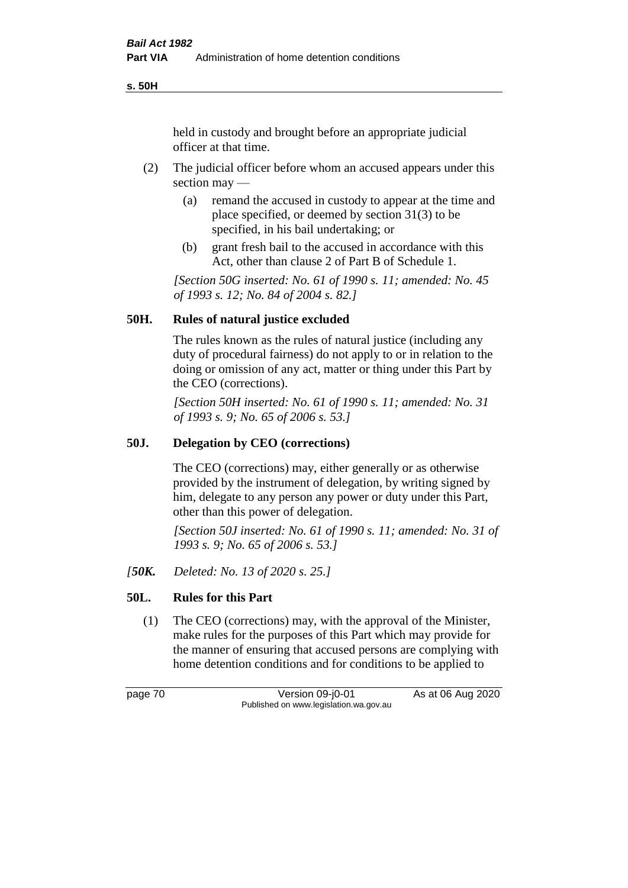**s. 50H**

held in custody and brought before an appropriate judicial officer at that time.

- (2) The judicial officer before whom an accused appears under this section may —
	- (a) remand the accused in custody to appear at the time and place specified, or deemed by section 31(3) to be specified, in his bail undertaking; or
	- (b) grant fresh bail to the accused in accordance with this Act, other than clause 2 of Part B of Schedule 1.

*[Section 50G inserted: No. 61 of 1990 s. 11; amended: No. 45 of 1993 s. 12; No. 84 of 2004 s. 82.]* 

## **50H. Rules of natural justice excluded**

The rules known as the rules of natural justice (including any duty of procedural fairness) do not apply to or in relation to the doing or omission of any act, matter or thing under this Part by the CEO (corrections).

*[Section 50H inserted: No. 61 of 1990 s. 11; amended: No. 31 of 1993 s. 9; No. 65 of 2006 s. 53.]* 

## **50J. Delegation by CEO (corrections)**

The CEO (corrections) may, either generally or as otherwise provided by the instrument of delegation, by writing signed by him, delegate to any person any power or duty under this Part, other than this power of delegation.

*[Section 50J inserted: No. 61 of 1990 s. 11; amended: No. 31 of 1993 s. 9; No. 65 of 2006 s. 53.]* 

*[50K. Deleted: No. 13 of 2020 s. 25.]*

## **50L. Rules for this Part**

(1) The CEO (corrections) may, with the approval of the Minister, make rules for the purposes of this Part which may provide for the manner of ensuring that accused persons are complying with home detention conditions and for conditions to be applied to

page 70 Version 09-j0-01 As at 06 Aug 2020 Published on www.legislation.wa.gov.au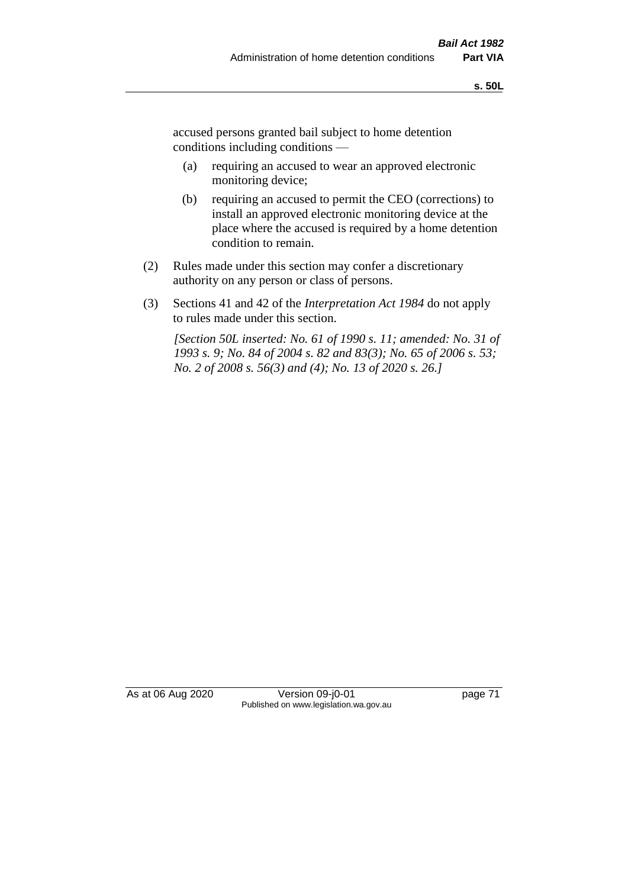accused persons granted bail subject to home detention conditions including conditions —

- (a) requiring an accused to wear an approved electronic monitoring device;
- (b) requiring an accused to permit the CEO (corrections) to install an approved electronic monitoring device at the place where the accused is required by a home detention condition to remain.
- (2) Rules made under this section may confer a discretionary authority on any person or class of persons.
- (3) Sections 41 and 42 of the *Interpretation Act 1984* do not apply to rules made under this section.

*[Section 50L inserted: No. 61 of 1990 s. 11; amended: No. 31 of 1993 s. 9; No. 84 of 2004 s. 82 and 83(3); No. 65 of 2006 s. 53; No. 2 of 2008 s. 56(3) and (4); No. 13 of 2020 s. 26.]* 

As at 06 Aug 2020 Version 09-j0-01 page 71 Published on www.legislation.wa.gov.au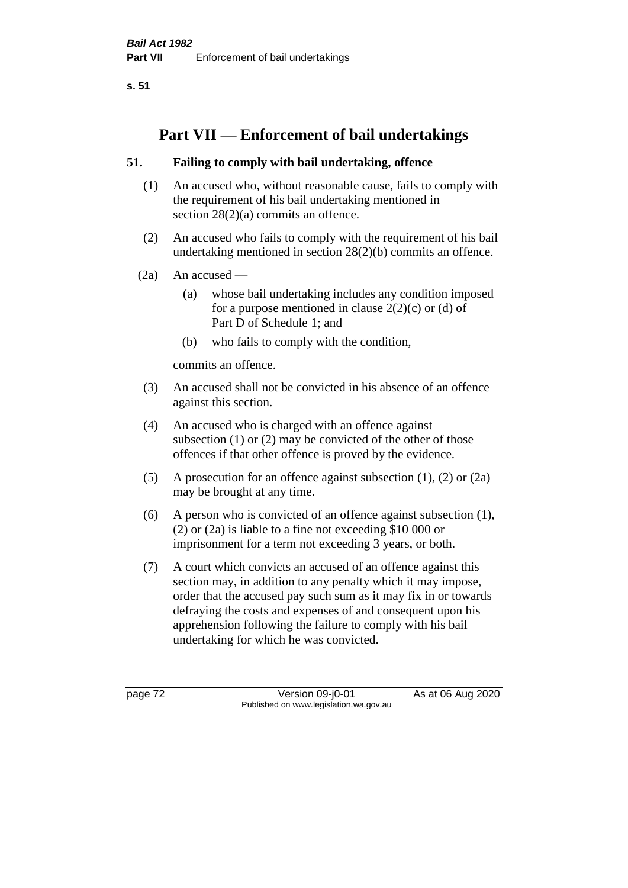**s. 51**

# **Part VII — Enforcement of bail undertakings**

## **51. Failing to comply with bail undertaking, offence**

- (1) An accused who, without reasonable cause, fails to comply with the requirement of his bail undertaking mentioned in section 28(2)(a) commits an offence.
- (2) An accused who fails to comply with the requirement of his bail undertaking mentioned in section 28(2)(b) commits an offence.
- $(2a)$  An accused
	- (a) whose bail undertaking includes any condition imposed for a purpose mentioned in clause  $2(2)(c)$  or (d) of Part D of Schedule 1; and
	- (b) who fails to comply with the condition,

commits an offence.

- (3) An accused shall not be convicted in his absence of an offence against this section.
- (4) An accused who is charged with an offence against subsection (1) or (2) may be convicted of the other of those offences if that other offence is proved by the evidence.
- (5) A prosecution for an offence against subsection (1), (2) or (2a) may be brought at any time.
- (6) A person who is convicted of an offence against subsection (1), (2) or (2a) is liable to a fine not exceeding \$10 000 or imprisonment for a term not exceeding 3 years, or both.
- (7) A court which convicts an accused of an offence against this section may, in addition to any penalty which it may impose, order that the accused pay such sum as it may fix in or towards defraying the costs and expenses of and consequent upon his apprehension following the failure to comply with his bail undertaking for which he was convicted.

page 72 Version 09-j0-01 As at 06 Aug 2020 Published on www.legislation.wa.gov.au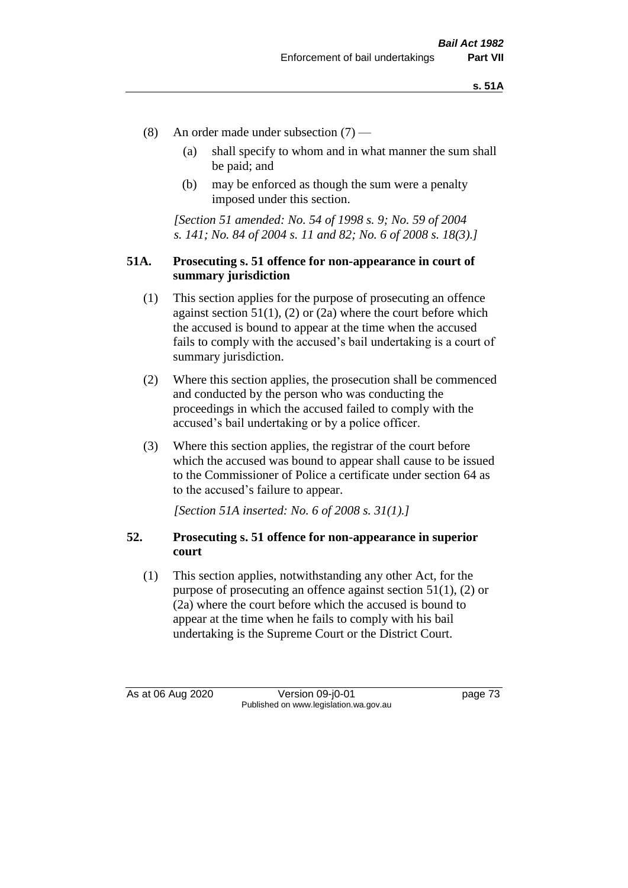- (8) An order made under subsection (7)
	- (a) shall specify to whom and in what manner the sum shall be paid; and
	- (b) may be enforced as though the sum were a penalty imposed under this section.

*[Section 51 amended: No. 54 of 1998 s. 9; No. 59 of 2004 s. 141; No. 84 of 2004 s. 11 and 82; No. 6 of 2008 s. 18(3).]*

#### **51A. Prosecuting s. 51 offence for non-appearance in court of summary jurisdiction**

- (1) This section applies for the purpose of prosecuting an offence against section  $51(1)$ ,  $(2)$  or  $(2a)$  where the court before which the accused is bound to appear at the time when the accused fails to comply with the accused's bail undertaking is a court of summary jurisdiction.
- (2) Where this section applies, the prosecution shall be commenced and conducted by the person who was conducting the proceedings in which the accused failed to comply with the accused's bail undertaking or by a police officer.
- (3) Where this section applies, the registrar of the court before which the accused was bound to appear shall cause to be issued to the Commissioner of Police a certificate under section 64 as to the accused's failure to appear.

*[Section 51A inserted: No. 6 of 2008 s. 31(1).]*

## **52. Prosecuting s. 51 offence for non-appearance in superior court**

(1) This section applies, notwithstanding any other Act, for the purpose of prosecuting an offence against section 51(1), (2) or (2a) where the court before which the accused is bound to appear at the time when he fails to comply with his bail undertaking is the Supreme Court or the District Court.

As at 06 Aug 2020 Version 09-j0-01 page 73 Published on www.legislation.wa.gov.au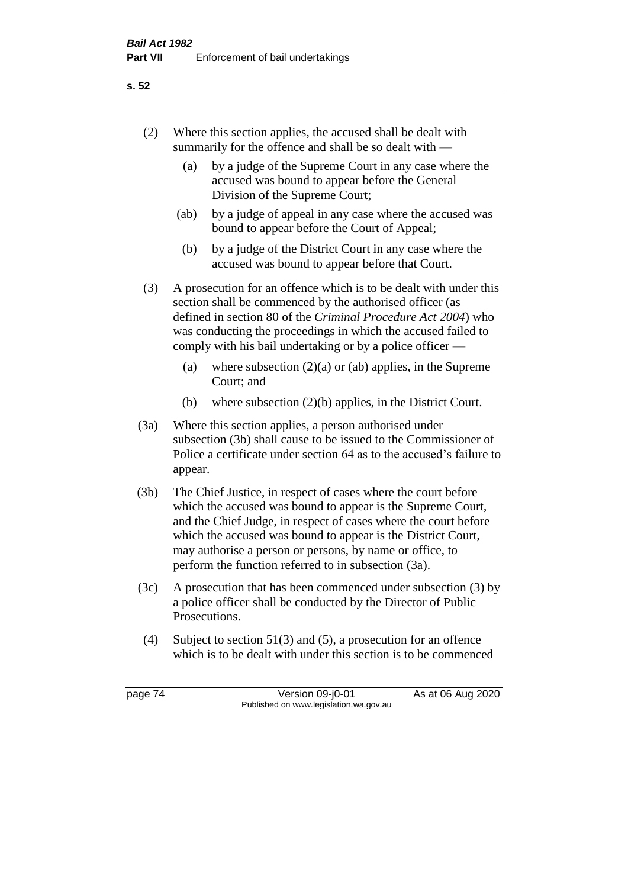- (2) Where this section applies, the accused shall be dealt with summarily for the offence and shall be so dealt with —
	- (a) by a judge of the Supreme Court in any case where the accused was bound to appear before the General Division of the Supreme Court;
	- (ab) by a judge of appeal in any case where the accused was bound to appear before the Court of Appeal;
	- (b) by a judge of the District Court in any case where the accused was bound to appear before that Court.
- (3) A prosecution for an offence which is to be dealt with under this section shall be commenced by the authorised officer (as defined in section 80 of the *Criminal Procedure Act 2004*) who was conducting the proceedings in which the accused failed to comply with his bail undertaking or by a police officer —
	- (a) where subsection  $(2)(a)$  or (ab) applies, in the Supreme Court; and
	- (b) where subsection (2)(b) applies, in the District Court.
- (3a) Where this section applies, a person authorised under subsection (3b) shall cause to be issued to the Commissioner of Police a certificate under section 64 as to the accused's failure to appear.
- (3b) The Chief Justice, in respect of cases where the court before which the accused was bound to appear is the Supreme Court, and the Chief Judge, in respect of cases where the court before which the accused was bound to appear is the District Court, may authorise a person or persons, by name or office, to perform the function referred to in subsection (3a).
- (3c) A prosecution that has been commenced under subsection (3) by a police officer shall be conducted by the Director of Public Prosecutions.
- (4) Subject to section 51(3) and (5), a prosecution for an offence which is to be dealt with under this section is to be commenced

page 74 Version 09-j0-01 As at 06 Aug 2020 Published on www.legislation.wa.gov.au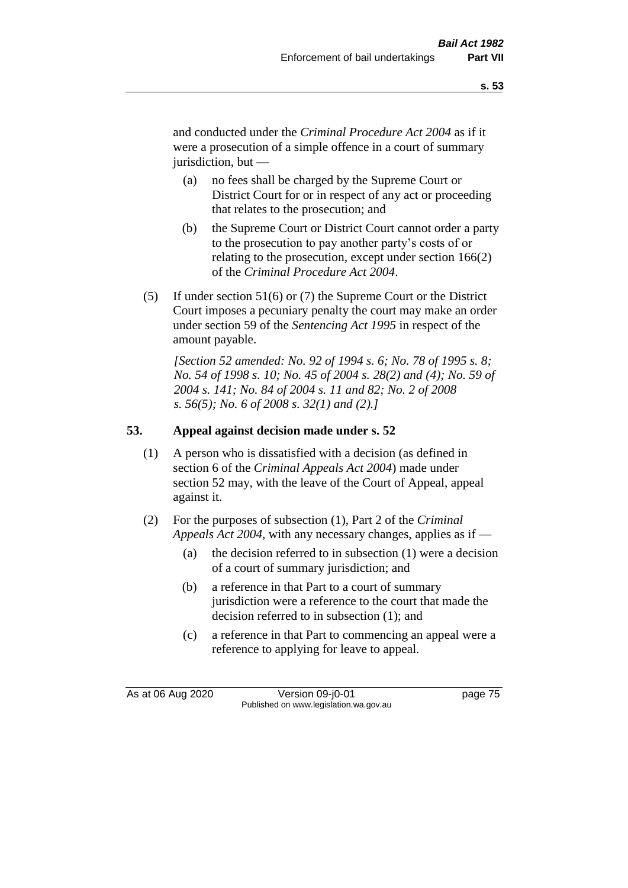and conducted under the *Criminal Procedure Act 2004* as if it were a prosecution of a simple offence in a court of summary jurisdiction, but —

- (a) no fees shall be charged by the Supreme Court or District Court for or in respect of any act or proceeding that relates to the prosecution; and
- (b) the Supreme Court or District Court cannot order a party to the prosecution to pay another party's costs of or relating to the prosecution, except under section 166(2) of the *Criminal Procedure Act 2004*.
- (5) If under section 51(6) or (7) the Supreme Court or the District Court imposes a pecuniary penalty the court may make an order under section 59 of the *Sentencing Act 1995* in respect of the amount payable.

*[Section 52 amended: No. 92 of 1994 s. 6; No. 78 of 1995 s. 8; No. 54 of 1998 s. 10; No. 45 of 2004 s. 28(2) and (4); No. 59 of 2004 s. 141; No. 84 of 2004 s. 11 and 82; No. 2 of 2008 s. 56(5); No. 6 of 2008 s. 32(1) and (2).]* 

## **53. Appeal against decision made under s. 52**

- (1) A person who is dissatisfied with a decision (as defined in section 6 of the *Criminal Appeals Act 2004*) made under section 52 may, with the leave of the Court of Appeal, appeal against it.
- (2) For the purposes of subsection (1), Part 2 of the *Criminal Appeals Act 2004*, with any necessary changes, applies as if —
	- (a) the decision referred to in subsection (1) were a decision of a court of summary jurisdiction; and
	- (b) a reference in that Part to a court of summary jurisdiction were a reference to the court that made the decision referred to in subsection (1); and
	- (c) a reference in that Part to commencing an appeal were a reference to applying for leave to appeal.

As at 06 Aug 2020 Version 09-j0-01 page 75 Published on www.legislation.wa.gov.au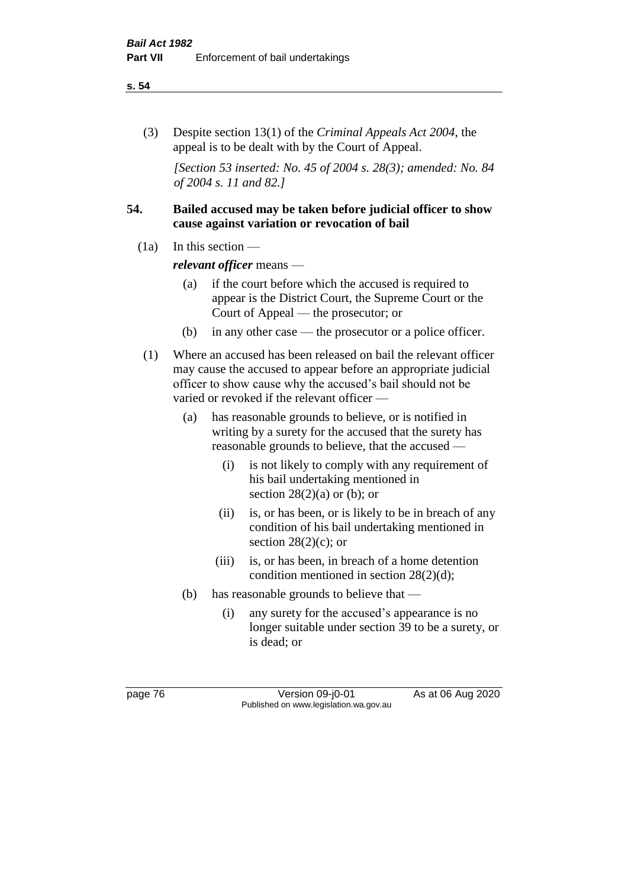#### **s. 54**

(3) Despite section 13(1) of the *Criminal Appeals Act 2004*, the appeal is to be dealt with by the Court of Appeal.

*[Section 53 inserted: No. 45 of 2004 s. 28(3); amended: No. 84 of 2004 s. 11 and 82.]*

## **54. Bailed accused may be taken before judicial officer to show cause against variation or revocation of bail**

 $(1a)$  In this section —

*relevant officer* means —

- (a) if the court before which the accused is required to appear is the District Court, the Supreme Court or the Court of Appeal — the prosecutor; or
- (b) in any other case the prosecutor or a police officer.
- (1) Where an accused has been released on bail the relevant officer may cause the accused to appear before an appropriate judicial officer to show cause why the accused's bail should not be varied or revoked if the relevant officer —
	- (a) has reasonable grounds to believe, or is notified in writing by a surety for the accused that the surety has reasonable grounds to believe, that the accused —
		- (i) is not likely to comply with any requirement of his bail undertaking mentioned in section  $28(2)(a)$  or (b); or
		- (ii) is, or has been, or is likely to be in breach of any condition of his bail undertaking mentioned in section  $28(2)(c)$ ; or
		- (iii) is, or has been, in breach of a home detention condition mentioned in section 28(2)(d);
	- (b) has reasonable grounds to believe that
		- (i) any surety for the accused's appearance is no longer suitable under section 39 to be a surety, or is dead; or

page 76 Version 09-j0-01 As at 06 Aug 2020 Published on www.legislation.wa.gov.au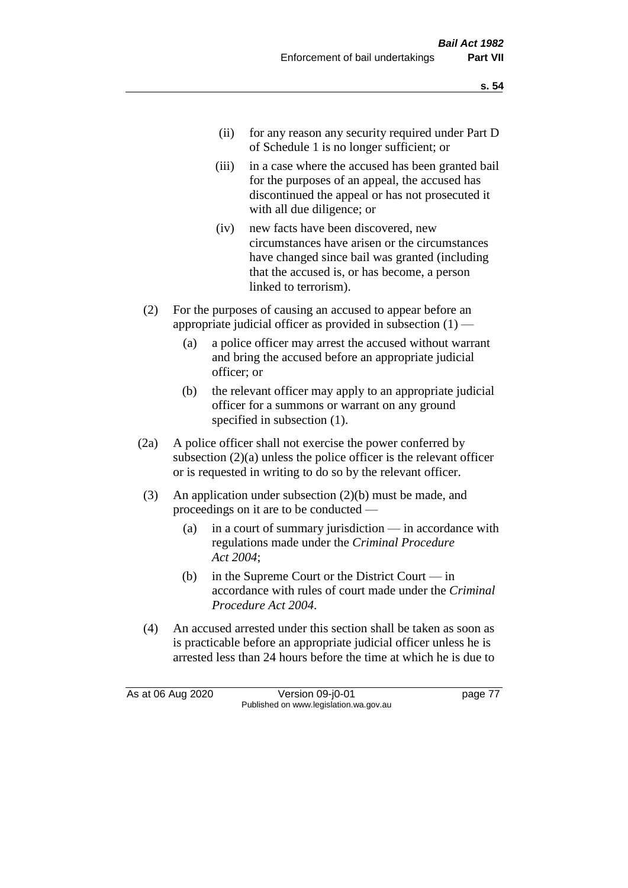- (ii) for any reason any security required under Part D of Schedule 1 is no longer sufficient; or
- (iii) in a case where the accused has been granted bail for the purposes of an appeal, the accused has discontinued the appeal or has not prosecuted it with all due diligence; or
- (iv) new facts have been discovered, new circumstances have arisen or the circumstances have changed since bail was granted (including that the accused is, or has become, a person linked to terrorism).
- (2) For the purposes of causing an accused to appear before an appropriate judicial officer as provided in subsection  $(1)$  —
	- (a) a police officer may arrest the accused without warrant and bring the accused before an appropriate judicial officer; or
	- (b) the relevant officer may apply to an appropriate judicial officer for a summons or warrant on any ground specified in subsection (1).
- (2a) A police officer shall not exercise the power conferred by subsection (2)(a) unless the police officer is the relevant officer or is requested in writing to do so by the relevant officer.
- (3) An application under subsection (2)(b) must be made, and proceedings on it are to be conducted —
	- (a) in a court of summary jurisdiction in accordance with regulations made under the *Criminal Procedure Act 2004*;
	- (b) in the Supreme Court or the District Court  $-\text{in}$ accordance with rules of court made under the *Criminal Procedure Act 2004*.
- (4) An accused arrested under this section shall be taken as soon as is practicable before an appropriate judicial officer unless he is arrested less than 24 hours before the time at which he is due to

As at 06 Aug 2020 Version 09-j0-01 page 77 Published on www.legislation.wa.gov.au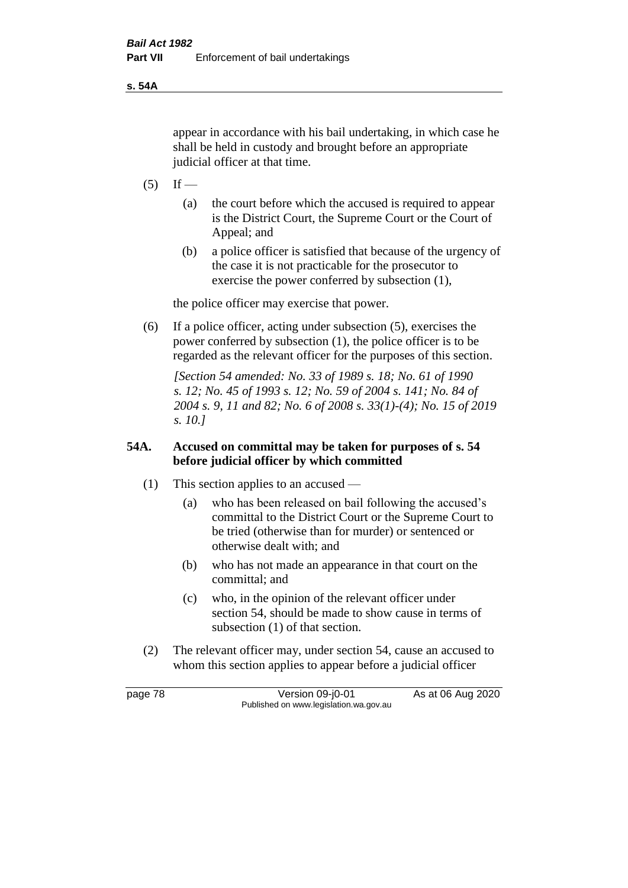**s. 54A**

appear in accordance with his bail undertaking, in which case he shall be held in custody and brought before an appropriate judicial officer at that time.

- $(5)$  If
	- (a) the court before which the accused is required to appear is the District Court, the Supreme Court or the Court of Appeal; and
	- (b) a police officer is satisfied that because of the urgency of the case it is not practicable for the prosecutor to exercise the power conferred by subsection (1),

the police officer may exercise that power.

(6) If a police officer, acting under subsection (5), exercises the power conferred by subsection (1), the police officer is to be regarded as the relevant officer for the purposes of this section.

*[Section 54 amended: No. 33 of 1989 s. 18; No. 61 of 1990 s. 12; No. 45 of 1993 s. 12; No. 59 of 2004 s. 141; No. 84 of 2004 s. 9, 11 and 82; No. 6 of 2008 s. 33(1)-(4); No. 15 of 2019 s. 10.]* 

## **54A. Accused on committal may be taken for purposes of s. 54 before judicial officer by which committed**

- (1) This section applies to an accused
	- (a) who has been released on bail following the accused's committal to the District Court or the Supreme Court to be tried (otherwise than for murder) or sentenced or otherwise dealt with; and
	- (b) who has not made an appearance in that court on the committal; and
	- (c) who, in the opinion of the relevant officer under section 54, should be made to show cause in terms of subsection (1) of that section.
- (2) The relevant officer may, under section 54, cause an accused to whom this section applies to appear before a judicial officer

page 78 Version 09-j0-01 As at 06 Aug 2020 Published on www.legislation.wa.gov.au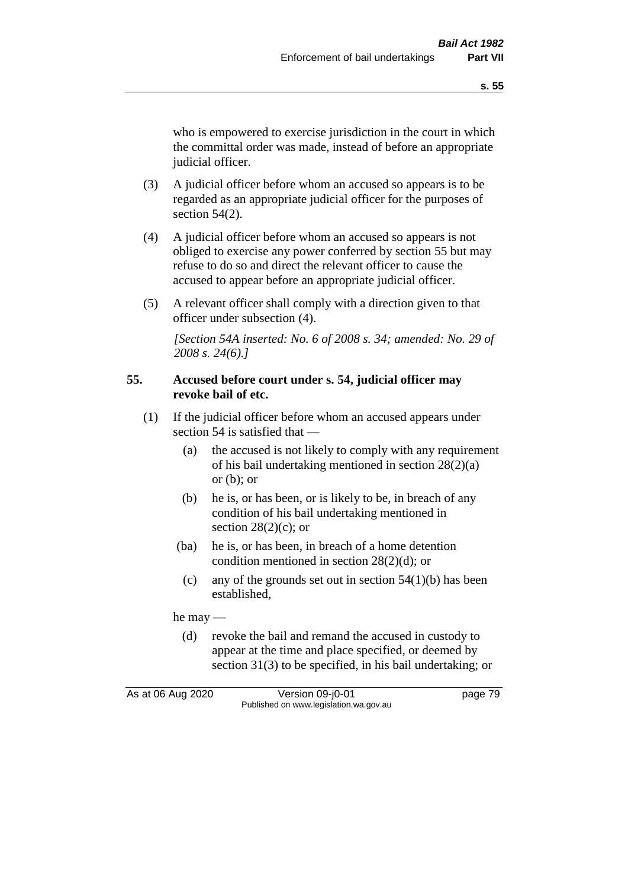who is empowered to exercise jurisdiction in the court in which the committal order was made, instead of before an appropriate judicial officer.

- (3) A judicial officer before whom an accused so appears is to be regarded as an appropriate judicial officer for the purposes of section  $54(2)$ .
- (4) A judicial officer before whom an accused so appears is not obliged to exercise any power conferred by section 55 but may refuse to do so and direct the relevant officer to cause the accused to appear before an appropriate judicial officer.
- (5) A relevant officer shall comply with a direction given to that officer under subsection (4).

*[Section 54A inserted: No. 6 of 2008 s. 34; amended: No. 29 of 2008 s. 24(6).]*

#### **55. Accused before court under s. 54, judicial officer may revoke bail of etc.**

- (1) If the judicial officer before whom an accused appears under section 54 is satisfied that —
	- (a) the accused is not likely to comply with any requirement of his bail undertaking mentioned in section 28(2)(a) or  $(b)$ ; or
	- (b) he is, or has been, or is likely to be, in breach of any condition of his bail undertaking mentioned in section  $28(2)(c)$ ; or
	- (ba) he is, or has been, in breach of a home detention condition mentioned in section 28(2)(d); or
		- (c) any of the grounds set out in section  $54(1)(b)$  has been established,

he may —

(d) revoke the bail and remand the accused in custody to appear at the time and place specified, or deemed by section 31(3) to be specified, in his bail undertaking; or

As at 06 Aug 2020 Version 09-j0-01 page 79 Published on www.legislation.wa.gov.au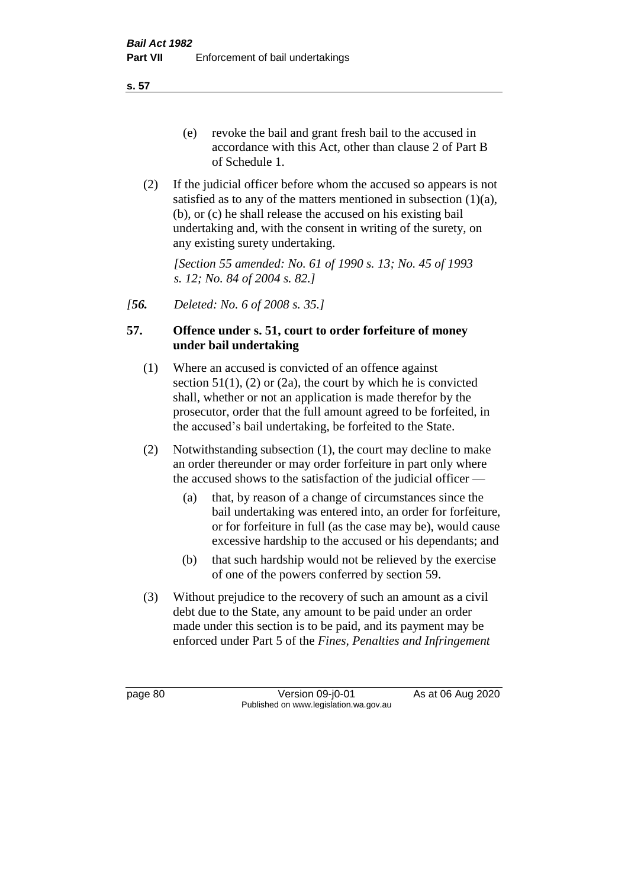**s. 57**

- (e) revoke the bail and grant fresh bail to the accused in accordance with this Act, other than clause 2 of Part B of Schedule 1.
- (2) If the judicial officer before whom the accused so appears is not satisfied as to any of the matters mentioned in subsection (1)(a), (b), or (c) he shall release the accused on his existing bail undertaking and, with the consent in writing of the surety, on any existing surety undertaking.

*[Section 55 amended: No. 61 of 1990 s. 13; No. 45 of 1993 s. 12; No. 84 of 2004 s. 82.]* 

*[56. Deleted: No. 6 of 2008 s. 35.]*

## **57. Offence under s. 51, court to order forfeiture of money under bail undertaking**

- (1) Where an accused is convicted of an offence against section  $51(1)$ ,  $(2)$  or  $(2a)$ , the court by which he is convicted shall, whether or not an application is made therefor by the prosecutor, order that the full amount agreed to be forfeited, in the accused's bail undertaking, be forfeited to the State.
- (2) Notwithstanding subsection (1), the court may decline to make an order thereunder or may order forfeiture in part only where the accused shows to the satisfaction of the judicial officer —
	- (a) that, by reason of a change of circumstances since the bail undertaking was entered into, an order for forfeiture, or for forfeiture in full (as the case may be), would cause excessive hardship to the accused or his dependants; and
	- (b) that such hardship would not be relieved by the exercise of one of the powers conferred by section 59.
- (3) Without prejudice to the recovery of such an amount as a civil debt due to the State, any amount to be paid under an order made under this section is to be paid, and its payment may be enforced under Part 5 of the *Fines, Penalties and Infringement*

page 80 Version 09-j0-01 As at 06 Aug 2020 Published on www.legislation.wa.gov.au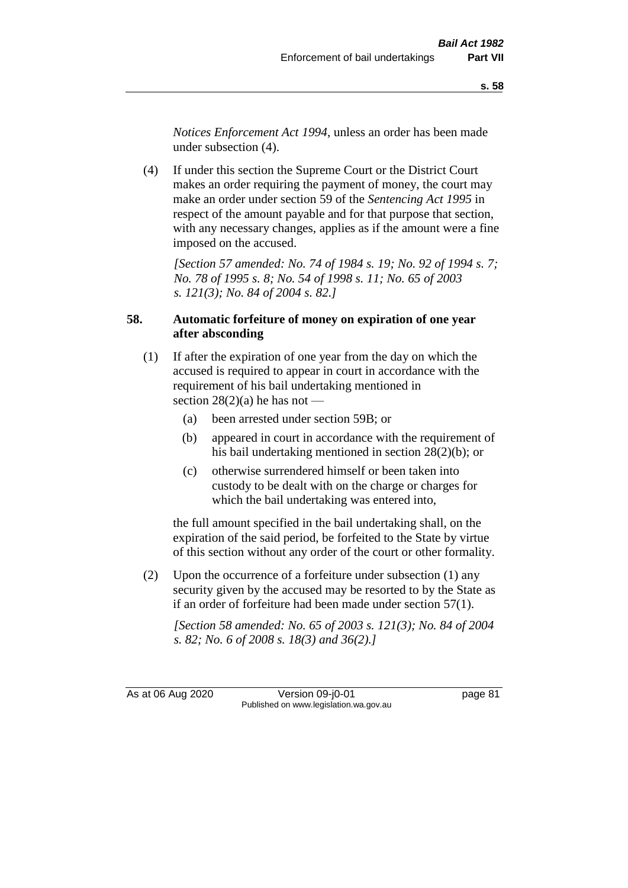*Notices Enforcement Act 1994*, unless an order has been made under subsection (4).

(4) If under this section the Supreme Court or the District Court makes an order requiring the payment of money, the court may make an order under section 59 of the *Sentencing Act 1995* in respect of the amount payable and for that purpose that section, with any necessary changes, applies as if the amount were a fine imposed on the accused.

*[Section 57 amended: No. 74 of 1984 s. 19; No. 92 of 1994 s. 7; No. 78 of 1995 s. 8; No. 54 of 1998 s. 11; No. 65 of 2003 s. 121(3); No. 84 of 2004 s. 82.]* 

## **58. Automatic forfeiture of money on expiration of one year after absconding**

- (1) If after the expiration of one year from the day on which the accused is required to appear in court in accordance with the requirement of his bail undertaking mentioned in section  $28(2)(a)$  he has not —
	- (a) been arrested under section 59B; or
	- (b) appeared in court in accordance with the requirement of his bail undertaking mentioned in section 28(2)(b); or
	- (c) otherwise surrendered himself or been taken into custody to be dealt with on the charge or charges for which the bail undertaking was entered into,

the full amount specified in the bail undertaking shall, on the expiration of the said period, be forfeited to the State by virtue of this section without any order of the court or other formality.

(2) Upon the occurrence of a forfeiture under subsection (1) any security given by the accused may be resorted to by the State as if an order of forfeiture had been made under section 57(1).

*[Section 58 amended: No. 65 of 2003 s. 121(3); No. 84 of 2004 s. 82; No. 6 of 2008 s. 18(3) and 36(2).]*

As at 06 Aug 2020 Version 09-j0-01 page 81 Published on www.legislation.wa.gov.au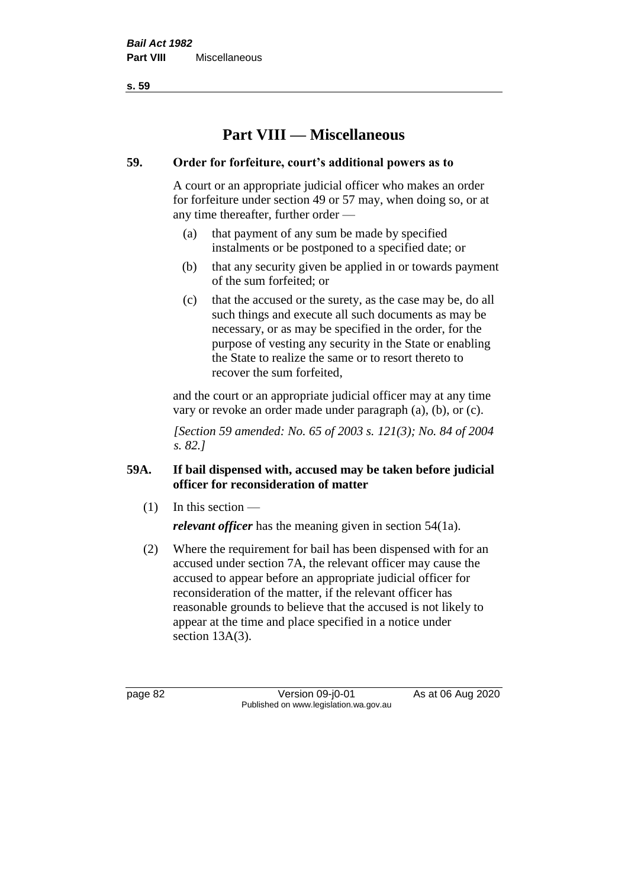**s. 59**

# **Part VIII — Miscellaneous**

## **59. Order for forfeiture, court's additional powers as to**

A court or an appropriate judicial officer who makes an order for forfeiture under section 49 or 57 may, when doing so, or at any time thereafter, further order —

- (a) that payment of any sum be made by specified instalments or be postponed to a specified date; or
- (b) that any security given be applied in or towards payment of the sum forfeited; or
- (c) that the accused or the surety, as the case may be, do all such things and execute all such documents as may be necessary, or as may be specified in the order, for the purpose of vesting any security in the State or enabling the State to realize the same or to resort thereto to recover the sum forfeited,

and the court or an appropriate judicial officer may at any time vary or revoke an order made under paragraph (a), (b), or (c).

*[Section 59 amended: No. 65 of 2003 s. 121(3); No. 84 of 2004 s. 82.]*

## **59A. If bail dispensed with, accused may be taken before judicial officer for reconsideration of matter**

 $(1)$  In this section —

*relevant officer* has the meaning given in section 54(1a).

(2) Where the requirement for bail has been dispensed with for an accused under section 7A, the relevant officer may cause the accused to appear before an appropriate judicial officer for reconsideration of the matter, if the relevant officer has reasonable grounds to believe that the accused is not likely to appear at the time and place specified in a notice under section 13A(3).

page 82 Version 09-j0-01 As at 06 Aug 2020 Published on www.legislation.wa.gov.au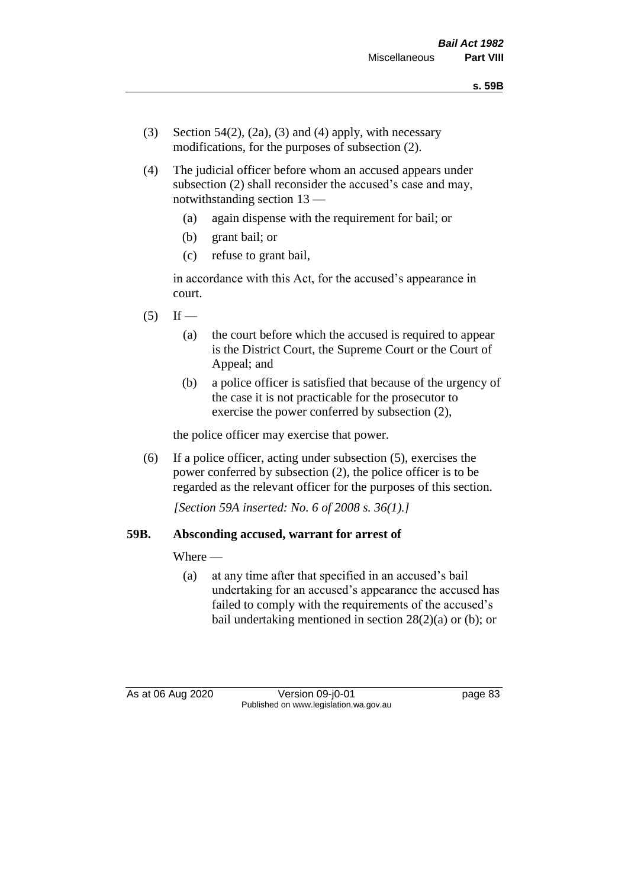- (3) Section 54(2), (2a), (3) and (4) apply, with necessary modifications, for the purposes of subsection (2).
- (4) The judicial officer before whom an accused appears under subsection (2) shall reconsider the accused's case and may, notwithstanding section 13 —
	- (a) again dispense with the requirement for bail; or
	- (b) grant bail; or
	- (c) refuse to grant bail,

in accordance with this Act, for the accused's appearance in court.

- $(5)$  If
	- (a) the court before which the accused is required to appear is the District Court, the Supreme Court or the Court of Appeal; and
	- (b) a police officer is satisfied that because of the urgency of the case it is not practicable for the prosecutor to exercise the power conferred by subsection (2),

the police officer may exercise that power.

(6) If a police officer, acting under subsection (5), exercises the power conferred by subsection (2), the police officer is to be regarded as the relevant officer for the purposes of this section.

*[Section 59A inserted: No. 6 of 2008 s. 36(1).]*

## **59B. Absconding accused, warrant for arrest of**

Where —

(a) at any time after that specified in an accused's bail undertaking for an accused's appearance the accused has failed to comply with the requirements of the accused's bail undertaking mentioned in section  $28(2)(a)$  or (b); or

As at 06 Aug 2020 Version 09-j0-01 page 83 Published on www.legislation.wa.gov.au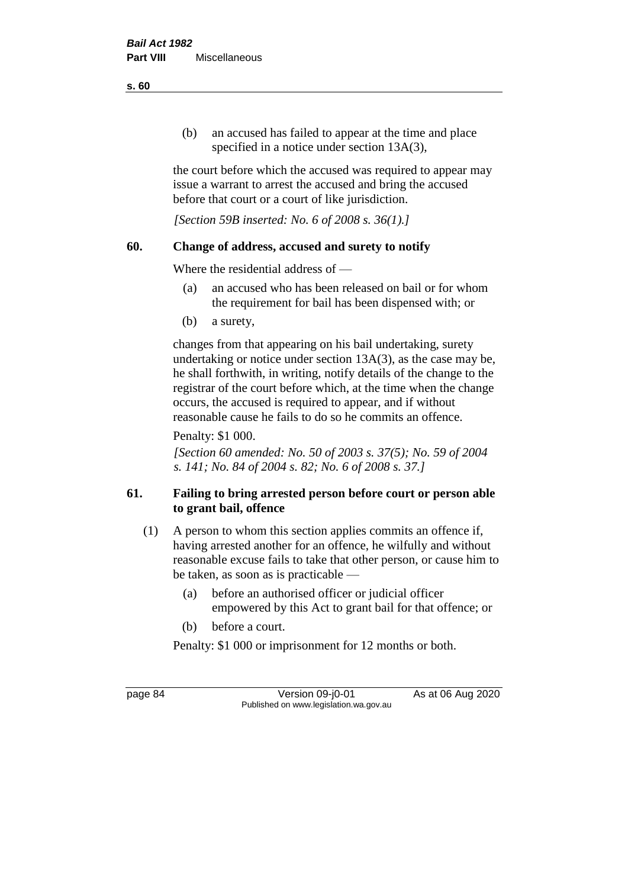(b) an accused has failed to appear at the time and place specified in a notice under section 13A(3),

the court before which the accused was required to appear may issue a warrant to arrest the accused and bring the accused before that court or a court of like jurisdiction.

*[Section 59B inserted: No. 6 of 2008 s. 36(1).]*

## **60. Change of address, accused and surety to notify**

Where the residential address of —

- (a) an accused who has been released on bail or for whom the requirement for bail has been dispensed with; or
- (b) a surety,

changes from that appearing on his bail undertaking, surety undertaking or notice under section 13A(3), as the case may be, he shall forthwith, in writing, notify details of the change to the registrar of the court before which, at the time when the change occurs, the accused is required to appear, and if without reasonable cause he fails to do so he commits an offence.

Penalty: \$1 000.

*[Section 60 amended: No. 50 of 2003 s. 37(5); No. 59 of 2004 s. 141; No. 84 of 2004 s. 82; No. 6 of 2008 s. 37.]*

## **61. Failing to bring arrested person before court or person able to grant bail, offence**

- (1) A person to whom this section applies commits an offence if, having arrested another for an offence, he wilfully and without reasonable excuse fails to take that other person, or cause him to be taken, as soon as is practicable —
	- (a) before an authorised officer or judicial officer empowered by this Act to grant bail for that offence; or
	- (b) before a court.

Penalty: \$1 000 or imprisonment for 12 months or both.

page 84 Version 09-j0-01 As at 06 Aug 2020 Published on www.legislation.wa.gov.au

**s. 60**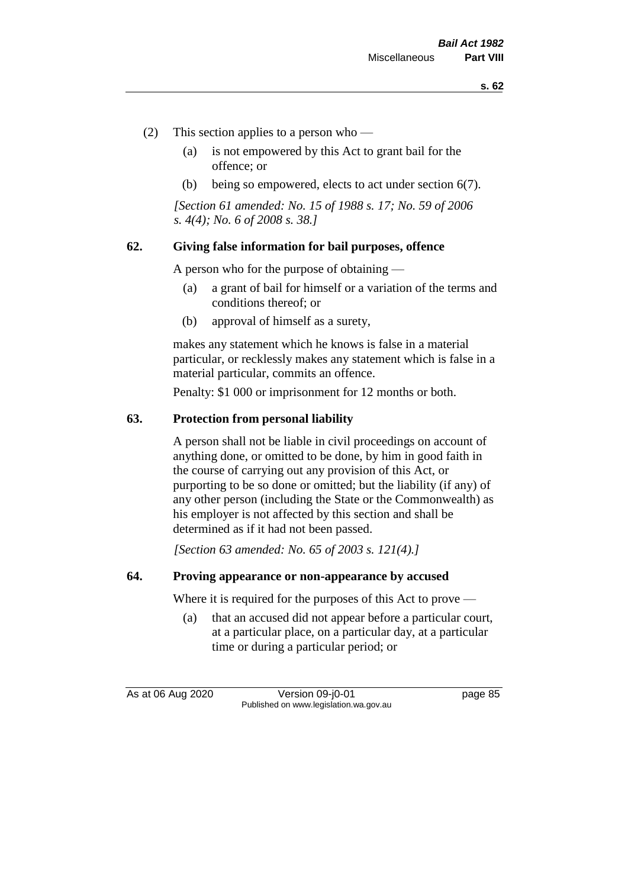- (2) This section applies to a person who
	- (a) is not empowered by this Act to grant bail for the offence; or
	- (b) being so empowered, elects to act under section 6(7).

*[Section 61 amended: No. 15 of 1988 s. 17; No. 59 of 2006 s. 4(4); No. 6 of 2008 s. 38.]* 

#### **62. Giving false information for bail purposes, offence**

A person who for the purpose of obtaining —

- (a) a grant of bail for himself or a variation of the terms and conditions thereof; or
- (b) approval of himself as a surety,

makes any statement which he knows is false in a material particular, or recklessly makes any statement which is false in a material particular, commits an offence.

Penalty: \$1 000 or imprisonment for 12 months or both.

#### **63. Protection from personal liability**

A person shall not be liable in civil proceedings on account of anything done, or omitted to be done, by him in good faith in the course of carrying out any provision of this Act, or purporting to be so done or omitted; but the liability (if any) of any other person (including the State or the Commonwealth) as his employer is not affected by this section and shall be determined as if it had not been passed.

*[Section 63 amended: No. 65 of 2003 s. 121(4).]*

#### **64. Proving appearance or non-appearance by accused**

Where it is required for the purposes of this Act to prove —

(a) that an accused did not appear before a particular court, at a particular place, on a particular day, at a particular time or during a particular period; or

As at 06 Aug 2020 Version 09-j0-01 page 85 Published on www.legislation.wa.gov.au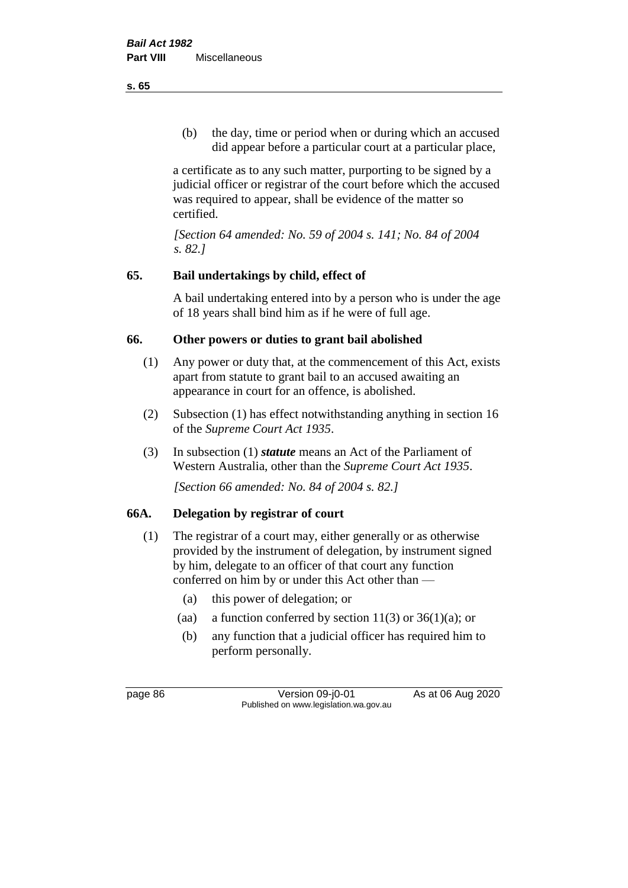(b) the day, time or period when or during which an accused did appear before a particular court at a particular place,

a certificate as to any such matter, purporting to be signed by a judicial officer or registrar of the court before which the accused was required to appear, shall be evidence of the matter so certified.

*[Section 64 amended: No. 59 of 2004 s. 141; No. 84 of 2004 s. 82.]* 

## **65. Bail undertakings by child, effect of**

A bail undertaking entered into by a person who is under the age of 18 years shall bind him as if he were of full age.

## **66. Other powers or duties to grant bail abolished**

- (1) Any power or duty that, at the commencement of this Act, exists apart from statute to grant bail to an accused awaiting an appearance in court for an offence, is abolished.
- (2) Subsection (1) has effect notwithstanding anything in section 16 of the *Supreme Court Act 1935*.
- (3) In subsection (1) *statute* means an Act of the Parliament of Western Australia, other than the *Supreme Court Act 1935*.

*[Section 66 amended: No. 84 of 2004 s. 82.]*

## **66A. Delegation by registrar of court**

- (1) The registrar of a court may, either generally or as otherwise provided by the instrument of delegation, by instrument signed by him, delegate to an officer of that court any function conferred on him by or under this Act other than —
	- (a) this power of delegation; or
	- (aa) a function conferred by section  $11(3)$  or  $36(1)(a)$ ; or
	- (b) any function that a judicial officer has required him to perform personally.

page 86 Version 09-j0-01 As at 06 Aug 2020 Published on www.legislation.wa.gov.au

**s. 65**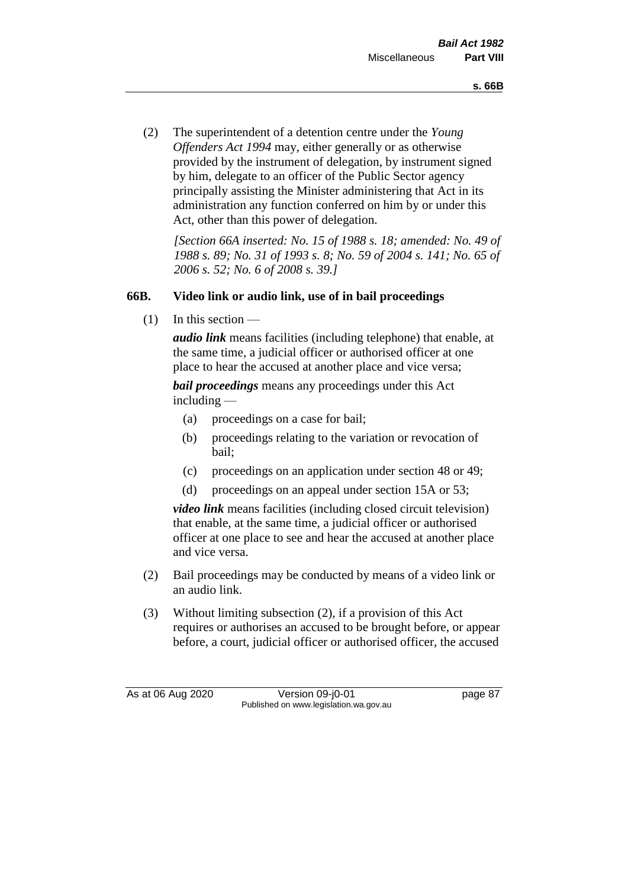(2) The superintendent of a detention centre under the *Young Offenders Act 1994* may, either generally or as otherwise provided by the instrument of delegation, by instrument signed by him, delegate to an officer of the Public Sector agency principally assisting the Minister administering that Act in its administration any function conferred on him by or under this Act, other than this power of delegation.

*[Section 66A inserted: No. 15 of 1988 s. 18; amended: No. 49 of 1988 s. 89; No. 31 of 1993 s. 8; No. 59 of 2004 s. 141; No. 65 of 2006 s. 52; No. 6 of 2008 s. 39.]* 

## **66B. Video link or audio link, use of in bail proceedings**

 $(1)$  In this section —

*audio link* means facilities (including telephone) that enable, at the same time, a judicial officer or authorised officer at one place to hear the accused at another place and vice versa;

*bail proceedings* means any proceedings under this Act including —

- (a) proceedings on a case for bail;
- (b) proceedings relating to the variation or revocation of bail;
- (c) proceedings on an application under section 48 or 49;
- (d) proceedings on an appeal under section 15A or 53;

*video link* means facilities (including closed circuit television) that enable, at the same time, a judicial officer or authorised officer at one place to see and hear the accused at another place and vice versa.

- (2) Bail proceedings may be conducted by means of a video link or an audio link.
- (3) Without limiting subsection (2), if a provision of this Act requires or authorises an accused to be brought before, or appear before, a court, judicial officer or authorised officer, the accused

As at 06 Aug 2020 Version 09-j0-01 page 87 Published on www.legislation.wa.gov.au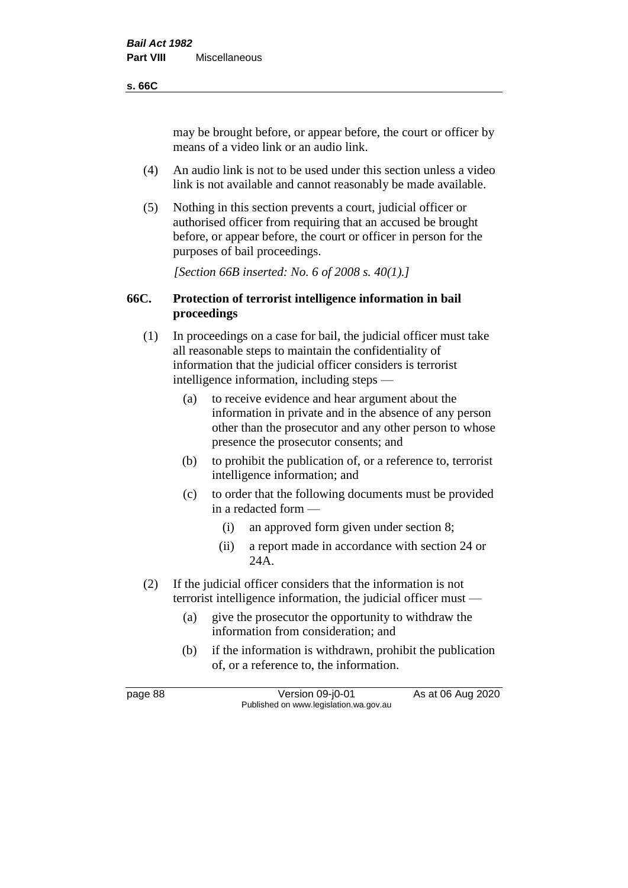#### **s. 66C**

may be brought before, or appear before, the court or officer by means of a video link or an audio link.

- (4) An audio link is not to be used under this section unless a video link is not available and cannot reasonably be made available.
- (5) Nothing in this section prevents a court, judicial officer or authorised officer from requiring that an accused be brought before, or appear before, the court or officer in person for the purposes of bail proceedings.

*[Section 66B inserted: No. 6 of 2008 s. 40(1).]*

## **66C. Protection of terrorist intelligence information in bail proceedings**

- (1) In proceedings on a case for bail, the judicial officer must take all reasonable steps to maintain the confidentiality of information that the judicial officer considers is terrorist intelligence information, including steps —
	- (a) to receive evidence and hear argument about the information in private and in the absence of any person other than the prosecutor and any other person to whose presence the prosecutor consents; and
	- (b) to prohibit the publication of, or a reference to, terrorist intelligence information; and
	- (c) to order that the following documents must be provided in a redacted form —
		- (i) an approved form given under section 8;
		- (ii) a report made in accordance with section 24 or 24A.
- (2) If the judicial officer considers that the information is not terrorist intelligence information, the judicial officer must —
	- (a) give the prosecutor the opportunity to withdraw the information from consideration; and
	- (b) if the information is withdrawn, prohibit the publication of, or a reference to, the information.

page 88 Version 09-j0-01 As at 06 Aug 2020 Published on www.legislation.wa.gov.au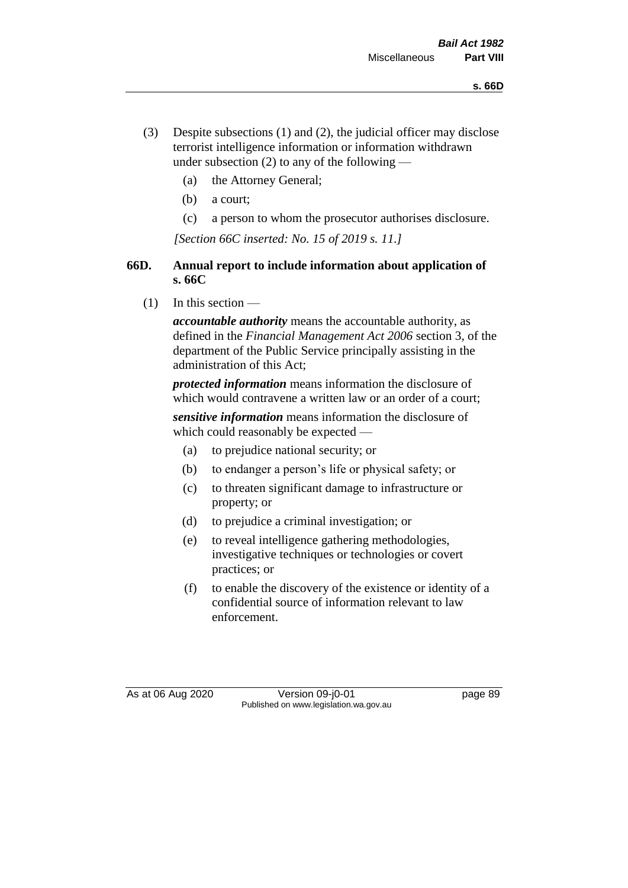- (3) Despite subsections (1) and (2), the judicial officer may disclose terrorist intelligence information or information withdrawn under subsection  $(2)$  to any of the following —
	- (a) the Attorney General;
	- (b) a court;
	- (c) a person to whom the prosecutor authorises disclosure.

*[Section 66C inserted: No. 15 of 2019 s. 11.]*

## **66D. Annual report to include information about application of s. 66C**

 $(1)$  In this section —

*accountable authority* means the accountable authority, as defined in the *Financial Management Act 2006* section 3, of the department of the Public Service principally assisting in the administration of this Act;

*protected information* means information the disclosure of which would contravene a written law or an order of a court;

*sensitive information* means information the disclosure of which could reasonably be expected —

- (a) to prejudice national security; or
- (b) to endanger a person's life or physical safety; or
- (c) to threaten significant damage to infrastructure or property; or
- (d) to prejudice a criminal investigation; or
- (e) to reveal intelligence gathering methodologies, investigative techniques or technologies or covert practices; or
- (f) to enable the discovery of the existence or identity of a confidential source of information relevant to law enforcement.

As at 06 Aug 2020 Version 09-j0-01 page 89 Published on www.legislation.wa.gov.au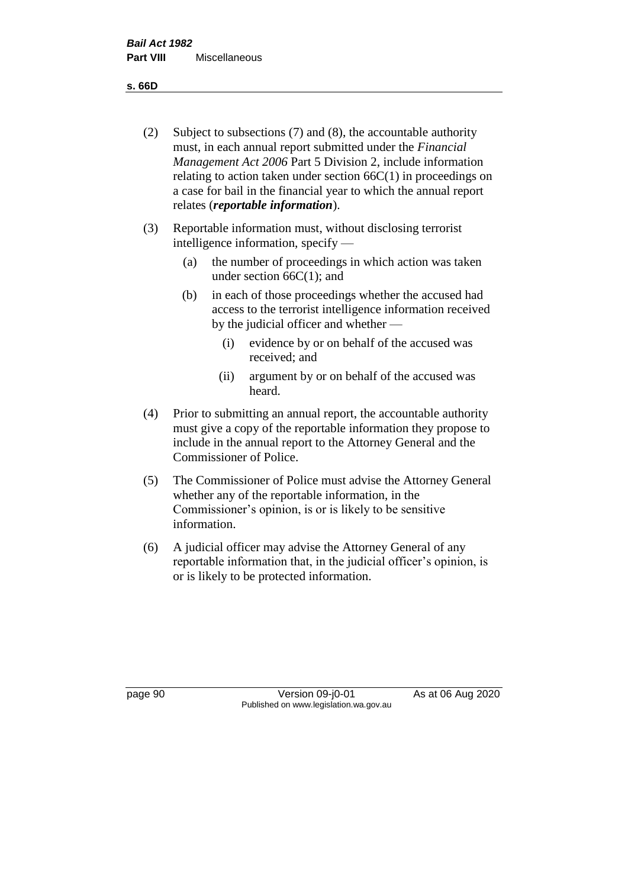**s. 66D**

- (2) Subject to subsections (7) and (8), the accountable authority must, in each annual report submitted under the *Financial Management Act 2006* Part 5 Division 2, include information relating to action taken under section  $66C(1)$  in proceedings on a case for bail in the financial year to which the annual report relates (*reportable information*).
- (3) Reportable information must, without disclosing terrorist intelligence information, specify —
	- (a) the number of proceedings in which action was taken under section  $66C(1)$ ; and
	- (b) in each of those proceedings whether the accused had access to the terrorist intelligence information received by the judicial officer and whether —
		- (i) evidence by or on behalf of the accused was received; and
		- (ii) argument by or on behalf of the accused was heard.
- (4) Prior to submitting an annual report, the accountable authority must give a copy of the reportable information they propose to include in the annual report to the Attorney General and the Commissioner of Police.
- (5) The Commissioner of Police must advise the Attorney General whether any of the reportable information, in the Commissioner's opinion, is or is likely to be sensitive information.
- (6) A judicial officer may advise the Attorney General of any reportable information that, in the judicial officer's opinion, is or is likely to be protected information.

page 90 Version 09-j0-01 As at 06 Aug 2020 Published on www.legislation.wa.gov.au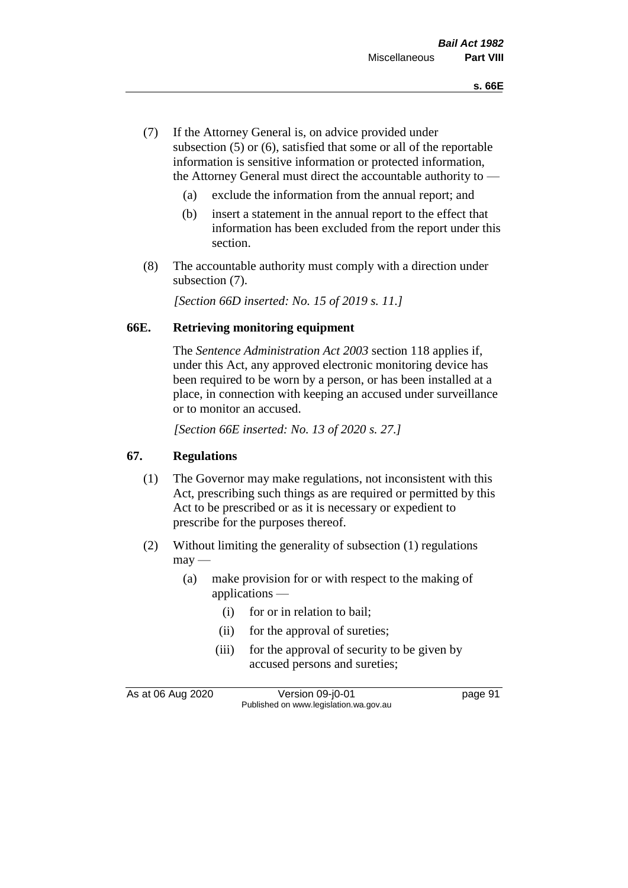- (7) If the Attorney General is, on advice provided under subsection (5) or (6), satisfied that some or all of the reportable information is sensitive information or protected information, the Attorney General must direct the accountable authority to —
	- (a) exclude the information from the annual report; and
	- (b) insert a statement in the annual report to the effect that information has been excluded from the report under this section.
- (8) The accountable authority must comply with a direction under subsection (7).

*[Section 66D inserted: No. 15 of 2019 s. 11.]*

#### **66E. Retrieving monitoring equipment**

The *Sentence Administration Act 2003* section 118 applies if, under this Act, any approved electronic monitoring device has been required to be worn by a person, or has been installed at a place, in connection with keeping an accused under surveillance or to monitor an accused.

*[Section 66E inserted: No. 13 of 2020 s. 27.]*

## **67. Regulations**

- (1) The Governor may make regulations, not inconsistent with this Act, prescribing such things as are required or permitted by this Act to be prescribed or as it is necessary or expedient to prescribe for the purposes thereof.
- (2) Without limiting the generality of subsection (1) regulations  $may$ —
	- (a) make provision for or with respect to the making of applications —
		- (i) for or in relation to bail;
		- (ii) for the approval of sureties;
		- (iii) for the approval of security to be given by accused persons and sureties;

As at 06 Aug 2020 Version 09-j0-01 page 91 Published on www.legislation.wa.gov.au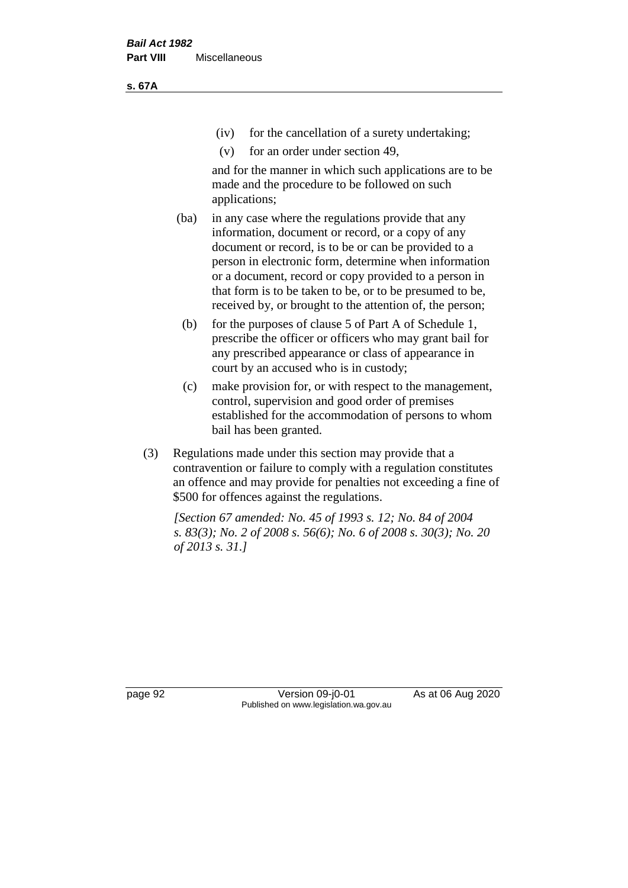(iv) for the cancellation of a surety undertaking;

(v) for an order under section 49,

and for the manner in which such applications are to be made and the procedure to be followed on such applications;

- (ba) in any case where the regulations provide that any information, document or record, or a copy of any document or record, is to be or can be provided to a person in electronic form, determine when information or a document, record or copy provided to a person in that form is to be taken to be, or to be presumed to be, received by, or brought to the attention of, the person;
	- (b) for the purposes of clause 5 of Part A of Schedule 1, prescribe the officer or officers who may grant bail for any prescribed appearance or class of appearance in court by an accused who is in custody;
	- (c) make provision for, or with respect to the management, control, supervision and good order of premises established for the accommodation of persons to whom bail has been granted.
- (3) Regulations made under this section may provide that a contravention or failure to comply with a regulation constitutes an offence and may provide for penalties not exceeding a fine of \$500 for offences against the regulations.

*[Section 67 amended: No. 45 of 1993 s. 12; No. 84 of 2004 s. 83(3); No. 2 of 2008 s. 56(6); No. 6 of 2008 s. 30(3); No. 20 of 2013 s. 31.]* 

page 92 Version 09-j0-01 As at 06 Aug 2020 Published on www.legislation.wa.gov.au

**s. 67A**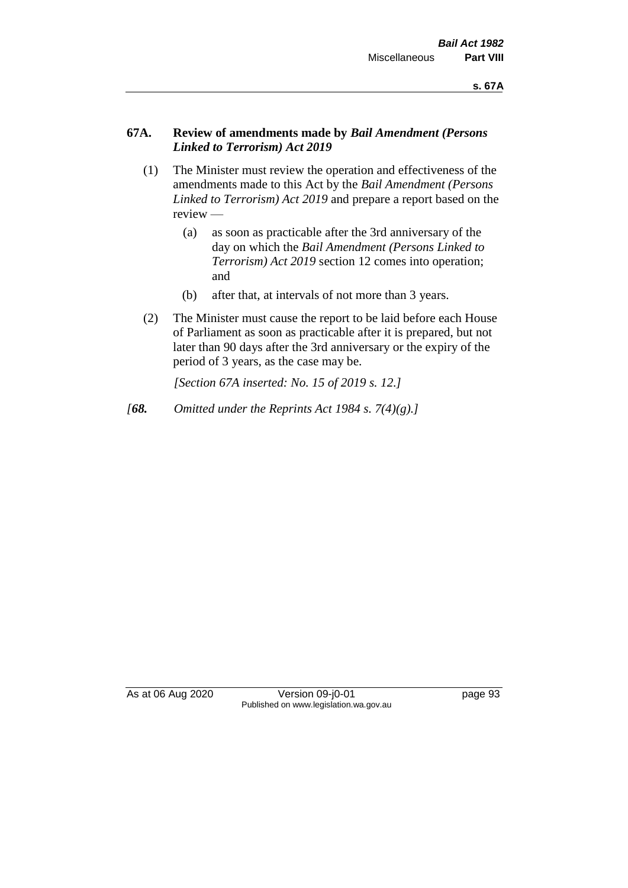## **67A. Review of amendments made by** *Bail Amendment (Persons Linked to Terrorism) Act 2019*

- (1) The Minister must review the operation and effectiveness of the amendments made to this Act by the *Bail Amendment (Persons Linked to Terrorism) Act 2019* and prepare a report based on the review —
	- (a) as soon as practicable after the 3rd anniversary of the day on which the *Bail Amendment (Persons Linked to Terrorism) Act 2019* section 12 comes into operation; and
	- (b) after that, at intervals of not more than 3 years.
- (2) The Minister must cause the report to be laid before each House of Parliament as soon as practicable after it is prepared, but not later than 90 days after the 3rd anniversary or the expiry of the period of 3 years, as the case may be.

*[Section 67A inserted: No. 15 of 2019 s. 12.]*

*[68. Omitted under the Reprints Act 1984 s. 7(4)(g).]*

As at 06 Aug 2020 Version 09-j0-01 page 93 Published on www.legislation.wa.gov.au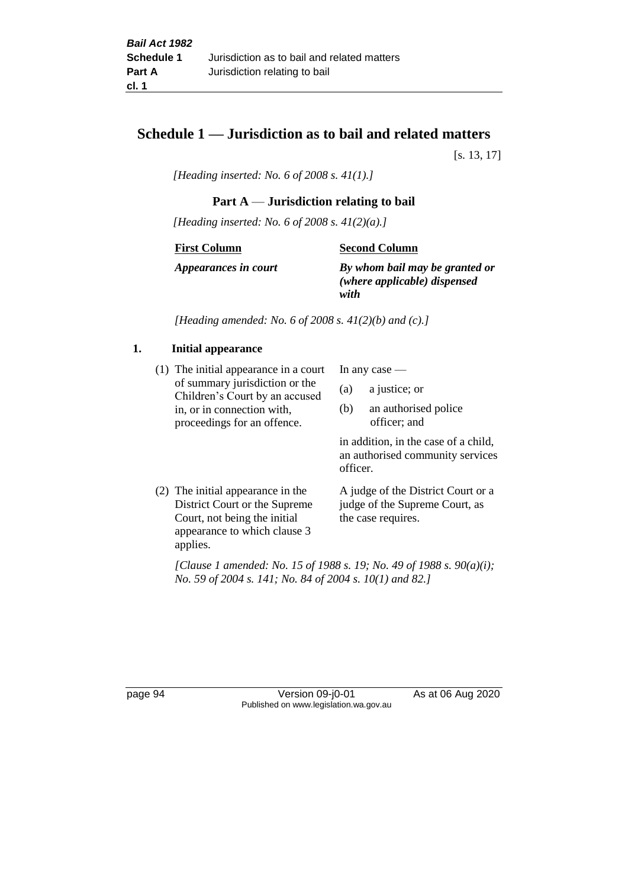## **Schedule 1 — Jurisdiction as to bail and related matters**

[s. 13, 17]

*[Heading inserted: No. 6 of 2008 s. 41(1).]*

## **Part A** — **Jurisdiction relating to bail**

*[Heading inserted: No. 6 of 2008 s. 41(2)(a).]*

**First Column**

**Second Column**

*Appearances in court*

*By whom bail may be granted or (where applicable) dispensed* 

*with*

*[Heading amended: No. 6 of 2008 s. 41(2)(b) and (c).]*

## **1. Initial appearance**

(1) The initial appearance in a court of summary jurisdiction or the Children's Court by an accused in, or in connection with, proceedings for an offence.

In any case —

- (a) a justice; or
- (b) an authorised police officer; and

in addition, in the case of a child, an authorised community services officer.

(2) The initial appearance in the District Court or the Supreme Court, not being the initial appearance to which clause 3 applies. A judge of the District Court or a judge of the Supreme Court, as the case requires.

*[Clause 1 amended: No. 15 of 1988 s. 19; No. 49 of 1988 s. 90(a)(i); No. 59 of 2004 s. 141; No. 84 of 2004 s. 10(1) and 82.]*

page 94 Version 09-j0-01 As at 06 Aug 2020 Published on www.legislation.wa.gov.au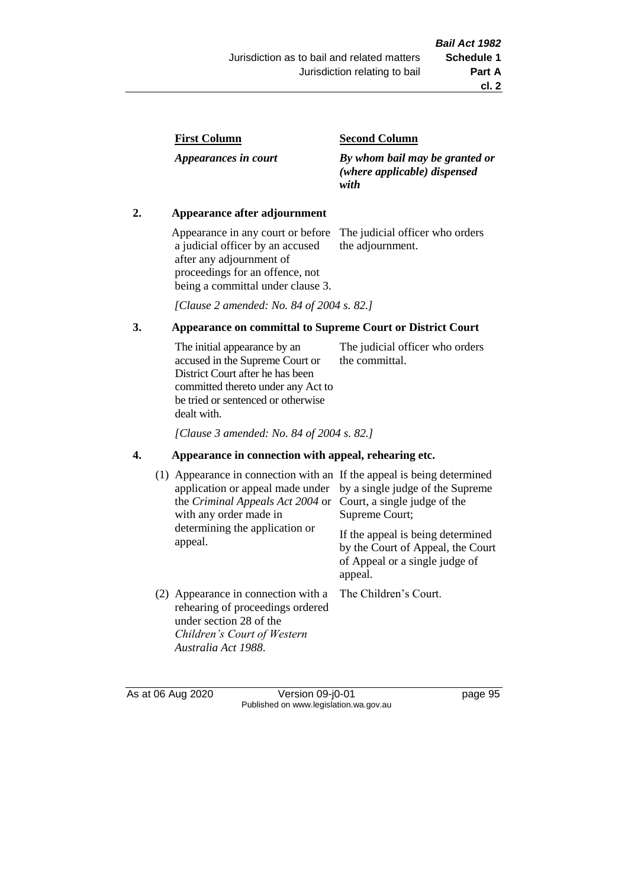| <b>First Column</b> |
|---------------------|
|---------------------|

*Appearances in court*

#### **Second Column**

*By whom bail may be granted or (where applicable) dispensed with*

## **2. Appearance after adjournment**

Appearance in any court or before a judicial officer by an accused after any adjournment of proceedings for an offence, not being a committal under clause 3.

The judicial officer who orders the adjournment.

*[Clause 2 amended: No. 84 of 2004 s. 82.]*

## **3. Appearance on committal to Supreme Court or District Court**

The initial appearance by an accused in the Supreme Court or District Court after he has been committed thereto under any Act to be tried or sentenced or otherwise dealt with. The judicial officer who orders the committal.

*[Clause 3 amended: No. 84 of 2004 s. 82.]*

## **4. Appearance in connection with appeal, rehearing etc.**

| (1) | Appearance in connection with an If the appeal is being determined<br>application or appeal made under<br>the Criminal Appeals Act 2004 or<br>with any order made in<br>determining the application or<br>appeal. | by a single judge of the Supreme<br>Court, a single judge of the<br>Supreme Court;<br>If the appeal is being determined<br>by the Court of Appeal, the Court<br>of Appeal or a single judge of<br>appeal. |
|-----|-------------------------------------------------------------------------------------------------------------------------------------------------------------------------------------------------------------------|-----------------------------------------------------------------------------------------------------------------------------------------------------------------------------------------------------------|
|     | (2) Appearance in connection with a<br>rehearing of proceedings ordered<br>under section 28 of the<br>Children's Court of Western<br>Australia Act 1988.                                                          | The Children's Court.                                                                                                                                                                                     |

As at 06 Aug 2020 Version 09-j0-01 page 95 Published on www.legislation.wa.gov.au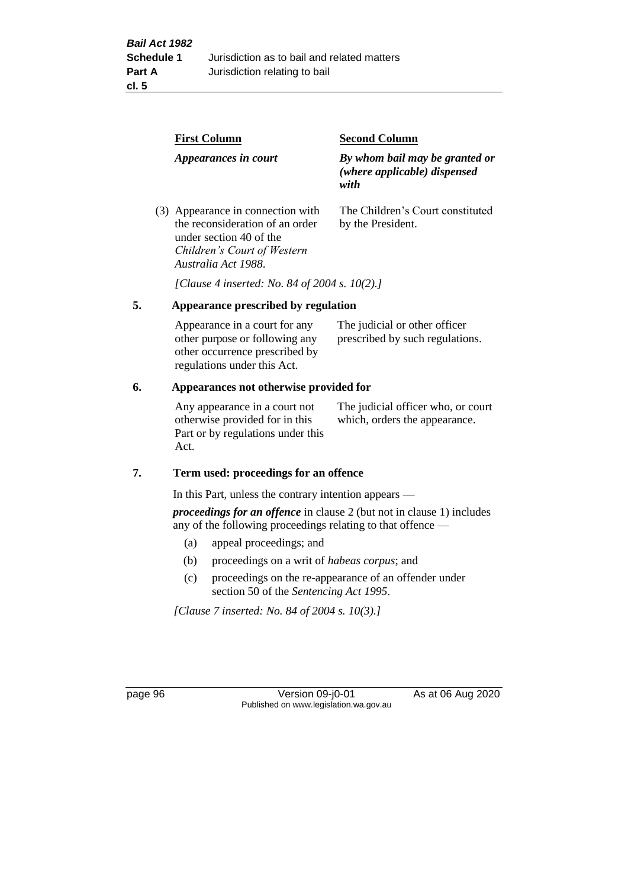|    | <b>First Column</b>                                                                                                                                   | <b>Second Column</b>                                                   |  |
|----|-------------------------------------------------------------------------------------------------------------------------------------------------------|------------------------------------------------------------------------|--|
|    | Appearances in court                                                                                                                                  | By whom bail may be granted or<br>(where applicable) dispensed<br>with |  |
|    | (3) Appearance in connection with<br>the reconsideration of an order<br>under section 40 of the<br>Children's Court of Western<br>Australia Act 1988. | The Children's Court constituted<br>by the President.                  |  |
|    | [Clause 4 inserted: No. 84 of 2004 s. 10(2).]                                                                                                         |                                                                        |  |
| 5. | Appearance prescribed by regulation                                                                                                                   |                                                                        |  |
|    | Appearance in a court for any<br>other purpose or following any<br>other occurrence prescribed by                                                     | The judicial or other officer<br>prescribed by such regulations.       |  |

#### **6. Appearances not otherwise provided for**

regulations under this Act.

Any appearance in a court not otherwise provided for in this Part or by regulations under this Act.

The judicial officer who, or court which, orders the appearance.

#### **7. Term used: proceedings for an offence**

In this Part, unless the contrary intention appears —

*proceedings for an offence* in clause 2 (but not in clause 1) includes any of the following proceedings relating to that offence —

- (a) appeal proceedings; and
- (b) proceedings on a writ of *habeas corpus*; and
- (c) proceedings on the re-appearance of an offender under section 50 of the *Sentencing Act 1995*.

*[Clause 7 inserted: No. 84 of 2004 s. 10(3).]*

page 96 Version 09-j0-01 As at 06 Aug 2020 Published on www.legislation.wa.gov.au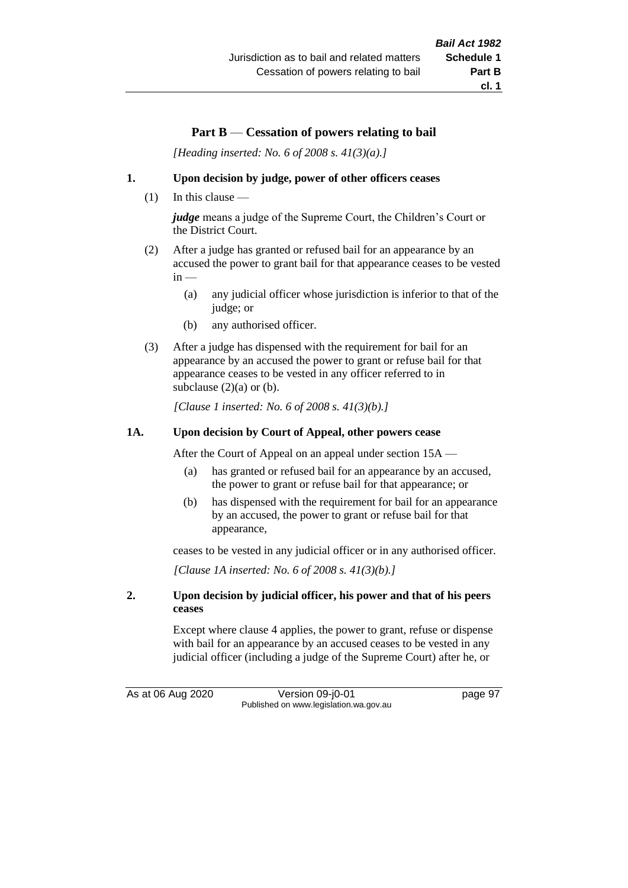# **Part B** — **Cessation of powers relating to bail**

*[Heading inserted: No. 6 of 2008 s. 41(3)(a).]*

#### **1. Upon decision by judge, power of other officers ceases**

(1) In this clause —

*judge* means a judge of the Supreme Court, the Children's Court or the District Court.

- (2) After a judge has granted or refused bail for an appearance by an accused the power to grant bail for that appearance ceases to be vested  $in -$ 
	- (a) any judicial officer whose jurisdiction is inferior to that of the judge; or
	- (b) any authorised officer.
- (3) After a judge has dispensed with the requirement for bail for an appearance by an accused the power to grant or refuse bail for that appearance ceases to be vested in any officer referred to in subclause  $(2)(a)$  or  $(b)$ .

*[Clause 1 inserted: No. 6 of 2008 s. 41(3)(b).]*

#### **1A. Upon decision by Court of Appeal, other powers cease**

After the Court of Appeal on an appeal under section 15A —

- (a) has granted or refused bail for an appearance by an accused, the power to grant or refuse bail for that appearance; or
- (b) has dispensed with the requirement for bail for an appearance by an accused, the power to grant or refuse bail for that appearance,

ceases to be vested in any judicial officer or in any authorised officer.

*[Clause 1A inserted: No. 6 of 2008 s. 41(3)(b).]*

#### **2. Upon decision by judicial officer, his power and that of his peers ceases**

Except where clause 4 applies, the power to grant, refuse or dispense with bail for an appearance by an accused ceases to be vested in any judicial officer (including a judge of the Supreme Court) after he, or

As at 06 Aug 2020 Version 09-j0-01 page 97 Published on www.legislation.wa.gov.au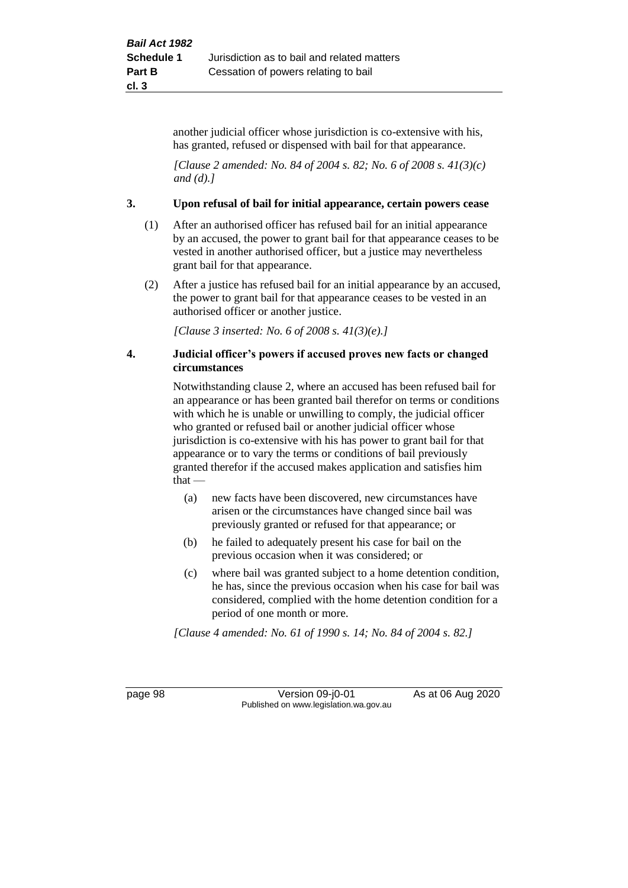another judicial officer whose jurisdiction is co-extensive with his, has granted, refused or dispensed with bail for that appearance.

*[Clause 2 amended: No. 84 of 2004 s. 82; No. 6 of 2008 s. 41(3)(c) and (d).]*

#### **3. Upon refusal of bail for initial appearance, certain powers cease**

- (1) After an authorised officer has refused bail for an initial appearance by an accused, the power to grant bail for that appearance ceases to be vested in another authorised officer, but a justice may nevertheless grant bail for that appearance.
- (2) After a justice has refused bail for an initial appearance by an accused, the power to grant bail for that appearance ceases to be vested in an authorised officer or another justice.

*[Clause 3 inserted: No. 6 of 2008 s. 41(3)(e).]*

#### **4. Judicial officer's powers if accused proves new facts or changed circumstances**

Notwithstanding clause 2, where an accused has been refused bail for an appearance or has been granted bail therefor on terms or conditions with which he is unable or unwilling to comply, the judicial officer who granted or refused bail or another judicial officer whose jurisdiction is co-extensive with his has power to grant bail for that appearance or to vary the terms or conditions of bail previously granted therefor if the accused makes application and satisfies him  $that -$ 

- (a) new facts have been discovered, new circumstances have arisen or the circumstances have changed since bail was previously granted or refused for that appearance; or
- (b) he failed to adequately present his case for bail on the previous occasion when it was considered; or
- (c) where bail was granted subject to a home detention condition, he has, since the previous occasion when his case for bail was considered, complied with the home detention condition for a period of one month or more.

*[Clause 4 amended: No. 61 of 1990 s. 14; No. 84 of 2004 s. 82.]*

page 98 Version 09-j0-01 As at 06 Aug 2020 Published on www.legislation.wa.gov.au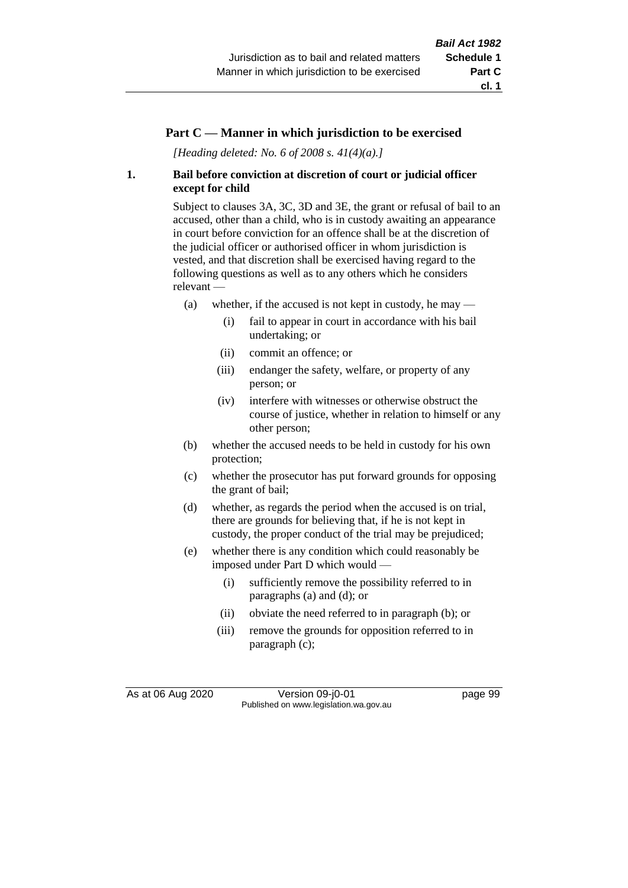# **Part C — Manner in which jurisdiction to be exercised**

*[Heading deleted: No. 6 of 2008 s. 41(4)(a).]*

# **1. Bail before conviction at discretion of court or judicial officer except for child**

Subject to clauses 3A, 3C, 3D and 3E, the grant or refusal of bail to an accused, other than a child, who is in custody awaiting an appearance in court before conviction for an offence shall be at the discretion of the judicial officer or authorised officer in whom jurisdiction is vested, and that discretion shall be exercised having regard to the following questions as well as to any others which he considers relevant —

- (a) whether, if the accused is not kept in custody, he may  $-$ 
	- (i) fail to appear in court in accordance with his bail undertaking; or
	- (ii) commit an offence; or
	- (iii) endanger the safety, welfare, or property of any person; or
	- (iv) interfere with witnesses or otherwise obstruct the course of justice, whether in relation to himself or any other person;
- (b) whether the accused needs to be held in custody for his own protection;
- (c) whether the prosecutor has put forward grounds for opposing the grant of bail;
- (d) whether, as regards the period when the accused is on trial, there are grounds for believing that, if he is not kept in custody, the proper conduct of the trial may be prejudiced;
- (e) whether there is any condition which could reasonably be imposed under Part D which would —
	- (i) sufficiently remove the possibility referred to in paragraphs (a) and (d); or
	- (ii) obviate the need referred to in paragraph (b); or
	- (iii) remove the grounds for opposition referred to in paragraph (c);

As at 06 Aug 2020 Version 09-j0-01 page 99 Published on www.legislation.wa.gov.au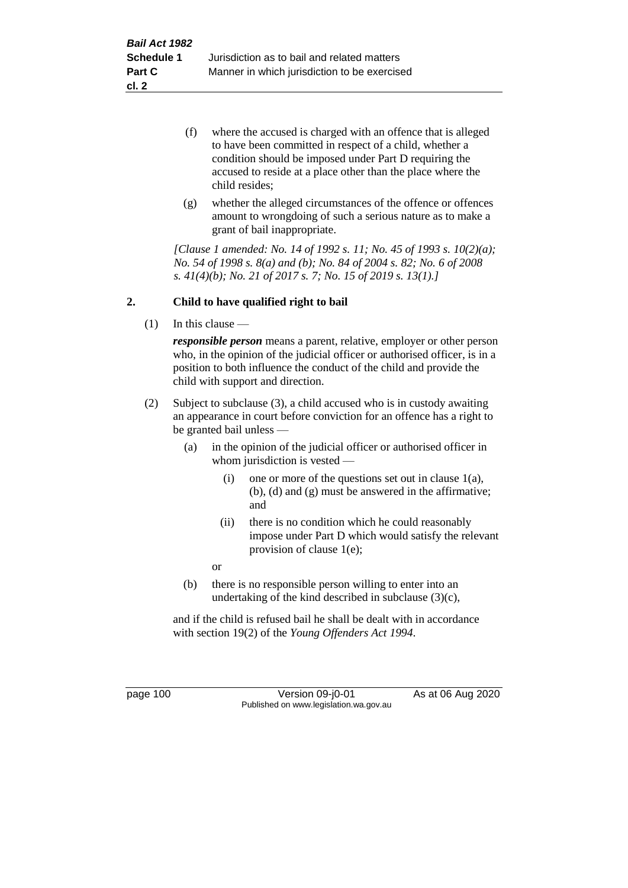- (f) where the accused is charged with an offence that is alleged to have been committed in respect of a child, whether a condition should be imposed under Part D requiring the accused to reside at a place other than the place where the child resides;
- (g) whether the alleged circumstances of the offence or offences amount to wrongdoing of such a serious nature as to make a grant of bail inappropriate.

*[Clause 1 amended: No. 14 of 1992 s. 11; No. 45 of 1993 s. 10(2)(a); No. 54 of 1998 s. 8(a) and (b); No. 84 of 2004 s. 82; No. 6 of 2008 s. 41(4)(b); No. 21 of 2017 s. 7; No. 15 of 2019 s. 13(1).]*

# **2. Child to have qualified right to bail**

(1) In this clause —

*responsible person* means a parent, relative, employer or other person who, in the opinion of the judicial officer or authorised officer, is in a position to both influence the conduct of the child and provide the child with support and direction.

- (2) Subject to subclause (3), a child accused who is in custody awaiting an appearance in court before conviction for an offence has a right to be granted bail unless —
	- (a) in the opinion of the judicial officer or authorised officer in whom jurisdiction is vested —
		- (i) one or more of the questions set out in clause  $1(a)$ , (b), (d) and (g) must be answered in the affirmative; and
		- (ii) there is no condition which he could reasonably impose under Part D which would satisfy the relevant provision of clause 1(e);

or

(b) there is no responsible person willing to enter into an undertaking of the kind described in subclause (3)(c),

and if the child is refused bail he shall be dealt with in accordance with section 19(2) of the *Young Offenders Act 1994*.

page 100 Version 09-j0-01 As at 06 Aug 2020 Published on www.legislation.wa.gov.au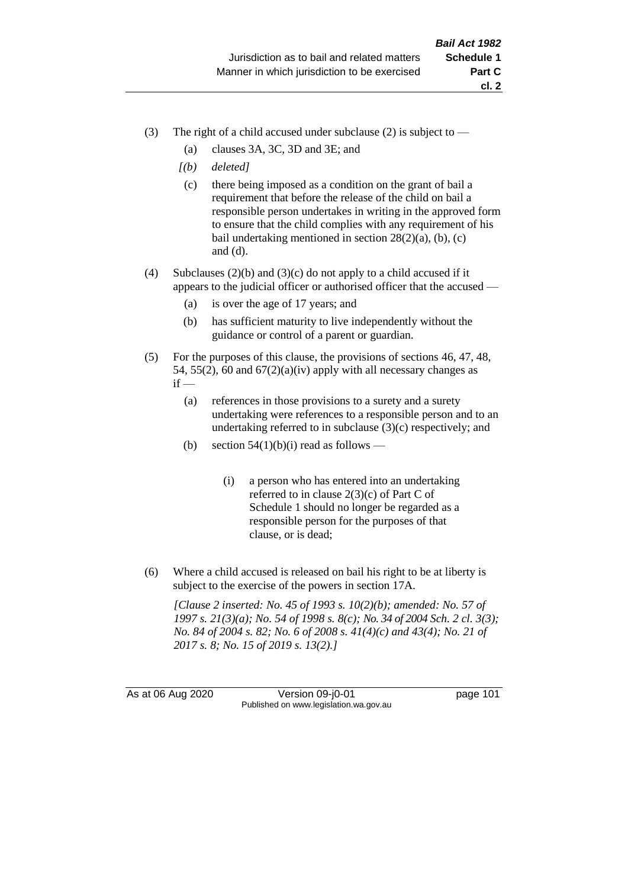- (3) The right of a child accused under subclause (2) is subject to  $-$ 
	- (a) clauses 3A, 3C, 3D and 3E; and
	- *[(b) deleted]*
	- (c) there being imposed as a condition on the grant of bail a requirement that before the release of the child on bail a responsible person undertakes in writing in the approved form to ensure that the child complies with any requirement of his bail undertaking mentioned in section  $28(2)(a)$ , (b), (c) and (d).
- (4) Subclauses (2)(b) and (3)(c) do not apply to a child accused if it appears to the judicial officer or authorised officer that the accused —
	- (a) is over the age of 17 years; and
	- (b) has sufficient maturity to live independently without the guidance or control of a parent or guardian.
- (5) For the purposes of this clause, the provisions of sections 46, 47, 48, 54, 55(2), 60 and  $67(2)(a)(iv)$  apply with all necessary changes as  $if -$ 
	- (a) references in those provisions to a surety and a surety undertaking were references to a responsible person and to an undertaking referred to in subclause (3)(c) respectively; and
	- (b) section  $54(1)(b)(i)$  read as follows
		- (i) a person who has entered into an undertaking referred to in clause 2(3)(c) of Part C of Schedule 1 should no longer be regarded as a responsible person for the purposes of that clause, or is dead;
- (6) Where a child accused is released on bail his right to be at liberty is subject to the exercise of the powers in section 17A.

*[Clause 2 inserted: No. 45 of 1993 s. 10(2)(b); amended: No. 57 of 1997 s. 21(3)(a); No. 54 of 1998 s. 8(c); No. 34 of 2004 Sch. 2 cl. 3(3); No. 84 of 2004 s. 82; No. 6 of 2008 s. 41(4)(c) and 43(4); No. 21 of 2017 s. 8; No. 15 of 2019 s. 13(2).]*

As at 06 Aug 2020 Version 09-j0-01 page 101 Published on www.legislation.wa.gov.au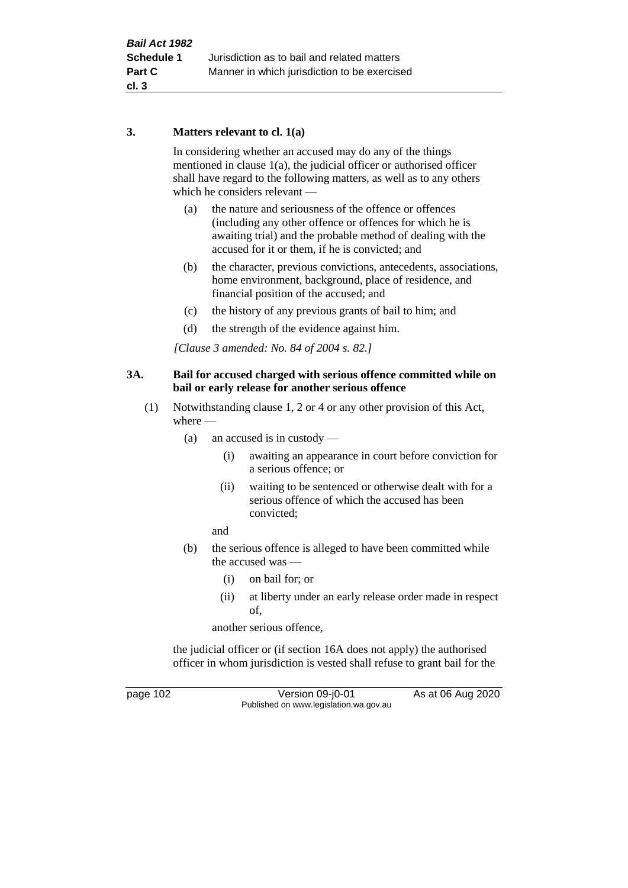# **3. Matters relevant to cl. 1(a)**

In considering whether an accused may do any of the things mentioned in clause 1(a), the judicial officer or authorised officer shall have regard to the following matters, as well as to any others which he considers relevant —

- (a) the nature and seriousness of the offence or offences (including any other offence or offences for which he is awaiting trial) and the probable method of dealing with the accused for it or them, if he is convicted; and
- (b) the character, previous convictions, antecedents, associations, home environment, background, place of residence, and financial position of the accused; and
- (c) the history of any previous grants of bail to him; and
- (d) the strength of the evidence against him.

*[Clause 3 amended: No. 84 of 2004 s. 82.]*

#### **3A. Bail for accused charged with serious offence committed while on bail or early release for another serious offence**

- (1) Notwithstanding clause 1, 2 or 4 or any other provision of this Act, where —
	- (a) an accused is in custody
		- (i) awaiting an appearance in court before conviction for a serious offence; or
		- (ii) waiting to be sentenced or otherwise dealt with for a serious offence of which the accused has been convicted;

and

- (b) the serious offence is alleged to have been committed while the accused was —
	- (i) on bail for; or
	- (ii) at liberty under an early release order made in respect of,

another serious offence,

the judicial officer or (if section 16A does not apply) the authorised officer in whom jurisdiction is vested shall refuse to grant bail for the

page 102 Version 09-j0-01 As at 06 Aug 2020 Published on www.legislation.wa.gov.au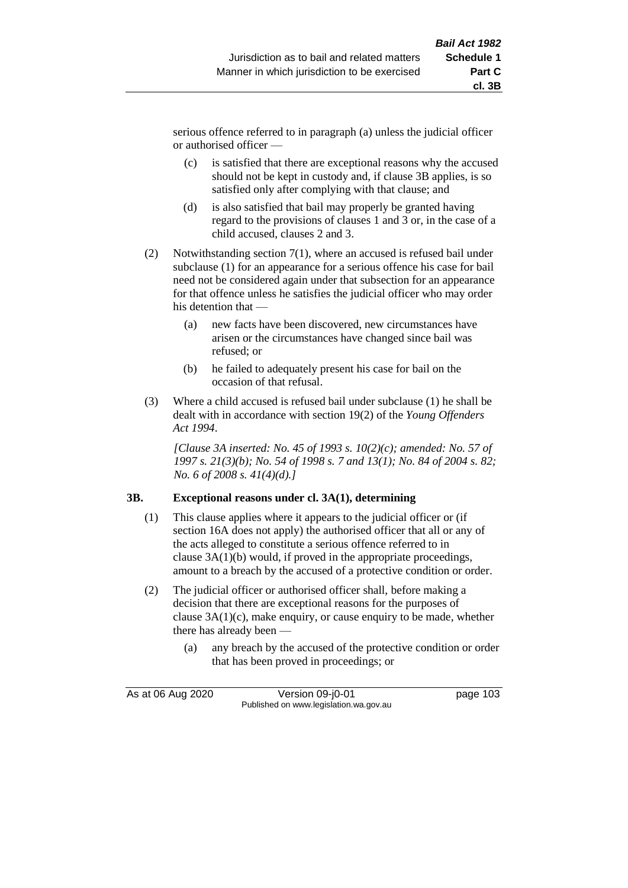serious offence referred to in paragraph (a) unless the judicial officer or authorised officer —

- (c) is satisfied that there are exceptional reasons why the accused should not be kept in custody and, if clause 3B applies, is so satisfied only after complying with that clause; and
- (d) is also satisfied that bail may properly be granted having regard to the provisions of clauses 1 and 3 or, in the case of a child accused, clauses 2 and 3.
- (2) Notwithstanding section 7(1), where an accused is refused bail under subclause (1) for an appearance for a serious offence his case for bail need not be considered again under that subsection for an appearance for that offence unless he satisfies the judicial officer who may order his detention that —
	- (a) new facts have been discovered, new circumstances have arisen or the circumstances have changed since bail was refused; or
	- (b) he failed to adequately present his case for bail on the occasion of that refusal.
- (3) Where a child accused is refused bail under subclause (1) he shall be dealt with in accordance with section 19(2) of the *Young Offenders Act 1994*.

*[Clause 3A inserted: No. 45 of 1993 s. 10(2)(c); amended: No. 57 of 1997 s. 21(3)(b); No. 54 of 1998 s. 7 and 13(1); No. 84 of 2004 s. 82; No. 6 of 2008 s. 41(4)(d).]*

# **3B. Exceptional reasons under cl. 3A(1), determining**

- (1) This clause applies where it appears to the judicial officer or (if section 16A does not apply) the authorised officer that all or any of the acts alleged to constitute a serious offence referred to in clause 3A(1)(b) would, if proved in the appropriate proceedings, amount to a breach by the accused of a protective condition or order.
- (2) The judicial officer or authorised officer shall, before making a decision that there are exceptional reasons for the purposes of clause 3A(1)(c), make enquiry, or cause enquiry to be made, whether there has already been —
	- (a) any breach by the accused of the protective condition or order that has been proved in proceedings; or

As at 06 Aug 2020 Version 09-j0-01 page 103 Published on www.legislation.wa.gov.au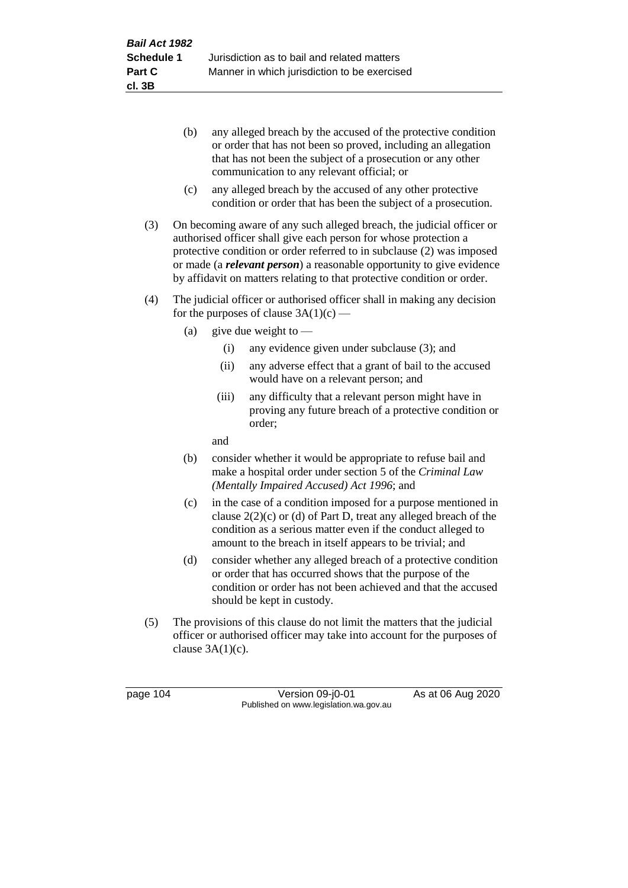- (b) any alleged breach by the accused of the protective condition or order that has not been so proved, including an allegation that has not been the subject of a prosecution or any other communication to any relevant official; or
- (c) any alleged breach by the accused of any other protective condition or order that has been the subject of a prosecution.
- (3) On becoming aware of any such alleged breach, the judicial officer or authorised officer shall give each person for whose protection a protective condition or order referred to in subclause (2) was imposed or made (a *relevant person*) a reasonable opportunity to give evidence by affidavit on matters relating to that protective condition or order.
- (4) The judicial officer or authorised officer shall in making any decision for the purposes of clause  $3A(1)(c)$  —
	- (a) give due weight to  $-$ 
		- (i) any evidence given under subclause (3); and
		- (ii) any adverse effect that a grant of bail to the accused would have on a relevant person; and
		- (iii) any difficulty that a relevant person might have in proving any future breach of a protective condition or order;

and

- (b) consider whether it would be appropriate to refuse bail and make a hospital order under section 5 of the *Criminal Law (Mentally Impaired Accused) Act 1996*; and
- (c) in the case of a condition imposed for a purpose mentioned in clause 2(2)(c) or (d) of Part D, treat any alleged breach of the condition as a serious matter even if the conduct alleged to amount to the breach in itself appears to be trivial; and
- (d) consider whether any alleged breach of a protective condition or order that has occurred shows that the purpose of the condition or order has not been achieved and that the accused should be kept in custody.
- (5) The provisions of this clause do not limit the matters that the judicial officer or authorised officer may take into account for the purposes of clause  $3A(1)(c)$ .

page 104 Version 09-j0-01 As at 06 Aug 2020 Published on www.legislation.wa.gov.au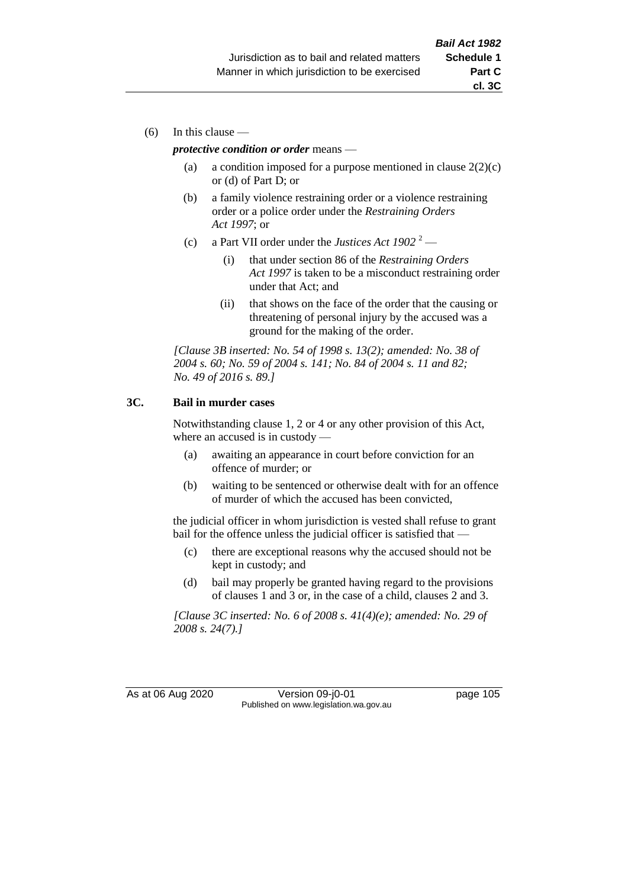(6) In this clause —

#### *protective condition or order* means —

- (a) a condition imposed for a purpose mentioned in clause  $2(2)(c)$ or (d) of Part D; or
- (b) a family violence restraining order or a violence restraining order or a police order under the *Restraining Orders Act 1997*; or
- (c) a Part VII order under the *Justices Act 1902* <sup>2</sup>
	- (i) that under section 86 of the *Restraining Orders Act 1997* is taken to be a misconduct restraining order under that Act; and
	- (ii) that shows on the face of the order that the causing or threatening of personal injury by the accused was a ground for the making of the order.

*[Clause 3B inserted: No. 54 of 1998 s. 13(2); amended: No. 38 of 2004 s. 60; No. 59 of 2004 s. 141; No. 84 of 2004 s. 11 and 82; No. 49 of 2016 s. 89.]*

#### **3C. Bail in murder cases**

Notwithstanding clause 1, 2 or 4 or any other provision of this Act, where an accused is in custody —

- (a) awaiting an appearance in court before conviction for an offence of murder; or
- (b) waiting to be sentenced or otherwise dealt with for an offence of murder of which the accused has been convicted,

the judicial officer in whom jurisdiction is vested shall refuse to grant bail for the offence unless the judicial officer is satisfied that —

- (c) there are exceptional reasons why the accused should not be kept in custody; and
- (d) bail may properly be granted having regard to the provisions of clauses 1 and 3 or, in the case of a child, clauses 2 and 3.

*[Clause 3C inserted: No. 6 of 2008 s. 41(4)(e); amended: No. 29 of 2008 s. 24(7).]*

As at 06 Aug 2020 Version 09-j0-01 page 105 Published on www.legislation.wa.gov.au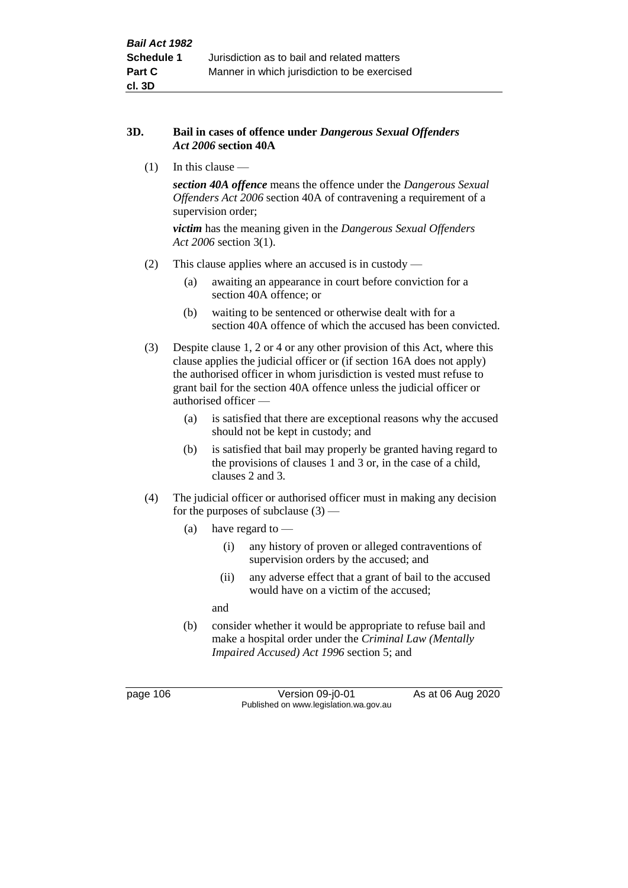#### **3D. Bail in cases of offence under** *Dangerous Sexual Offenders Act 2006* **section 40A**

(1) In this clause —

*section 40A offence* means the offence under the *Dangerous Sexual Offenders Act 2006* section 40A of contravening a requirement of a supervision order;

*victim* has the meaning given in the *Dangerous Sexual Offenders Act 2006* section 3(1).

- (2) This clause applies where an accused is in custody
	- (a) awaiting an appearance in court before conviction for a section 40A offence; or
	- (b) waiting to be sentenced or otherwise dealt with for a section 40A offence of which the accused has been convicted.
- (3) Despite clause 1, 2 or 4 or any other provision of this Act, where this clause applies the judicial officer or (if section 16A does not apply) the authorised officer in whom jurisdiction is vested must refuse to grant bail for the section 40A offence unless the judicial officer or authorised officer —
	- (a) is satisfied that there are exceptional reasons why the accused should not be kept in custody; and
	- (b) is satisfied that bail may properly be granted having regard to the provisions of clauses 1 and 3 or, in the case of a child, clauses 2 and 3.
- (4) The judicial officer or authorised officer must in making any decision for the purposes of subclause  $(3)$  —
	- (a) have regard to
		- (i) any history of proven or alleged contraventions of supervision orders by the accused; and
		- (ii) any adverse effect that a grant of bail to the accused would have on a victim of the accused;

and

(b) consider whether it would be appropriate to refuse bail and make a hospital order under the *Criminal Law (Mentally Impaired Accused) Act 1996* section 5; and

page 106 Version 09-j0-01 As at 06 Aug 2020 Published on www.legislation.wa.gov.au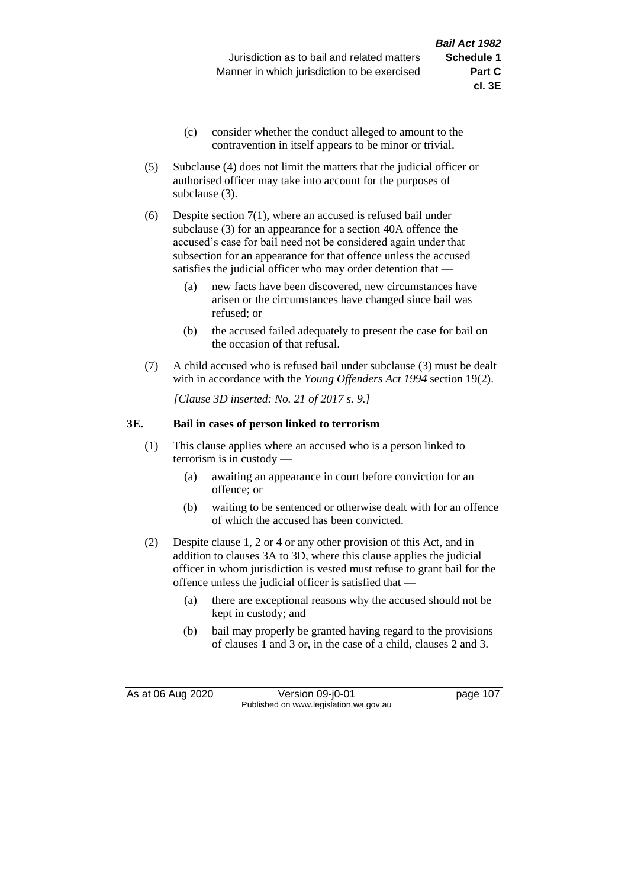- (c) consider whether the conduct alleged to amount to the contravention in itself appears to be minor or trivial.
- (5) Subclause (4) does not limit the matters that the judicial officer or authorised officer may take into account for the purposes of subclause (3).
- (6) Despite section 7(1), where an accused is refused bail under subclause (3) for an appearance for a section 40A offence the accused's case for bail need not be considered again under that subsection for an appearance for that offence unless the accused satisfies the judicial officer who may order detention that —
	- (a) new facts have been discovered, new circumstances have arisen or the circumstances have changed since bail was refused; or
	- (b) the accused failed adequately to present the case for bail on the occasion of that refusal.
- (7) A child accused who is refused bail under subclause (3) must be dealt with in accordance with the *Young Offenders Act 1994* section 19(2).

*[Clause 3D inserted: No. 21 of 2017 s. 9.]*

# **3E. Bail in cases of person linked to terrorism**

- (1) This clause applies where an accused who is a person linked to terrorism is in custody —
	- (a) awaiting an appearance in court before conviction for an offence; or
	- (b) waiting to be sentenced or otherwise dealt with for an offence of which the accused has been convicted.
- (2) Despite clause 1, 2 or 4 or any other provision of this Act, and in addition to clauses 3A to 3D, where this clause applies the judicial officer in whom jurisdiction is vested must refuse to grant bail for the offence unless the judicial officer is satisfied that —
	- (a) there are exceptional reasons why the accused should not be kept in custody; and
	- (b) bail may properly be granted having regard to the provisions of clauses 1 and 3 or, in the case of a child, clauses 2 and 3.

As at 06 Aug 2020 Version 09-j0-01 page 107 Published on www.legislation.wa.gov.au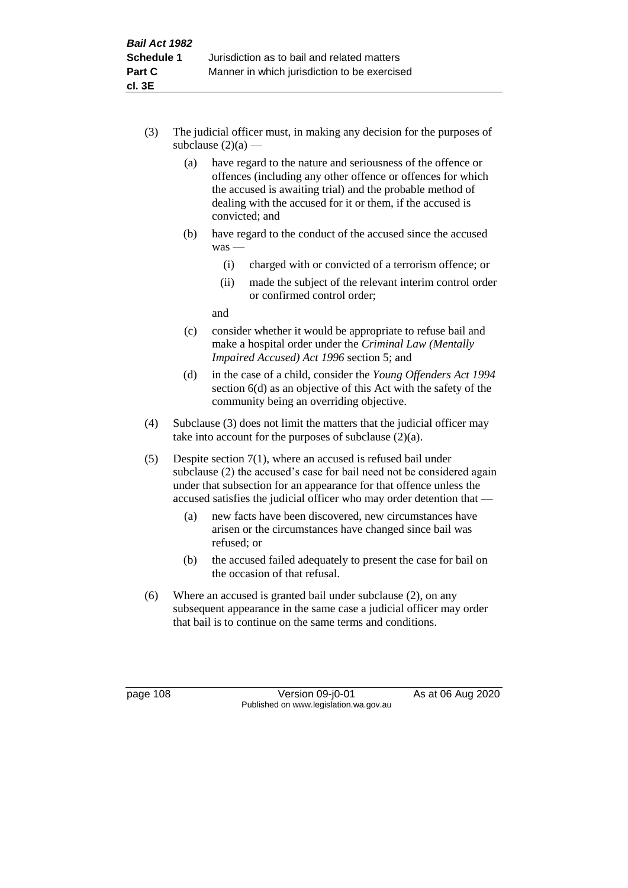- (3) The judicial officer must, in making any decision for the purposes of subclause  $(2)(a)$  —
	- (a) have regard to the nature and seriousness of the offence or offences (including any other offence or offences for which the accused is awaiting trial) and the probable method of dealing with the accused for it or them, if the accused is convicted; and
	- (b) have regard to the conduct of the accused since the accused was —
		- (i) charged with or convicted of a terrorism offence; or
		- (ii) made the subject of the relevant interim control order or confirmed control order;

and

- (c) consider whether it would be appropriate to refuse bail and make a hospital order under the *Criminal Law (Mentally Impaired Accused) Act 1996* section 5; and
- (d) in the case of a child, consider the *Young Offenders Act 1994* section 6(d) as an objective of this Act with the safety of the community being an overriding objective.
- (4) Subclause (3) does not limit the matters that the judicial officer may take into account for the purposes of subclause  $(2)(a)$ .
- (5) Despite section 7(1), where an accused is refused bail under subclause (2) the accused's case for bail need not be considered again under that subsection for an appearance for that offence unless the accused satisfies the judicial officer who may order detention that —
	- (a) new facts have been discovered, new circumstances have arisen or the circumstances have changed since bail was refused; or
	- (b) the accused failed adequately to present the case for bail on the occasion of that refusal.
- (6) Where an accused is granted bail under subclause (2), on any subsequent appearance in the same case a judicial officer may order that bail is to continue on the same terms and conditions.

page 108 Version 09-j0-01 As at 06 Aug 2020 Published on www.legislation.wa.gov.au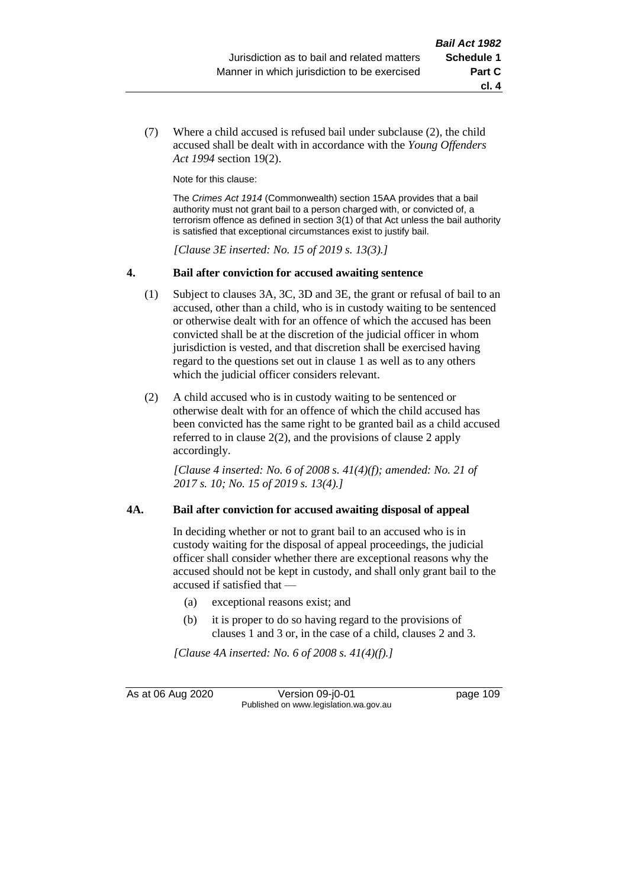(7) Where a child accused is refused bail under subclause (2), the child accused shall be dealt with in accordance with the *Young Offenders Act 1994* section 19(2).

Note for this clause:

The *Crimes Act 1914* (Commonwealth) section 15AA provides that a bail authority must not grant bail to a person charged with, or convicted of, a terrorism offence as defined in section 3(1) of that Act unless the bail authority is satisfied that exceptional circumstances exist to justify bail.

*[Clause 3E inserted: No. 15 of 2019 s. 13(3).]*

#### **4. Bail after conviction for accused awaiting sentence**

- (1) Subject to clauses 3A, 3C, 3D and 3E, the grant or refusal of bail to an accused, other than a child, who is in custody waiting to be sentenced or otherwise dealt with for an offence of which the accused has been convicted shall be at the discretion of the judicial officer in whom jurisdiction is vested, and that discretion shall be exercised having regard to the questions set out in clause 1 as well as to any others which the judicial officer considers relevant.
- (2) A child accused who is in custody waiting to be sentenced or otherwise dealt with for an offence of which the child accused has been convicted has the same right to be granted bail as a child accused referred to in clause 2(2), and the provisions of clause 2 apply accordingly.

*[Clause 4 inserted: No. 6 of 2008 s. 41(4)(f); amended: No. 21 of 2017 s. 10; No. 15 of 2019 s. 13(4).]*

#### **4A. Bail after conviction for accused awaiting disposal of appeal**

In deciding whether or not to grant bail to an accused who is in custody waiting for the disposal of appeal proceedings, the judicial officer shall consider whether there are exceptional reasons why the accused should not be kept in custody, and shall only grant bail to the accused if satisfied that —

- (a) exceptional reasons exist; and
- (b) it is proper to do so having regard to the provisions of clauses 1 and 3 or, in the case of a child, clauses 2 and 3.

*[Clause 4A inserted: No. 6 of 2008 s. 41(4)(f).]*

As at 06 Aug 2020 Version 09-j0-01 page 109 Published on www.legislation.wa.gov.au

**cl. 4**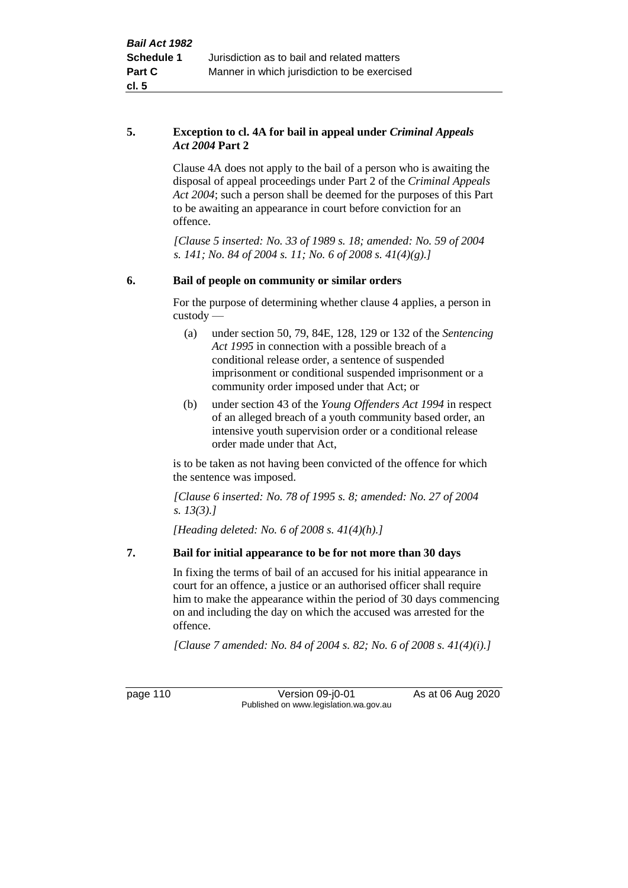#### **5. Exception to cl. 4A for bail in appeal under** *Criminal Appeals Act 2004* **Part 2**

Clause 4A does not apply to the bail of a person who is awaiting the disposal of appeal proceedings under Part 2 of the *Criminal Appeals Act 2004*; such a person shall be deemed for the purposes of this Part to be awaiting an appearance in court before conviction for an offence.

*[Clause 5 inserted: No. 33 of 1989 s. 18; amended: No. 59 of 2004 s. 141; No. 84 of 2004 s. 11; No. 6 of 2008 s. 41(4)(g).]*

# **6. Bail of people on community or similar orders**

For the purpose of determining whether clause 4 applies, a person in custody —

- (a) under section 50, 79, 84E, 128, 129 or 132 of the *Sentencing Act 1995* in connection with a possible breach of a conditional release order, a sentence of suspended imprisonment or conditional suspended imprisonment or a community order imposed under that Act; or
- (b) under section 43 of the *Young Offenders Act 1994* in respect of an alleged breach of a youth community based order, an intensive youth supervision order or a conditional release order made under that Act,

is to be taken as not having been convicted of the offence for which the sentence was imposed.

*[Clause 6 inserted: No. 78 of 1995 s. 8; amended: No. 27 of 2004 s. 13(3).]*

*[Heading deleted: No. 6 of 2008 s. 41(4)(h).]*

# **7. Bail for initial appearance to be for not more than 30 days**

In fixing the terms of bail of an accused for his initial appearance in court for an offence, a justice or an authorised officer shall require him to make the appearance within the period of 30 days commencing on and including the day on which the accused was arrested for the offence.

*[Clause 7 amended: No. 84 of 2004 s. 82; No. 6 of 2008 s. 41(4)(i).]*

page 110 Version 09-j0-01 As at 06 Aug 2020 Published on www.legislation.wa.gov.au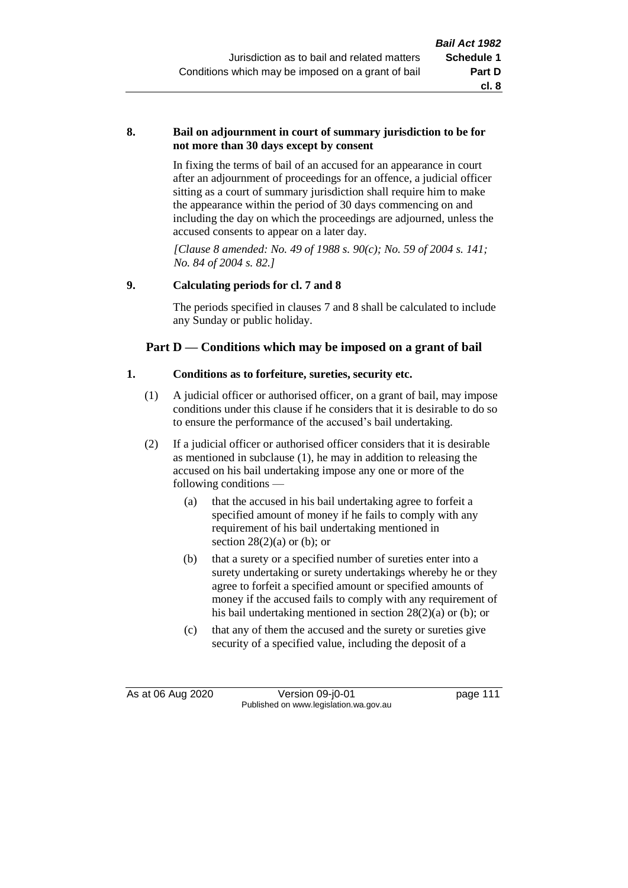#### **8. Bail on adjournment in court of summary jurisdiction to be for not more than 30 days except by consent**

In fixing the terms of bail of an accused for an appearance in court after an adjournment of proceedings for an offence, a judicial officer sitting as a court of summary jurisdiction shall require him to make the appearance within the period of 30 days commencing on and including the day on which the proceedings are adjourned, unless the accused consents to appear on a later day.

*[Clause 8 amended: No. 49 of 1988 s. 90(c); No. 59 of 2004 s. 141; No. 84 of 2004 s. 82.]*

# **9. Calculating periods for cl. 7 and 8**

The periods specified in clauses 7 and 8 shall be calculated to include any Sunday or public holiday.

# **Part D — Conditions which may be imposed on a grant of bail**

#### **1. Conditions as to forfeiture, sureties, security etc.**

- (1) A judicial officer or authorised officer, on a grant of bail, may impose conditions under this clause if he considers that it is desirable to do so to ensure the performance of the accused's bail undertaking.
- (2) If a judicial officer or authorised officer considers that it is desirable as mentioned in subclause (1), he may in addition to releasing the accused on his bail undertaking impose any one or more of the following conditions —
	- (a) that the accused in his bail undertaking agree to forfeit a specified amount of money if he fails to comply with any requirement of his bail undertaking mentioned in section  $28(2)(a)$  or (b); or
	- (b) that a surety or a specified number of sureties enter into a surety undertaking or surety undertakings whereby he or they agree to forfeit a specified amount or specified amounts of money if the accused fails to comply with any requirement of his bail undertaking mentioned in section 28(2)(a) or (b); or
	- (c) that any of them the accused and the surety or sureties give security of a specified value, including the deposit of a

As at 06 Aug 2020 Version 09-j0-01 page 111 Published on www.legislation.wa.gov.au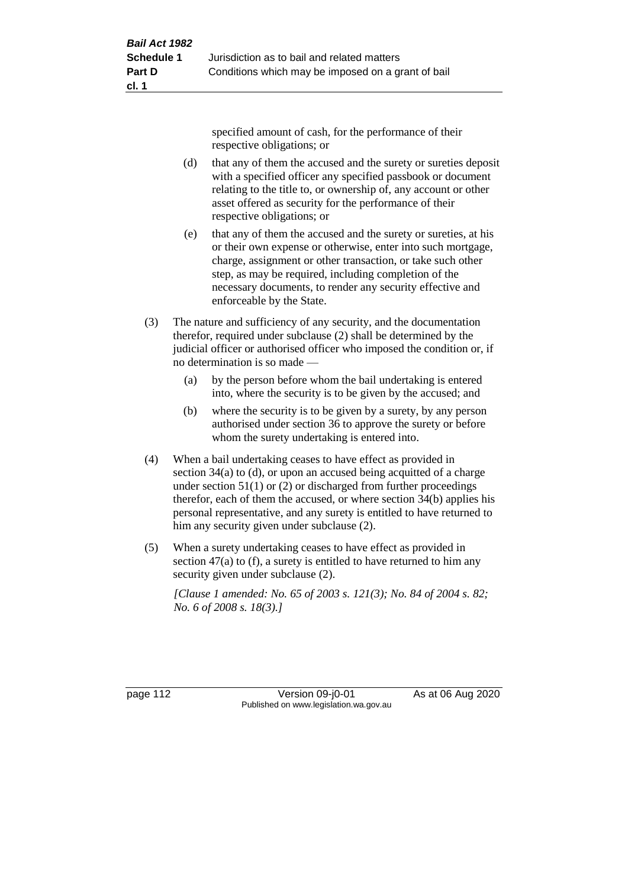specified amount of cash, for the performance of their respective obligations; or

- (d) that any of them the accused and the surety or sureties deposit with a specified officer any specified passbook or document relating to the title to, or ownership of, any account or other asset offered as security for the performance of their respective obligations; or
- (e) that any of them the accused and the surety or sureties, at his or their own expense or otherwise, enter into such mortgage, charge, assignment or other transaction, or take such other step, as may be required, including completion of the necessary documents, to render any security effective and enforceable by the State.
- (3) The nature and sufficiency of any security, and the documentation therefor, required under subclause (2) shall be determined by the judicial officer or authorised officer who imposed the condition or, if no determination is so made —
	- (a) by the person before whom the bail undertaking is entered into, where the security is to be given by the accused; and
	- (b) where the security is to be given by a surety, by any person authorised under section 36 to approve the surety or before whom the surety undertaking is entered into.
- (4) When a bail undertaking ceases to have effect as provided in section 34(a) to (d), or upon an accused being acquitted of a charge under section  $51(1)$  or (2) or discharged from further proceedings therefor, each of them the accused, or where section 34(b) applies his personal representative, and any surety is entitled to have returned to him any security given under subclause (2).
- (5) When a surety undertaking ceases to have effect as provided in section 47(a) to (f), a surety is entitled to have returned to him any security given under subclause  $(2)$ .

*[Clause 1 amended: No. 65 of 2003 s. 121(3); No. 84 of 2004 s. 82; No. 6 of 2008 s. 18(3).]*

page 112 **Version 09-j0-01** As at 06 Aug 2020 Published on www.legislation.wa.gov.au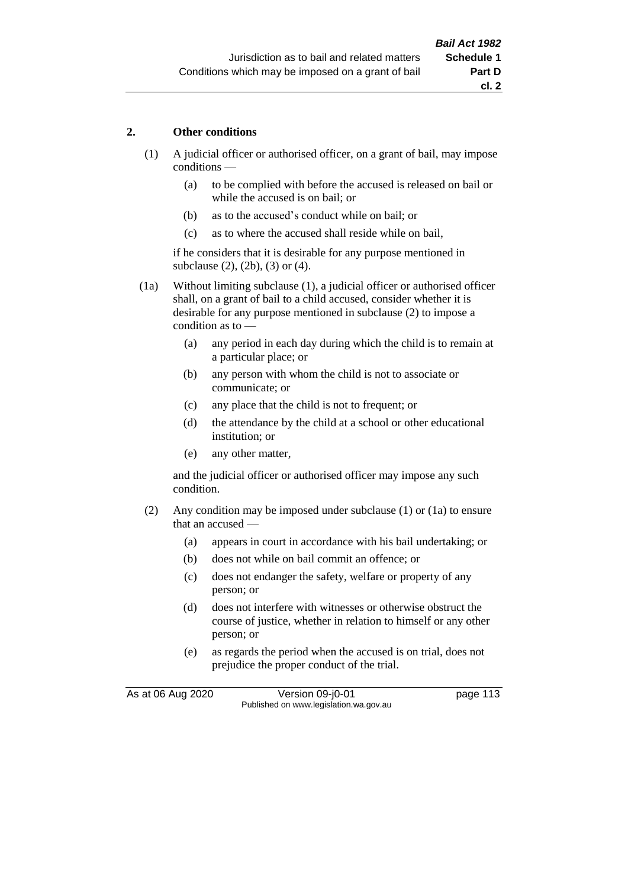# **2. Other conditions**

- (1) A judicial officer or authorised officer, on a grant of bail, may impose conditions —
	- (a) to be complied with before the accused is released on bail or while the accused is on bail; or
	- (b) as to the accused's conduct while on bail; or
	- (c) as to where the accused shall reside while on bail,

if he considers that it is desirable for any purpose mentioned in subclause (2), (2b), (3) or (4).

(1a) Without limiting subclause (1), a judicial officer or authorised officer shall, on a grant of bail to a child accused, consider whether it is desirable for any purpose mentioned in subclause (2) to impose a condition as to —

- (a) any period in each day during which the child is to remain at a particular place; or
- (b) any person with whom the child is not to associate or communicate; or
- (c) any place that the child is not to frequent; or
- (d) the attendance by the child at a school or other educational institution; or
- (e) any other matter,

and the judicial officer or authorised officer may impose any such condition.

- (2) Any condition may be imposed under subclause (1) or (1a) to ensure that an accused —
	- (a) appears in court in accordance with his bail undertaking; or
	- (b) does not while on bail commit an offence; or
	- (c) does not endanger the safety, welfare or property of any person; or
	- (d) does not interfere with witnesses or otherwise obstruct the course of justice, whether in relation to himself or any other person; or
	- (e) as regards the period when the accused is on trial, does not prejudice the proper conduct of the trial.

As at 06 Aug 2020 Version 09-j0-01 page 113 Published on www.legislation.wa.gov.au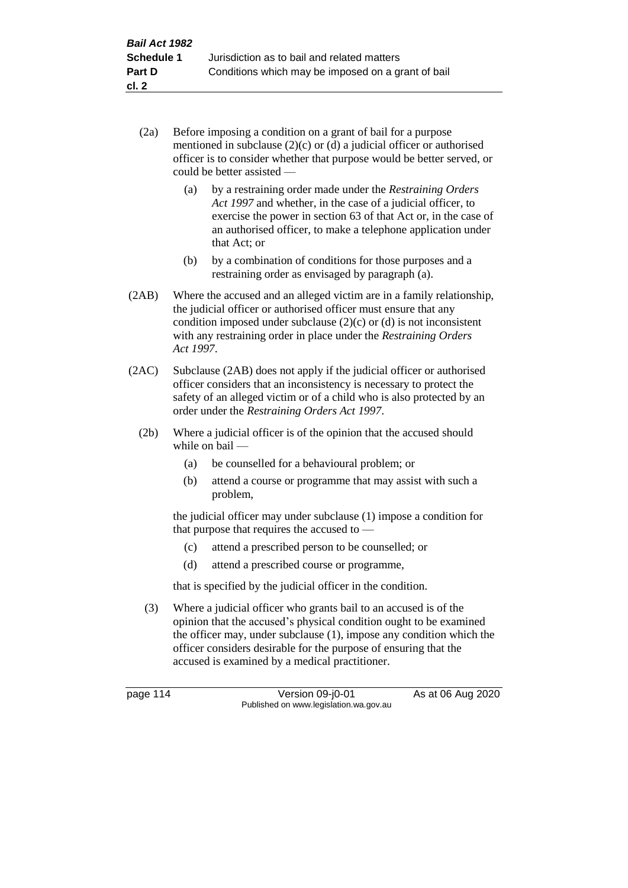- (2a) Before imposing a condition on a grant of bail for a purpose mentioned in subclause (2)(c) or (d) a judicial officer or authorised officer is to consider whether that purpose would be better served, or could be better assisted —
	- (a) by a restraining order made under the *Restraining Orders Act 1997* and whether, in the case of a judicial officer, to exercise the power in section 63 of that Act or, in the case of an authorised officer, to make a telephone application under that Act; or
	- (b) by a combination of conditions for those purposes and a restraining order as envisaged by paragraph (a).
- (2AB) Where the accused and an alleged victim are in a family relationship, the judicial officer or authorised officer must ensure that any condition imposed under subclause  $(2)(c)$  or  $(d)$  is not inconsistent with any restraining order in place under the *Restraining Orders Act 1997*.
- (2AC) Subclause (2AB) does not apply if the judicial officer or authorised officer considers that an inconsistency is necessary to protect the safety of an alleged victim or of a child who is also protected by an order under the *Restraining Orders Act 1997*.
	- (2b) Where a judicial officer is of the opinion that the accused should while on bail —
		- (a) be counselled for a behavioural problem; or
		- (b) attend a course or programme that may assist with such a problem,

the judicial officer may under subclause (1) impose a condition for that purpose that requires the accused to —

- (c) attend a prescribed person to be counselled; or
- (d) attend a prescribed course or programme,

that is specified by the judicial officer in the condition.

(3) Where a judicial officer who grants bail to an accused is of the opinion that the accused's physical condition ought to be examined the officer may, under subclause (1), impose any condition which the officer considers desirable for the purpose of ensuring that the accused is examined by a medical practitioner.

page 114 Version 09-j0-01 As at 06 Aug 2020 Published on www.legislation.wa.gov.au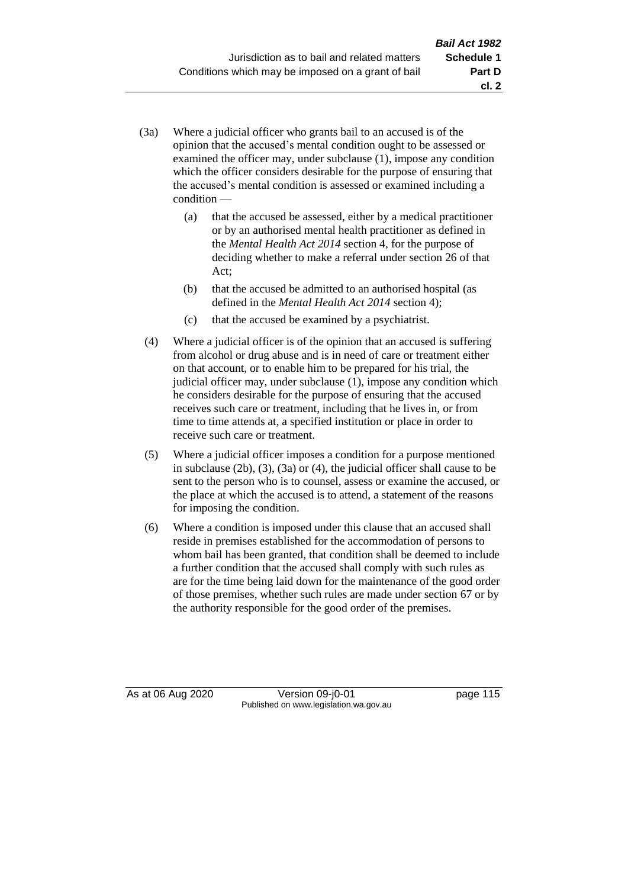- (3a) Where a judicial officer who grants bail to an accused is of the opinion that the accused's mental condition ought to be assessed or examined the officer may, under subclause (1), impose any condition which the officer considers desirable for the purpose of ensuring that the accused's mental condition is assessed or examined including a condition —
	- (a) that the accused be assessed, either by a medical practitioner or by an authorised mental health practitioner as defined in the *Mental Health Act 2014* section 4, for the purpose of deciding whether to make a referral under section 26 of that Act;
	- (b) that the accused be admitted to an authorised hospital (as defined in the *Mental Health Act 2014* section 4);
	- (c) that the accused be examined by a psychiatrist.
- (4) Where a judicial officer is of the opinion that an accused is suffering from alcohol or drug abuse and is in need of care or treatment either on that account, or to enable him to be prepared for his trial, the judicial officer may, under subclause (1), impose any condition which he considers desirable for the purpose of ensuring that the accused receives such care or treatment, including that he lives in, or from time to time attends at, a specified institution or place in order to receive such care or treatment.
- (5) Where a judicial officer imposes a condition for a purpose mentioned in subclause (2b), (3), (3a) or (4), the judicial officer shall cause to be sent to the person who is to counsel, assess or examine the accused, or the place at which the accused is to attend, a statement of the reasons for imposing the condition.
- (6) Where a condition is imposed under this clause that an accused shall reside in premises established for the accommodation of persons to whom bail has been granted, that condition shall be deemed to include a further condition that the accused shall comply with such rules as are for the time being laid down for the maintenance of the good order of those premises, whether such rules are made under section 67 or by the authority responsible for the good order of the premises.

As at 06 Aug 2020 Version 09-j0-01 page 115 Published on www.legislation.wa.gov.au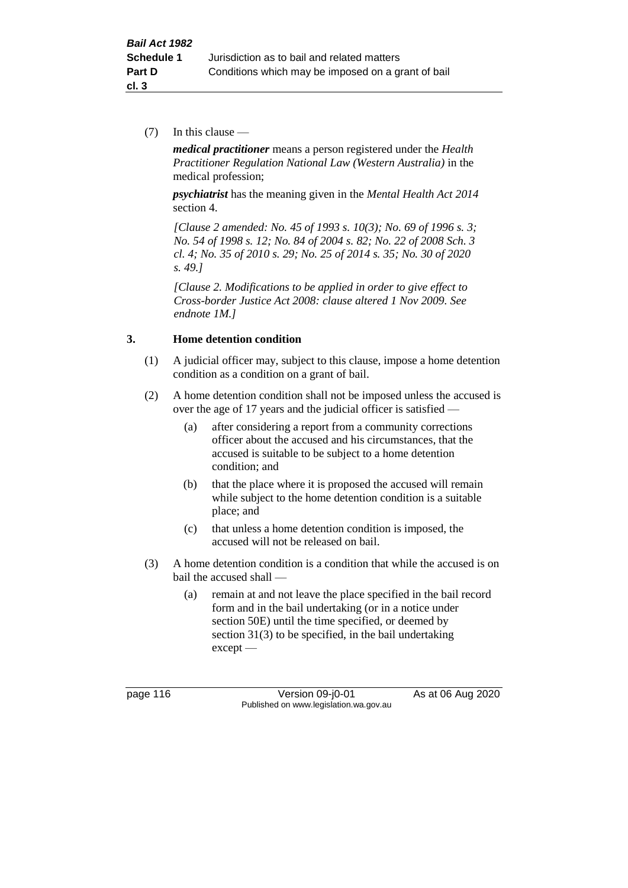(7) In this clause —

*medical practitioner* means a person registered under the *Health Practitioner Regulation National Law (Western Australia)* in the medical profession;

*psychiatrist* has the meaning given in the *Mental Health Act 2014* section 4.

*[Clause 2 amended: No. 45 of 1993 s. 10(3); No. 69 of 1996 s. 3; No. 54 of 1998 s. 12; No. 84 of 2004 s. 82; No. 22 of 2008 Sch. 3 cl. 4; No. 35 of 2010 s. 29; No. 25 of 2014 s. 35; No. 30 of 2020 s. 49.]*

*[Clause 2. Modifications to be applied in order to give effect to Cross-border Justice Act 2008: clause altered 1 Nov 2009. See endnote 1M.]*

# **3. Home detention condition**

- (1) A judicial officer may, subject to this clause, impose a home detention condition as a condition on a grant of bail.
- (2) A home detention condition shall not be imposed unless the accused is over the age of 17 years and the judicial officer is satisfied —
	- (a) after considering a report from a community corrections officer about the accused and his circumstances, that the accused is suitable to be subject to a home detention condition; and
	- (b) that the place where it is proposed the accused will remain while subject to the home detention condition is a suitable place; and
	- (c) that unless a home detention condition is imposed, the accused will not be released on bail.
- (3) A home detention condition is a condition that while the accused is on bail the accused shall —
	- (a) remain at and not leave the place specified in the bail record form and in the bail undertaking (or in a notice under section 50E) until the time specified, or deemed by section 31(3) to be specified, in the bail undertaking except —

page 116 Version 09-j0-01 As at 06 Aug 2020 Published on www.legislation.wa.gov.au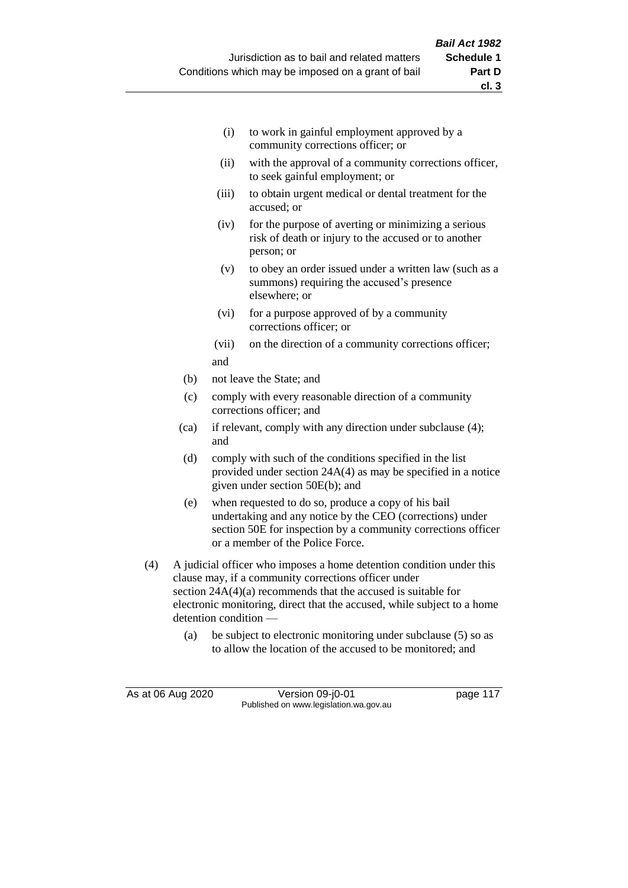- (i) to work in gainful employment approved by a community corrections officer; or
- (ii) with the approval of a community corrections officer, to seek gainful employment; or
- (iii) to obtain urgent medical or dental treatment for the accused; or
- (iv) for the purpose of averting or minimizing a serious risk of death or injury to the accused or to another person; or
- (v) to obey an order issued under a written law (such as a summons) requiring the accused's presence elsewhere; or
- (vi) for a purpose approved of by a community corrections officer; or
- (vii) on the direction of a community corrections officer; and
- (b) not leave the State; and
- (c) comply with every reasonable direction of a community corrections officer; and
- (ca) if relevant, comply with any direction under subclause (4); and
- (d) comply with such of the conditions specified in the list provided under section 24A(4) as may be specified in a notice given under section 50E(b); and
- (e) when requested to do so, produce a copy of his bail undertaking and any notice by the CEO (corrections) under section 50E for inspection by a community corrections officer or a member of the Police Force.
- (4) A judicial officer who imposes a home detention condition under this clause may, if a community corrections officer under section  $24A(4)(a)$  recommends that the accused is suitable for electronic monitoring, direct that the accused, while subject to a home detention condition —
	- (a) be subject to electronic monitoring under subclause (5) so as to allow the location of the accused to be monitored; and

As at 06 Aug 2020 Version 09-j0-01 page 117 Published on www.legislation.wa.gov.au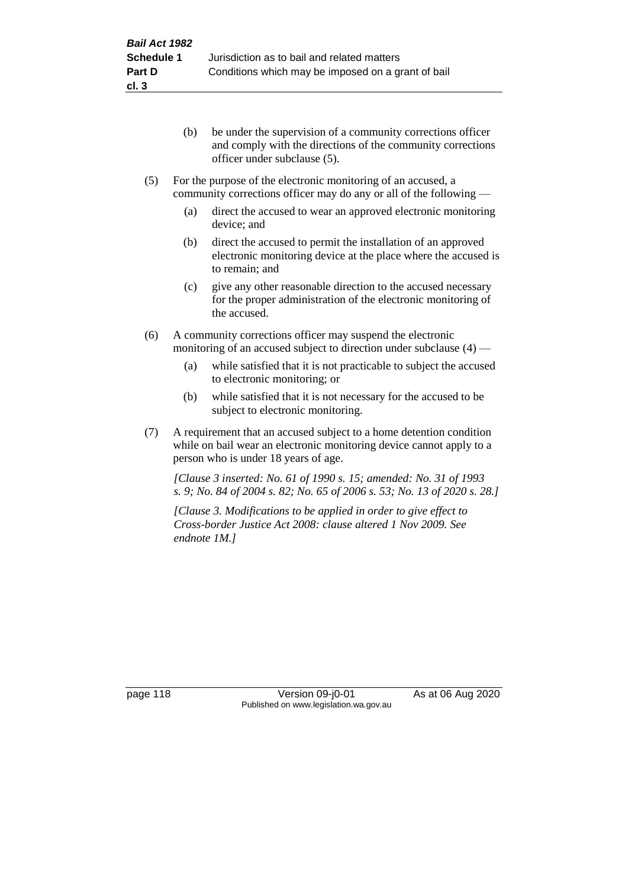- (b) be under the supervision of a community corrections officer and comply with the directions of the community corrections officer under subclause (5).
- (5) For the purpose of the electronic monitoring of an accused, a community corrections officer may do any or all of the following —
	- (a) direct the accused to wear an approved electronic monitoring device; and
	- (b) direct the accused to permit the installation of an approved electronic monitoring device at the place where the accused is to remain; and
	- (c) give any other reasonable direction to the accused necessary for the proper administration of the electronic monitoring of the accused.
- (6) A community corrections officer may suspend the electronic monitoring of an accused subject to direction under subclause (4) —
	- (a) while satisfied that it is not practicable to subject the accused to electronic monitoring; or
	- (b) while satisfied that it is not necessary for the accused to be subject to electronic monitoring.
- (7) A requirement that an accused subject to a home detention condition while on bail wear an electronic monitoring device cannot apply to a person who is under 18 years of age.

*[Clause 3 inserted: No. 61 of 1990 s. 15; amended: No. 31 of 1993 s. 9; No. 84 of 2004 s. 82; No. 65 of 2006 s. 53; No. 13 of 2020 s. 28.]*

*[Clause 3. Modifications to be applied in order to give effect to Cross-border Justice Act 2008: clause altered 1 Nov 2009. See endnote 1M.]*

page 118 Version 09-j0-01 As at 06 Aug 2020 Published on www.legislation.wa.gov.au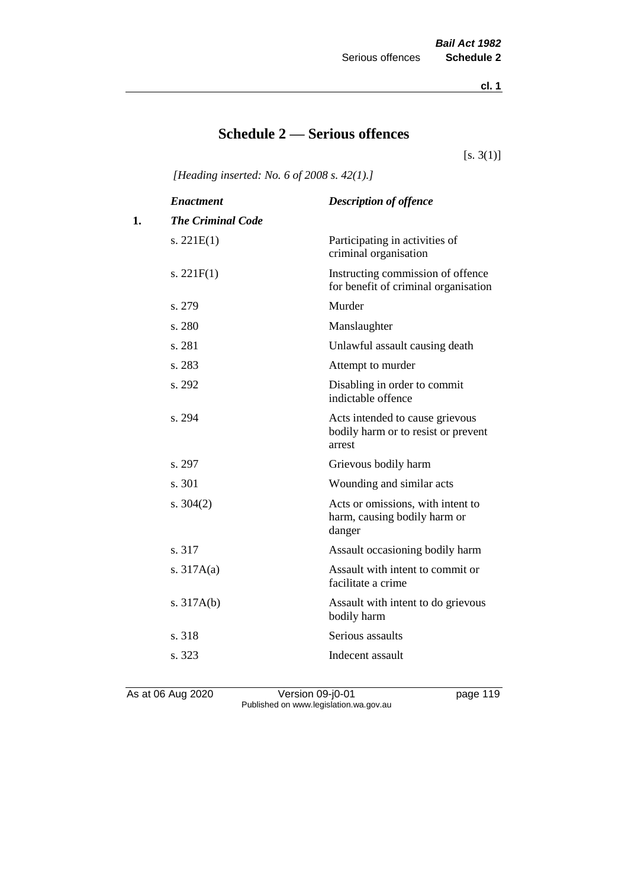**cl. 1**

# **Schedule 2 — Serious offences**

 $[s. 3(1)]$ 

*[Heading inserted: No. 6 of 2008 s. 42(1).]*

|    | <b>Enactment</b>         | <b>Description of offence</b>                                                    |
|----|--------------------------|----------------------------------------------------------------------------------|
| 1. | <b>The Criminal Code</b> |                                                                                  |
|    | s. $221E(1)$             | Participating in activities of<br>criminal organisation                          |
|    | s. $221F(1)$             | Instructing commission of offence<br>for benefit of criminal organisation        |
|    | s. 279                   | Murder                                                                           |
|    | s. 280                   | Manslaughter                                                                     |
|    | s. 281                   | Unlawful assault causing death                                                   |
|    | s. 283                   | Attempt to murder                                                                |
|    | s. 292                   | Disabling in order to commit<br>indictable offence                               |
|    | s. 294                   | Acts intended to cause grievous<br>bodily harm or to resist or prevent<br>arrest |
|    | s. 297                   | Grievous bodily harm                                                             |
|    | s. 301                   | Wounding and similar acts                                                        |
|    | s. $304(2)$              | Acts or omissions, with intent to<br>harm, causing bodily harm or<br>danger      |
|    | s. 317                   | Assault occasioning bodily harm                                                  |
|    | s. $317A(a)$             | Assault with intent to commit or<br>facilitate a crime                           |
|    | s. $317A(b)$             | Assault with intent to do grievous<br>bodily harm                                |
|    | s. 318                   | Serious assaults                                                                 |
|    | s. 323                   | Indecent assault                                                                 |
|    |                          |                                                                                  |

As at 06 Aug 2020 **Version 09-j0-01 Page 119 page 119** Published on www.legislation.wa.gov.au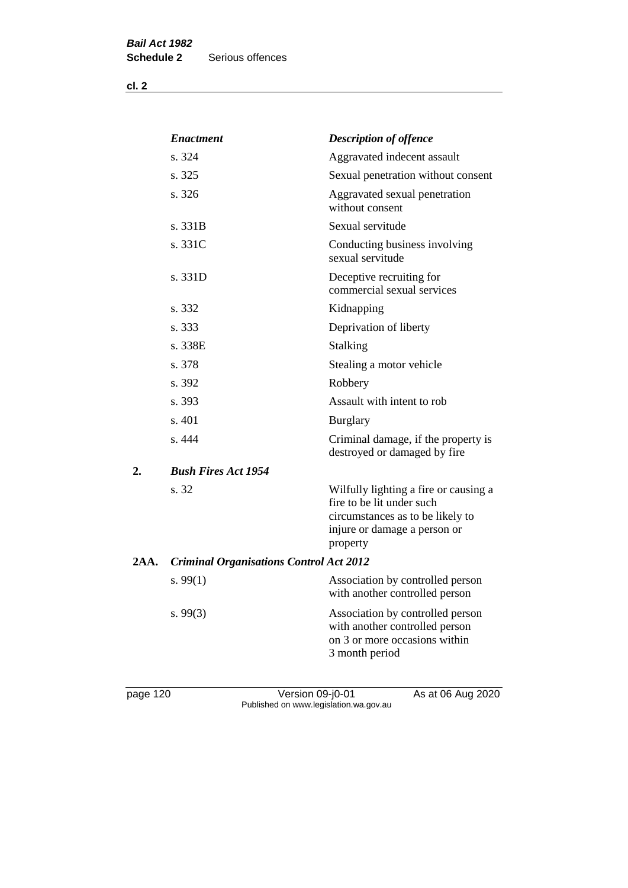**cl. 2**

|      | <b>Enactment</b>                               | <b>Description of offence</b>                                                                                                                      |
|------|------------------------------------------------|----------------------------------------------------------------------------------------------------------------------------------------------------|
|      | s. 324                                         | Aggravated indecent assault                                                                                                                        |
|      | s. 325                                         | Sexual penetration without consent                                                                                                                 |
|      | s. 326                                         | Aggravated sexual penetration<br>without consent                                                                                                   |
|      | s. 331B                                        | Sexual servitude                                                                                                                                   |
|      | s. 331C                                        | Conducting business involving<br>sexual servitude                                                                                                  |
|      | s. 331D                                        | Deceptive recruiting for<br>commercial sexual services                                                                                             |
|      | s. 332                                         | Kidnapping                                                                                                                                         |
|      | s. 333                                         | Deprivation of liberty                                                                                                                             |
|      | s. 338E                                        | <b>Stalking</b>                                                                                                                                    |
|      | s. 378                                         | Stealing a motor vehicle                                                                                                                           |
|      | s. 392                                         | Robbery                                                                                                                                            |
|      | s. 393                                         | Assault with intent to rob                                                                                                                         |
|      | s. 401                                         | <b>Burglary</b>                                                                                                                                    |
|      | s. 444                                         | Criminal damage, if the property is<br>destroyed or damaged by fire                                                                                |
| 2.   | <b>Bush Fires Act 1954</b>                     |                                                                                                                                                    |
|      | s. 32                                          | Wilfully lighting a fire or causing a<br>fire to be lit under such<br>circumstances as to be likely to<br>injure or damage a person or<br>property |
| 2AA. | <b>Criminal Organisations Control Act 2012</b> |                                                                                                                                                    |
|      | s. $99(1)$                                     | Association by controlled person<br>with another controlled person                                                                                 |
|      | s. $99(3)$                                     | Association by controlled person<br>with another controlled person<br>on 3 or more occasions within<br>3 month period                              |

page 120 Version 09-j0-01 As at 06 Aug 2020 Published on www.legislation.wa.gov.au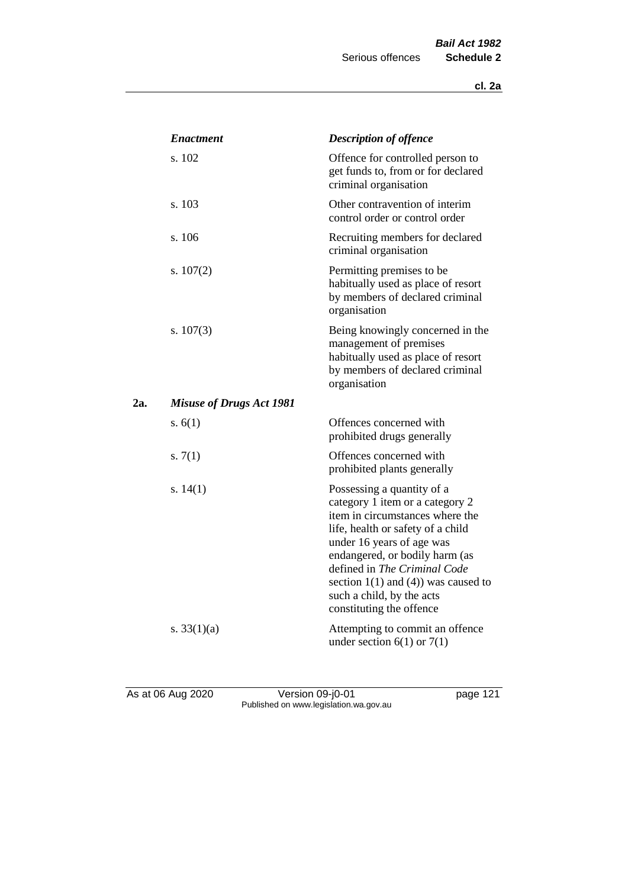|     | <b>Enactment</b>                | <b>Description of offence</b>                                                                                                                                                                                                                                                                                                             |
|-----|---------------------------------|-------------------------------------------------------------------------------------------------------------------------------------------------------------------------------------------------------------------------------------------------------------------------------------------------------------------------------------------|
|     | s. 102                          | Offence for controlled person to<br>get funds to, from or for declared<br>criminal organisation                                                                                                                                                                                                                                           |
|     | s. 103                          | Other contravention of interim<br>control order or control order                                                                                                                                                                                                                                                                          |
|     | s. 106                          | Recruiting members for declared<br>criminal organisation                                                                                                                                                                                                                                                                                  |
|     | s. $107(2)$                     | Permitting premises to be<br>habitually used as place of resort<br>by members of declared criminal<br>organisation                                                                                                                                                                                                                        |
|     | s. $107(3)$                     | Being knowingly concerned in the<br>management of premises<br>habitually used as place of resort<br>by members of declared criminal<br>organisation                                                                                                                                                                                       |
| 2a. | <b>Misuse of Drugs Act 1981</b> |                                                                                                                                                                                                                                                                                                                                           |
|     | s. $6(1)$                       | Offences concerned with<br>prohibited drugs generally                                                                                                                                                                                                                                                                                     |
|     | s. $7(1)$                       | Offences concerned with<br>prohibited plants generally                                                                                                                                                                                                                                                                                    |
|     | s. $14(1)$                      | Possessing a quantity of a<br>category 1 item or a category 2<br>item in circumstances where the<br>life, health or safety of a child<br>under 16 years of age was<br>endangered, or bodily harm (as<br>defined in The Criminal Code<br>section $1(1)$ and $(4)$ ) was caused to<br>such a child, by the acts<br>constituting the offence |
|     | s. $33(1)(a)$                   | Attempting to commit an offence<br>under section $6(1)$ or $7(1)$                                                                                                                                                                                                                                                                         |

As at 06 Aug 2020 **Version 09-j0-01 Dealing the CO20 page 121** Published on www.legislation.wa.gov.au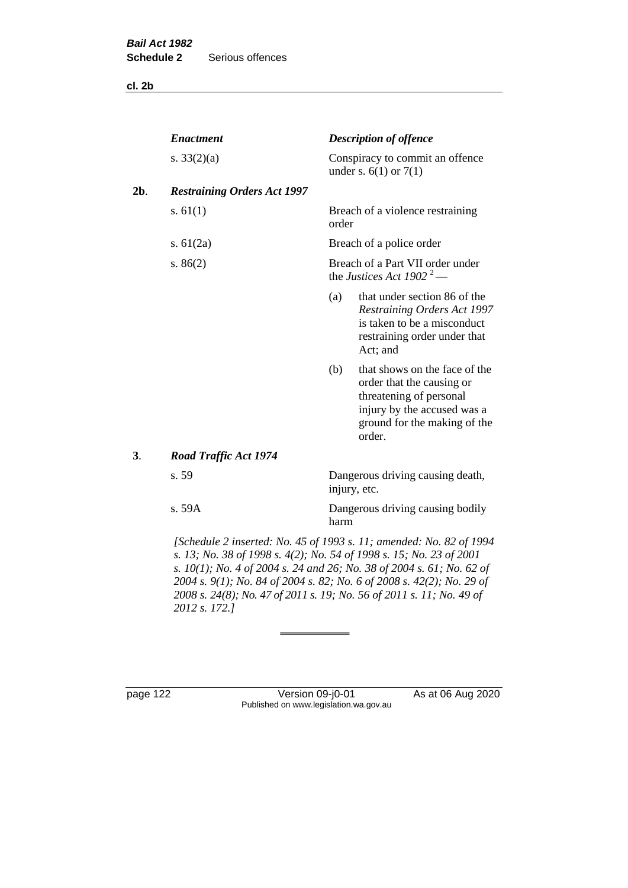**cl. 2b**

| s. $33(2)(a)$                      |                                                                          |                                                                                                                                                                |  |  |
|------------------------------------|--------------------------------------------------------------------------|----------------------------------------------------------------------------------------------------------------------------------------------------------------|--|--|
|                                    |                                                                          | Conspiracy to commit an offence<br>under s. $6(1)$ or $7(1)$                                                                                                   |  |  |
| <b>Restraining Orders Act 1997</b> |                                                                          |                                                                                                                                                                |  |  |
| s. $61(1)$                         | order                                                                    | Breach of a violence restraining                                                                                                                               |  |  |
| s. $61(2a)$                        |                                                                          | Breach of a police order                                                                                                                                       |  |  |
| s. $86(2)$                         | Breach of a Part VII order under<br>the Justices Act 1902 <sup>2</sup> — |                                                                                                                                                                |  |  |
|                                    | (a)                                                                      | that under section 86 of the<br><b>Restraining Orders Act 1997</b><br>is taken to be a misconduct<br>restraining order under that<br>Act; and                  |  |  |
|                                    | (b)                                                                      | that shows on the face of the<br>order that the causing or<br>threatening of personal<br>injury by the accused was a<br>ground for the making of the<br>order. |  |  |
| <b>Road Traffic Act 1974</b>       |                                                                          |                                                                                                                                                                |  |  |
| s. 59                              | Dangerous driving causing death,<br>injury, etc.                         |                                                                                                                                                                |  |  |
| s. 59A                             | harm                                                                     | Dangerous driving causing bodily                                                                                                                               |  |  |
|                                    |                                                                          | [Schedule 2 inserted: No. 45 of 1993 s. 11; amended: No. 82 of 1994                                                                                            |  |  |

*s. 13; No. 38 of 1998 s. 4(2); No. 54 of 1998 s. 15; No. 23 of 2001 s. 10(1); No. 4 of 2004 s. 24 and 26; No. 38 of 2004 s. 61; No. 62 of 2004 s. 9(1); No. 84 of 2004 s. 82; No. 6 of 2008 s. 42(2); No. 29 of 2008 s. 24(8); No. 47 of 2011 s. 19; No. 56 of 2011 s. 11; No. 49 of 2012 s. 172.]* 

page 122 Version 09-j0-01 As at 06 Aug 2020 Published on www.legislation.wa.gov.au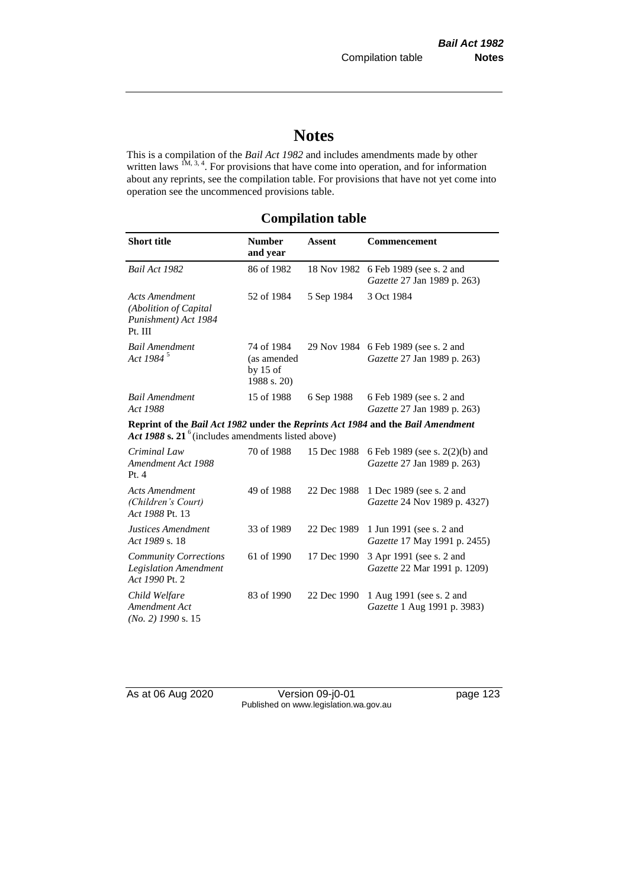# **Notes**

This is a compilation of the *Bail Act 1982* and includes amendments made by other written laws  $1M$ ,  $3, 4$ . For provisions that have come into operation, and for information about any reprints, see the compilation table. For provisions that have not yet come into operation see the uncommenced provisions table.

# **Compilation table**

| <b>Short title</b>                                                                                                                                | <b>Number</b><br>and year                              | <b>Assent</b> | <b>Commencement</b>                                           |  |
|---------------------------------------------------------------------------------------------------------------------------------------------------|--------------------------------------------------------|---------------|---------------------------------------------------------------|--|
| Bail Act 1982                                                                                                                                     | 86 of 1982                                             | 18 Nov 1982   | 6 Feb 1989 (see s. 2 and<br>Gazette 27 Jan 1989 p. 263)       |  |
| <b>Acts Amendment</b><br>(Abolition of Capital<br>Punishment) Act 1984<br>Pt. III                                                                 | 52 of 1984                                             | 5 Sep 1984    | 3 Oct 1984                                                    |  |
| <b>Bail Amendment</b><br>Act 1984 <sup>5</sup>                                                                                                    | 74 of 1984<br>(as amended<br>by $15$ of<br>1988 s. 20) | 29 Nov 1984   | 6 Feb 1989 (see s. 2 and<br>Gazette 27 Jan 1989 p. 263)       |  |
| <b>Bail Amendment</b><br>Act 1988                                                                                                                 | 15 of 1988                                             | 6 Sep 1988    | 6 Feb 1989 (see s. 2 and<br>Gazette 27 Jan 1989 p. 263)       |  |
| Reprint of the Bail Act 1982 under the Reprints Act 1984 and the Bail Amendment<br>Act 1988 s. 21 <sup>6</sup> (includes amendments listed above) |                                                        |               |                                                               |  |
| Criminal Law<br>Amendment Act 1988<br>Pt.4                                                                                                        | 70 of 1988                                             | 15 Dec 1988   | 6 Feb 1989 (see s. 2(2)(b) and<br>Gazette 27 Jan 1989 p. 263) |  |
| <b>Acts Amendment</b><br>(Children's Court)<br>Act 1988 Pt. 13                                                                                    | 49 of 1988                                             | 22 Dec 1988   | 1 Dec 1989 (see s. 2 and<br>Gazette 24 Nov 1989 p. 4327)      |  |
| Justices Amendment<br>Act 1989 s. 18                                                                                                              | 33 of 1989                                             | 22 Dec 1989   | 1 Jun 1991 (see s. 2 and<br>Gazette 17 May 1991 p. 2455)      |  |
| <b>Community Corrections</b><br><b>Legislation Amendment</b><br>Act 1990 Pt. 2                                                                    | 61 of 1990                                             | 17 Dec 1990   | 3 Apr 1991 (see s. 2 and<br>Gazette 22 Mar 1991 p. 1209)      |  |
| Child Welfare<br>Amendment Act<br>$(No. 2)$ 1990 s. 15                                                                                            | 83 of 1990                                             | 22 Dec 1990   | 1 Aug 1991 (see s. 2 and<br>Gazette 1 Aug 1991 p. 3983)       |  |

As at 06 Aug 2020 Version 09-j0-01 page 123 Published on www.legislation.wa.gov.au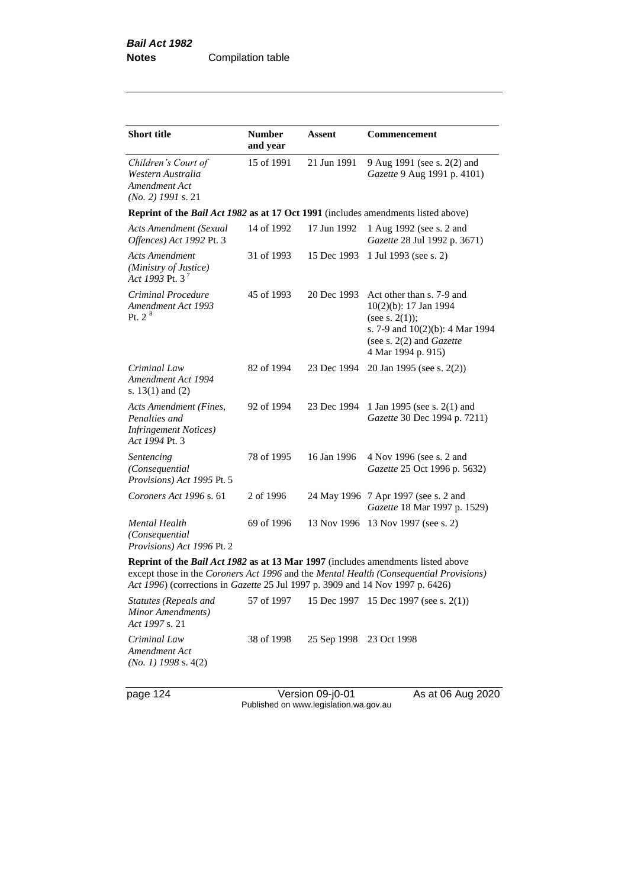| <b>Short title</b>                                                                                                                                                       | <b>Number</b><br>and year                                                         | Assent      | Commencement                                                                                                                                                 |  |  |  |  |
|--------------------------------------------------------------------------------------------------------------------------------------------------------------------------|-----------------------------------------------------------------------------------|-------------|--------------------------------------------------------------------------------------------------------------------------------------------------------------|--|--|--|--|
| Children's Court of<br>Western Australia<br>Amendment Act<br>$(No. 2)$ 1991 s. 21                                                                                        | 15 of 1991                                                                        | 21 Jun 1991 | 9 Aug 1991 (see s. 2(2) and<br>Gazette 9 Aug 1991 p. 4101)                                                                                                   |  |  |  |  |
|                                                                                                                                                                          | Reprint of the Bail Act 1982 as at 17 Oct 1991 (includes amendments listed above) |             |                                                                                                                                                              |  |  |  |  |
| <b>Acts Amendment (Sexual</b><br>Offences) Act 1992 Pt. 3                                                                                                                | 14 of 1992                                                                        | 17 Jun 1992 | 1 Aug 1992 (see s. 2 and<br>Gazette 28 Jul 1992 p. 3671)                                                                                                     |  |  |  |  |
| <b>Acts Amendment</b><br>(Ministry of Justice)<br>Act 1993 Pt. $3^7$                                                                                                     | 31 of 1993                                                                        | 15 Dec 1993 | 1 Jul 1993 (see s. 2)                                                                                                                                        |  |  |  |  |
| Criminal Procedure<br>Amendment Act 1993<br>Pt. $2^8$                                                                                                                    | 45 of 1993                                                                        | 20 Dec 1993 | Act other than s. 7-9 and<br>10(2)(b): 17 Jan 1994<br>(see s. $2(1)$ );<br>s. 7-9 and 10(2)(b): 4 Mar 1994<br>(see s. 2(2) and Gazette<br>4 Mar 1994 p. 915) |  |  |  |  |
| Criminal Law<br>Amendment Act 1994<br>s. $13(1)$ and $(2)$                                                                                                               | 82 of 1994                                                                        | 23 Dec 1994 | 20 Jan 1995 (see s. 2(2))                                                                                                                                    |  |  |  |  |
| Acts Amendment (Fines,<br>Penalties and<br><b>Infringement Notices</b> )<br>Act 1994 Pt. 3                                                                               | 92 of 1994                                                                        | 23 Dec 1994 | 1 Jan 1995 (see s. 2(1) and<br>Gazette 30 Dec 1994 p. 7211)                                                                                                  |  |  |  |  |
| Sentencing<br>(Consequential<br>Provisions) Act 1995 Pt. 5                                                                                                               | 78 of 1995                                                                        | 16 Jan 1996 | 4 Nov 1996 (see s. 2 and<br>Gazette 25 Oct 1996 p. 5632)                                                                                                     |  |  |  |  |
| Coroners Act 1996 s. 61                                                                                                                                                  | 2 of 1996                                                                         |             | 24 May 1996 7 Apr 1997 (see s. 2 and<br>Gazette 18 Mar 1997 p. 1529)                                                                                         |  |  |  |  |
| Mental Health<br>(Consequential<br>Provisions) Act 1996 Pt. 2                                                                                                            | 69 of 1996                                                                        |             | 13 Nov 1996 13 Nov 1997 (see s. 2)                                                                                                                           |  |  |  |  |
| Reprint of the <i>Bail Act 1982</i> as at 13 Mar 1997 (includes amendments listed above                                                                                  |                                                                                   |             |                                                                                                                                                              |  |  |  |  |
| except those in the Coroners Act 1996 and the Mental Health (Consequential Provisions)<br>Act 1996) (corrections in Gazette 25 Jul 1997 p. 3909 and 14 Nov 1997 p. 6426) |                                                                                   |             |                                                                                                                                                              |  |  |  |  |
| $Statutes (Panads and 57 of 1007 15 Dog 1007 15 Dog 1007 (999 s 2(1)))$                                                                                                  |                                                                                   |             |                                                                                                                                                              |  |  |  |  |

*Statutes (Repeals and Minor Amendments) Act 1997* s. 21 57 of 1997 15 Dec 1997 15 Dec 1997 (see s. 2(1)) *Criminal Law Amendment Act (No. 1) 1998* s. 4(2) 38 of 1998 25 Sep 1998 23 Oct 1998

page 124 Version 09-j0-01 As at 06 Aug 2020 Published on www.legislation.wa.gov.au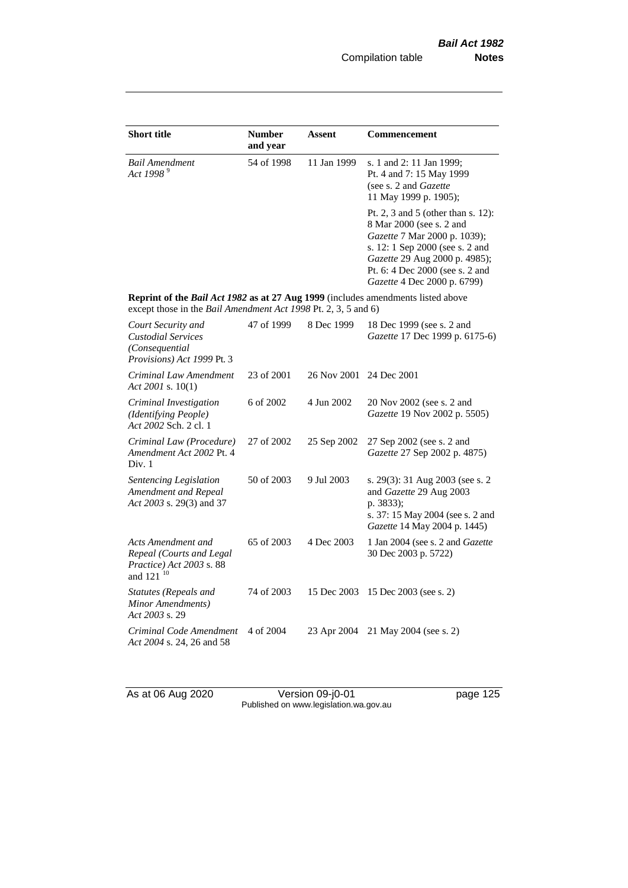| <b>Short title</b>                                                                                                                                 | <b>Number</b><br>and year | <b>Assent</b> | <b>Commencement</b>                                                                                                                                                                                                                  |
|----------------------------------------------------------------------------------------------------------------------------------------------------|---------------------------|---------------|--------------------------------------------------------------------------------------------------------------------------------------------------------------------------------------------------------------------------------------|
| <b>Bail Amendment</b><br>Act 1998 <sup>9</sup>                                                                                                     | 54 of 1998                | 11 Jan 1999   | s. 1 and 2: 11 Jan 1999;<br>Pt. 4 and 7: 15 May 1999<br>(see s. 2 and Gazette<br>11 May 1999 p. 1905);                                                                                                                               |
|                                                                                                                                                    |                           |               | Pt. 2, 3 and 5 (other than s. 12):<br>8 Mar 2000 (see s. 2 and<br>Gazette 7 Mar 2000 p. 1039);<br>s. 12: 1 Sep 2000 (see s. 2 and<br>Gazette 29 Aug 2000 p. 4985);<br>Pt. 6: 4 Dec 2000 (see s. 2 and<br>Gazette 4 Dec 2000 p. 6799) |
| Reprint of the Bail Act 1982 as at 27 Aug 1999 (includes amendments listed above<br>except those in the Bail Amendment Act 1998 Pt. 2, 3, 5 and 6) |                           |               |                                                                                                                                                                                                                                      |
| Court Security and<br><b>Custodial Services</b><br>(Consequential<br>Provisions) Act 1999 Pt. 3                                                    | 47 of 1999                | 8 Dec 1999    | 18 Dec 1999 (see s. 2 and<br>Gazette 17 Dec 1999 p. 6175-6)                                                                                                                                                                          |
| Criminal Law Amendment<br>Act 2001 s. 10(1)                                                                                                        | 23 of 2001                | 26 Nov 2001   | 24 Dec 2001                                                                                                                                                                                                                          |
| Criminal Investigation<br>(Identifying People)<br>Act 2002 Sch. 2 cl. 1                                                                            | 6 of 2002                 | 4 Jun 2002    | 20 Nov 2002 (see s. 2 and<br>Gazette 19 Nov 2002 p. 5505)                                                                                                                                                                            |
| Criminal Law (Procedure)<br>Amendment Act 2002 Pt. 4<br>Div. 1                                                                                     | 27 of 2002                | 25 Sep 2002   | 27 Sep 2002 (see s. 2 and<br>Gazette 27 Sep 2002 p. 4875)                                                                                                                                                                            |
| Sentencing Legislation<br>Amendment and Repeal<br>Act 2003 s. 29(3) and 37                                                                         | 50 of 2003                | 9 Jul 2003    | s. 29(3): 31 Aug 2003 (see s. 2<br>and Gazette 29 Aug 2003<br>p. 3833);<br>s. 37: 15 May 2004 (see s. 2 and<br>Gazette 14 May 2004 p. 1445)                                                                                          |
| Acts Amendment and<br>Repeal (Courts and Legal<br>Practice) Act 2003 s. 88<br>and 121 <sup>10</sup>                                                | 65 of 2003                | 4 Dec 2003    | 1 Jan 2004 (see s. 2 and Gazette<br>30 Dec 2003 p. 5722)                                                                                                                                                                             |
| <b>Statutes</b> (Repeals and<br>Minor Amendments)<br>Act 2003 s. 29                                                                                | 74 of 2003                | 15 Dec 2003   | 15 Dec 2003 (see s. 2)                                                                                                                                                                                                               |
| Criminal Code Amendment<br>Act 2004 s. 24, 26 and 58                                                                                               | 4 of 2004                 | 23 Apr 2004   | 21 May 2004 (see s. 2)                                                                                                                                                                                                               |

As at 06 Aug 2020 **Version 09-j0-01 Dealing the CO** page 125 Published on www.legislation.wa.gov.au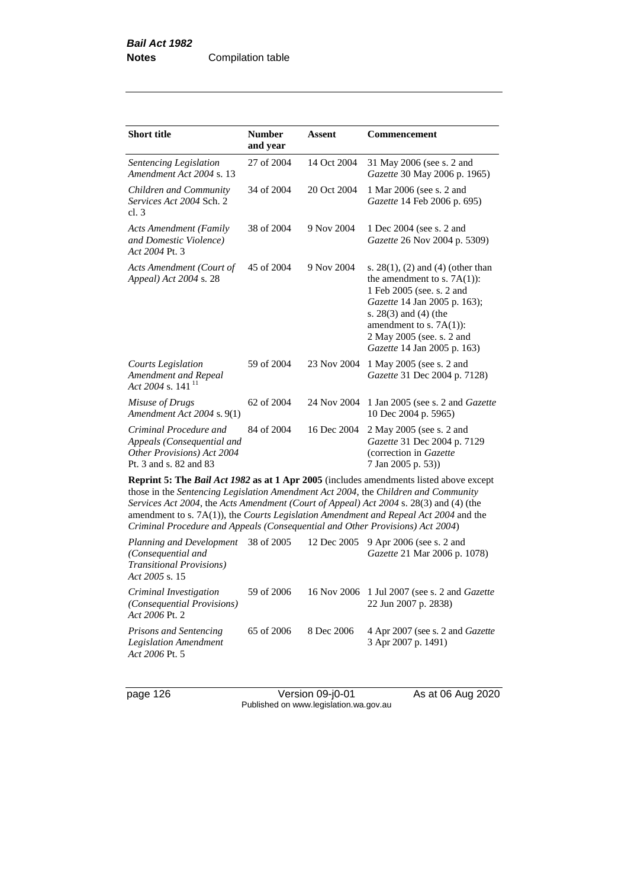| 31 May 2006 (see s. 2 and<br>Gazette 30 May 2006 p. 1965)                                                                                                                                                                                                                                                                                                                                                                                              |  |  |  |  |  |
|--------------------------------------------------------------------------------------------------------------------------------------------------------------------------------------------------------------------------------------------------------------------------------------------------------------------------------------------------------------------------------------------------------------------------------------------------------|--|--|--|--|--|
| 1 Mar 2006 (see s. 2 and<br>Gazette 14 Feb 2006 p. 695)                                                                                                                                                                                                                                                                                                                                                                                                |  |  |  |  |  |
| 1 Dec 2004 (see s. 2 and<br>Gazette 26 Nov 2004 p. 5309)                                                                                                                                                                                                                                                                                                                                                                                               |  |  |  |  |  |
| s. $28(1)$ , (2) and (4) (other than<br>the amendment to s. $7A(1)$ :<br>1 Feb 2005 (see. s. 2 and<br>Gazette 14 Jan 2005 p. 163);<br>s. $28(3)$ and $(4)$ (the<br>amendment to s. $7A(1)$ :<br>2 May 2005 (see. s. 2 and<br>Gazette 14 Jan 2005 p. 163)                                                                                                                                                                                               |  |  |  |  |  |
| 1 May 2005 (see s. 2 and<br>Gazette 31 Dec 2004 p. 7128)                                                                                                                                                                                                                                                                                                                                                                                               |  |  |  |  |  |
| 1 Jan 2005 (see s. 2 and <i>Gazette</i><br>10 Dec 2004 p. 5965)                                                                                                                                                                                                                                                                                                                                                                                        |  |  |  |  |  |
| 2 May 2005 (see s. 2 and<br>Gazette 31 Dec 2004 p. 7129<br>(correction in Gazette                                                                                                                                                                                                                                                                                                                                                                      |  |  |  |  |  |
| <b>Reprint 5: The Bail Act 1982 as at 1 Apr 2005</b> (includes amendments listed above except<br>those in the Sentencing Legislation Amendment Act 2004, the Children and Community<br>Services Act 2004, the Acts Amendment (Court of Appeal) Act 2004 s. 28(3) and (4) (the<br>amendment to s. 7A(1)), the Courts Legislation Amendment and Repeal Act 2004 and the<br>Criminal Procedure and Appeals (Consequential and Other Provisions) Act 2004) |  |  |  |  |  |
| Planning and Development $-38$ of $2005 - 12$ Dec $2005 - 9$ Apr $2006$ (see s. 2 and                                                                                                                                                                                                                                                                                                                                                                  |  |  |  |  |  |

| Planning and Development<br>(Consequential and<br><b>Transitional Provisions</b> )<br>Act 2005 s. 15 | 38 of 2005 |            | 12 Dec 2005 9 Apr 2006 (see s. 2 and<br>Gazette 21 Mar 2006 p. 1078)        |
|------------------------------------------------------------------------------------------------------|------------|------------|-----------------------------------------------------------------------------|
| Criminal Investigation<br><i>(Consequential Provisions)</i><br>Act 2006 Pt. 2                        | 59 of 2006 |            | 16 Nov 2006 1 Jul 2007 (see s. 2 and <i>Gazette</i><br>22 Jun 2007 p. 2838) |
| Prisons and Sentencing<br>Legislation Amendment<br>Act 2006 Pt. 5                                    | 65 of 2006 | 8 Dec 2006 | 4 Apr 2007 (see s. 2 and <i>Gazette</i><br>3 Apr 2007 p. 1491)              |

page 126 Version 09-j0-01 As at 06 Aug 2020 Published on www.legislation.wa.gov.au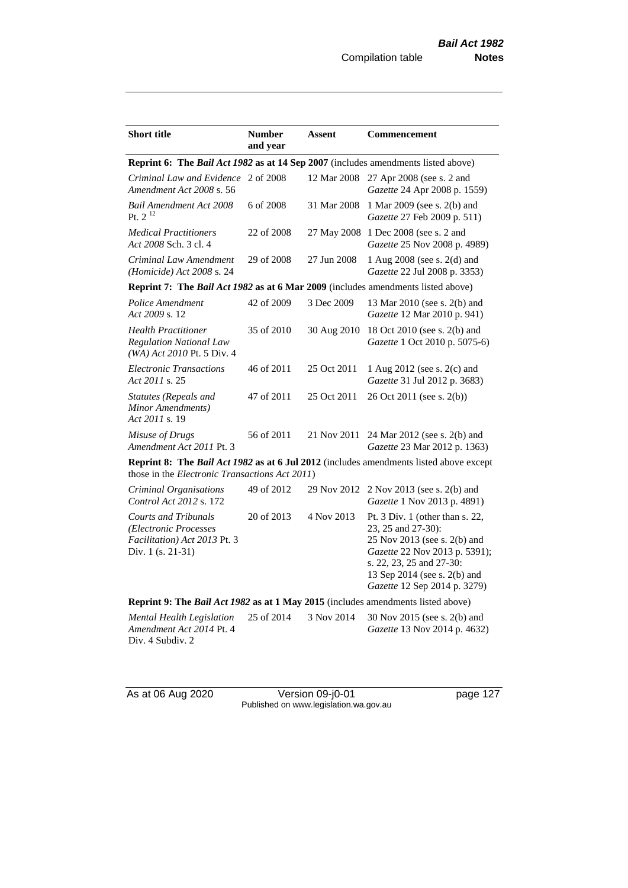| <b>Short title</b>                                                                                                                              | <b>Number</b><br>and year | <b>Assent</b> | <b>Commencement</b>                                                                                                                                                                                                   |  |  |
|-------------------------------------------------------------------------------------------------------------------------------------------------|---------------------------|---------------|-----------------------------------------------------------------------------------------------------------------------------------------------------------------------------------------------------------------------|--|--|
| Reprint 6: The Bail Act 1982 as at 14 Sep 2007 (includes amendments listed above)                                                               |                           |               |                                                                                                                                                                                                                       |  |  |
| Criminal Law and Evidence 2 of 2008<br>Amendment Act 2008 s. 56                                                                                 |                           | 12 Mar 2008   | 27 Apr 2008 (see s. 2 and<br>Gazette 24 Apr 2008 p. 1559)                                                                                                                                                             |  |  |
| <b>Bail Amendment Act 2008</b><br>Pt. $2^{12}$                                                                                                  | 6 of 2008                 | 31 Mar 2008   | 1 Mar 2009 (see s. 2(b) and<br>Gazette 27 Feb 2009 p. 511)                                                                                                                                                            |  |  |
| <b>Medical Practitioners</b><br>Act 2008 Sch. 3 cl. 4                                                                                           | 22 of 2008                | 27 May 2008   | 1 Dec 2008 (see s. 2 and<br>Gazette 25 Nov 2008 p. 4989)                                                                                                                                                              |  |  |
| Criminal Law Amendment<br>(Homicide) Act 2008 s. 24                                                                                             | 29 of 2008                | 27 Jun 2008   | 1 Aug 2008 (see s. 2(d) and<br>Gazette 22 Jul 2008 p. 3353)                                                                                                                                                           |  |  |
| Reprint 7: The Bail Act 1982 as at 6 Mar 2009 (includes amendments listed above)                                                                |                           |               |                                                                                                                                                                                                                       |  |  |
| Police Amendment<br>Act 2009 s. 12                                                                                                              | 42 of 2009                | 3 Dec 2009    | 13 Mar 2010 (see s. 2(b) and<br>Gazette 12 Mar 2010 p. 941)                                                                                                                                                           |  |  |
| <b>Health Practitioner</b><br><b>Regulation National Law</b><br>(WA) Act 2010 Pt. 5 Div. 4                                                      | 35 of 2010                | 30 Aug 2010   | 18 Oct 2010 (see s. 2(b) and<br>Gazette 1 Oct 2010 p. 5075-6)                                                                                                                                                         |  |  |
| <b>Electronic Transactions</b><br>Act 2011 s. 25                                                                                                | 46 of 2011                | 25 Oct 2011   | 1 Aug 2012 (see s. 2(c) and<br>Gazette 31 Jul 2012 p. 3683)                                                                                                                                                           |  |  |
| Statutes (Repeals and<br>Minor Amendments)<br>Act 2011 s. 19                                                                                    | 47 of 2011                | 25 Oct 2011   | 26 Oct 2011 (see s. 2(b))                                                                                                                                                                                             |  |  |
| Misuse of Drugs<br>Amendment Act 2011 Pt. 3                                                                                                     | 56 of 2011                | 21 Nov 2011   | 24 Mar 2012 (see s. 2(b) and<br>Gazette 23 Mar 2012 p. 1363)                                                                                                                                                          |  |  |
| <b>Reprint 8: The Bail Act 1982 as at 6 Jul 2012</b> (includes amendments listed above except<br>those in the Electronic Transactions Act 2011) |                           |               |                                                                                                                                                                                                                       |  |  |
| Criminal Organisations<br>Control Act 2012 s. 172                                                                                               | 49 of 2012                | 29 Nov 2012   | 2 Nov 2013 (see s. 2(b) and<br>Gazette 1 Nov 2013 p. 4891)                                                                                                                                                            |  |  |
| <b>Courts and Tribunals</b><br>(Electronic Processes<br>Facilitation) Act 2013 Pt. 3<br>Div. 1 (s. 21-31)                                       | 20 of 2013                | 4 Nov 2013    | Pt. 3 Div. 1 (other than $s$ . 22,<br>23, 25 and 27-30):<br>25 Nov 2013 (see s. 2(b) and<br>Gazette 22 Nov 2013 p. 5391);<br>s. 22, 23, 25 and 27-30:<br>13 Sep 2014 (see s. 2(b) and<br>Gazette 12 Sep 2014 p. 3279) |  |  |
| Reprint 9: The Bail Act 1982 as at 1 May 2015 (includes amendments listed above)                                                                |                           |               |                                                                                                                                                                                                                       |  |  |
| Mental Health Legislation<br>Amendment Act 2014 Pt. 4<br>Div. 4 Subdiv. 2                                                                       | 25 of 2014                | 3 Nov 2014    | 30 Nov 2015 (see s. 2(b) and<br>Gazette 13 Nov 2014 p. 4632)                                                                                                                                                          |  |  |

As at 06 Aug 2020 **Version 09-j0-01 Dealing the State of Aug 2020** Published on www.legislation.wa.gov.au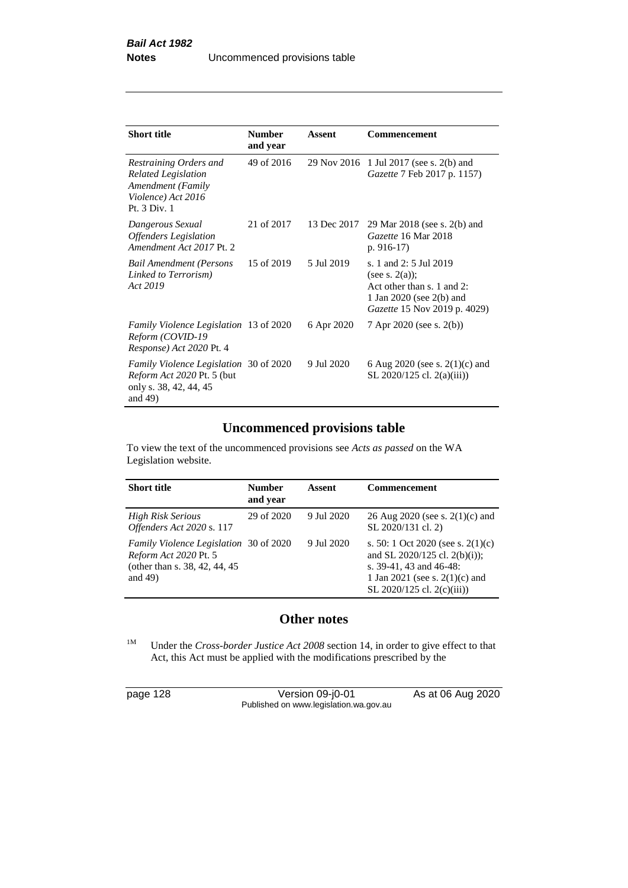| <b>Short title</b>                                                                                               | <b>Number</b><br>and year | Assent     | Commencement                                                                                                                                   |
|------------------------------------------------------------------------------------------------------------------|---------------------------|------------|------------------------------------------------------------------------------------------------------------------------------------------------|
| Restraining Orders and<br><b>Related Legislation</b><br>Amendment (Family<br>Violence) Act 2016<br>Pt. 3 Div. 1  | 49 of 2016                |            | 29 Nov 2016 1 Jul 2017 (see s. 2(b) and<br><i>Gazette</i> 7 Feb 2017 p. 1157)                                                                  |
| Dangerous Sexual<br><b>Offenders</b> Legislation<br>Amendment Act 2017 Pt. 2                                     | 21 of 2017                |            | 13 Dec 2017 29 Mar 2018 (see s. 2(b) and<br>Gazette 16 Mar 2018<br>$p. 916-17)$                                                                |
| <b>Bail Amendment (Persons</b><br>Linked to Terrorism)<br>Act 2019                                               | 15 of 2019                | 5 Jul 2019 | s. 1 and 2: 5 Jul 2019<br>(see s. $2(a)$ );<br>Act other than s. 1 and 2:<br>1 Jan 2020 (see $2(b)$ and<br><i>Gazette</i> 15 Nov 2019 p. 4029) |
| Family Violence Legislation 13 of 2020<br>Reform (COVID-19<br>Response) Act 2020 Pt. 4                           |                           | 6 Apr 2020 | 7 Apr 2020 (see s. 2(b))                                                                                                                       |
| <i>Family Violence Legislation</i> 30 of 2020<br>Reform Act 2020 Pt. 5 (but<br>only s. 38, 42, 44, 45<br>and 49) |                           | 9 Jul 2020 | 6 Aug 2020 (see s. $2(1)(c)$ and<br>SL 2020/125 cl. 2(a)(iii))                                                                                 |

# **Uncommenced provisions table**

To view the text of the uncommenced provisions see *Acts as passed* on the WA Legislation website.

| <b>Short title</b>                                                                                              | <b>Number</b><br>and year | Assent     | <b>Commencement</b>                                                                                                                                                 |
|-----------------------------------------------------------------------------------------------------------------|---------------------------|------------|---------------------------------------------------------------------------------------------------------------------------------------------------------------------|
| <b>High Risk Serious</b><br>Offenders Act 2020 s. 117                                                           | 29 of 2020                | 9 Jul 2020 | 26 Aug 2020 (see s. $2(1)(c)$ and<br>SL 2020/131 cl. 2)                                                                                                             |
| Family Violence Legislation 30 of 2020<br>Reform Act 2020 Pt. 5<br>(other than s. 38, 42, 44, 45)<br>and $49$ ) |                           | 9 Jul 2020 | s. 50: 1 Oct 2020 (see s. $2(1)(c)$ )<br>and SL 2020/125 cl. 2(b)(i));<br>s. 39-41, 43 and 46-48:<br>1 Jan 2021 (see s. $2(1)(c)$ and<br>SL 2020/125 cl. 2(c)(iii)) |

# **Other notes**

<sup>1M</sup> Under the *Cross-border Justice Act 2008* section 14, in order to give effect to that Act, this Act must be applied with the modifications prescribed by the

page 128 Version 09-j0-01 As at 06 Aug 2020 Published on www.legislation.wa.gov.au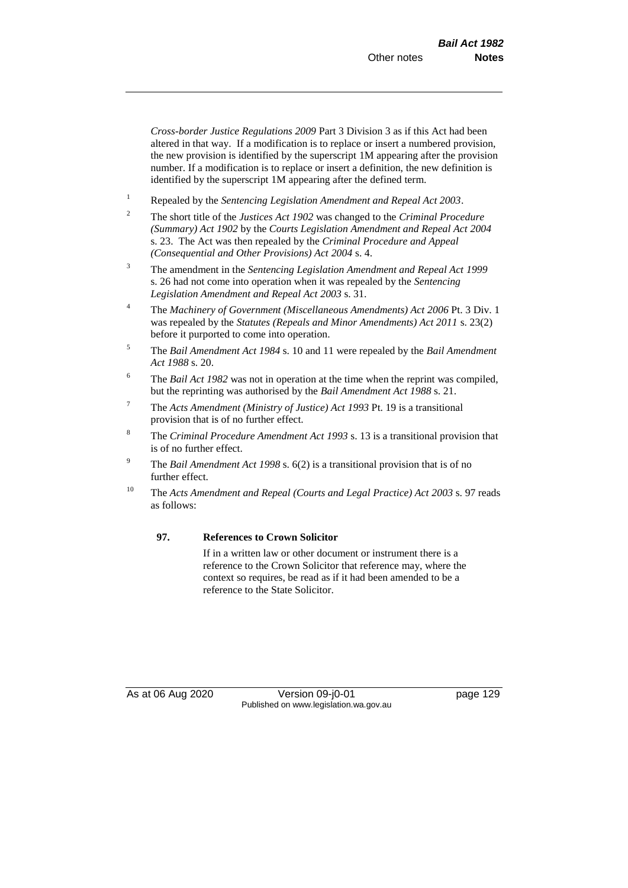*Cross-border Justice Regulations 2009* Part 3 Division 3 as if this Act had been altered in that way. If a modification is to replace or insert a numbered provision, the new provision is identified by the superscript 1M appearing after the provision number. If a modification is to replace or insert a definition, the new definition is identified by the superscript 1M appearing after the defined term.

- <sup>1</sup> Repealed by the *Sentencing Legislation Amendment and Repeal Act 2003*.
- <sup>2</sup> The short title of the *Justices Act 1902* was changed to the *Criminal Procedure (Summary) Act 1902* by the *Courts Legislation Amendment and Repeal Act 2004*  s. 23. The Act was then repealed by the *Criminal Procedure and Appeal (Consequential and Other Provisions) Act 2004* s. 4.
- <sup>3</sup> The amendment in the *Sentencing Legislation Amendment and Repeal Act 1999* s. 26 had not come into operation when it was repealed by the *Sentencing Legislation Amendment and Repeal Act 2003* s. 31.
- <sup>4</sup> The *Machinery of Government (Miscellaneous Amendments) Act 2006* Pt. 3 Div. 1 was repealed by the *Statutes (Repeals and Minor Amendments) Act 2011* s. 23(2) before it purported to come into operation.
- <sup>5</sup> The *Bail Amendment Act 1984* s. 10 and 11 were repealed by the *Bail Amendment Act 1988* s. 20.
- <sup>6</sup> The *Bail Act 1982* was not in operation at the time when the reprint was compiled, but the reprinting was authorised by the *Bail Amendment Act 1988* s. 21.
- <sup>7</sup> The *Acts Amendment (Ministry of Justice) Act 1993* Pt. 19 is a transitional provision that is of no further effect.
- <sup>8</sup> The *Criminal Procedure Amendment Act 1993* s. 13 is a transitional provision that is of no further effect.
- <sup>9</sup> The *Bail Amendment Act 1998* s. 6(2) is a transitional provision that is of no further effect.
- <sup>10</sup> The *Acts Amendment and Repeal (Courts and Legal Practice) Act 2003* s. 97 reads as follows:

#### **97. References to Crown Solicitor**

If in a written law or other document or instrument there is a reference to the Crown Solicitor that reference may, where the context so requires, be read as if it had been amended to be a reference to the State Solicitor.

As at 06 Aug 2020 Version 09-j0-01 Page 129 Published on www.legislation.wa.gov.au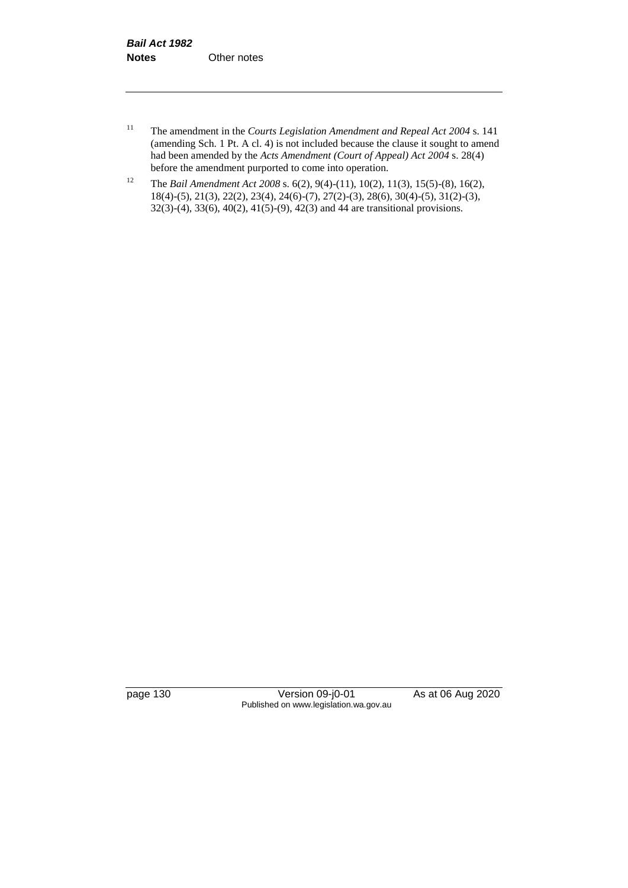- <sup>11</sup> The amendment in the *Courts Legislation Amendment and Repeal Act 2004* s. 141 (amending Sch. 1 Pt. A cl. 4) is not included because the clause it sought to amend had been amended by the *Acts Amendment (Court of Appeal) Act 2004* s. 28(4) before the amendment purported to come into operation.
- <sup>12</sup> The *Bail Amendment Act 2008* s. 6(2), 9(4)-(11), 10(2), 11(3), 15(5)-(8), 16(2), 18(4)-(5), 21(3), 22(2), 23(4), 24(6)-(7), 27(2)-(3), 28(6), 30(4)-(5), 31(2)-(3), 32(3)-(4), 33(6), 40(2), 41(5)-(9), 42(3) and 44 are transitional provisions.

page 130 Version 09-j0-01 As at 06 Aug 2020 Published on www.legislation.wa.gov.au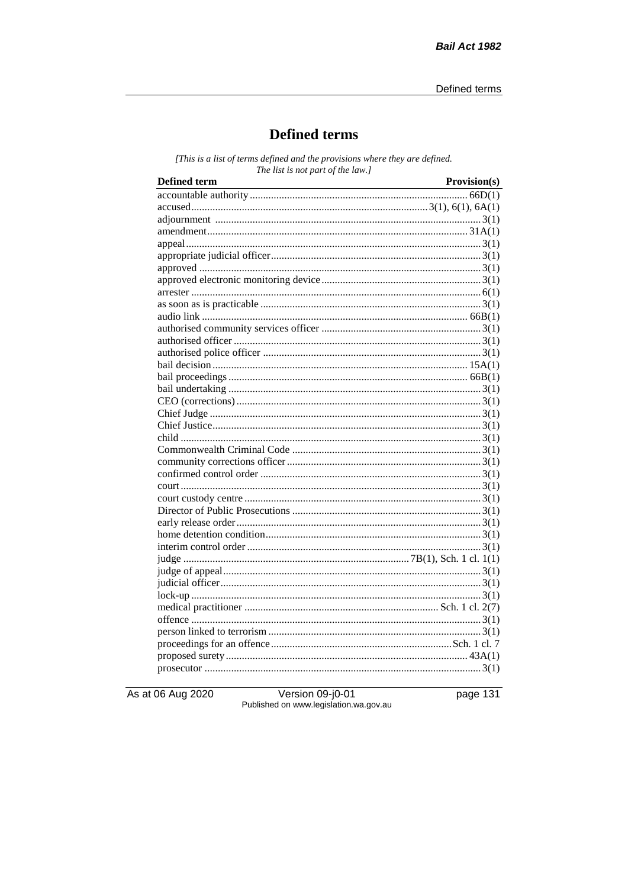# **Defined terms**

[This is a list of terms defined and the provisions where they are defined. The list is not part of the law.]

| <b>Defined term</b> | Provision(s) |
|---------------------|--------------|
|                     |              |
|                     |              |
|                     |              |
|                     |              |
|                     |              |
|                     |              |
|                     |              |
|                     |              |
|                     |              |
|                     |              |
|                     |              |
|                     |              |
|                     |              |
|                     |              |
|                     |              |
|                     |              |
|                     |              |
|                     |              |
|                     |              |
|                     |              |
|                     |              |
|                     |              |
|                     |              |
|                     |              |
|                     |              |
|                     |              |
|                     |              |
|                     |              |
|                     |              |
|                     |              |
|                     |              |
|                     |              |
|                     |              |
|                     |              |
|                     |              |
|                     |              |
|                     |              |
|                     |              |
|                     |              |
|                     |              |
|                     |              |

As at 06 Aug 2020

Version 09-j0-01<br>Published on www.legislation.wa.gov.au

page 131